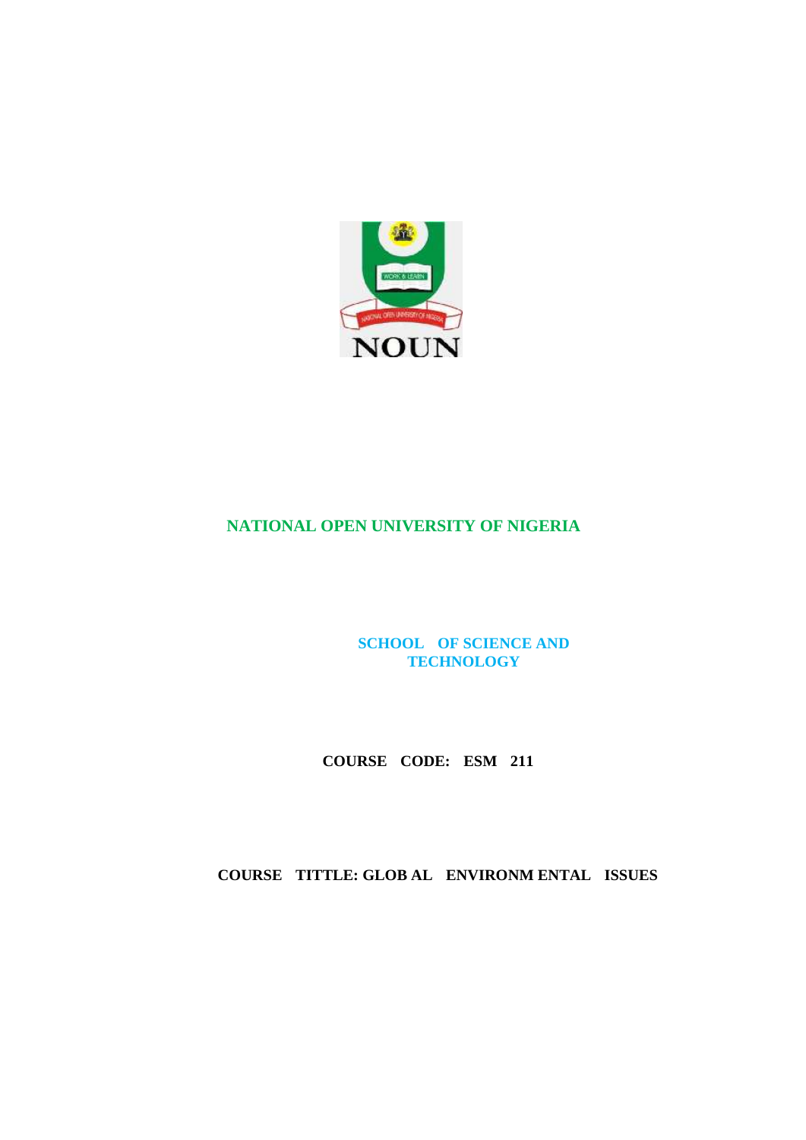

# **NATIONAL OPEN UNIVERSITY OF NIGERIA**

**SCHOOL OF SCIENCE AND TECHNOLOGY**

 **COURSE CODE: ESM 211** 

 **COURSE TITTLE: GLOB AL ENVIRONM ENTAL ISSUES**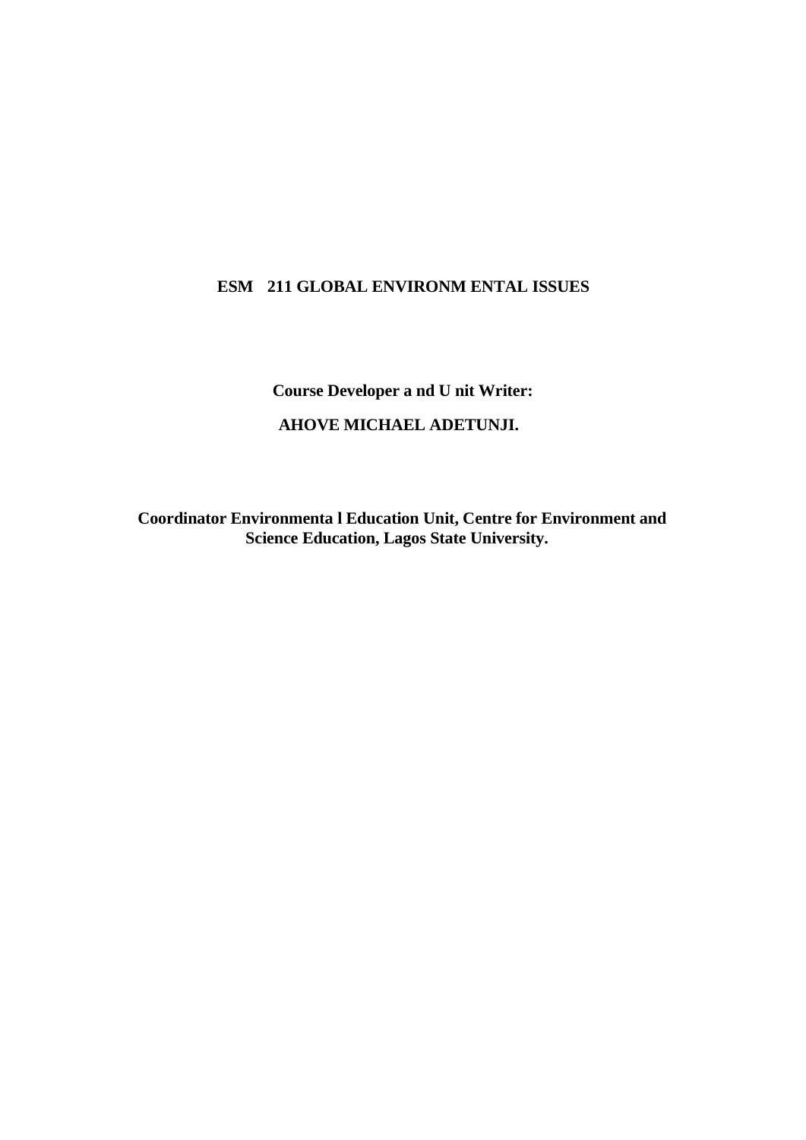# **ESM 211 GLOBAL ENVIRONM ENTAL ISSUES**

**Course Developer a nd U nit Writer:** 

# **AHOVE MICHAEL ADETUNJI.**

 **Coordinator Environmenta l Education Unit, Centre for Environment and Science Education, Lagos State University.**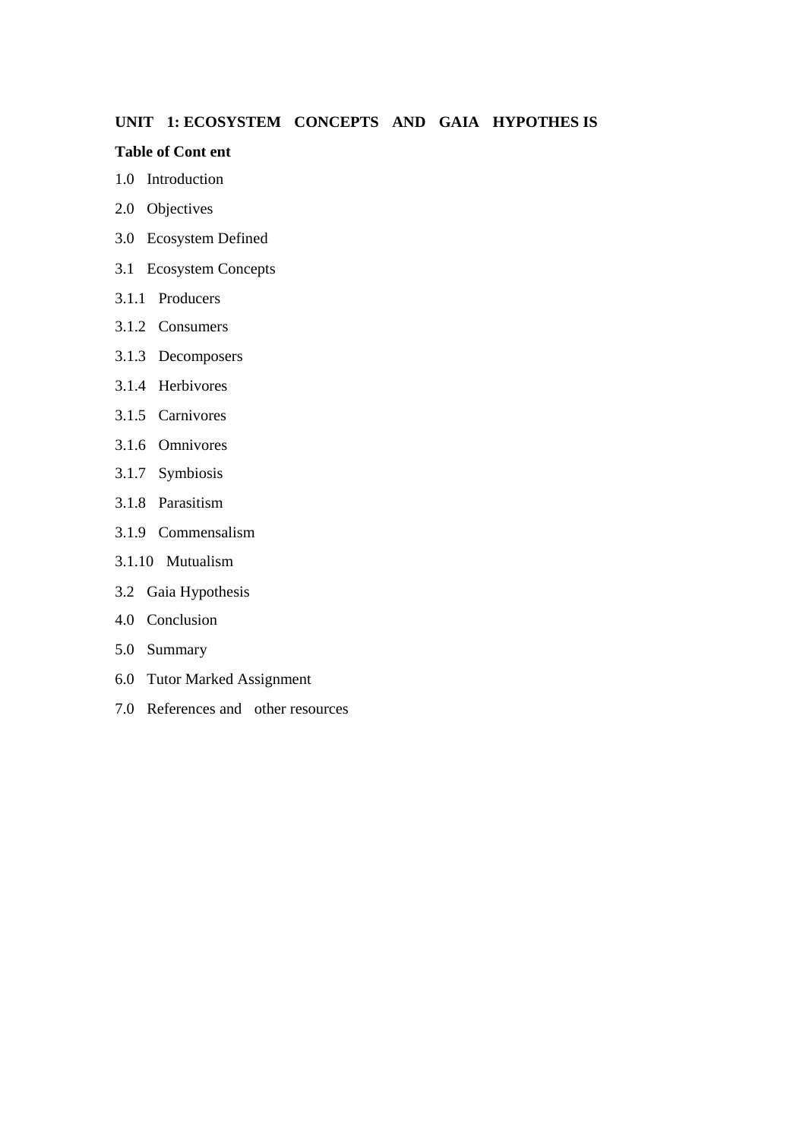# **UNIT 1: ECOSYSTEM CONCEPTS AND GAIA HYPOTHES IS**

#### **Table of Cont ent**

- 1.0 Introduction
- 2.0 Objectives
- 3.0 Ecosystem Defined
- 3.1 Ecosystem Concepts
- 3.1.1 Producers
- 3.1.2 Consumers
- 3.1.3 Decomposers
- 3.1.4 Herbivores
- 3.1.5 Carnivores
- 3.1.6 Omnivores
- 3.1.7 Symbiosis
- 3.1.8 Parasitism
- 3.1.9 Commensalism
- 3.1.10 Mutualism
- 3.2 Gaia Hypothesis
- 4.0 Conclusion
- 5.0 Summary
- 6.0 Tutor Marked Assignment
- 7.0 References and other resources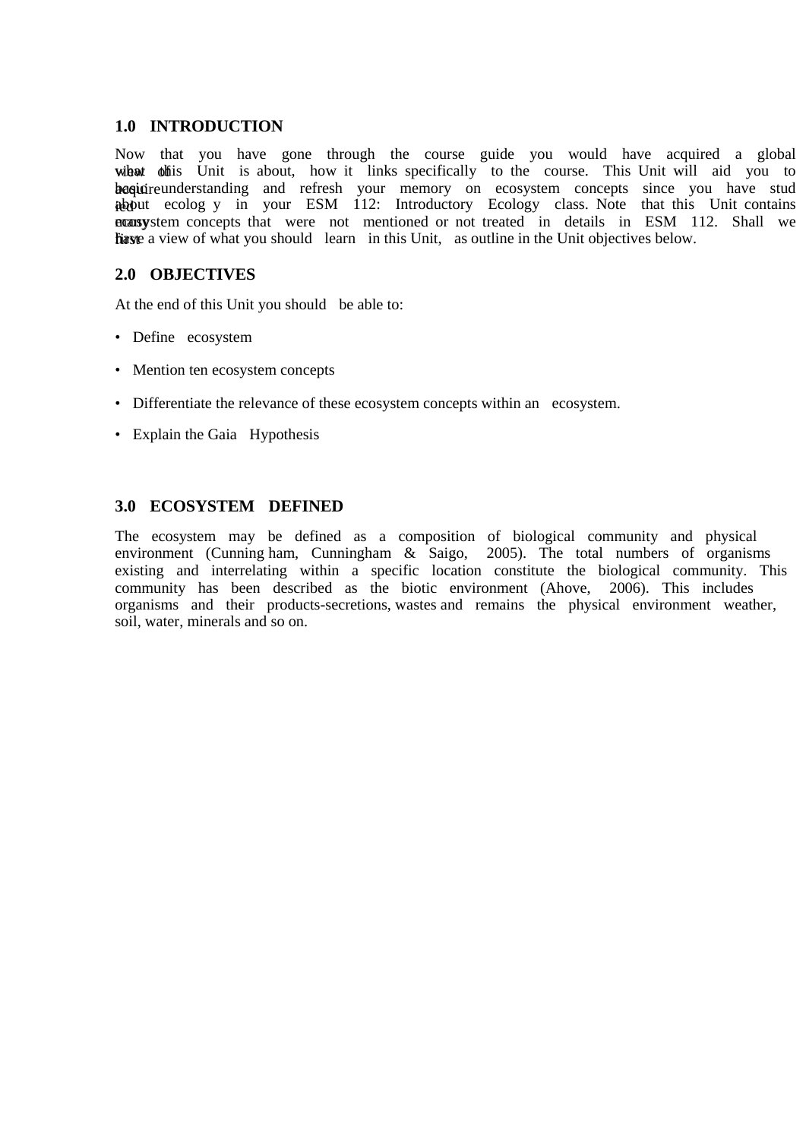## **1.0 INTRODUCTION**

Now that you have gone through the course guide you would have acquired a global wibat offis Unit is about, how it links specifically to the course. This Unit will aid you to basquire understanding and refresh your memory on ecosystem concepts since you have stud about ecolog y in your ESM 112: Introductory Ecology class. Note that this Unit contains nonsystem concepts that were not mentioned or not treated in details in ESM 112. Shall we first have a view of what you should learn in this Unit, as outline in the Unit objectives below.

# **2.0 OBJECTIVES**

At the end of this Unit you should be able to:

- Define ecosystem
- Mention ten ecosystem concepts
- Differentiate the relevance of these ecosystem concepts within an ecosystem.
- Explain the Gaia Hypothesis

# **3.0 ECOSYSTEM DEFINED**

The ecosystem may be defined as a composition of biological community and physical environment (Cunning ham, Cunningham & Saigo, 2005). The total numbers of organisms existing and interrelating within a specific location constitute the biological community. This community has been described as the biotic environment (Ahove, 2006). This includes organisms and their products-secretions, wastes and remains the physical environment weather, soil, water, minerals and so on.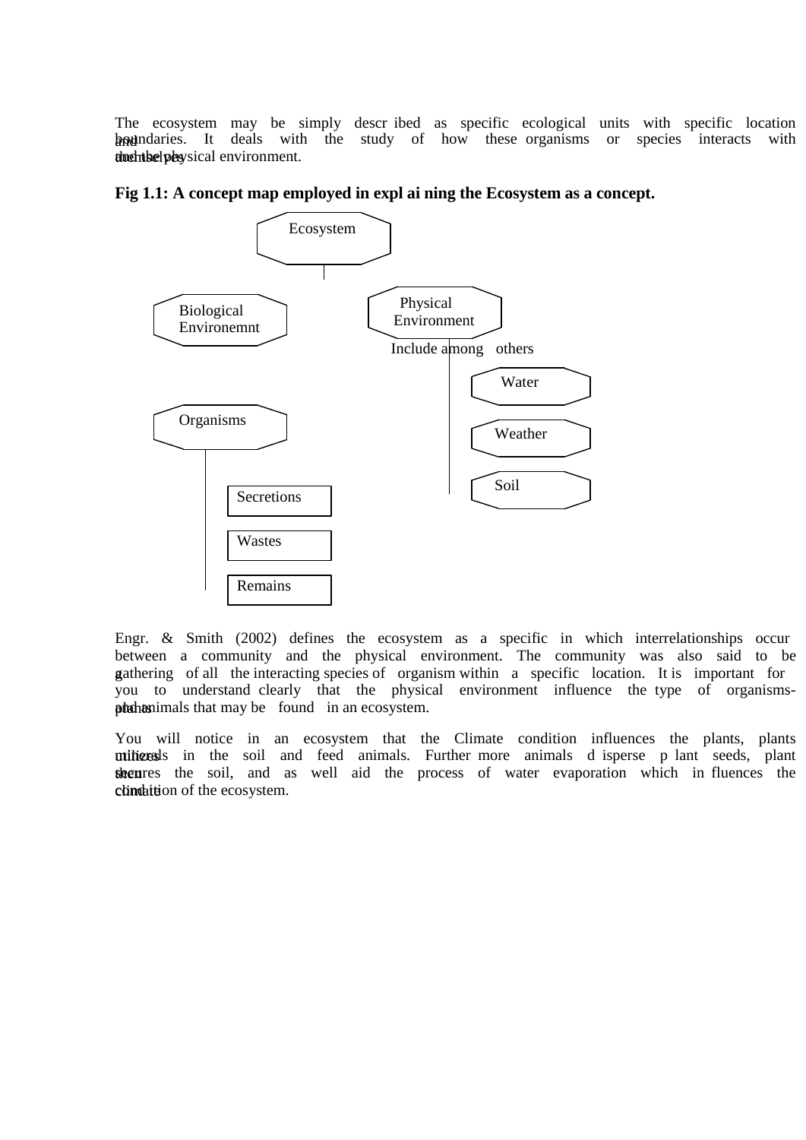The ecosystem may be simply descr ibed as specific ecological units with specific location boundaries. It deals with the study of how these organisms or species interacts with the environment.



**Fig 1.1: A concept map employed in expl ai ning the Ecosystem as a concept.** 

Engr. & Smith (2002) defines the ecosystem as a specific in which interrelationships occur between a community and the physical environment. The community was also said to be gathering of all the interacting species of organism within a specific location. It is important for you to understand clearly that the physical environment influence the type of organismsphahanimals that may be found in an ecosystem.

You will notice in an ecosystem that the Climate condition influences the plants, plants milizerals in the soil and feed animals. Further more animals d isperse p lant seeds, plant then rest the soil, and as well aid the process of water evaporation which in fluences the climation of the ecosystem.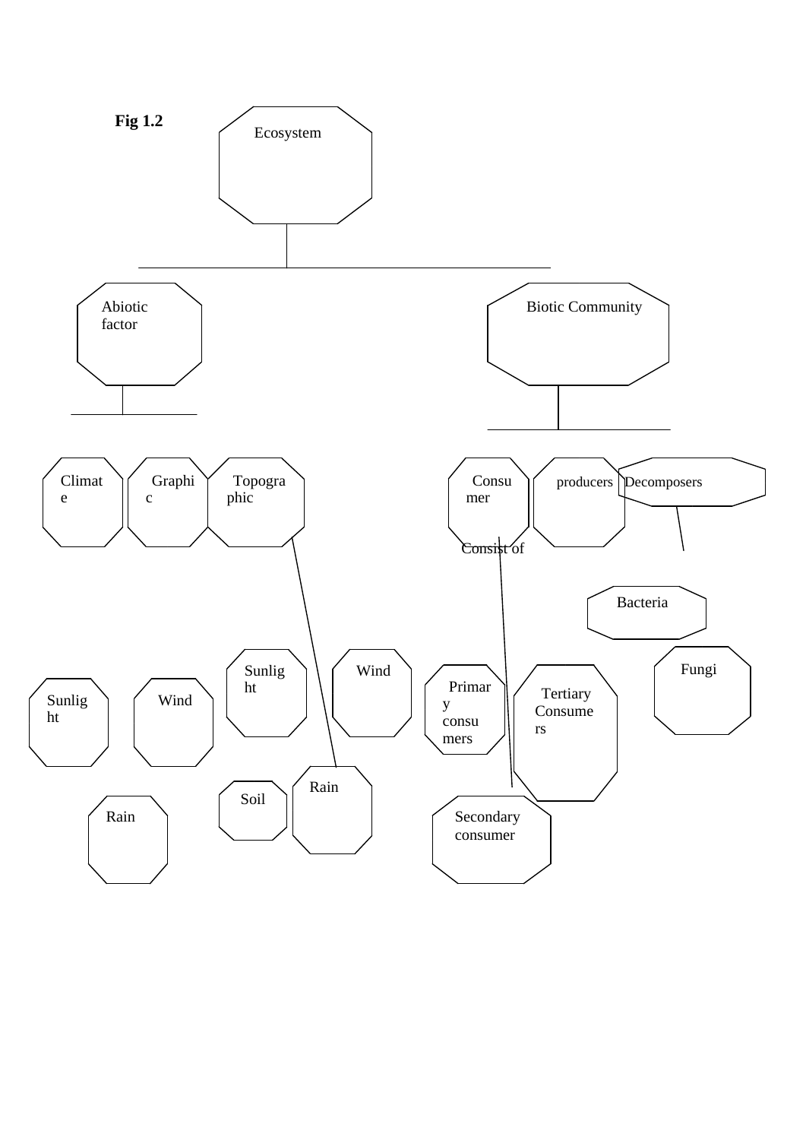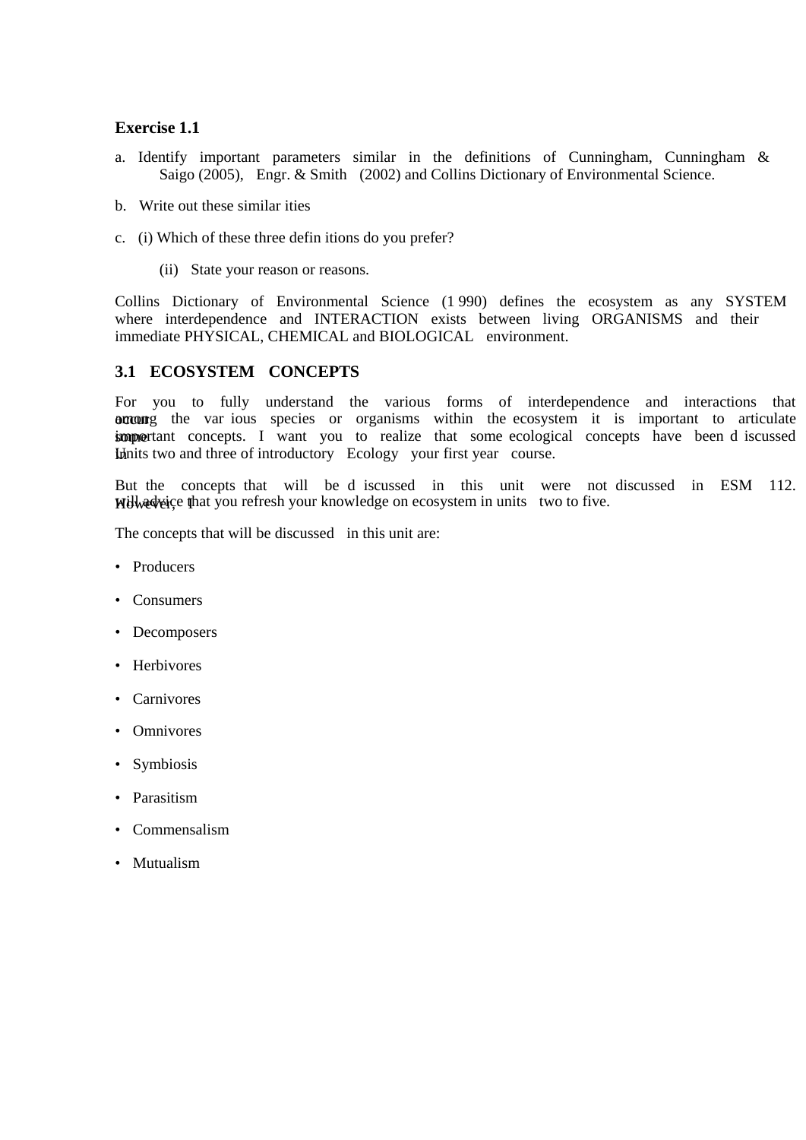### **Exercise 1.1**

- a. Identify important parameters similar in the definitions of Cunningham, Cunningham & Saigo (2005), Engr. & Smith (2002) and Collins Dictionary of Environmental Science.
- b. Write out these similar ities
- c. (i) Which of these three defin itions do you prefer?
	- (ii) State your reason or reasons.

Collins Dictionary of Environmental Science (1 990) defines the ecosystem as any SYSTEM where interdependence and INTERACTION exists between living ORGANISMS and their immediate PHYSICAL, CHEMICAL and BIOLOGICAL environment.

## **3.1 ECOSYSTEM CONCEPTS**

For you to fully understand the various forms of interdependence and interactions that occur are var ious species or organisms within the ecosystem it is important to articulate **important** concepts. I want you to realize that some ecological concepts have been d iscussed In the Units two and three of introductory Ecology your first year course.

But the concepts that will be d iscussed in this unit were not discussed in ESM 112. Will adveige that you refresh your knowledge on ecosystem in units two to five.

The concepts that will be discussed in this unit are:

- Producers
- Consumers
- Decomposers
- Herbivores
- Carnivores
- Omnivores
- Symbiosis
- Parasitism
- Commensalism
- Mutualism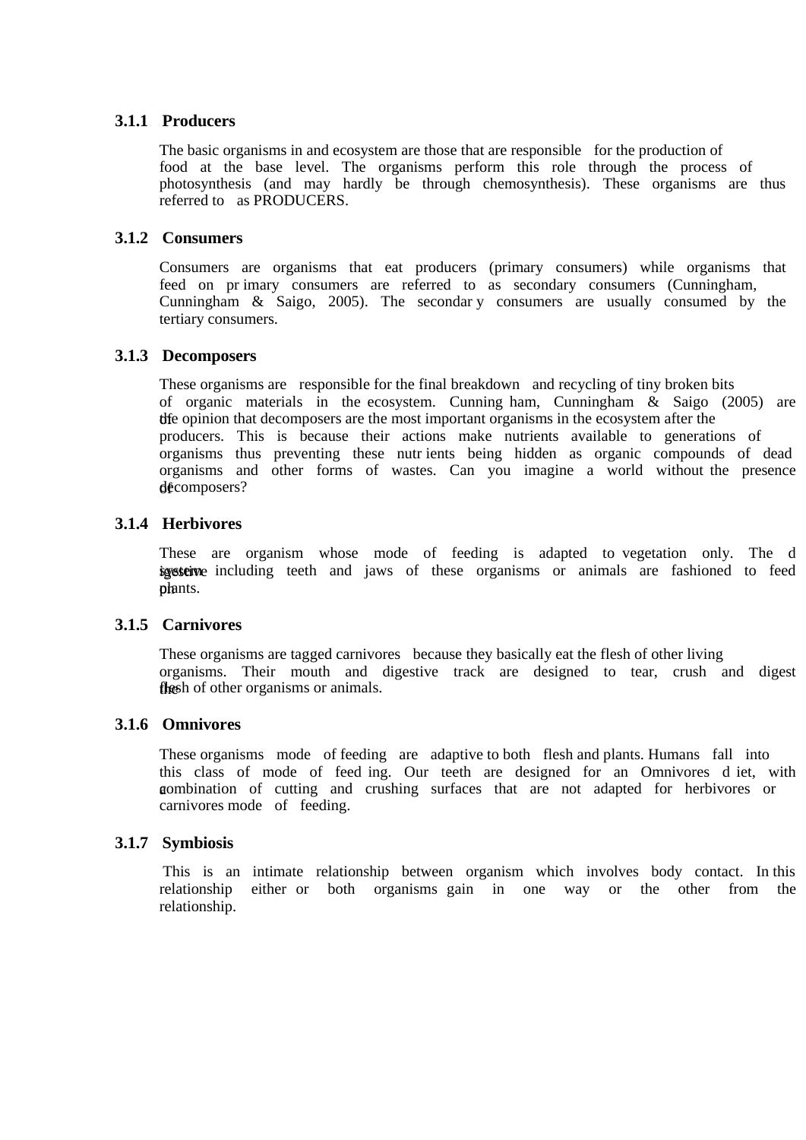## **3.1.1 Producers**

The basic organisms in and ecosystem are those that are responsible for the production of food at the base level. The organisms perform this role through the process of photosynthesis (and may hardly be through chemosynthesis). These organisms are thus referred to as PRODUCERS.

## **3.1.2 Consumers**

Consumers are organisms that eat producers (primary consumers) while organisms that feed on pr imary consumers are referred to as secondary consumers (Cunningham, Cunningham & Saigo, 2005). The secondar y consumers are usually consumed by the tertiary consumers.

## **3.1.3 Decomposers**

These organisms are responsible for the final breakdown and recycling of tiny broken bits of organic materials in the ecosystem. Cunning ham, Cunningham & Saigo (2005) are the opinion that decomposers are the most important organisms in the ecosystem after the producers. This is because their actions make nutrients available to generations of organisms thus preventing these nutr ients being hidden as organic compounds of dead organisms and other forms of wastes. Can you imagine a world without the presence  $d$ **e** $\epsilon$ composers?

# **3.1.4 Herbivores**

These are organism whose mode of feeding is adapted to vegetation only. The d igesteive including teeth and jaws of these organisms or animals are fashioned to feed phants.

## **3.1.5 Carnivores**

These organisms are tagged carnivores because they basically eat the flesh of other living organisms. Their mouth and digestive track are designed to tear, crush and digest flesh of other organisms or animals.

## **3.1.6 Omnivores**

These organisms mode of feeding are adaptive to both flesh and plants. Humans fall into this class of mode of feed ing. Our teeth are designed for an Omnivores d iet, with a combination of cutting and crushing surfaces that are not adapted for herbivores or carnivores mode of feeding.

## **3.1.7 Symbiosis**

This is an intimate relationship between organism which involves body contact. In this relationship either or both organisms gain in one way or the other from the relationship.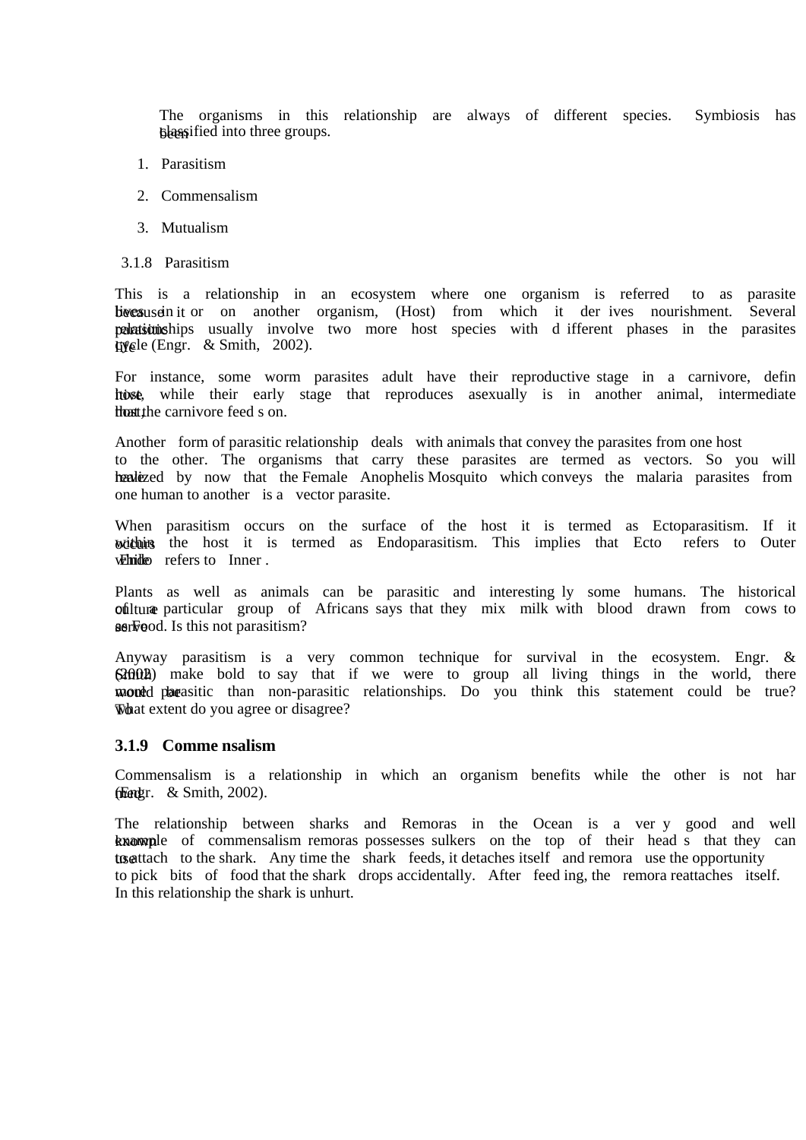The organisms in this relationship are always of different species. Symbiosis has be assified into three groups.

- 1. Parasitism
- 2. Commensalism
- 3. Mutualism
- 3.1.8 Parasitism

This is a relationship in an ecosystem where one organism is referred to as parasite because in it or on another organism, (Host) from which it der ives nourishment. Several parasitionships usually involve two more host species with d ifferent phases in the parasites life (Engr. & Smith, 2002).

For instance, some worm parasites adult have their reproductive stage in a carnivore, defin host, while their early stage that reproduces asexually is in another animal, intermediate that the carnivore feed s on.

Another form of parasitic relationship deals with animals that convey the parasites from one host to the other. The organisms that carry these parasites are termed as vectors. So you will healized by now that the Female Anophelis Mosquito which conveys the malaria parasites from one human to another is a vector parasite.

When parasitism occurs on the surface of the host it is termed as Ectoparasitism. If it withing the host it is termed as Endoparasitism. This implies that Ecto refers to Outer while refers to Inner.

Plants as well as animals can be parasitic and interesting ly some humans. The historical ofilture particular group of Africans says that they mix milk with blood drawn from cows to as Food. Is this not parasitism?

Anyway parasitism is a very common technique for survival in the ecosystem. Engr. &  $S30020$  make bold to say that if we were to group all living things in the world, there would parasitic than non-parasitic relationships. Do you think this statement could be true? What extent do you agree or disagree?

#### **3.1.9 Comme nsalism**

Commensalism is a relationship in which an organism benefits while the other is not har frender.  $&$  Smith, 2002).

The relationship between sharks and Remoras in the Ocean is a ver y good and well known ple of commensalism remoras possesses sulkers on the top of their head s that they can to attach to the shark. Any time the shark feeds, it detaches itself and remora use the opportunity to pick bits of food that the shark drops accidentally. After feed ing, the remora reattaches itself. In this relationship the shark is unhurt.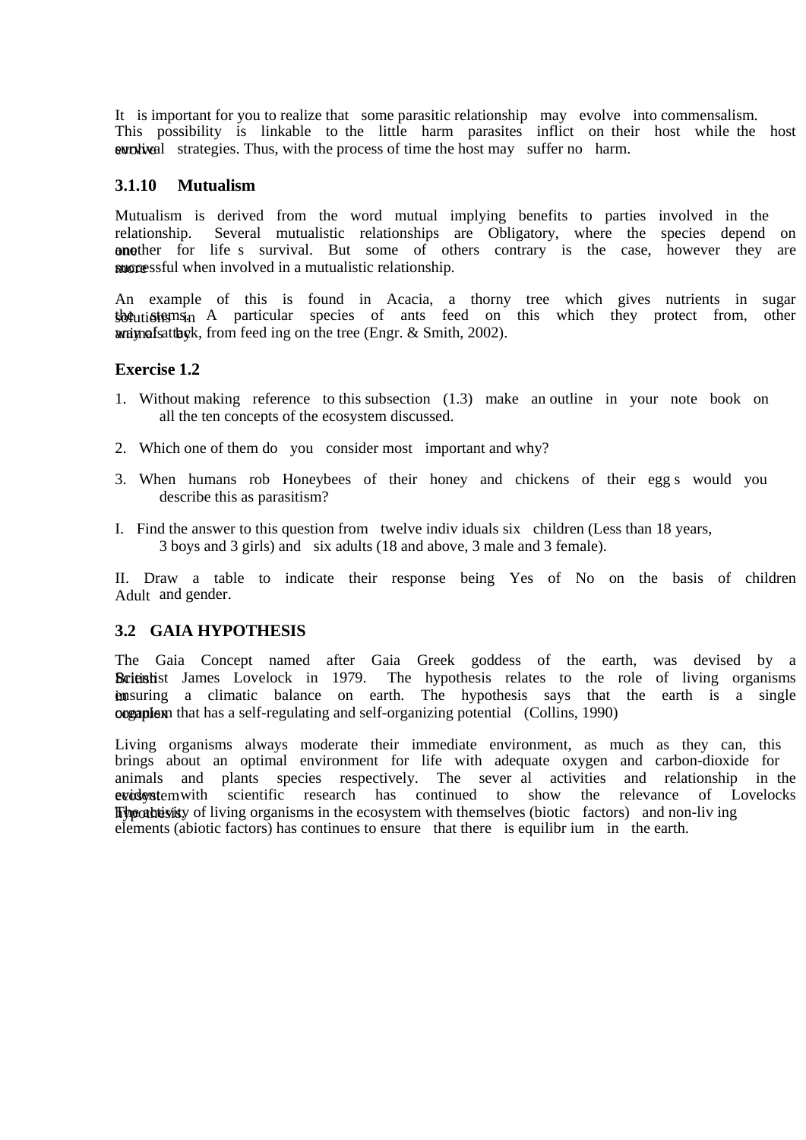It is important for you to realize that some parasitic relationship may evolve into commensalism. This possibility is linkable to the little harm parasites inflict on their host while the host evolved strategies. Thus, with the process of time the host may suffer no harm.

### **3.1.10 Mutualism**

Mutualism is derived from the word mutual implying benefits to parties involved in the relationship. Several mutualistic relationships are Obligatory, where the species depend on one there for life s survival. But some of others contrary is the case, however they are more successful when involved in a mutualistic relationship.

An example of this is found in Acacia, a thorny tree which gives nutrients in sugar sbecutions in A particular species of ants feed on this which they protect from, other  $w$ animals attack, from feed ing on the tree (Engr. & Smith, 2002).

## **Exercise 1.2**

- 1. Without making reference to this subsection (1.3) make an outline in your note book on all the ten concepts of the ecosystem discussed.
- 2. Which one of them do you consider most important and why?
- 3. When humans rob Honeybees of their honey and chickens of their egg s would you describe this as parasitism?
- I. Find the answer to this question from twelve indiv iduals six children (Less than 18 years, 3 boys and 3 girls) and six adults (18 and above, 3 male and 3 female).

II. Draw a table to indicate their response being Yes of No on the basis of children Adult and gender.

#### **3.2 GAIA HYPOTHESIS**

The Gaia Concept named after Gaia Greek goddess of the earth, was devised by a British James Lovelock in 1979. The hypothesis relates to the role of living organisms **ensuring** a climatic balance on earth. The hypothesis says that the earth is a single complex on that has a self-regulating and self-organizing potential (Collins, 1990)

Living organisms always moderate their immediate environment, as much as they can, this brings about an optimal environment for life with adequate oxygen and carbon-dioxide for animals and plants species respectively. The sever al activities and relationship in the evident em vith scientific research has continued to show the relevance of Lovelocks hypothesis. The activity of living organisms in the ecosystem with themselves (biotic factors) and non-liv ing elements (abiotic factors) has continues to ensure that there is equilibr ium in the earth.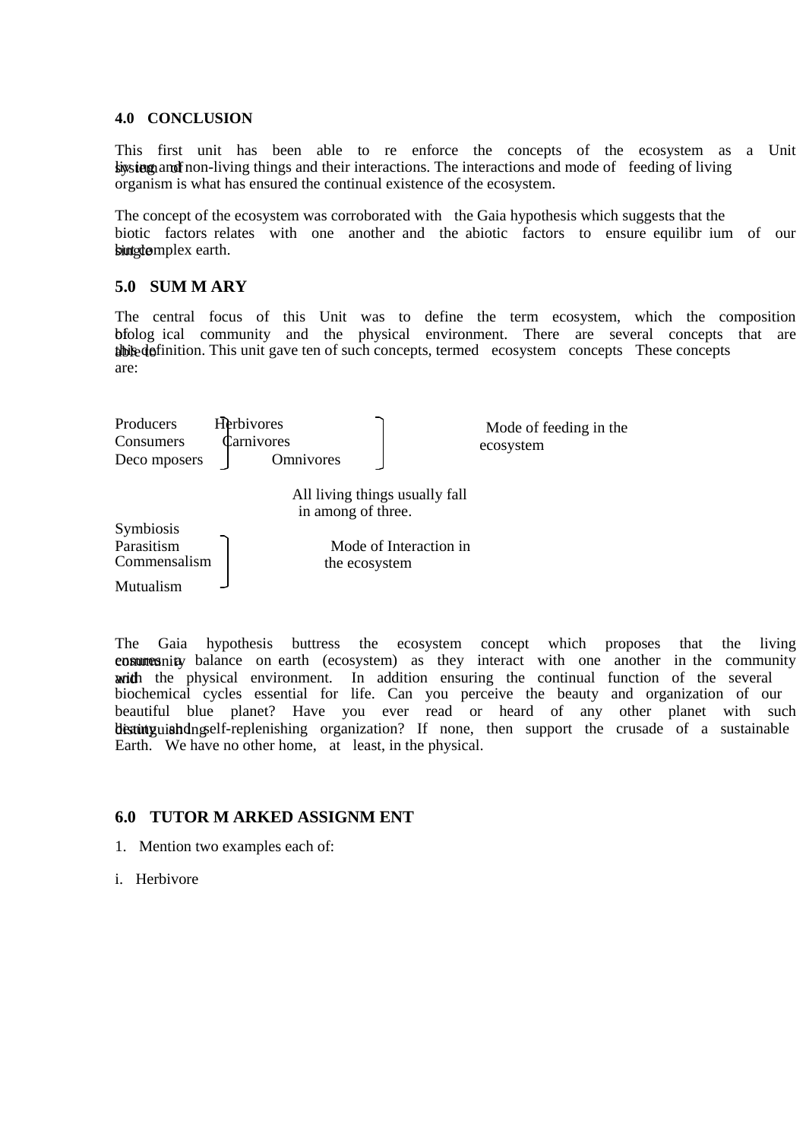#### **4.0 CONCLUSION**

This first unit has been able to re enforce the concepts of the ecosystem as a Unit sing and inconsections and their interactions. The interactions and mode of feeding of living organism is what has ensured the continual existence of the ecosystem.

The concept of the ecosystem was corroborated with the Gaia hypothesis which suggests that the biotic factors relates with one another and the abiotic factors to ensure equilibr ium of our but gdomplex earth.

### **5.0 SUM M ARY**

The central focus of this Unit was to define the term ecosystem, which the composition bfolog ical community and the physical environment. There are several concepts that are able to this definition. This unit gave ten of such concepts, termed ecosystem concepts These concepts are:



The Gaia hypothesis buttress the ecosystem concept which proposes that the living community balance on earth (ecosystem) as they interact with one another in the community writh the physical environment. In addition ensuring the continual function of the several biochemical cycles essential for life. Can you perceive the beauty and organization of our beautiful blue planet? Have you ever read or heard of any other planet with such distinguish dngself-replenishing organization? If none, then support the crusade of a sustainable Earth. We have no other home, at least, in the physical.

## **6.0 TUTOR M ARKED ASSIGNM ENT**

- 1. Mention two examples each of:
- i. Herbivore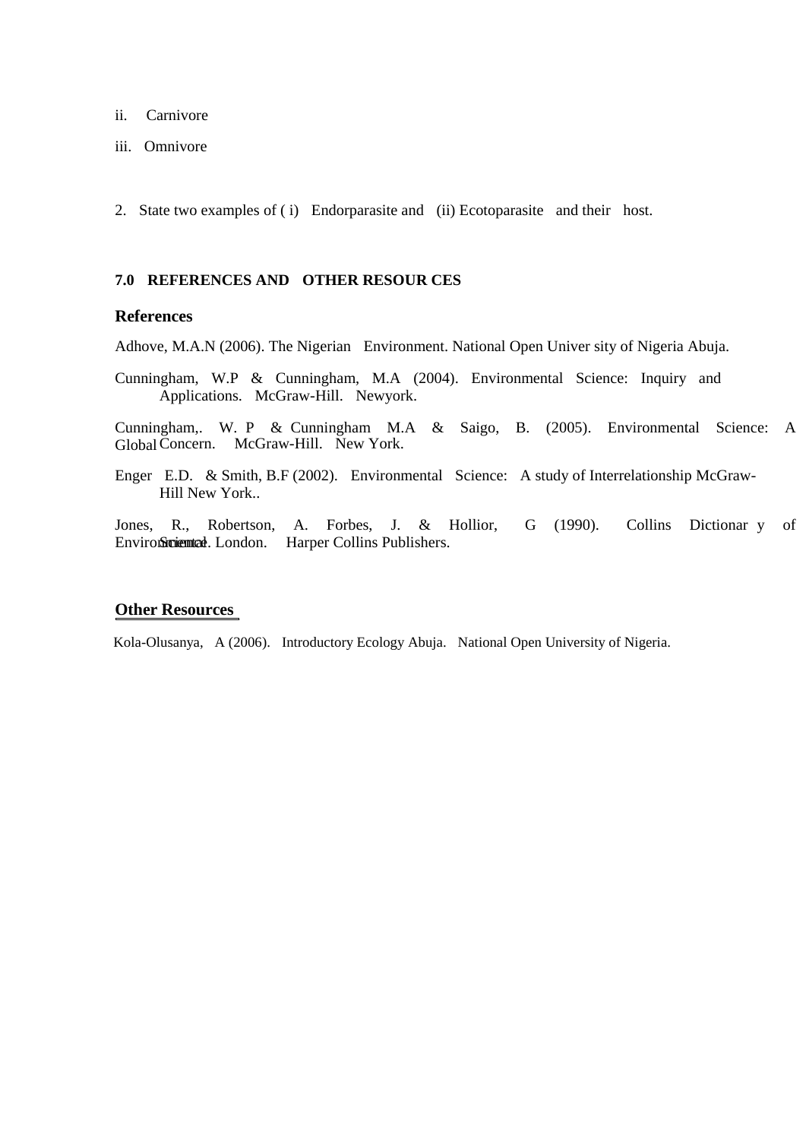- ii. Carnivore
- iii. Omnivore
- 2. State two examples of ( i) Endorparasite and (ii) Ecotoparasite and their host.

### **7.0 REFERENCES AND OTHER RESOUR CES**

### **References**

Adhove, M.A.N (2006). The Nigerian Environment. National Open Univer sity of Nigeria Abuja.

Cunningham, W.P & Cunningham, M.A (2004). Environmental Science: Inquiry and Applications. McGraw-Hill. Newyork.

Cunningham,. W. P & Cunningham M.A & Saigo, B. (2005). Environmental Science: A Global Concern. McGraw-Hill. New York.

Enger E.D. & Smith, B.F (2002). Environmental Science: A study of Interrelationship McGraw-Hill New York..

Jones, R., Robertson, A. Forbes, J. & Hollior, G (1990). Collins Dictionar y of Environmental London. Harper Collins Publishers.

### **Other Resources**

Kola-Olusanya, A (2006). Introductory Ecology Abuja. National Open University of Nigeria.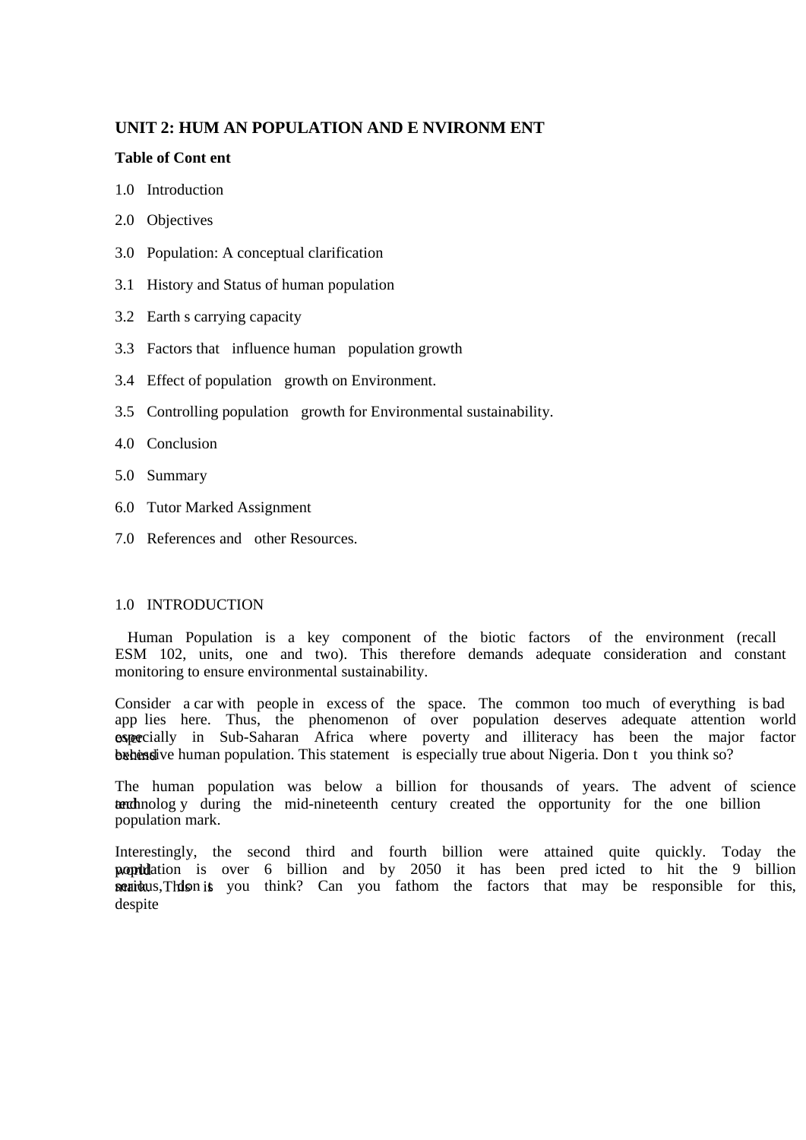# **UNIT 2: HUM AN POPULATION AND E NVIRONM ENT**

### **Table of Cont ent**

- 1.0 Introduction
- 2.0 Objectives
- 3.0 Population: A conceptual clarification
- 3.1 History and Status of human population
- 3.2 Earth s carrying capacity
- 3.3 Factors that influence human population growth
- 3.4 Effect of population growth on Environment.
- 3.5 Controlling population growth for Environmental sustainability.
- 4.0 Conclusion
- 5.0 Summary
- 6.0 Tutor Marked Assignment
- 7.0 References and other Resources.

#### 1.0 INTRODUCTION

 Human Population is a key component of the biotic factors of the environment (recall ESM 102, units, one and two). This therefore demands adequate consideration and constant monitoring to ensure environmental sustainability.

Consider a car with people in excess of the space. The common too much of everything is bad app lies here. Thus, the phenomenon of over population deserves adequate attention world ospecially in Sub-Saharan Africa where poverty and illiteracy has been the major factor behind by human population. This statement is especially true about Nigeria. Don t you think so?

The human population was below a billion for thousands of years. The advent of science technolog y during the mid-nineteenth century created the opportunity for the one billion population mark.

Interestingly, the second third and fourth billion were attained quite quickly. Today the **population** is over 6 billion and by 2050 it has been pred icted to hit the 9 billion **serious**, This is you think? Can you fathom the factors that may be responsible for this, despite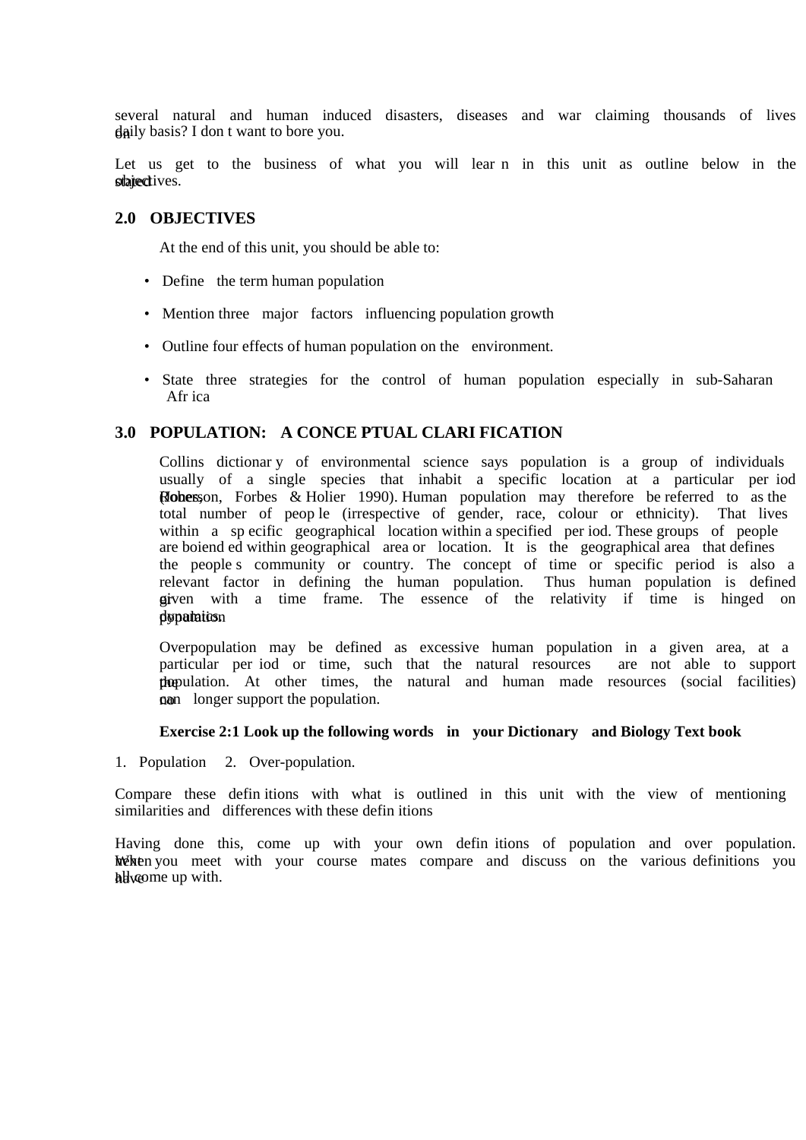several natural and human induced disasters, diseases and war claiming thousands of lives  $q$ aily basis? I don t want to bore you.

Let us get to the business of what you will lear n in this unit as outline below in the stated tives.

### **2.0 OBJECTIVES**

At the end of this unit, you should be able to:

- Define the term human population
- Mention three major factors influencing population growth
- Outline four effects of human population on the environment.
- State three strategies for the control of human population especially in sub-Saharan Afr ica

# **3.0 POPULATION: A CONCE PTUAL CLARI FICATION**

Collins dictionar y of environmental science says population is a group of individuals usually of a single species that inhabit a specific location at a particular per iod **Robers** Robers & Holier 1990). Human population may therefore be referred to as the total number of peop le (irrespective of gender, race, colour or ethnicity). That lives within a sp ecific geographical location within a specified per iod. These groups of people are boiend ed within geographical area or location. It is the geographical area that defines the people s community or country. The concept of time or specific period is also a relevant factor in defining the human population. Thus human population is defined given with a time frame. The essence of the relativity if time is hinged on dypatation

Overpopulation may be defined as excessive human population in a given area, at a particular per iod or time, such that the natural resources are not able to support the pulation. At other times, the natural and human made resources (social facilities) **g**<sub>n</sub> longer support the population.

#### **Exercise 2:1 Look up the following words in your Dictionary and Biology Text book**

1. Population 2. Over-population.

Compare these defin itions with what is outlined in this unit with the view of mentioning similarities and differences with these defin itions

Having done this, come up with your own defin itions of population and over population. We hen you meet with your course mates compare and discuss on the various definitions you helyone up with.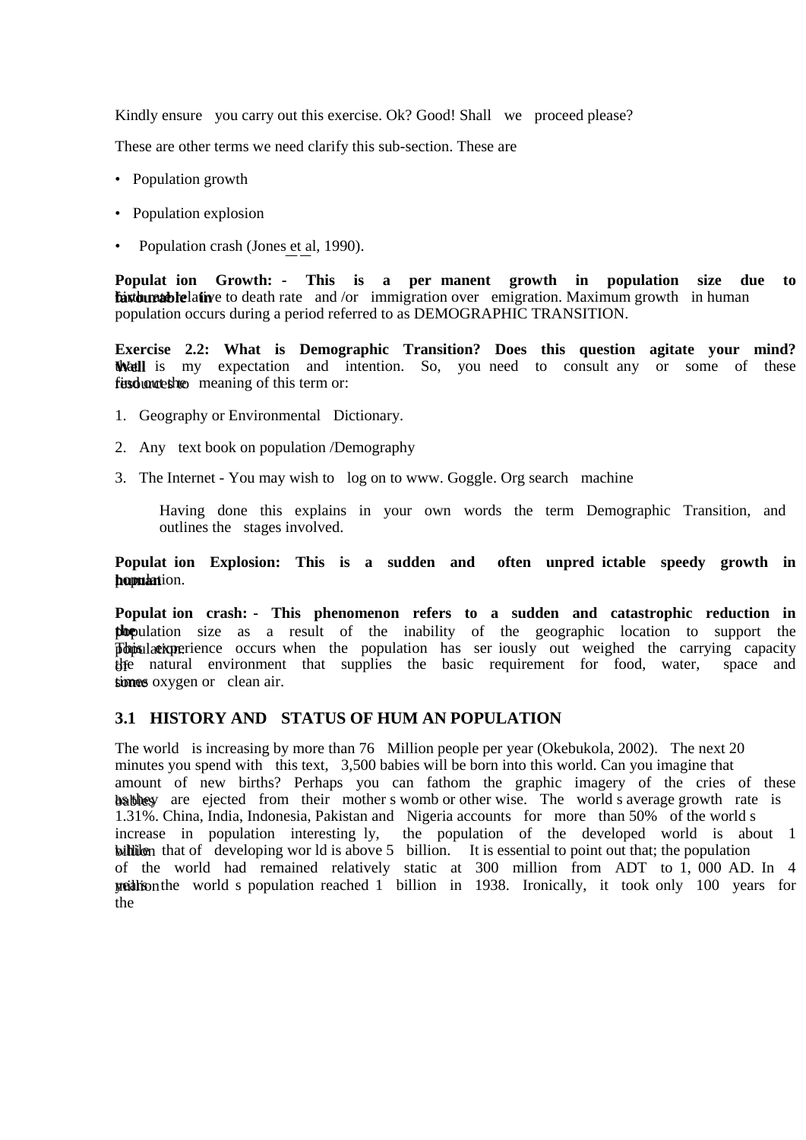Kindly ensure you carry out this exercise. Ok? Good! Shall we proceed please?

These are other terms we need clarify this sub-section. These are

- Population growth
- Population explosion
- Population crash (Jones et al, 1990).

**Populat ion Growth: - This is a per manent growth in population size due to faxbures ble lative to death rate** and /or immigration over emigration. Maximum growth in human population occurs during a period referred to as DEMOGRAPHIC TRANSITION.

**Exercise 2.2: What is Demographic Transition? Does this question agitate your mind?**  We is my expectation and intention. So, you need to consult any or some of these fund out the meaning of this term or:

- 1. Geography or Environmental Dictionary.
- 2. Any text book on population /Demography
- 3. The Internet You may wish to log on to www. Goggle. Org search machine

Having done this explains in your own words the term Demographic Transition, and outlines the stages involved.

**Populat ion Explosion: This is a sudden and often unpred ictable speedy growth in**  hommation.

**Populat ion crash: - This phenomenon refers to a sudden and catastrophic reduction in the** population size as a result of the inability of the geographic location to support the **Population** population. This experience occurs when the population has ser iously out weighed the carrying capacity the natural environment that supplies the basic requirement for food, water, space and simes oxygen or clean air.

## **3.1 HISTORY AND STATUS OF HUM AN POPULATION**

The world is increasing by more than 76 Million people per year (Okebukola, 2002). The next 20 minutes you spend with this text, 3,500 babies will be born into this world. Can you imagine that amount of new births? Perhaps you can fathom the graphic imagery of the cries of these babbey are ejected from their mother s womb or other wise. The world s average growth rate is 1.31%. China, India, Indonesia, Pakistan and Nigeria accounts for more than 50% of the world s increase in population interesting ly, the population of the developed world is about 1 billion that of developing wor ld is above 5 billion. It is essential to point out that; the population of the world had remained relatively static at 300 million from ADT to 1, 000 AD. In 4 million years the world s population reached 1 billion in 1938. Ironically, it took only 100 years for the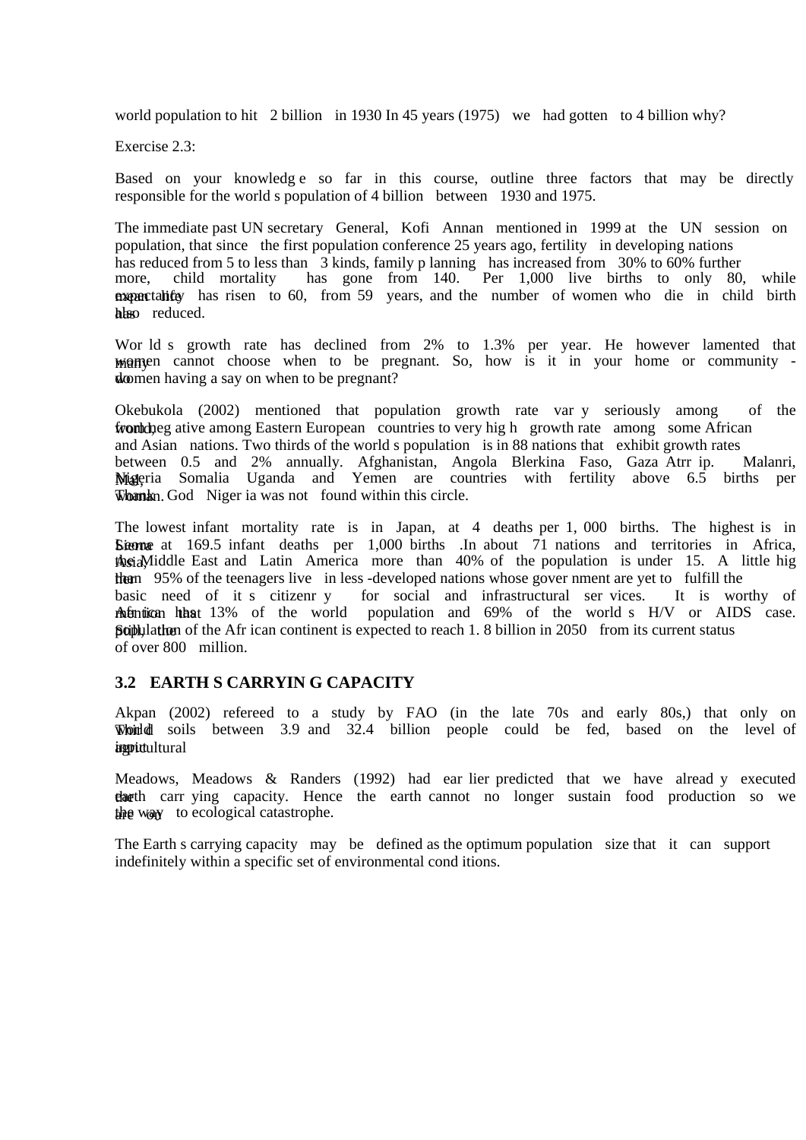world population to hit 2 billion in 1930 In 45 years (1975) we had gotten to 4 billion why?

Exercise 2.3:

Based on your knowledg e so far in this course, outline three factors that may be directly responsible for the world s population of 4 billion between 1930 and 1975.

The immediate past UN secretary General, Kofi Annan mentioned in 1999 at the UN session on population, that since the first population conference 25 years ago, fertility in developing nations has reduced from 5 to less than 3 kinds, family p lanning has increased from 30% to 60% further more, child mortality has gone from 140. Per 1,000 live births to only 80, more, child mortality has gone from 140. Per 1,000 live births to only 80, while expectancy has risen to 60, from 59 years, and the number of women who die in child birth hbso reduced.

Wor ld s growth rate has declined from 2% to 1.3% per year. He however lamented that manned cannot choose when to be pregnant. So, how is it in your home or community do women having a say on when to be pregnant?

Okebukola (2002) mentioned that population growth rate var y seriously among of the from the neg ative among Eastern European countries to very high growth rate among some African and Asian nations. Two thirds of the world s population is in 88 nations that exhibit growth rates between 0.5 and 2% annually. Afghanistan, Angola Blerkina Faso, Gaza Atrr ip. Malanri, Migeria Somalia Uganda and Yemen are countries with fertility above 6.5 births per Whank n. God Niger ia was not found within this circle.

The lowest infant mortality rate is in Japan, at 4 deaths per 1, 000 births. The highest is in Sierra at 169.5 infant deaths per 1,000 births .In about 71 nations and territories in Africa, the id Middle East and Latin America more than 40% of the population is under 15. A little hig the 195% of the teenagers live in less-developed nations whose gover nment are yet to fulfill the basic need of it s citizenr y for social and infrastructural ser vices. It is worthy of methorican has 13% of the world population and 69% of the world s H/V or AIDS case. **Scibulation** of the Afr ican continent is expected to reach 1. 8 billion in 2050 from its current status of over 800 million.

## **3.2 EARTH S CARRYIN G CAPACITY**

Akpan (2002) refereed to a study by FAO (in the late 70s and early 80s,) that only on Would soils between 3.9 and 32.4 billion people could be fed, based on the level of *inprictultural* 

Meadows, Meadows & Randers (1992) had ear lier predicted that we have alread y executed the carr ying capacity. Hence the earth cannot no longer sustain food production so we the way to ecological catastrophe.

The Earth s carrying capacity may be defined as the optimum population size that it can support indefinitely within a specific set of environmental cond itions.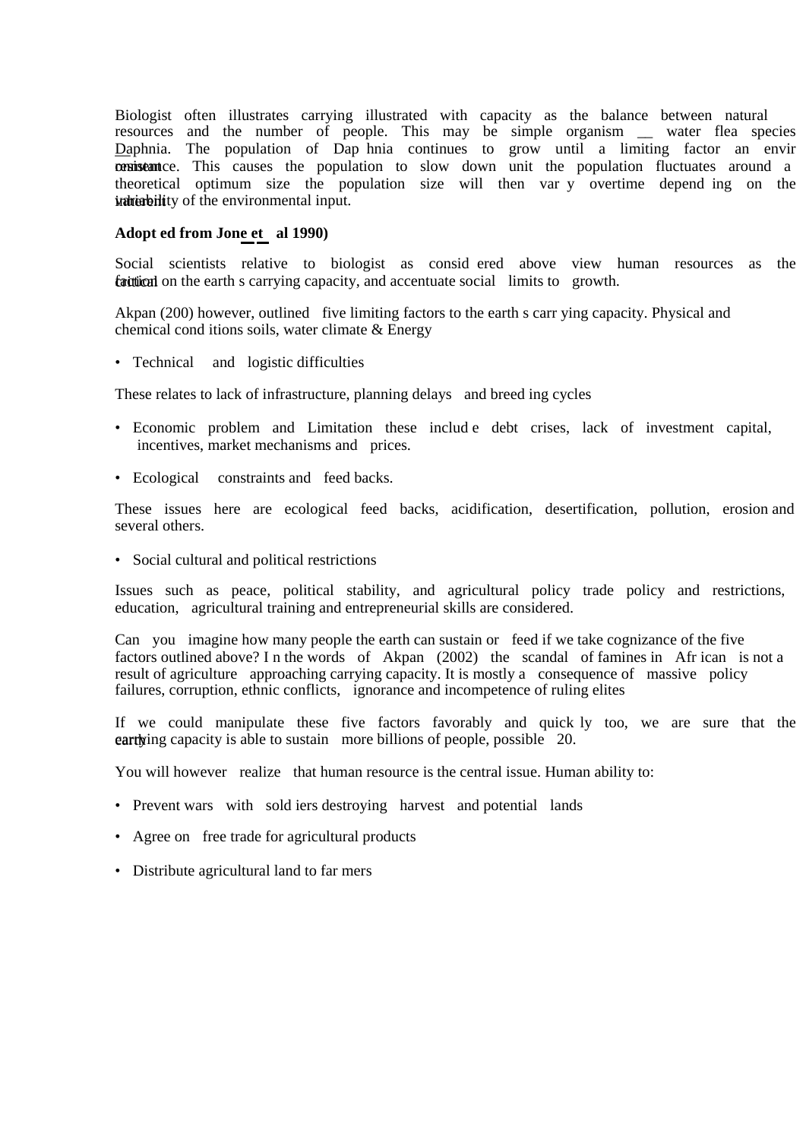Biologist often illustrates carrying illustrated with capacity as the balance between natural resources and the number of people. This may be simple organism \_\_ water flea species Daphnia. The population of Dap hnia continues to grow until a limiting factor an envir consistent ce. This causes the population to slow down unit the population fluctuates around a theoretical optimum size the population size will then var y overtime depend ing on the indirent variability of the environmental input.

#### **Adopt ed from Jone et al 1990)**

Social scientists relative to biologist as consid ered above view human resources as the faction on the earth s carrying capacity, and accentuate social limits to growth.

Akpan (200) however, outlined five limiting factors to the earth s carr ying capacity. Physical and chemical cond itions soils, water climate & Energy

• Technical and logistic difficulties

These relates to lack of infrastructure, planning delays and breed ing cycles

- Economic problem and Limitation these includ e debt crises, lack of investment capital, incentives, market mechanisms and prices.
- Ecological constraints and feed backs.

These issues here are ecological feed backs, acidification, desertification, pollution, erosion and several others.

• Social cultural and political restrictions

Issues such as peace, political stability, and agricultural policy trade policy and restrictions, education, agricultural training and entrepreneurial skills are considered.

Can you imagine how many people the earth can sustain or feed if we take cognizance of the five factors outlined above? I n the words of Akpan (2002) the scandal of famines in Afr ican is not a result of agriculture approaching carrying capacity. It is mostly a consequence of massive policy failures, corruption, ethnic conflicts, ignorance and incompetence of ruling elites

If we could manipulate these five factors favorably and quick ly too, we are sure that the earth capacity is able to sustain more billions of people, possible  $20$ .

You will however realize that human resource is the central issue. Human ability to:

- Prevent wars with sold iers destroying harvest and potential lands
- Agree on free trade for agricultural products
- Distribute agricultural land to far mers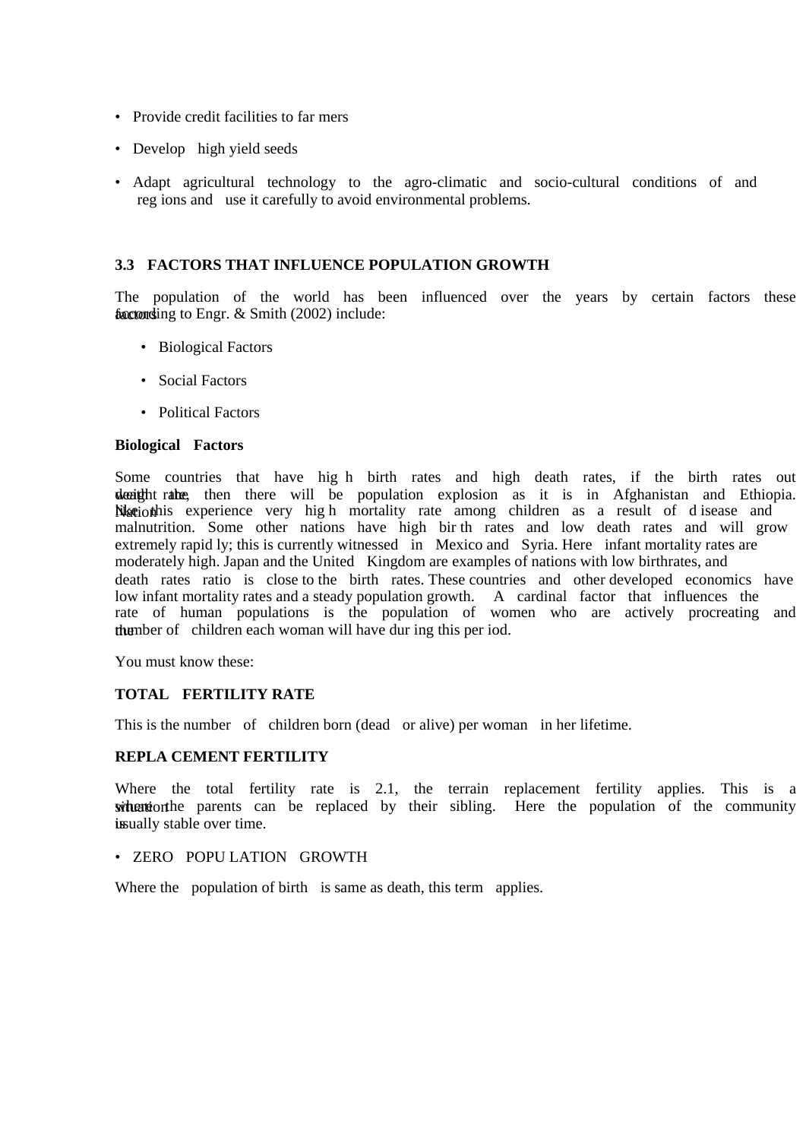- Provide credit facilities to far mers
- Develop high yield seeds
- Adapt agricultural technology to the agro-climatic and socio-cultural conditions of and reg ions and use it carefully to avoid environmental problems.

### **3.3 FACTORS THAT INFLUENCE POPULATION GROWTH**

The population of the world has been influenced over the years by certain factors these factoring to Engr.  $&$  Smith (2002) include:

- Biological Factors
- Social Factors
- Political Factors

#### **Biological Factors**

Some countries that have hig h birth rates and high death rates, if the birth rates out death rate, then there will be population explosion as it is in Afghanistan and Ethiopia. Nation this experience very high mortality rate among children as a result of d isease and malnutrition. Some other nations have high bir th rates and low death rates and will grow extremely rapid ly; this is currently witnessed in Mexico and Syria. Here infant mortality rates are moderately high. Japan and the United Kingdom are examples of nations with low birthrates, and death rates ratio is close to the birth rates. These countries and other developed economics have low infant mortality rates and a steady population growth. A cardinal factor that influences the rate of human populations is the population of women who are actively procreating and thember of children each woman will have during this per iod.

You must know these:

#### **TOTAL FERTILITY RATE**

This is the number of children born (dead or alive) per woman in her lifetime.

#### **REPLA CEMENT FERTILITY**

Where the total fertility rate is 2.1, the terrain replacement fertility applies. This is a where the parents can be replaced by their sibling. Here the population of the community is ually stable over time.

### • ZERO POPU LATION GROWTH

Where the population of birth is same as death, this term applies.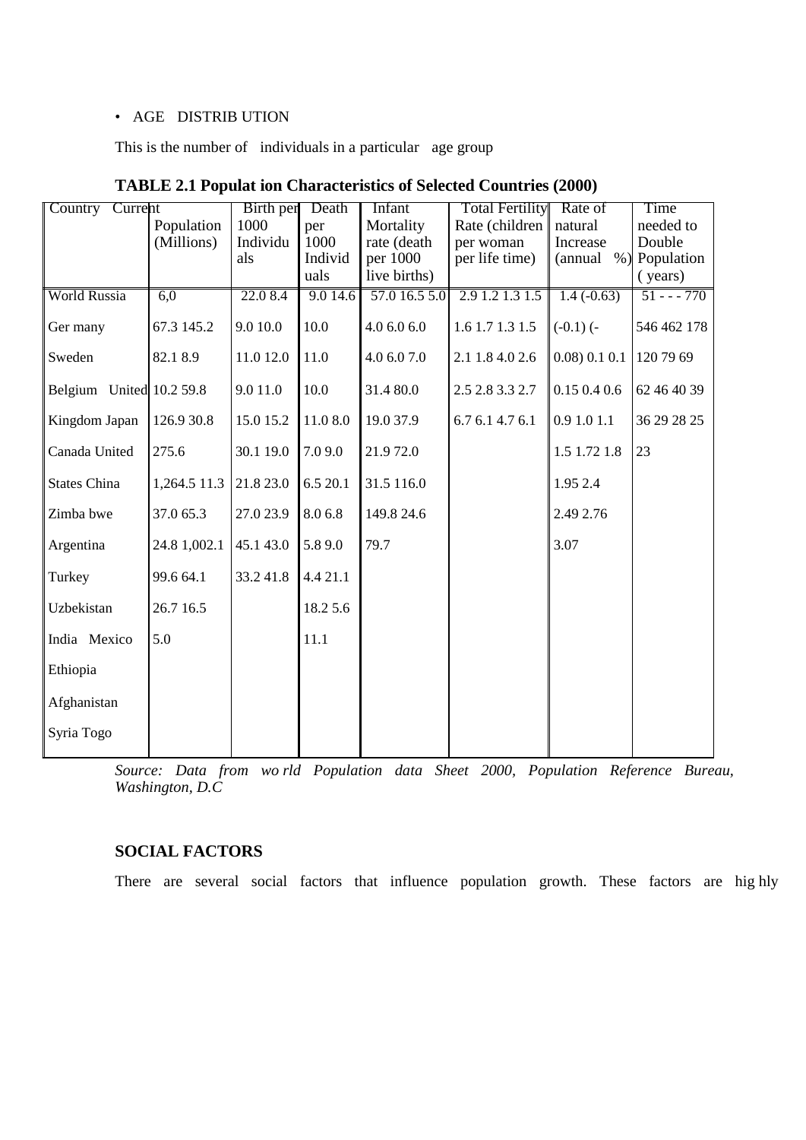## • AGE DISTRIB UTION

This is the number of individuals in a particular age group

| Country Current          |              | Birth per | Death    | Infant        | <b>Total Fertility</b> | Rate of              | Time        |
|--------------------------|--------------|-----------|----------|---------------|------------------------|----------------------|-------------|
|                          | Population   | 1000      | per      | Mortality     | Rate (children         | natural              | needed to   |
|                          | (Millions)   | Individu  | 1000     | rate (death   | per woman              | Increase             | Double      |
|                          |              | als       | Individ  | per 1000      | per life time)         | $%$ )<br>(annual     | Population  |
|                          |              |           | uals     | live births)  |                        |                      | (years)     |
| <b>World Russia</b>      | 6,0          | 22.0 8.4  | 9.014.6  | 57.0 16.5 5.0 | 2.9 1.2 1.3 1.5        | $1.4(-0.63)$         | $51 - -770$ |
| Ger many                 | 67.3 145.2   | 9.0 10.0  | 10.0     | 4.0 6.0 6.0   | 1.6 1.7 1.3 1.5        | $(-0.1)$ $(-$        | 546 462 178 |
| Sweden                   | 82.18.9      | 11.0 12.0 | 11.0     | 4.0 6.0 7.0   | 2.1 1.8 4.0 2.6        | $0.08$ ) $0.1$ $0.1$ | 120 79 69   |
| Belgium United 10.2 59.8 |              | 9.0 11.0  | 10.0     | 31.4 80.0     | 2.5 2.8 3.3 2.7        | 0.150.40.6           | 62 46 40 39 |
| Kingdom Japan            | 126.9 30.8   | 15.0 15.2 | 11.08.0  | 19.0 37.9     | 6.7 6.1 4.7 6.1        | 0.9 1.0 1.1          | 36 29 28 25 |
| Canada United            | 275.6        | 30.1 19.0 | 7.09.0   | 21.972.0      |                        | 1.5 1.72 1.8         | 23          |
| <b>States China</b>      | 1,264.5 11.3 | 21.8 23.0 | 6.5 20.1 | 31.5 116.0    |                        | 1.95 2.4             |             |
| Zimba bwe                | 37.0 65.3    | 27.0 23.9 | 8.0 6.8  | 149.8 24.6    |                        | 2.49 2.76            |             |
| Argentina                | 24.8 1,002.1 | 45.1 43.0 | 5.89.0   | 79.7          |                        | 3.07                 |             |
| Turkey                   | 99.6 64.1    | 33.241.8  | 4.4 21.1 |               |                        |                      |             |
| Uzbekistan               | 26.7 16.5    |           | 18.2 5.6 |               |                        |                      |             |
| India Mexico             | 5.0          |           | 11.1     |               |                        |                      |             |
| Ethiopia                 |              |           |          |               |                        |                      |             |
| Afghanistan              |              |           |          |               |                        |                      |             |
| Syria Togo               |              |           |          |               |                        |                      |             |

|  | <b>TABLE 2.1 Populat ion Characteristics of Selected Countries (2000)</b> |  |
|--|---------------------------------------------------------------------------|--|
|--|---------------------------------------------------------------------------|--|

*Source: Data from wo rld Population data Sheet 2000, Population Reference Bureau, Washington, D.C* 

# **SOCIAL FACTORS**

There are several social factors that influence population growth. These factors are hig hly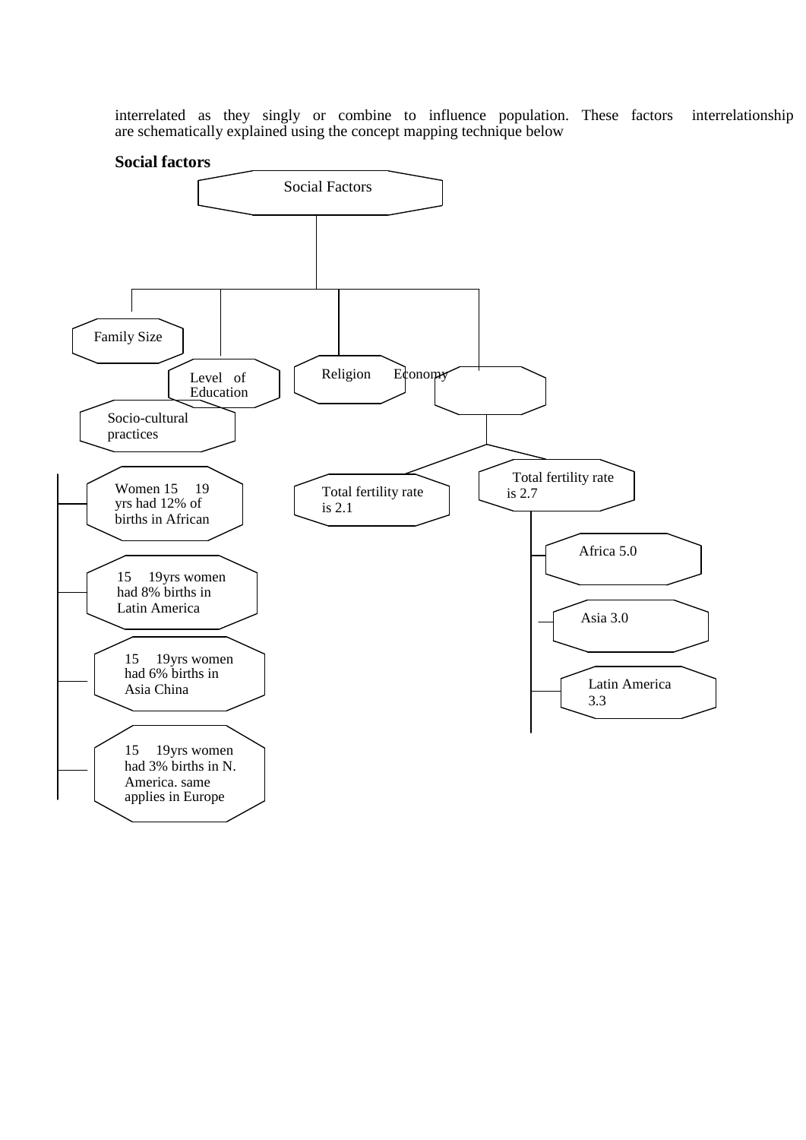interrelated as they singly or combine to influence population. These factors interrelationship are schematically explained using the concept mapping technique below

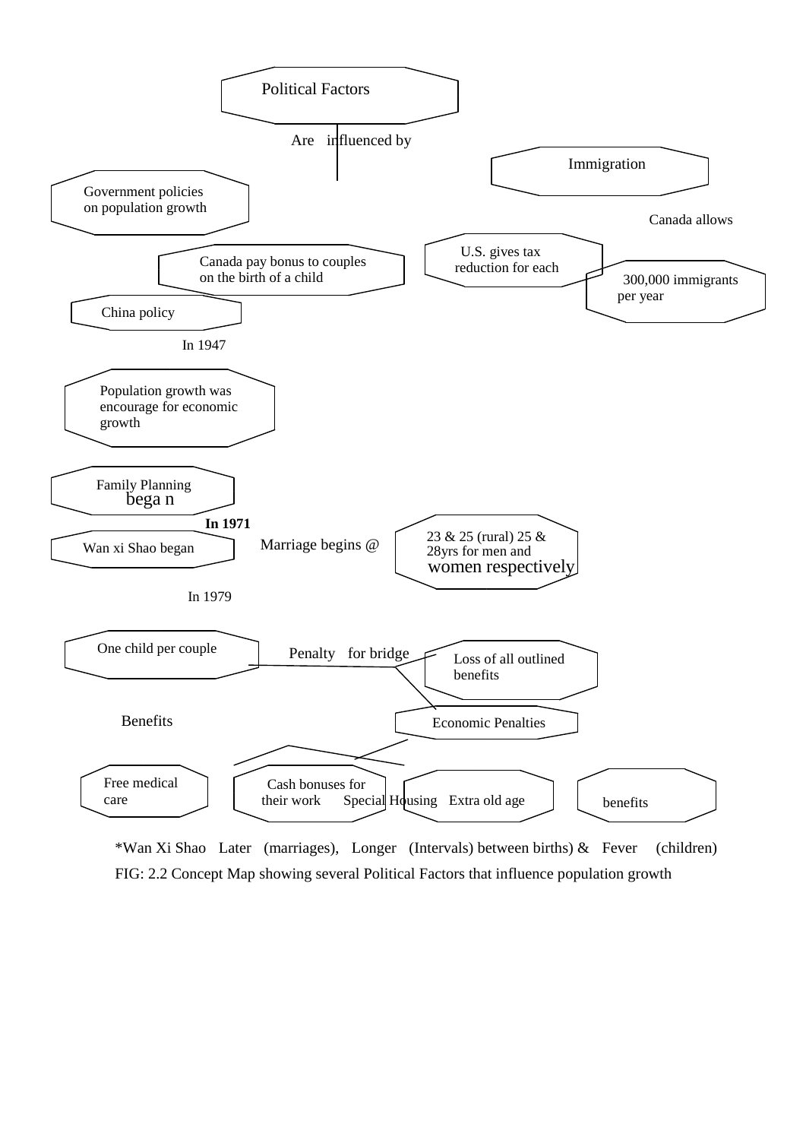

\*Wan Xi Shao Later (marriages), Longer (Intervals) between births) & Fever (children) FIG: 2.2 Concept Map showing several Political Factors that influence population growth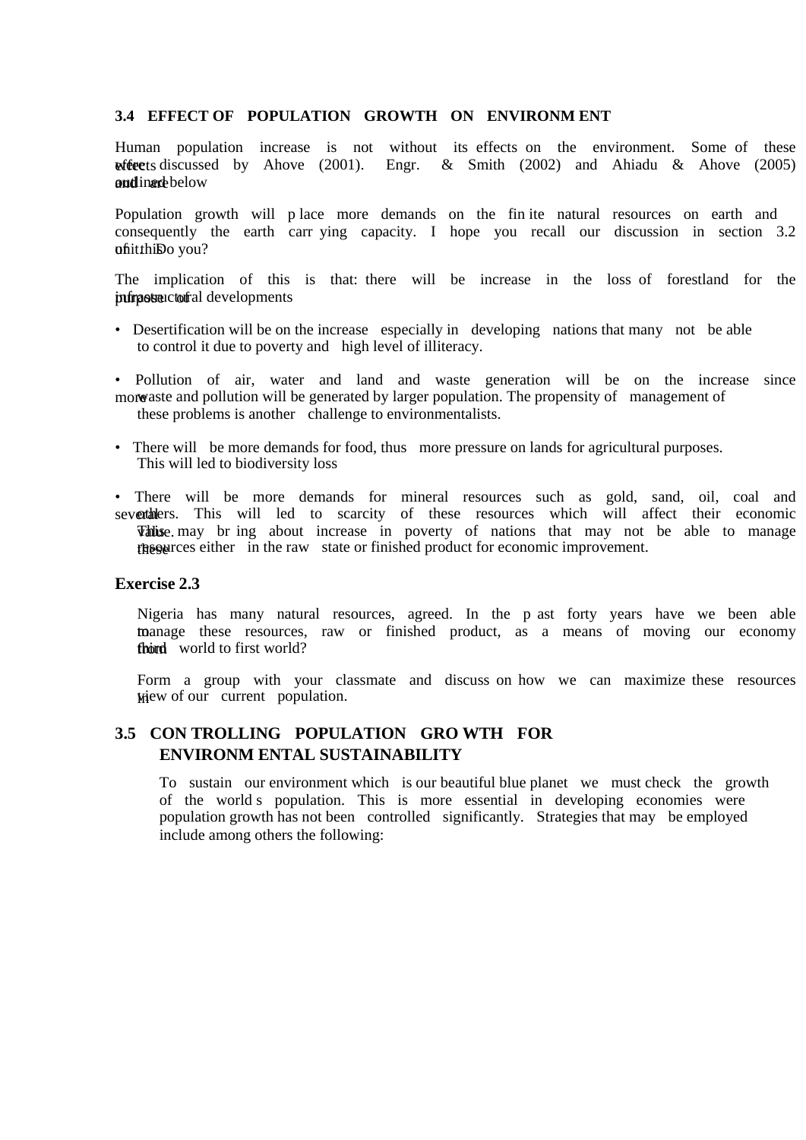#### **3.4 EFFECT OF POPULATION GROWTH ON ENVIRONM ENT**

Human population increase is not without its effects on the environment. Some of these we extending the discussed by Ahove (2001). Engr. & Smith (2002) and Ahiadu & Ahove (2005) and inarcheou

Population growth will p lace more demands on the fin ite natural resources on earth and consequently the earth carr ying capacity. I hope you recall our discussion in section 3.2 ofiitthiDo you?

The implication of this is that: there will be increase in the loss of forestland for the juring obtained in developments

- Desertification will be on the increase especially in developing nations that many not be able to control it due to poverty and high level of illiteracy.
- Pollution of air, water and land and waste generation will be on the increase since more as a pollution will be generated by larger population. The propensity of management of these problems is another challenge to environmentalists.
- There will be more demands for food, thus more pressure on lands for agricultural purposes. This will led to biodiversity loss
- There will be more demands for mineral resources such as gold, sand, oil, coal and severthers. This will led to scarcity of these resources which will affect their economic **Value**, may br ing about increase in poverty of nations that may not be able to manage these resources either in the raw state or finished product for economic improvement.

#### **Exercise 2.3**

Nigeria has many natural resources, agreed. In the p ast forty years have we been able to manage these resources, raw or finished product, as a means of moving our economy fhord world to first world?

Form a group with your classmate and discuss on how we can maximize these resources  $M$ iew of our current population.

# **3.5 CON TROLLING POPULATION GRO WTH FOR ENVIRONM ENTAL SUSTAINABILITY**

To sustain our environment which is our beautiful blue planet we must check the growth of the world s population. This is more essential in developing economies were population growth has not been controlled significantly. Strategies that may be employed include among others the following: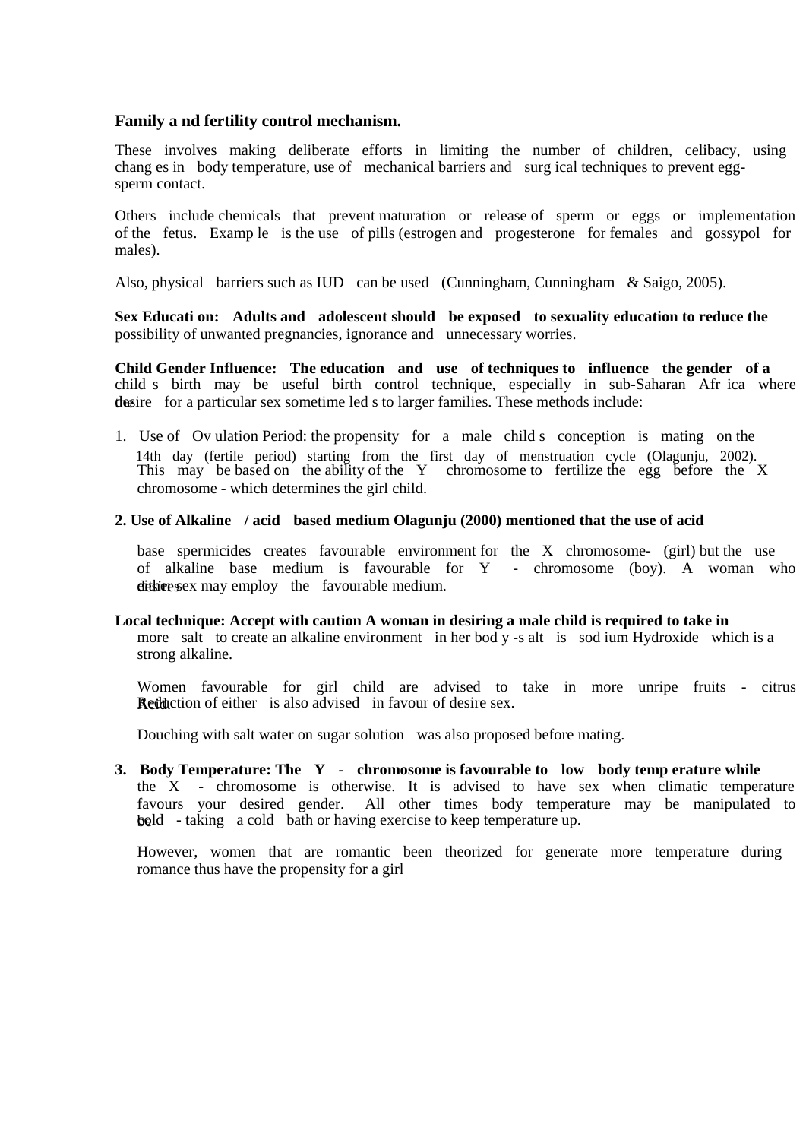### **Family a nd fertility control mechanism.**

These involves making deliberate efforts in limiting the number of children, celibacy, using chang es in body temperature, use of mechanical barriers and surg ical techniques to prevent eggsperm contact.

Others include chemicals that prevent maturation or release of sperm or eggs or implementation of the fetus. Examp le is the use of pills (estrogen and progesterone for females and gossypol for males).

Also, physical barriers such as IUD can be used (Cunningham, Cunningham & Saigo, 2005).

**Sex Educati on: Adults and adolescent should be exposed to sexuality education to reduce the**  possibility of unwanted pregnancies, ignorance and unnecessary worries.

**Child Gender Influence: The education and use of techniques to influence the gender of a**  child s birth may be useful birth control technique, especially in sub-Saharan Afr ica where the desire for a particular sex sometime led s to larger families. These methods include:

1. Use of Ov ulation Period: the propensity for a male child s conception is mating on the 14th day (fertile period) starting from the first day of menstruation cycle (Olagunju, 2002). This may be based on the ability of the Y chromosome to fertilize the egg before the X chromosome - which determines the girl child.

#### **2. Use of Alkaline / acid based medium Olagunju (2000) mentioned that the use of acid**

base spermicides creates favourable environment for the X chromosome- (girl) but the use of alkaline base medium is favourable for Y - chromosome (boy). A woman who dit significant sex may employ the favourable medium.

#### **Local technique: Accept with caution A woman in desiring a male child is required to take in**

more salt to create an alkaline environment in her bod y -s alt is sod ium Hydroxide which is a strong alkaline.

Women favourable for girl child are advised to take in more unripe fruits - citrus **Reduction of either** is also advised in favour of desire sex.

Douching with salt water on sugar solution was also proposed before mating.

**3. Body Temperature: The Y - chromosome is favourable to low body temp erature while**  the X - chromosome is otherwise. It is advised to have sex when climatic temperature favours your desired gender. All other times body temperature may be manipulated to beld - taking a cold bath or having exercise to keep temperature up.

However, women that are romantic been theorized for generate more temperature during romance thus have the propensity for a girl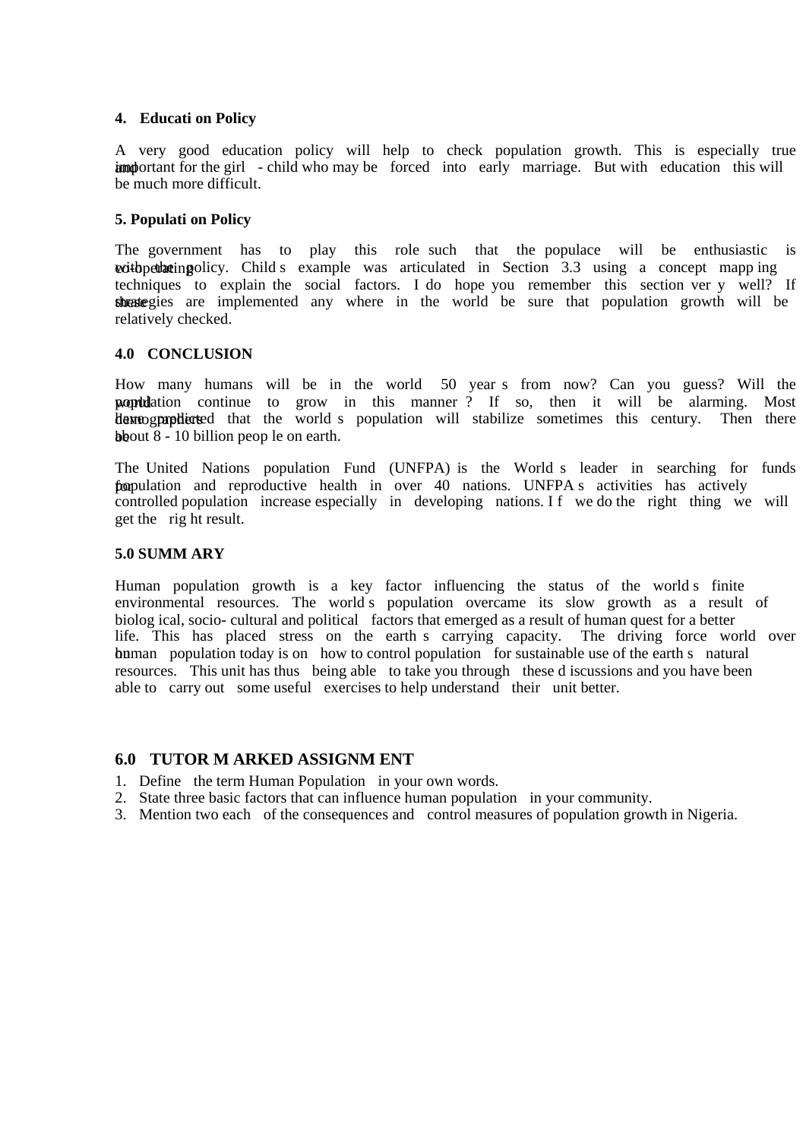#### **4. Educati on Policy**

A very good education policy will help to check population growth. This is especially true important for the girl - child who may be forced into early marriage. But with education this will be much more difficult.

### **5. Populati on Policy**

The government has to play this role such that the populace will be enthusiastic is with the policy. Child s example was articulated in Section  $3.3$  using a concept mapp ing techniques to explain the social factors. I do hope you remember this section ver y well? If thest egies are implemented any where in the world be sure that population growth will be relatively checked.

#### **4.0 CONCLUSION**

How many humans will be in the world 50 year s from now? Can you guess? Will the population continue to grow in this manner? If so, then it will be alarming. Most demographers determination that the world s population will stabilize sometimes this century. Then there **b**bout  $8 - 10$  billion peop le on earth.

The United Nations population Fund (UNFPA) is the World s leader in searching for funds for population and reproductive health in over 40 nations. UNFPA s activities has actively controlled population increase especially in developing nations. If we do the right thing we will get the rig ht result.

#### **5.0 SUMM ARY**

Human population growth is a key factor influencing the status of the world s finite environmental resources. The world s population overcame its slow growth as a result of biolog ical, socio- cultural and political factors that emerged as a result of human quest for a better life. This has placed stress on the earth s carrying capacity. The driving force world over buman population today is on how to control population for sustainable use of the earth s natural resources. This unit has thus being able to take you through these d iscussions and you have been able to carry out some useful exercises to help understand their unit better.

### **6.0 TUTOR M ARKED ASSIGNM ENT**

- 1. Define the term Human Population in your own words.
- 2. State three basic factors that can influence human population in your community.
- 3. Mention two each of the consequences and control measures of population growth in Nigeria.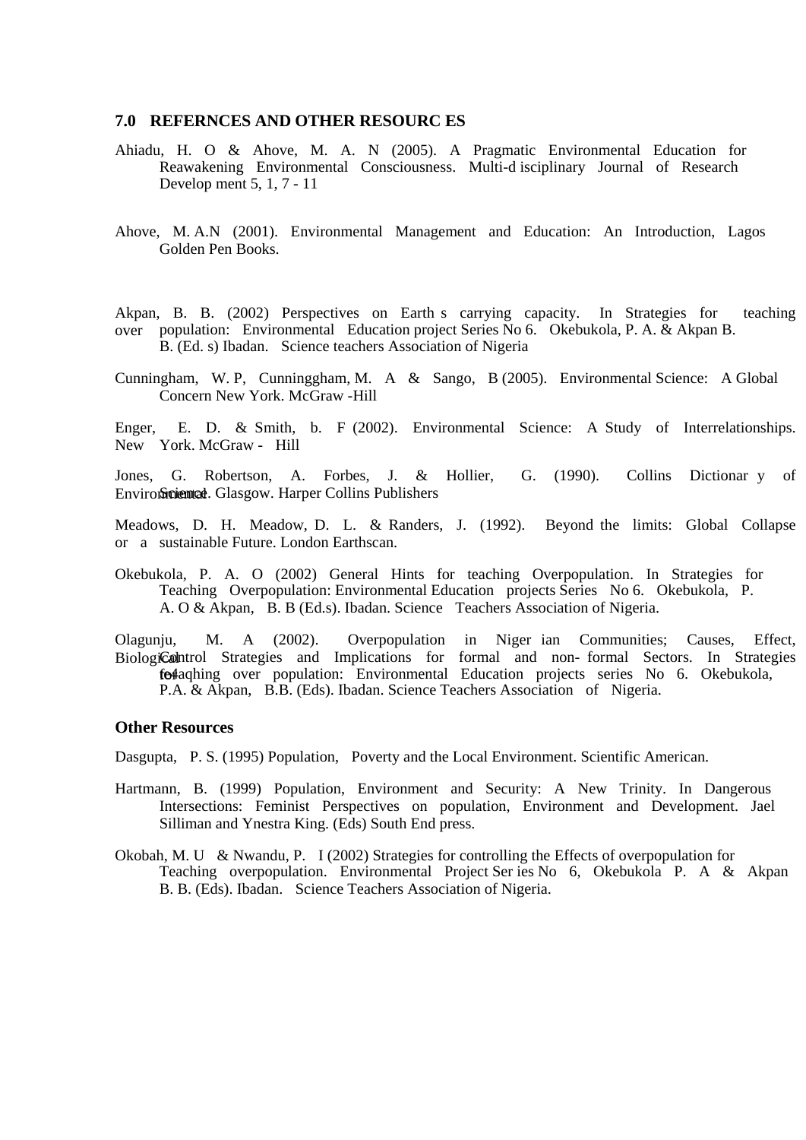#### **7.0 REFERNCES AND OTHER RESOURC ES**

- Ahiadu, H. O & Ahove, M. A. N (2005). A Pragmatic Environmental Education for Reawakening Environmental Consciousness. Multi-d isciplinary Journal of Research Develop ment 5, 1, 7 - 11
- Ahove, M. A.N (2001). Environmental Management and Education: An Introduction, Lagos Golden Pen Books.

Akpan, B. B. (2002) Perspectives on Earth s carrying capacity. In Strategies for teaching over population: Environmental Education project Series No 6. Okebukola, P. A. & Akpan B. B. (Ed. s) Ibadan. Science teachers Association of Nigeria

Cunningham, W. P, Cunninggham, M. A & Sango, B (2005). Environmental Science: A Global Concern New York. McGraw -Hill

Enger, E. D. & Smith, b. F (2002). Environmental Science: A Study of Interrelationships. New York. McGraw - Hill

Jones, G. Robertson, A. Forbes, J. & Hollier, G. (1990). Collins Dictionar y of Environmental Glasgow. Harper Collins Publishers

Meadows, D. H. Meadow, D. L. & Randers, J. (1992). Beyond the limits: Global Collapse or a sustainable Future. London Earthscan.

Okebukola, P. A. O (2002) General Hints for teaching Overpopulation. In Strategies for Teaching Overpopulation: Environmental Education projects Series No 6. Okebukola, P. A. O & Akpan, B. B (Ed.s). Ibadan. Science Teachers Association of Nigeria.

Olagunju, M. A (2002). Overpopulation in Niger ian Communities; Causes, Effect, Biological paint of Strategies and Implications for formal and non-formal Sectors. In Strategies fe<sub>4</sub>aqhing over population: Environmental Education projects series No 6. Okebukola, P.A. & Akpan, B.B. (Eds). Ibadan. Science Teachers Association of Nigeria.

#### **Other Resources**

Dasgupta, P. S. (1995) Population, Poverty and the Local Environment. Scientific American.

- Hartmann, B. (1999) Population, Environment and Security: A New Trinity. In Dangerous Intersections: Feminist Perspectives on population, Environment and Development. Jael Silliman and Ynestra King. (Eds) South End press.
- Okobah, M. U & Nwandu, P. I (2002) Strategies for controlling the Effects of overpopulation for Teaching overpopulation. Environmental Project Ser ies No 6, Okebukola P. A & Akpan B. B. (Eds). Ibadan. Science Teachers Association of Nigeria.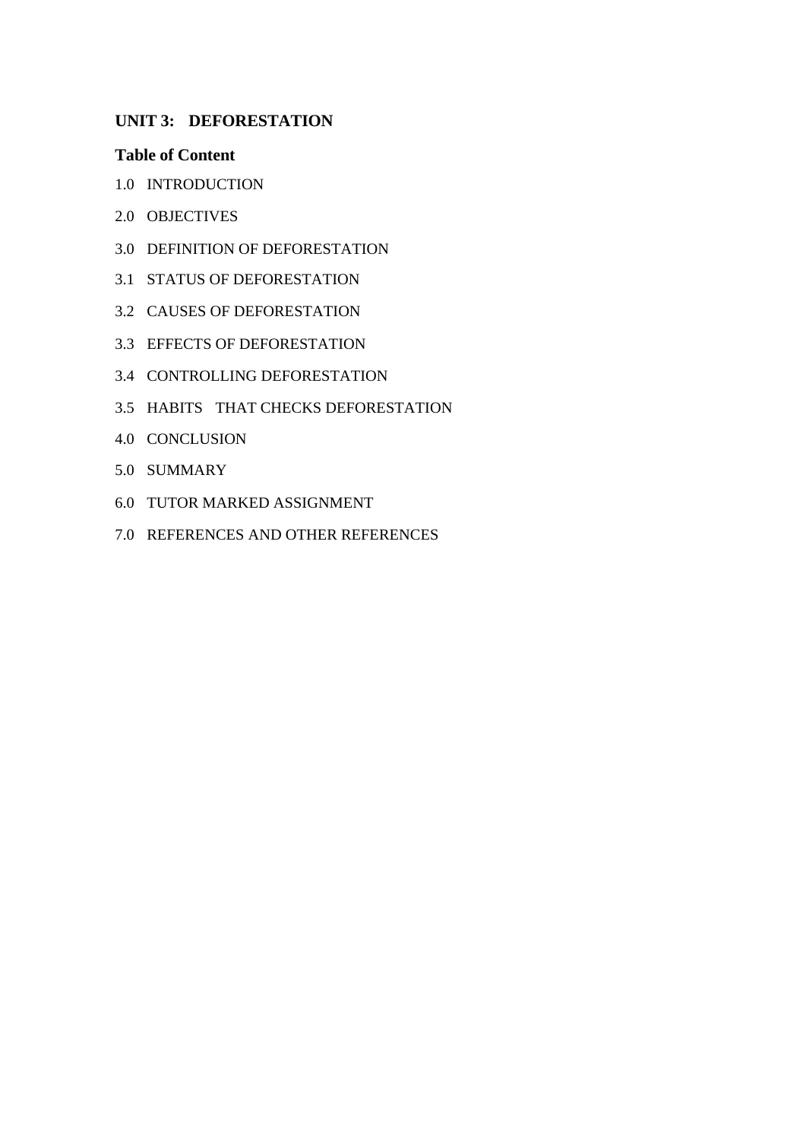# **UNIT 3: DEFORESTATION**

## **Table of Content**

- 1.0 INTRODUCTION
- 2.0 OBJECTIVES
- 3.0 DEFINITION OF DEFORESTATION
- 3.1 STATUS OF DEFORESTATION
- 3.2 CAUSES OF DEFORESTATION
- 3.3 EFFECTS OF DEFORESTATION
- 3.4 CONTROLLING DEFORESTATION
- 3.5 HABITS THAT CHECKS DEFORESTATION
- 4.0 CONCLUSION
- 5.0 SUMMARY
- 6.0 TUTOR MARKED ASSIGNMENT
- 7.0 REFERENCES AND OTHER REFERENCES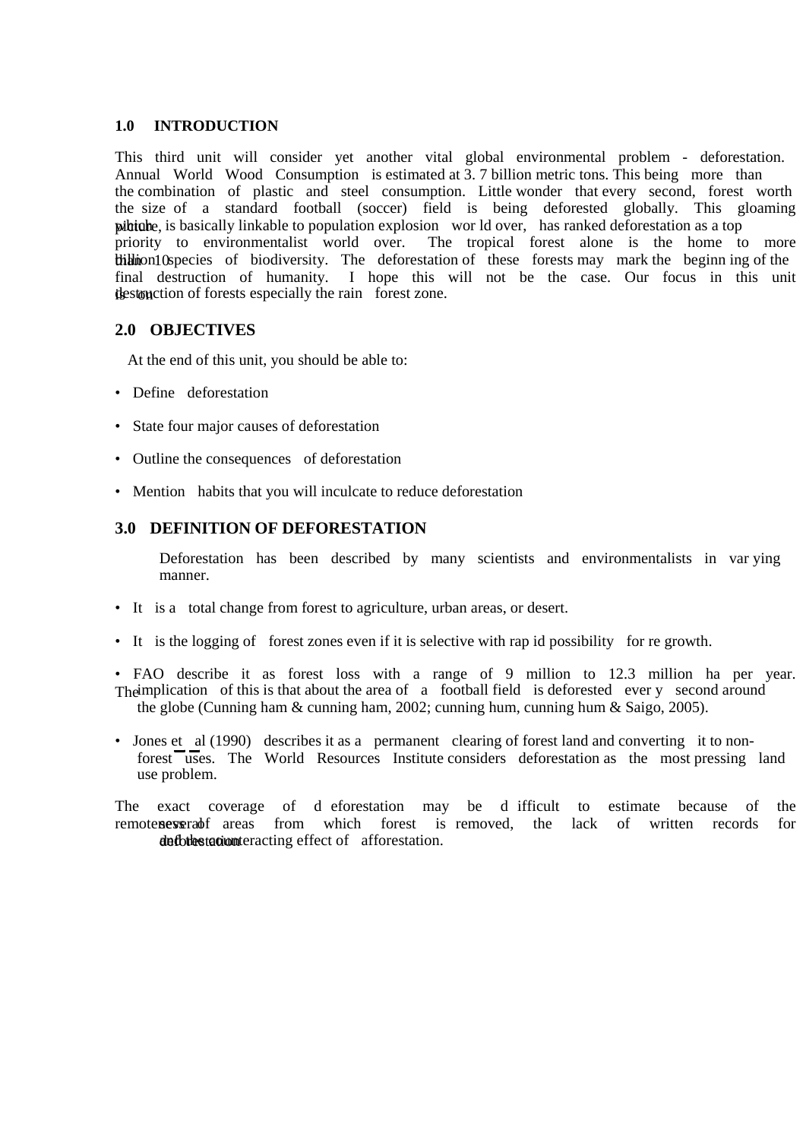## **1.0 INTRODUCTION**

This third unit will consider yet another vital global environmental problem - deforestation. Annual World Wood Consumption is estimated at 3.7 billion metric tons. This being more than the combination of plastic and steel consumption. Little wonder that every second, forest worth the size of a standard football (soccer) field is being deforested globally. This gloaming publish is basically linkable to population explosion wor ld over, has ranked deforestation as a top priority to environmentalist world over. The tropical forest alone is the home to more thillion 10 species of biodiversity. The deforestation of these forests may mark the beginn ing of the final destruction of humanity. I hope this will not be the case. Our focus in this unit is open destruction of forests especially the rain forest zone.

## **2.0 OBJECTIVES**

At the end of this unit, you should be able to:

- Define deforestation
- State four major causes of deforestation
- Outline the consequences of deforestation
- Mention habits that you will inculcate to reduce deforestation

## **3.0 DEFINITION OF DEFORESTATION**

Deforestation has been described by many scientists and environmentalists in var ying manner.

- It is a total change from forest to agriculture, urban areas, or desert.
- It is the logging of forest zones even if it is selective with rap id possibility for re growth.
- FAO describe it as forest loss with a range of 9 million to 12.3 million ha per year. The implication of this is that about the area of a football field is deforested ever y second around the globe (Cunning ham & cunning ham, 2002; cunning hum, cunning hum & Saigo, 2005).
- Jones et al (1990) describes it as a permanent clearing of forest land and converting it to nonforest uses. The World Resources Institute considers deforestation as the most pressing land use problem.

The exact coverage of d eforestation may be d ifficult to estimate because of the remoteness areas from which forest is removed, the lack of written records for defortestation and the counteracting effect of afforestation.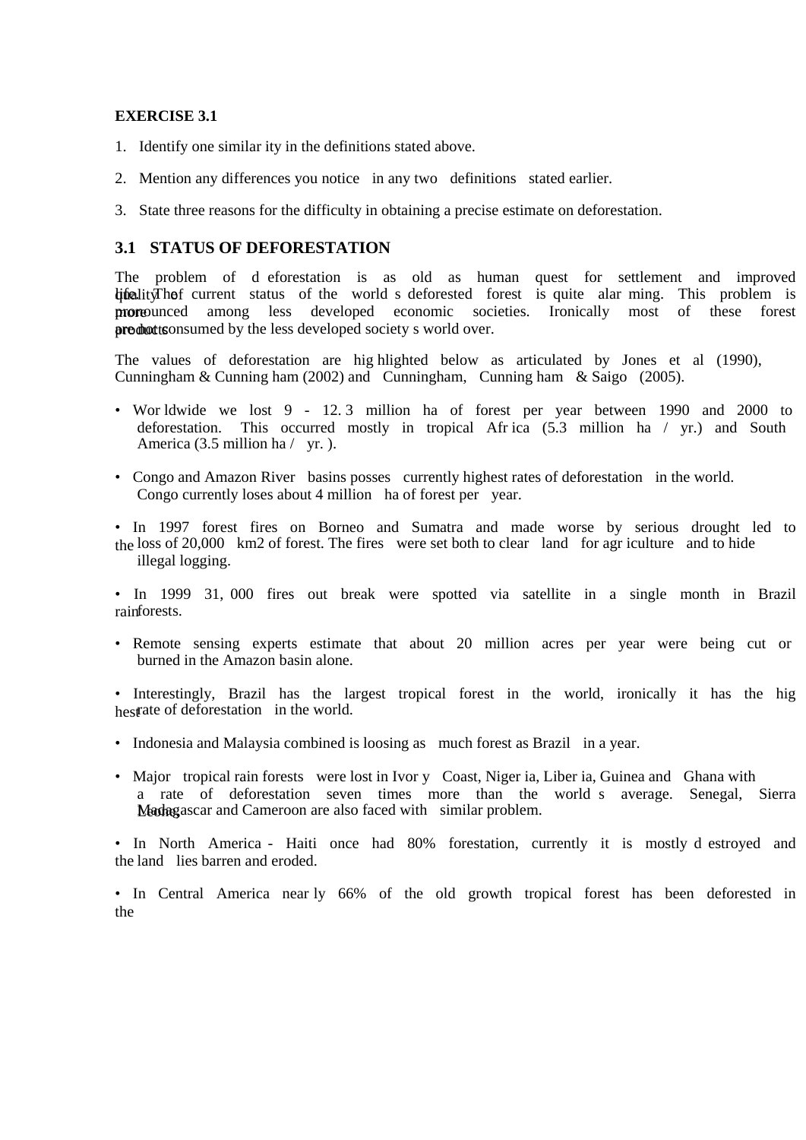### **EXERCISE 3.1**

- 1. Identify one similar ity in the definitions stated above.
- 2. Mention any differences you notice in any two definitions stated earlier.
- 3. State three reasons for the difficulty in obtaining a precise estimate on deforestation.

## **3.1 STATUS OF DEFORESTATION**

The problem of d eforestation is as old as human quest for settlement and improved dificulity The f current status of the world s deforested forest is quite alar ming. This problem is more prounced among less developed economic societies. Ironically most of these forest products consumed by the less developed society s world over.

The values of deforestation are hig hlighted below as articulated by Jones et al (1990), Cunningham & Cunning ham (2002) and Cunningham, Cunning ham & Saigo (2005).

- Wor ldwide we lost 9 12. 3 million ha of forest per year between 1990 and 2000 to deforestation. This occurred mostly in tropical Afr ica (5.3 million ha / yr.) and South America (3.5 million ha / yr.).
- Congo and Amazon River basins posses currently highest rates of deforestation in the world. Congo currently loses about 4 million ha of forest per year.
- In 1997 forest fires on Borneo and Sumatra and made worse by serious drought led to the loss of 20,000 km2 of forest. The fires were set both to clear land for agr iculture and to hide illegal logging.

• In 1999 31, 000 fires out break were spotted via satellite in a single month in Brazil rainforests.

• Remote sensing experts estimate that about 20 million acres per year were being cut or burned in the Amazon basin alone.

• Interestingly, Brazil has the largest tropical forest in the world, ironically it has the hig hestate of deforestation in the world.

- Indonesia and Malaysia combined is loosing as much forest as Brazil in a year.
- Major tropical rain forests were lost in Ivor y Coast, Niger ia, Liber ia, Guinea and Ghana with a rate of deforestation seven times more than the world s average. Senegal, Sierra Madagascar and Cameroon are also faced with similar problem.

• In North America - Haiti once had 80% forestation, currently it is mostly d estroyed and the land lies barren and eroded.

• In Central America near ly 66% of the old growth tropical forest has been deforested in the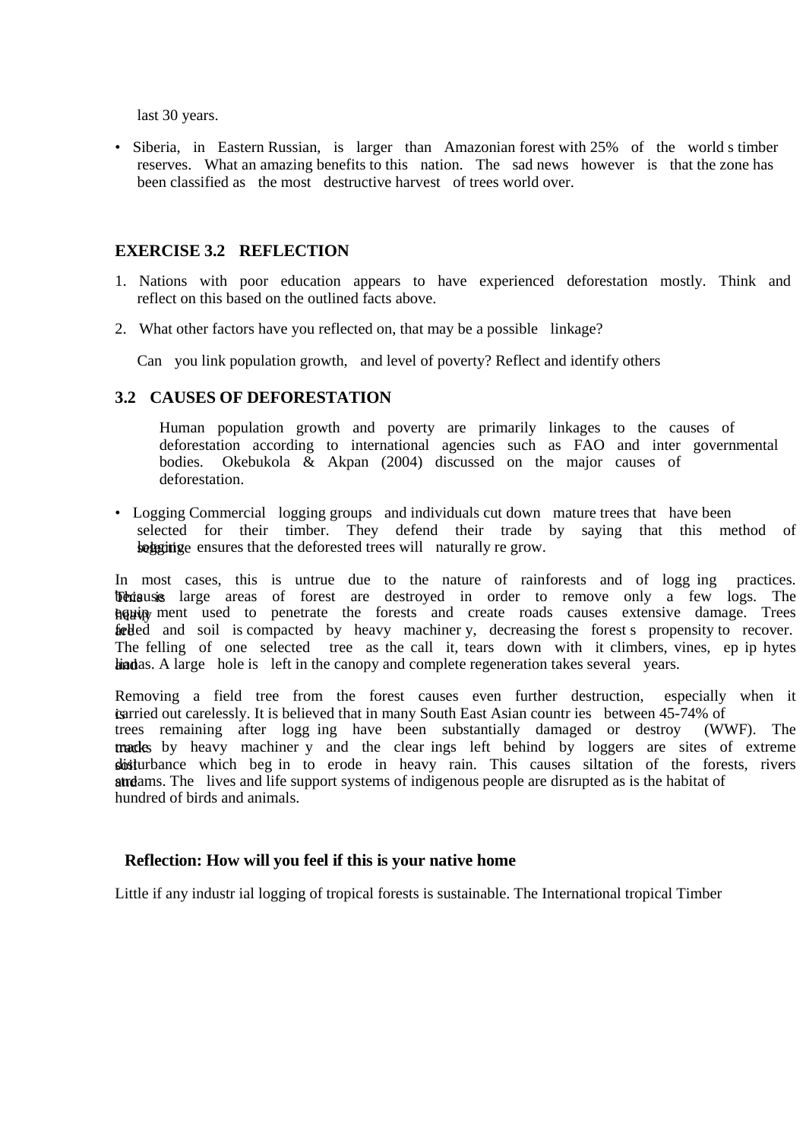last 30 years.

• Siberia, in Eastern Russian, is larger than Amazonian forest with 25% of the world s timber reserves. What an amazing benefits to this nation. The sad news however is that the zone has been classified as the most destructive harvest of trees world over.

### **EXERCISE 3.2 REFLECTION**

- 1. Nations with poor education appears to have experienced deforestation mostly. Think and reflect on this based on the outlined facts above.
- 2. What other factors have you reflected on, that may be a possible linkage?

Can you link population growth, and level of poverty? Reflect and identify others

### **3.2 CAUSES OF DEFORESTATION**

Human population growth and poverty are primarily linkages to the causes of deforestation according to international agencies such as FAO and inter governmental bodies. Okebukola & Akpan (2004) discussed on the major causes of deforestation.

• Logging Commercial logging groups and individuals cut down mature trees that have been selected for their timber. They defend their trade by saying that this method of selecting ensures that the deforested trees will naturally re grow.

In most cases, this is untrue due to the nature of rainforests and of logg ing practices. **These** large areas of forest are destroyed in order to remove only a few logs. The heavip ment used to penetrate the forests and create roads causes extensive damage. Trees fare feded and soil is compacted by heavy machiner y, decreasing the forest s propensity to recover. The felling of one selected tree as the call it, tears down with it climbers, vines, ep ip hytes hindias. A large hole is left in the canopy and complete regeneration takes several years.

Removing a field tree from the forest causes even further destruction, especially when it is carried out carelessly. It is believed that in many South East Asian countries between 45-74% of trees remaining after logg ing have been substantially damaged or destroy (WWF). The tracks by heavy machiner y and the clear ings left behind by loggers are sites of extreme shisturbance which beg in to erode in heavy rain. This causes siltation of the forests, rivers at streams. The lives and life support systems of indigenous people are disrupted as is the habitat of hundred of birds and animals.

#### **Reflection: How will you feel if this is your native home**

Little if any industr ial logging of tropical forests is sustainable. The International tropical Timber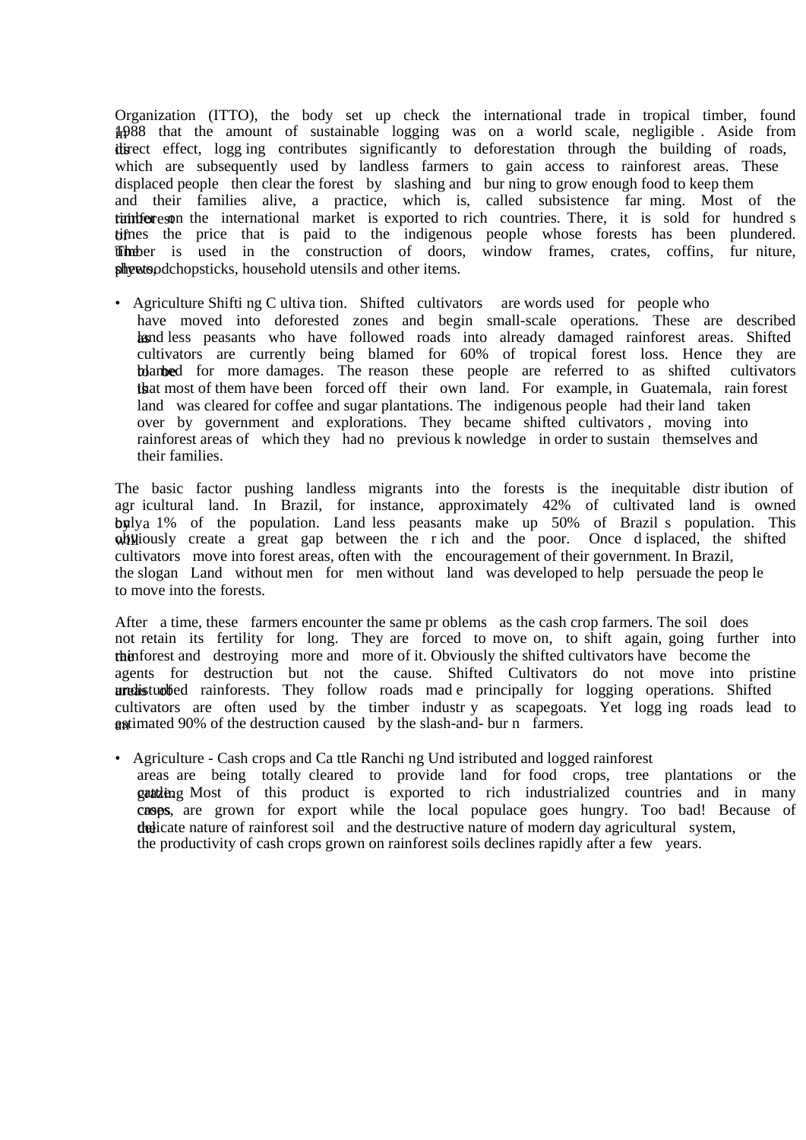Organization (ITTO), the body set up check the international trade in tropical timber, found in 1988 that the amount of sustainable logging was on a world scale, negligible . Aside from its direct effect, logg ing contributes significantly to deforestation through the building of roads, which are subsequently used by landless farmers to gain access to rainforest areas. These displaced people then clear the forest by slashing and bur ning to grow enough food to keep them and their families alive, a practice, which is, called subsistence far ming. Most of the rainforest time international market is exported to rich countries. There, it is sold for hundred s times the price that is paid to the indigenous people whose forests has been plundered. The timber is used in the construction of doors, window frames, crates, coffins, fur niture, ply put such a sheets of the sheets. Show is a sheet items.

• Agriculture Shifti ng C ultiva tion. Shifted cultivators are words used for people who have moved into deforested zones and begin small-scale operations. These are described hand less peasants who have followed roads into already damaged rainforest areas. Shifted cultivators are currently being blamed for 60% of tropical forest loss. Hence they are to blambed for more damages. The reason these people are referred to as shifted cultivators the that most of them have been forced off their own land. For example, in Guatemala, rain forest land was cleared for coffee and sugar plantations. The indigenous people had their land taken over by government and explorations. They became shifted cultivators , moving into rainforest areas of which they had no previous k nowledge in order to sustain themselves and their families.

The basic factor pushing landless migrants into the forests is the inequitable distr ibution of agr icultural land. In Brazil, for instance, approximately 42% of cultivated land is owned by  $\frac{1}{6}$  of the population. Land less peasants make up 50% of Brazil s population. This  $\omega$ ill  $\omega$  is a great gap between the r ich and the poor. Once d isplaced, the shifted cultivators move into forest areas, often with the encouragement of their government. In Brazil, the slogan Land without men for men without land was developed to help persuade the peop le to move into the forests.

After a time, these farmers encounter the same pr oblems as the cash crop farmers. The soil does not retain its fertility for long. They are forced to move on, to shift again, going further into the ratio restriction of the ratio of the shifted cultivators have become the the ratio of the shifted cultivators have become the agents for destruction but not the cause. Shifted Cultivators do not move into pristine aredisturbed rainforests. They follow roads made principally for logging operations. Shifted cultivators are often used by the timber industry as scapegoats. Yet logg ing roads lead to  $g$ gstimated 90% of the destruction caused by the slash-and- bur n farmers.

• Agriculture - Cash crops and Ca ttle Ranchi ng Und istributed and logged rainforest areas are being totally cleared to provide land for food crops, tree plantations or the graturing Most of this product is exported to rich industrialized countries and in many cases, are grown for export while the local populace goes hungry. Too bad! Because of the diversion the destructive nature of modern day agricultural system, the productivity of cash crops grown on rainforest soils declines rapidly after a few years.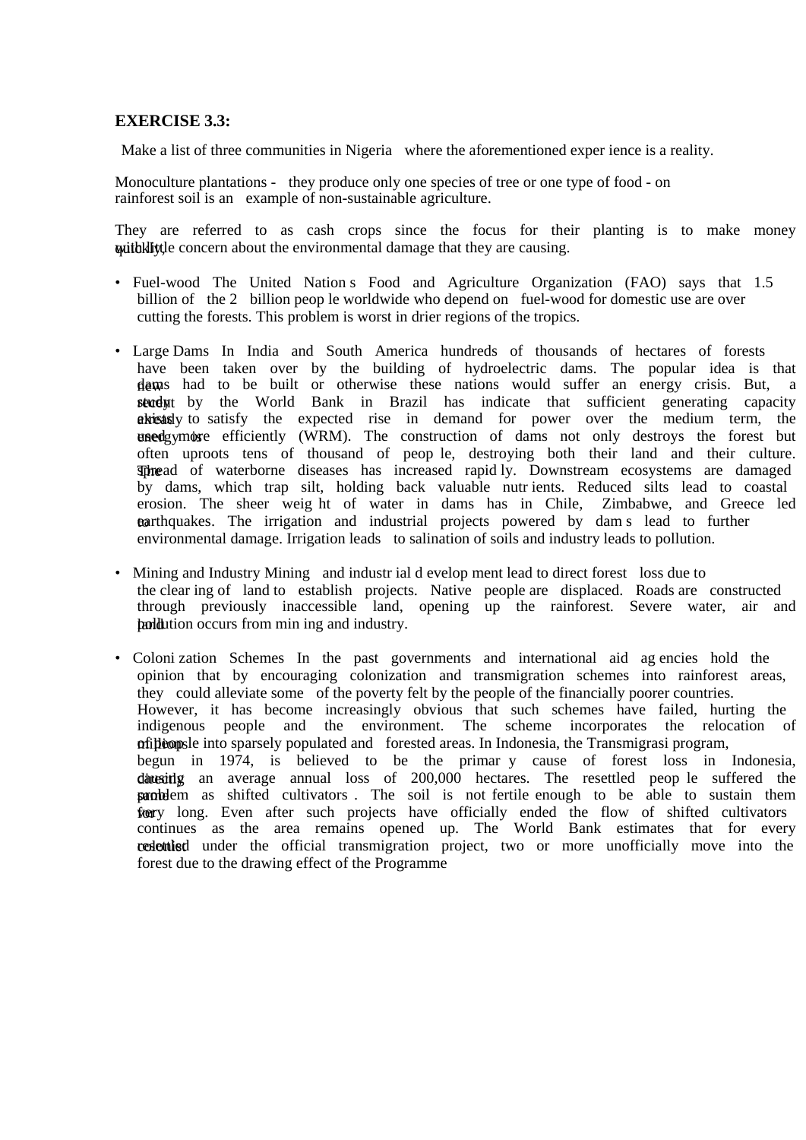## **EXERCISE 3.3:**

Make a list of three communities in Nigeria where the aforementioned exper ience is a reality.

Monoculture plantations - they produce only one species of tree or one type of food - on rainforest soil is an example of non-sustainable agriculture.

They are referred to as cash crops since the focus for their planting is to make money with little concern about the environmental damage that they are causing.

- Fuel-wood The United Nation s Food and Agriculture Organization (FAO) says that 1.5 billion of the 2 billion peop le worldwide who depend on fuel-wood for domestic use are over cutting the forests. This problem is worst in drier regions of the tropics.
- Large Dams In India and South America hundreds of thousands of hectares of forests have been taken over by the building of hydroelectric dams. The popular idea is that dams had to be built or otherwise these nations would suffer an energy crisis. But, a study the World Bank in Brazil has indicate that sufficient generating capacity already to satisfy the expected rise in demand for power over the medium term, the enedgymore efficiently (WRM). The construction of dams not only destroys the forest but often uproots tens of thousand of peop le, destroying both their land and their culture. Thread of waterborne diseases has increased rapid ly. Downstream ecosystems are damaged by dams, which trap silt, holding back valuable nutr ients. Reduced silts lead to coastal erosion. The sheer weig ht of water in dams has in Chile, Zimbabwe, and Greece led trarthquakes. The irrigation and industrial projects powered by dam s lead to further environmental damage. Irrigation leads to salination of soils and industry leads to pollution.
- Mining and Industry Mining and industr ial d evelop ment lead to direct forest loss due to the clear ing of land to establish projects. Native people are displaced. Roads are constructed through previously inaccessible land, opening up the rainforest. Severe water, air and **pollution** occurs from min ing and industry.
- Coloni zation Schemes In the past governments and international aid ag encies hold the opinion that by encouraging colonization and transmigration schemes into rainforest areas, they could alleviate some of the poverty felt by the people of the financially poorer countries. However, it has become increasingly obvious that such schemes have failed, hurting the indigenous people and the environment. The scheme incorporates the relocation of millions of peop le into sparsely populated and forested areas. In Indonesia, the Transmigrasi program, begun in 1974, is believed to be the primar y cause of forest loss in Indonesia, directing an average annual loss of 200,000 hectares. The resettled peop le suffered the **samblem** as shifted cultivators. The soil is not fertile enough to be able to sustain them foury long. Even after such projects have officially ended the flow of shifted cultivators continues as the area remains opened up. The World Bank estimates that for every **condecentled** under the official transmigration project, two or more unofficially move into the forest due to the drawing effect of the Programme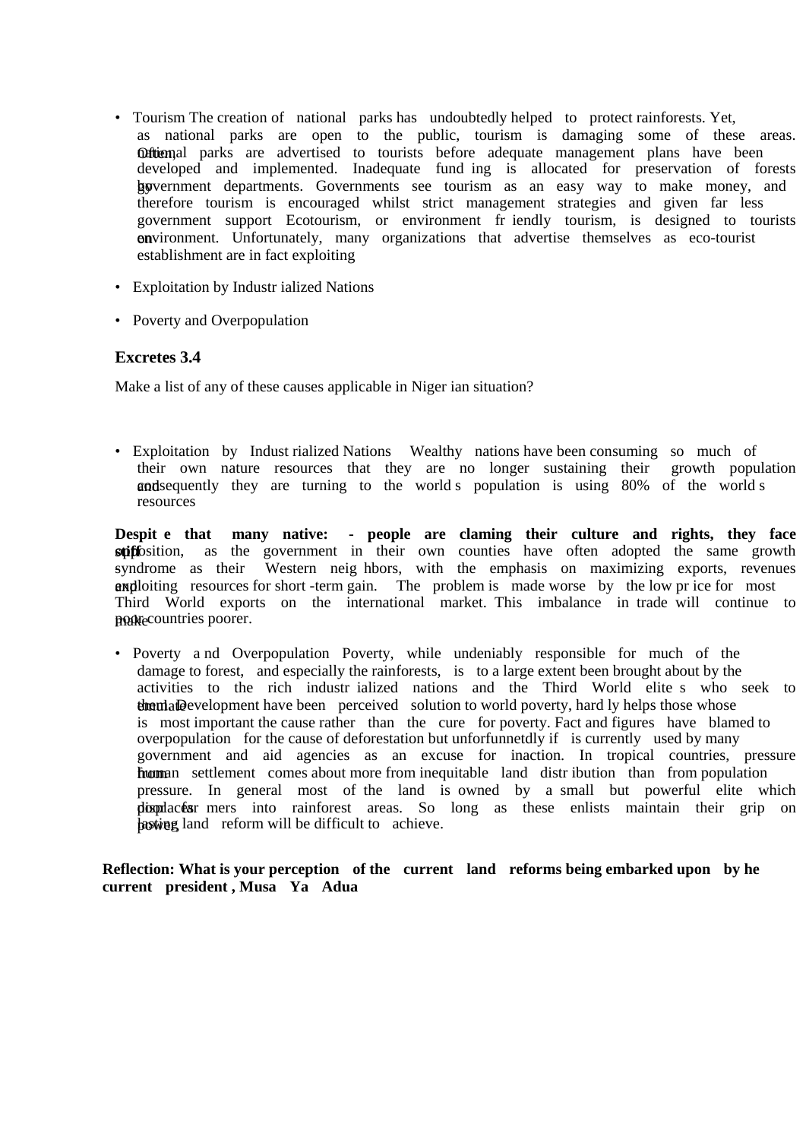- Tourism The creation of national parks has undoubtedly helped to protect rainforests. Yet, as national parks are open to the public, tourism is damaging some of these areas. Oftiemal parks are advertised to tourists before adequate management plans have been developed and implemented. Inadequate fund ing is allocated for preservation of forests by government departments. Governments see tourism as an easy way to make money, and therefore tourism is encouraged whilst strict management strategies and given far less government support Ecotourism, or environment fr iendly tourism, is designed to tourists on vironment. Unfortunately, many organizations that advertise themselves as eco-tourist establishment are in fact exploiting
- Exploitation by Industr ialized Nations
- Poverty and Overpopulation

# **Excretes 3.4**

Make a list of any of these causes applicable in Niger ian situation?

• Exploitation by Indust rialized Nations Wealthy nations have been consuming so much of their own nature resources that they are no longer sustaining their growth population and sequently they are turning to the world s population is using 80% of the world s resources

**Despit e that many native: - people are claming their culture and rights, they face**  stiff containty as the government in their own counties have often adopted the same growth syndrome as their Western neighbors, with the emphasis on maximizing exports, revenues and ploiting resources for short -term gain. The problem is made worse by the low pr ice for most Third World exports on the international market. This imbalance in trade will continue to make countries poorer.

• Poverty a nd Overpopulation Poverty, while undeniably responsible for much of the damage to forest, and especially the rainforests, is to a large extent been brought about by the activities to the rich industr ialized nations and the Third World elite s who seek to them. Development have been perceived solution to world poverty, hard ly helps those whose is most important the cause rather than the cure for poverty. Fact and figures have blamed to overpopulation for the cause of deforestation but unforfunnetdly if is currently used by many government and aid agencies as an excuse for inaction. In tropical countries, pressure from an settlement comes about more from inequitable land distribution than from population pressure. In general most of the land is owned by a small but powerful elite which displaces far mers into rainforest areas. So long as these enlists maintain their grip on hasting land reform will be difficult to achieve.

**Reflection: What is your perception of the current land reforms being embarked upon by he current president , Musa Ya Adua**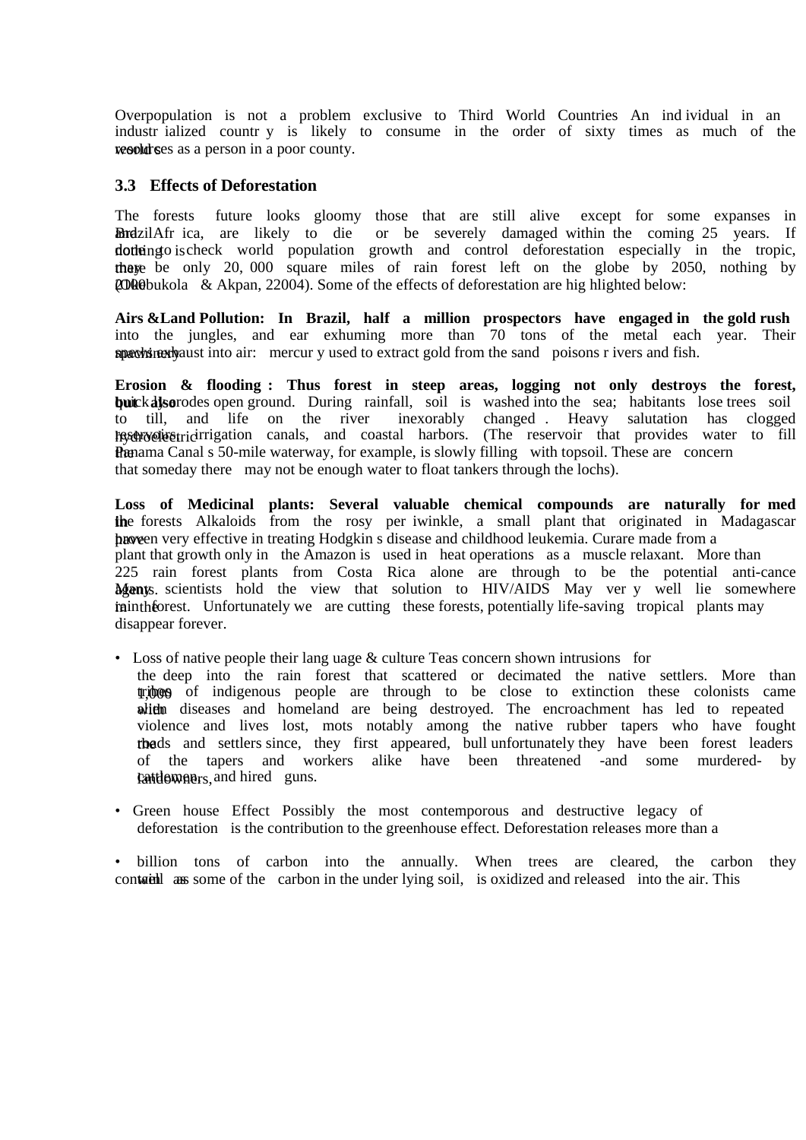Overpopulation is not a problem exclusive to Third World Countries An ind ividual in an industr ialized countr y is likely to consume in the order of sixty times as much of the world s as a person in a poor county.

### **3.3 Effects of Deforestation**

kattlements, and hired guns.

The forests future looks gloomy those that are still alive except for some expanses in Bordzil Afr ica, are likely to die or be severely damaged within the coming 25 years. If dotheing to is check world population growth and control deforestation especially in the tropic, there be only 20,000 square miles of rain forest left on the globe by 2050, nothing by  $200$ 00 (Okebukola & Akpan, 22004). Some of the effects of deforestation are highlighted below:

**Airs &Land Pollution: In Brazil, half a million prospectors have engaged in the gold rush**  into the jungles, and ear exhuming more than 70 tons of the metal each year. Their spewhete into air: mercur y used to extract gold from the sand poisons r ivers and fish.

**Erosion & flooding : Thus forest in steep areas, logging not only destroys the forest, but** ck also **a** also **but also but a** soil is washed into the sea; habitants lose trees soil to till, and life on the river inexorably changed . Heavy salutation has clogged hyderoelic reservoir that provides water to fill reservoir that provides water to fill **the Present Amama Canal s 50-mile waterway, for example, is slowly filling with topsoil. These are concerned by Canadian Superior School and Superior School and Superior School and Superior School and Superior School and** that someday there may not be enough water to float tankers through the lochs).

**Loss of Medicinal plants: Several valuable chemical compounds are naturally for med ihe** forests Alkaloids from the rosy per iwinkle, a small plant that originated in Madagascar have en very effective in treating Hodgkin s disease and childhood leukemia. Curare made from a plant that growth only in the Amazon is used in heat operations as a muscle relaxant. More than 225 rain forest plants from Costa Rica alone are through to be the potential anti-cance Many scientists hold the view that solution to HIV/AIDS May ver y well lie somewhere in the rain the ratio ratio is the ratio of the ratio is the ratio of the ratio for the ratio for the ratio for disappear forever.

- Loss of native people their lang uage & culture Teas concern shown intrusions for the deep into the rain forest that scattered or decimated the native settlers. More than 1,000 of indigenous people are through to be close to extinction these colonists came whith diseases and homeland are being destroyed. The encroachment has led to repeated violence and lives lost, mots notably among the native rubber tapers who have fought the roads and settlers since, they first appeared, bull unfortunately they have been forest leaders of the tapers and workers alike have been threatened -and some murdered- by
- Green house Effect Possibly the most contemporous and destructive legacy of deforestation is the contribution to the greenhouse effect. Deforestation releases more than a

• billion tons of carbon into the annually. When trees are cleared, the carbon they contained as some of the carbon in the under lying soil, is oxidized and released into the air. This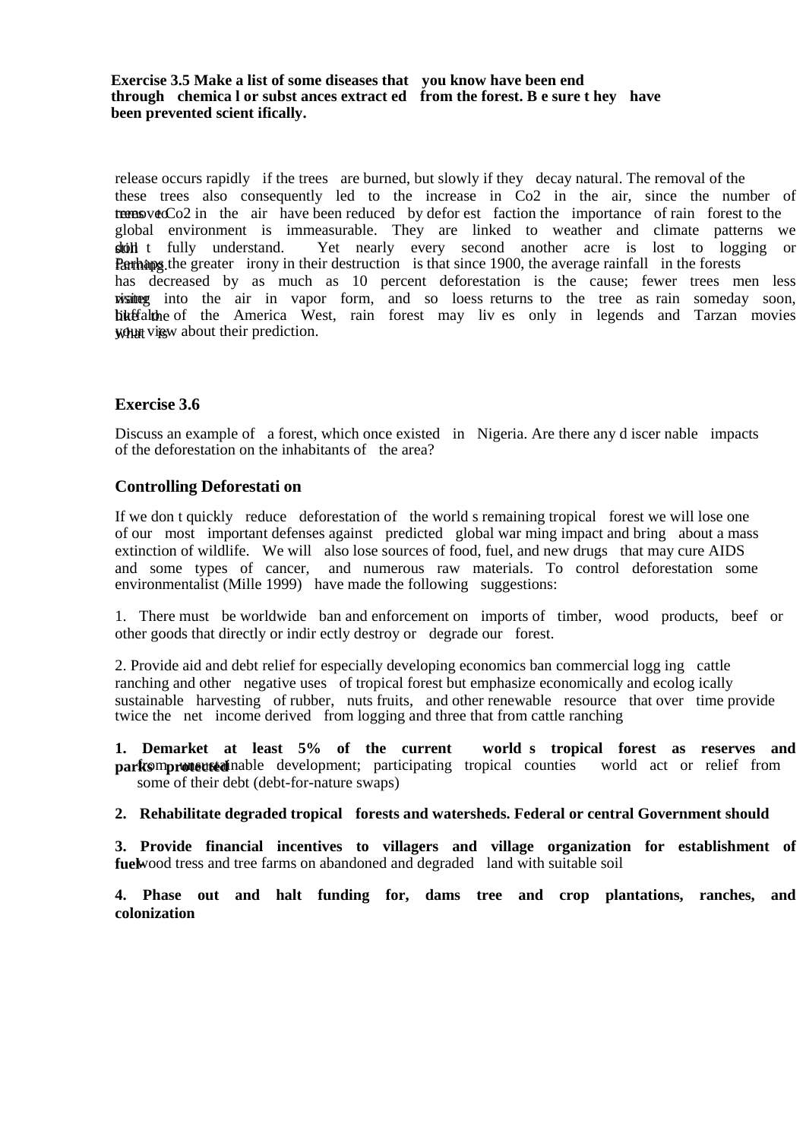**Exercise 3.5 Make a list of some diseases that you know have been end through chemica l or subst ances extract ed from the forest. B e sure t hey have been prevented scient ifically.** 

release occurs rapidly if the trees are burned, but slowly if they decay natural. The removal of the these trees also consequently led to the increase in Co2 in the air, since the number of trees to the air have been reduced by defor est faction the importance of rain forest to the global environment is immeasurable. They are linked to weather and climate patterns we stoll t fully understand. Yet nearly every second another acre is lost to logging or **Parhaps** the greater irony in their destruction is that since 1900, the average rainfall in the forests has decreased by as much as 10 percent deforestation is the cause; fewer trees men less wisiting into the air in vapor form, and so loess returns to the tree as rain someday soon, hiteralishies of the America West, rain forest may liv es only in legends and Tarzan movies what view about their prediction.

### **Exercise 3.6**

Discuss an example of a forest, which once existed in Nigeria. Are there any d iscer nable impacts of the deforestation on the inhabitants of the area?

#### **Controlling Deforestati on**

If we don t quickly reduce deforestation of the world s remaining tropical forest we will lose one of our most important defenses against predicted global war ming impact and bring about a mass extinction of wildlife. We will also lose sources of food, fuel, and new drugs that may cure AIDS and some types of cancer, and numerous raw materials. To control deforestation some environmentalist (Mille 1999) have made the following suggestions:

1. There must be worldwide ban and enforcement on imports of timber, wood products, beef or other goods that directly or indir ectly destroy or degrade our forest.

2. Provide aid and debt relief for especially developing economics ban commercial logg ing cattle ranching and other negative uses of tropical forest but emphasize economically and ecolog ically sustainable harvesting of rubber, nuts fruits, and other renewable resource that over time provide twice the net income derived from logging and three that from cattle ranching

**1. Demarket at least 5% of the current world s tropical forest as reserves and parks protected** nable development; participating tropical counties world act or relief from some of their debt (debt-for-nature swaps)

#### **2. Rehabilitate degraded tropical forests and watersheds. Federal or central Government should**

**3. Provide financial incentives to villagers and village organization for establishment of fuelwood tress and tree farms on abandoned and degraded land with suitable soil** 

**4. Phase out and halt funding for, dams tree and crop plantations, ranches, and colonization**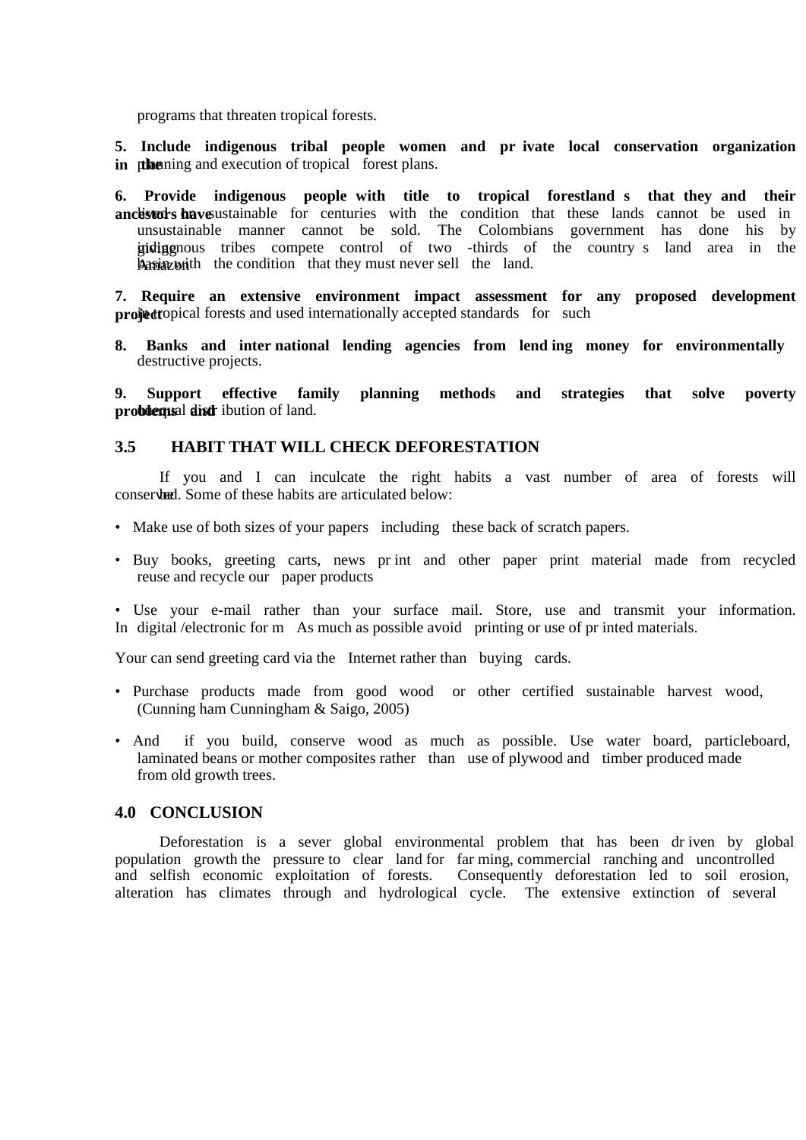programs that threaten tropical forests.

**5. Include indigenous tribal people women and pr ivate local conservation organization in the** ening and execution of tropical forest plans.

**6. Provide indigenous people with title to tropical forestland s that they and their**  ancestors have ustainable for centuries with the condition that these lands cannot be used in unsustainable manner cannot be sold. The Colombians government has done his by indigenous tribes compete control of two -thirds of the country s land area in the  $\frac{1}{2}$   $\frac{1}{2}$   $\frac{1}{2}$   $\frac{1}{2}$  the the condition that they must never sell the land.

**7. Require an extensive environment impact assessment for any proposed development project** opical forests and used internationally accepted standards for such

**8. Banks and inter national lending agencies from lend ing money for environmentally**  destructive projects.

**9. Support effective family planning methods and strategies that solve poverty problems** al **distr** ibution of land.

### **3.5 HABIT THAT WILL CHECK DEFORESTATION**

If you and I can inculcate the right habits a vast number of area of forests will conserved. Some of these habits are articulated below:

- Make use of both sizes of your papers including these back of scratch papers.
- Buy books, greeting carts, news pr int and other paper print material made from recycled reuse and recycle our paper products
- Use your e-mail rather than your surface mail. Store, use and transmit your information. In digital /electronic for m As much as possible avoid printing or use of pr inted materials.

Your can send greeting card via the Internet rather than buying cards.

- Purchase products made from good wood or other certified sustainable harvest wood, (Cunning ham Cunningham & Saigo, 2005)
- And if you build, conserve wood as much as possible. Use water board, particleboard, laminated beans or mother composites rather than use of plywood and timber produced made from old growth trees.

#### **4.0 CONCLUSION**

Deforestation is a sever global environmental problem that has been dr iven by global population growth the pressure to clear land for far ming, commercial ranching and uncontrolled and selfish economic exploitation of forests. Consequently deforestation led to soil erosion, alteration has climates through and hydrological cycle. The extensive extinction of several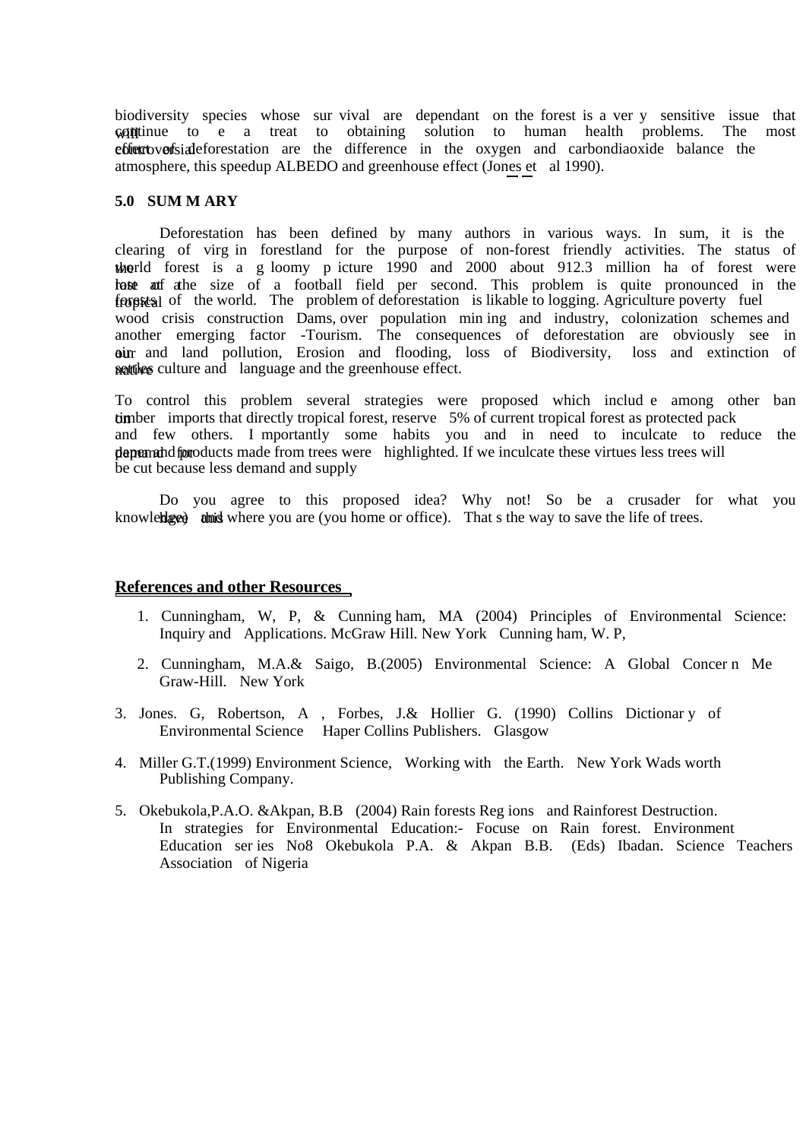biodiversity species whose sur vival are dependant on the forest is a ver y sensitive issue that  $\omega$  a treat to obtaining solution to human health problems. The most obtaining solution to human health problems. The most ether to vertisial eforestation are the difference in the oxygen and carbondiaoxide balance the atmosphere, this speedup ALBEDO and greenhouse effect (Jones et al 1990).

#### **5.0 SUM M ARY**

Deforestation has been defined by many authors in various ways. In sum, it is the clearing of virg in forestland for the purpose of non-forest friendly activities. The status of the right does it is a g loomy p icture  $1990$  and  $2000$  about  $912.3$  million ha of forest were tost at a size of a football field per second. This problem is quite pronounced in the from the world. The problem of deforestation is likable to logging. Agriculture poverty fuel wood crisis construction Dams, over population min ing and industry, colonization schemes and another emerging factor -Tourism. The consequences of deforestation are obviously see in our and land pollution, Erosion and flooding, loss of Biodiversity, loss and extinction of nattives culture and language and the greenhouse effect.

To control this problem several strategies were proposed which includ e among other ban timber imports that directly tropical forest, reserve 5% of current tropical forest as protected pack and few others. I mportantly some habits you and in need to inculcate to reduce the demand for paper and products made from trees were highlighted. If we inculcate these virtues less trees will be cut because less demand and supply

Do you agree to this proposed idea? Why not! So be a crusader for what you knowleble and where you are (you home or office). That s the way to save the life of trees.

#### **References and other Resources**

- 1. Cunningham, W, P, & Cunning ham, MA (2004) Principles of Environmental Science: Inquiry and Applications. McGraw Hill. New York Cunning ham, W. P,
- 2. Cunningham, M.A.& Saigo, B.(2005) Environmental Science: A Global Concer n Me Graw-Hill. New York
- 3. Jones. G, Robertson, A , Forbes, J.& Hollier G. (1990) Collins Dictionar y of Environmental Science Haper Collins Publishers. Glasgow
- 4. Miller G.T.(1999) Environment Science, Working with the Earth. New York Wads worth Publishing Company.
- 5. Okebukola,P.A.O. &Akpan, B.B (2004) Rain forests Reg ions and Rainforest Destruction. In strategies for Environmental Education:- Focuse on Rain forest. Environment Education ser ies No8 Okebukola P.A. & Akpan B.B. (Eds) Ibadan. Science Teachers Association of Nigeria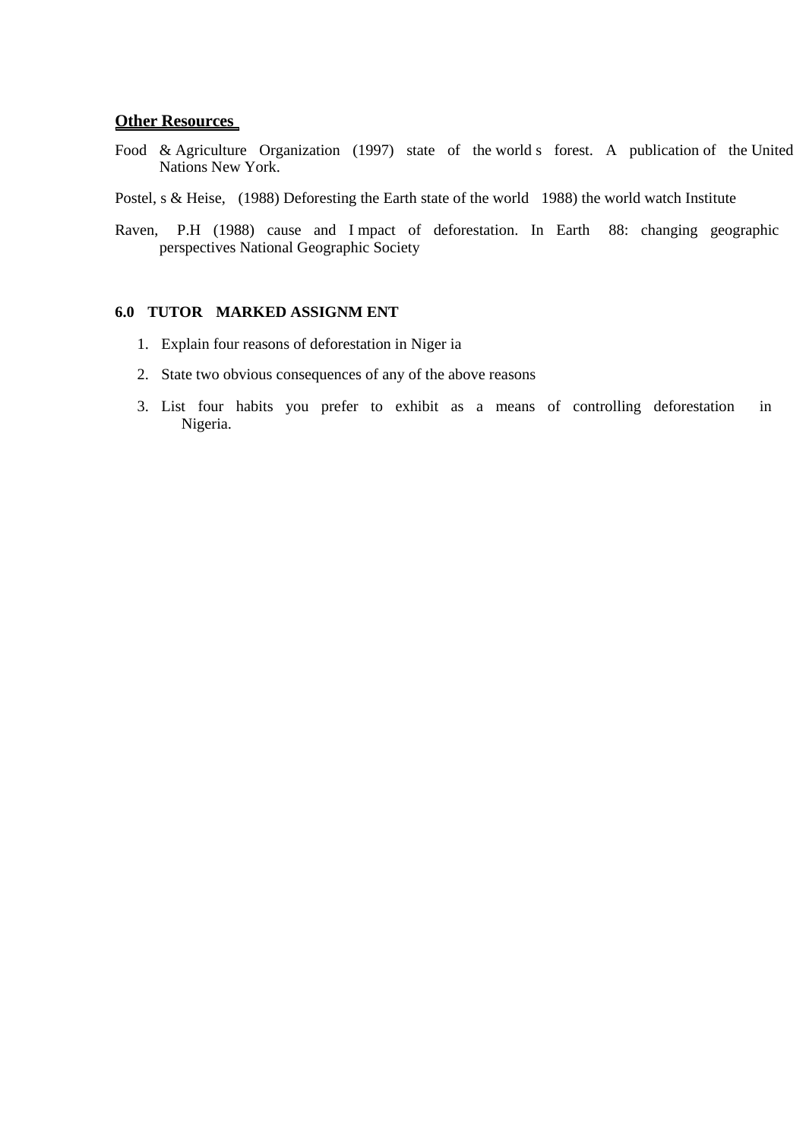#### **Other Resources**

- Food & Agriculture Organization (1997) state of the world s forest. A publication of the United Nations New York.
- Postel, s & Heise, (1988) Deforesting the Earth state of the world 1988) the world watch Institute
- Raven, P.H (1988) cause and I mpact of deforestation. In Earth 88: changing geographic perspectives National Geographic Society

### **6.0 TUTOR MARKED ASSIGNM ENT**

- 1. Explain four reasons of deforestation in Niger ia
- 2. State two obvious consequences of any of the above reasons
- 3. List four habits you prefer to exhibit as a means of controlling deforestation in Nigeria.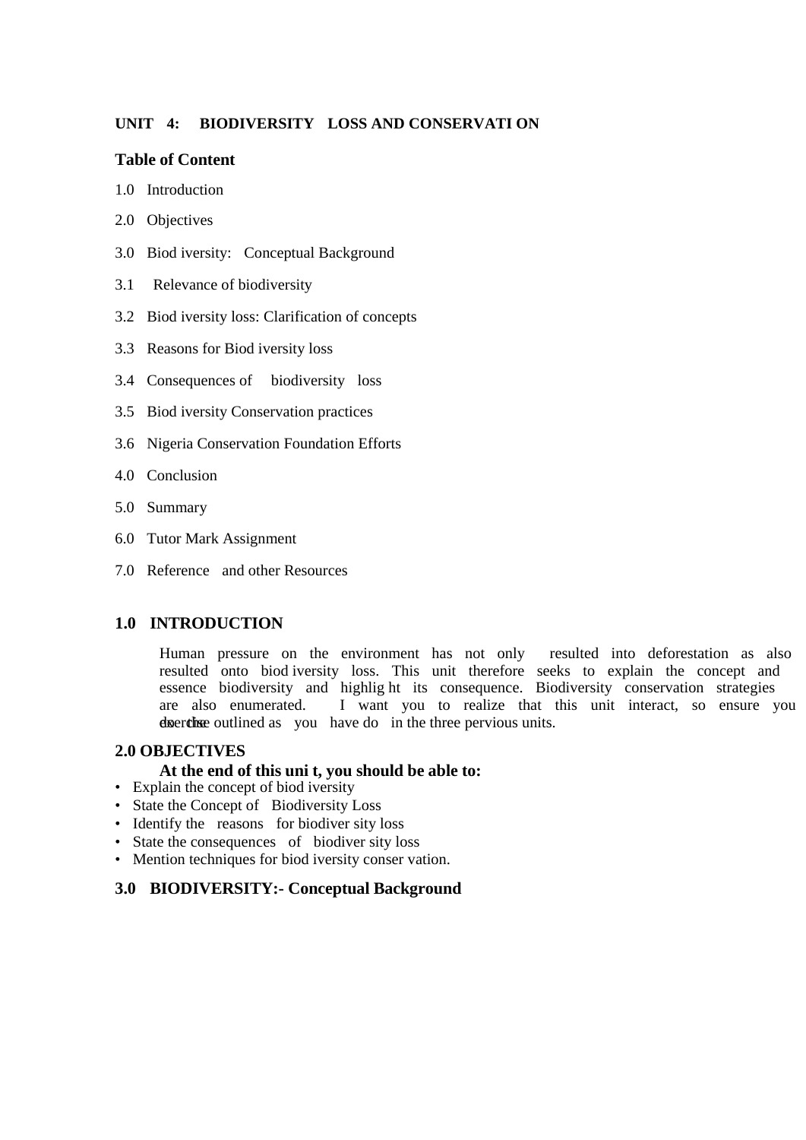# **UNIT 4: BIODIVERSITY LOSS AND CONSERVATI ON**

## **Table of Content**

- 1.0 Introduction
- 2.0 Objectives
- 3.0 Biod iversity: Conceptual Background
- 3.1 Relevance of biodiversity
- 3.2 Biod iversity loss: Clarification of concepts
- 3.3 Reasons for Biod iversity loss
- 3.4 Consequences of biodiversity loss
- 3.5 Biod iversity Conservation practices
- 3.6 Nigeria Conservation Foundation Efforts
- 4.0 Conclusion
- 5.0 Summary
- 6.0 Tutor Mark Assignment
- 7.0 Reference and other Resources

## **1.0 INTRODUCTION**

Human pressure on the environment has not only resulted into deforestation as also resulted onto biod iversity loss. This unit therefore seeks to explain the concept and essence biodiversity and highlig ht its consequence. Biodiversity conservation strategies are also enumerated. I want you to realize that this unit interact, so ensure you do the exercise outlined as you have do in the three pervious units.

#### **2.0 OBJECTIVES**

#### **At the end of this uni t, you should be able to:**

- Explain the concept of biod iversity
- State the Concept of Biodiversity Loss
- Identify the reasons for biodiver sity loss
- State the consequences of biodiver sity loss
- Mention techniques for biod iversity conser vation.

# **3.0 BIODIVERSITY:- Conceptual Background**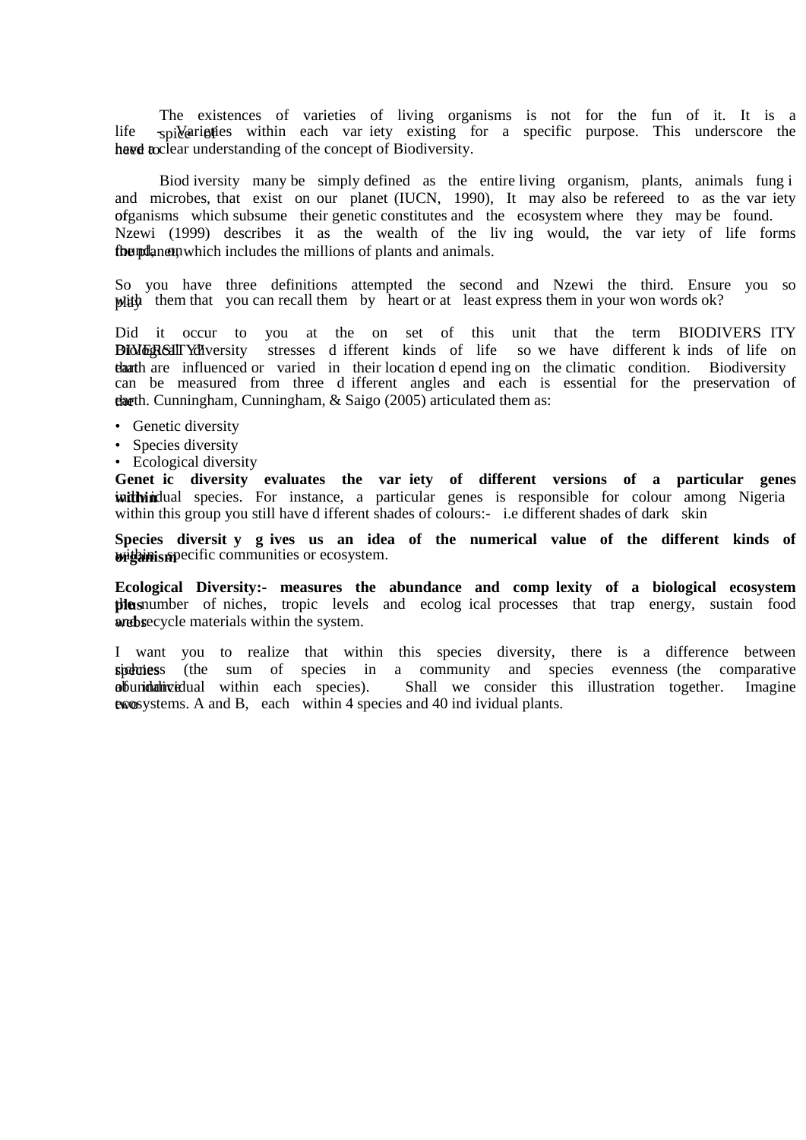The existences of varieties of living organisms is not for the fun of it. It is a life  $\frac{1}{2}$  spilled spilled specific specific purpose. This underscore the have to have a clear understanding of the concept of Biodiversity.

Biod iversity many be simply defined as the entire living organism, plants, animals fung i and microbes, that exist on our planet (IUCN, 1990), It may also be refereed to as the var iety of ganisms which subsume their genetic constitutes and the ecosystem where they may be found. Nzewi (1999) describes it as the wealth of the liv ing would, the var iety of life forms found, and animals.

So you have three definitions attempted the second and Nzewi the third. Ensure you so  $\psi$  with them that you can recall them by heart or at least express them in your won words ok?

Did it occur to you at the on set of this unit that the term BIODIVERS ITY BIOLOGICAL TYPU VERSITY STRESSES different kinds of life so we have different k inds of life on that are influenced or varied in their location d epend ing on the climatic condition. Biodiversity can be measured from three d ifferent angles and each is essential for the preservation of thath. Cunningham, Cunningham, & Saigo (2005) articulated them as:

- Genetic diversity
- Species diversity
- Ecological diversity

**Genet ic diversity evaluates the var iety of different versions of a particular genes with idual** species. For instance, a particular genes is responsible for colour among Nigeria within this group you still have d ifferent shades of colours:- i.e different shades of dark skin

**Species diversit y g ives us an idea of the numerical value of the different kinds of within specific communities or ecosystem.** 

**Ecological Diversity:- measures the abundance and comp lexity of a biological ecosystem plus plus plus humber** of niches, tropic levels and ecolog ical processes that trap energy, sustain food and by a materials within the system.

I want you to realize that within this species diversity, there is a difference between spectures (the sum of species in a community and species evenness (the comparative abundative dual within each species). Shall we consider this illustration together. Imagine  $\alpha$  exposystems. A and B, each within 4 species and 40 ind ividual plants.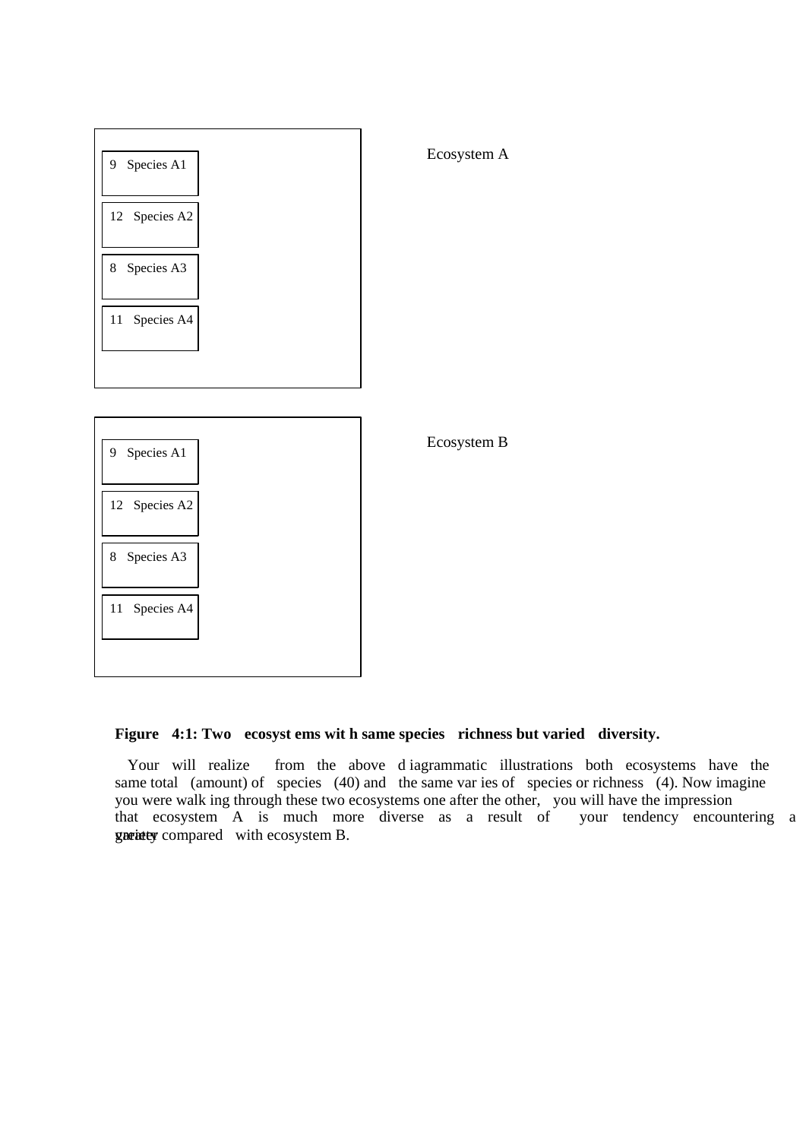

## **Figure 4:1: Two ecosyst ems wit h same species richness but varied diversity.**

 Your will realize from the above d iagrammatic illustrations both ecosystems have the same total (amount) of species (40) and the same var ies of species or richness (4). Now imagine you were walk ing through these two ecosystems one after the other, you will have the impression that ecosystem A is much more diverse as a result of your tendency encountering a gratured with ecosystem B.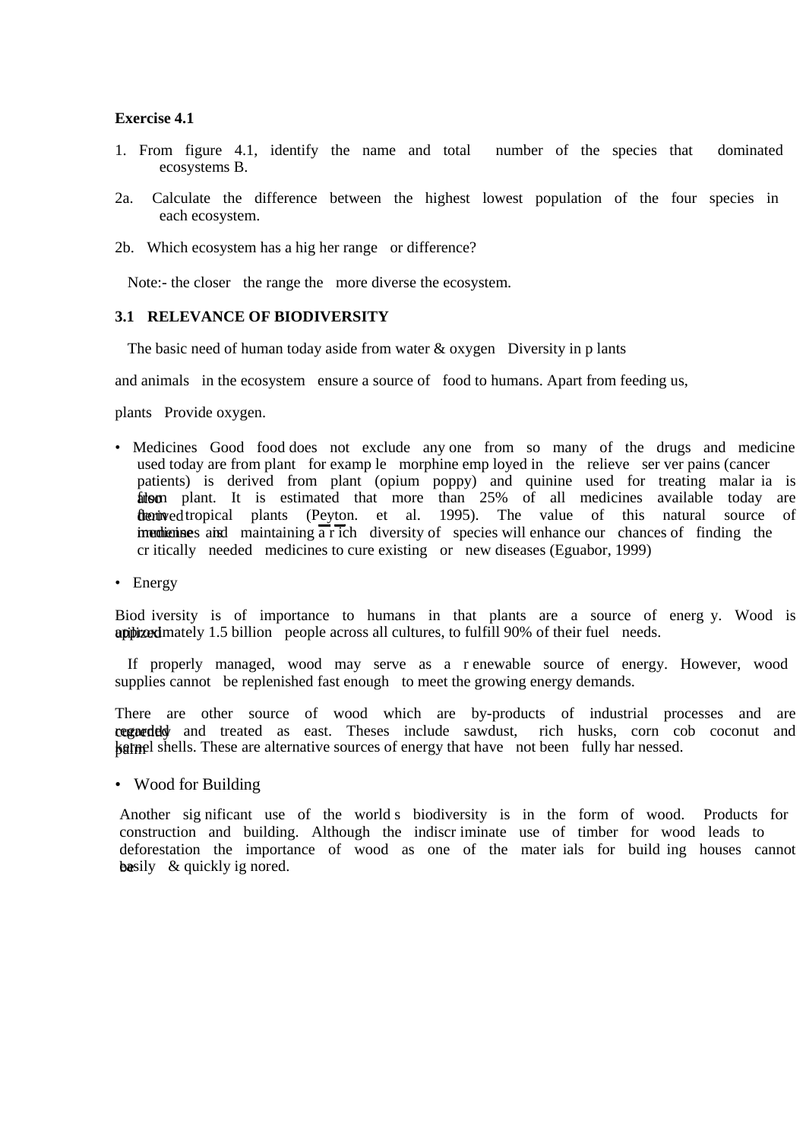#### **Exercise 4.1**

- 1. From figure 4.1, identify the name and total number of the species that dominated ecosystems B.
- 2a. Calculate the difference between the highest lowest population of the four species in each ecosystem.
- 2b. Which ecosystem has a hig her range or difference?

Note:- the closer the range the more diverse the ecosystem.

#### **3.1 RELEVANCE OF BIODIVERSITY**

The basic need of human today aside from water  $\&$  oxygen Diversity in p lants

and animals in the ecosystem ensure a source of food to humans. Apart from feeding us,

plants Provide oxygen.

- Medicines Good food does not exclude any one from so many of the drugs and medicine used today are from plant for examp le morphine emp loyed in the relieve ser ver pains (cancer patients) is derived from plant (opium poppy) and quinine used for treating malar ia is from plant. It is estimated that more than 25% of all medicines available today are derived tropical plants (Peyton. et al. 1995). The value of this natural source of imedicines and maintaining a rich diversity of species will enhance our chances of finding the cr itically needed medicines to cure existing or new diseases (Eguabor, 1999)
- Energy

Biod iversity is of importance to humans in that plants are a source of energ y. Wood is approximately 1.5 billion people across all cultures, to fulfill 90% of their fuel needs.

 If properly managed, wood may serve as a r enewable source of energy. However, wood supplies cannot be replenished fast enough to meet the growing energy demands.

There are other source of wood which are by-products of industrial processes and are cogneded and treated as east. Theses include sawdust, rich husks, corn cob coconut and **kernel shells.** These are alternative sources of energy that have not been fully har nessed.

• Wood for Building

Another sig nificant use of the world s biodiversity is in the form of wood. Products for construction and building. Although the indiscr iminate use of timber for wood leads to deforestation the importance of wood as one of the mater ials for build ing houses cannot be easily  $\&$  quickly ig nored.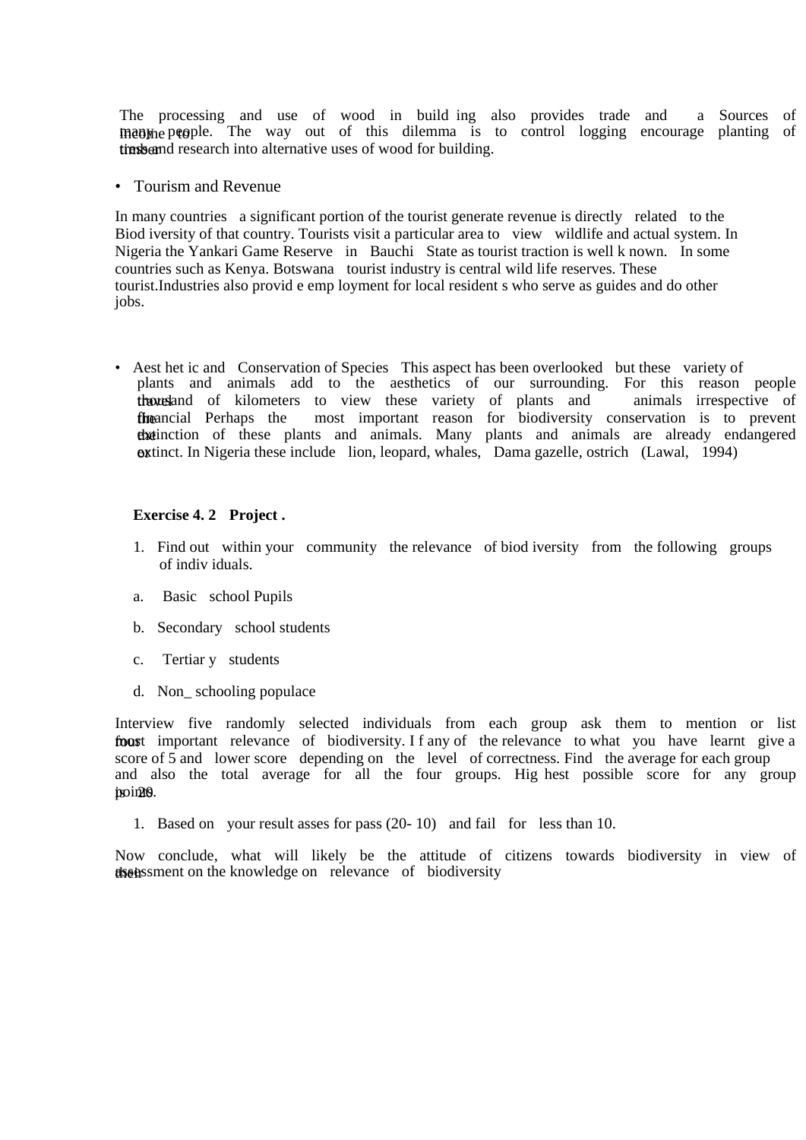The processing and use of wood in build ing also provides trade and a Sources of inanime people. The way out of this dilemma is to control logging encourage planting of times and research into alternative uses of wood for building.

• Tourism and Revenue

In many countries a significant portion of the tourist generate revenue is directly related to the Biod iversity of that country. Tourists visit a particular area to view wildlife and actual system. In Nigeria the Yankari Game Reserve in Bauchi State as tourist traction is well k nown. In some countries such as Kenya. Botswana tourist industry is central wild life reserves. These tourist.Industries also provid e emp loyment for local resident s who serve as guides and do other jobs.

• Aest het ic and Conservation of Species This aspect has been overlooked but these variety of plants and animals add to the aesthetics of our surrounding. For this reason people thousland of kilometers to view these variety of plants and animals irrespective of the ancial Perhaps the most important reason for biodiversity conservation is to prevent the extinction of these plants and animals. Many plants and animals are already endangered **ox** tinct. In Nigeria these include lion, leopard, whales, Dama gazelle, ostrich (Lawal, 1994)

#### **Exercise 4. 2 Project .**

- 1. Find out within your community the relevance of biod iversity from the following groups of indiv iduals.
- a. Basic school Pupils
- b. Secondary school students
- c. Tertiar y students
- d. Non\_ schooling populace

Interview five randomly selected individuals from each group ask them to mention or list four important relevance of biodiversity. I f any of the relevance to what you have learnt give a score of 5 and lower score depending on the level of correctness. Find the average for each group and also the total average for all the four groups. Hig hest possible score for any group points.

1. Based on your result asses for pass (20- 10) and fail for less than 10.

Now conclude, what will likely be the attitude of citizens towards biodiversity in view of their assessment on the knowledge on relevance of biodiversity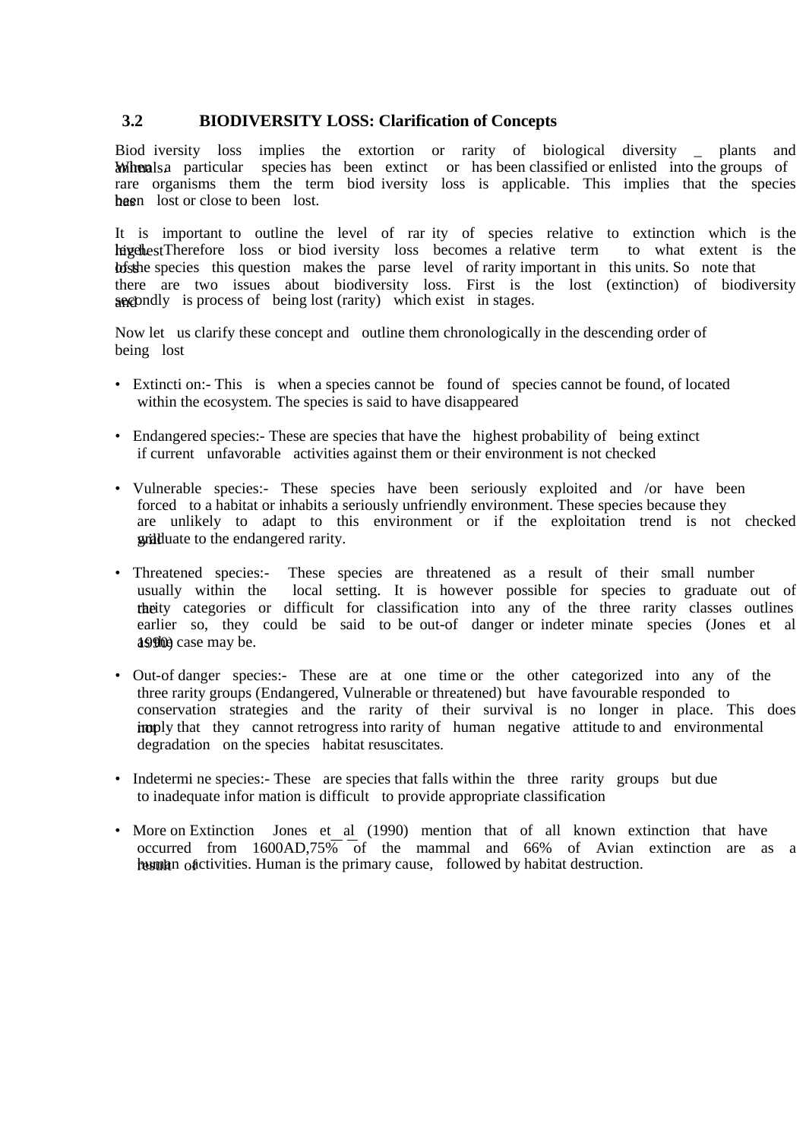# **3.2 BIODIVERSITY LOSS: Clarification of Concepts**

Biod iversity loss implies the extortion or rarity of biological diversity \_ plants and Montherals. And particular species has been extinct or has been classified or enlisted into the groups of rare organisms them the term biod iversity loss is applicable. This implies that the species has been lost or close to been lost.

It is important to outline the level of rar ity of species relative to extinction which is the hige thest Therefore loss or biod iversity loss becomes a relative term to what extent is the lofs the species this question makes the parse level of rarity important in this units. So note that there are two issues about biodiversity loss. First is the lost (extinction) of biodiversity and secondly is process of being lost (rarity) which exist in stages.

Now let us clarify these concept and outline them chronologically in the descending order of being lost

- Extincti on:- This is when a species cannot be found of species cannot be found, of located within the ecosystem. The species is said to have disappeared
- Endangered species:- These are species that have the highest probability of being extinct if current unfavorable activities against them or their environment is not checked
- Vulnerable species:- These species have been seriously exploited and /or have been forced to a habitat or inhabits a seriously unfriendly environment. These species because they are unlikely to adapt to this environment or if the exploitation trend is not checked will duate to the endangered rarity.
- Threatened species:- These species are threatened as a result of their small number usually within the local setting. It is however possible for species to graduate out of theity categories or difficult for classification into any of the three rarity classes outlines earlier so, they could be said to be out-of danger or indeter minate species (Jones et al 1990) case may be.
- Out-of danger species:- These are at one time or the other categorized into any of the three rarity groups (Endangered, Vulnerable or threatened) but have favourable responded to conservation strategies and the rarity of their survival is no longer in place. This does imply that they cannot retrogress into rarity of human negative attitude to and environmental degradation on the species habitat resuscitates.
- Indetermi ne species: These are species that falls within the three rarity groups but due to inadequate infor mation is difficult to provide appropriate classification
- More on Extinction Jones et al (1990) mention that of all known extinction that have occurred from  $1600AD.75\overline{\phantom{0}}$  of the mammal and 66% of Avian extinction are as a result of human is the primary cause, followed by habitat destruction.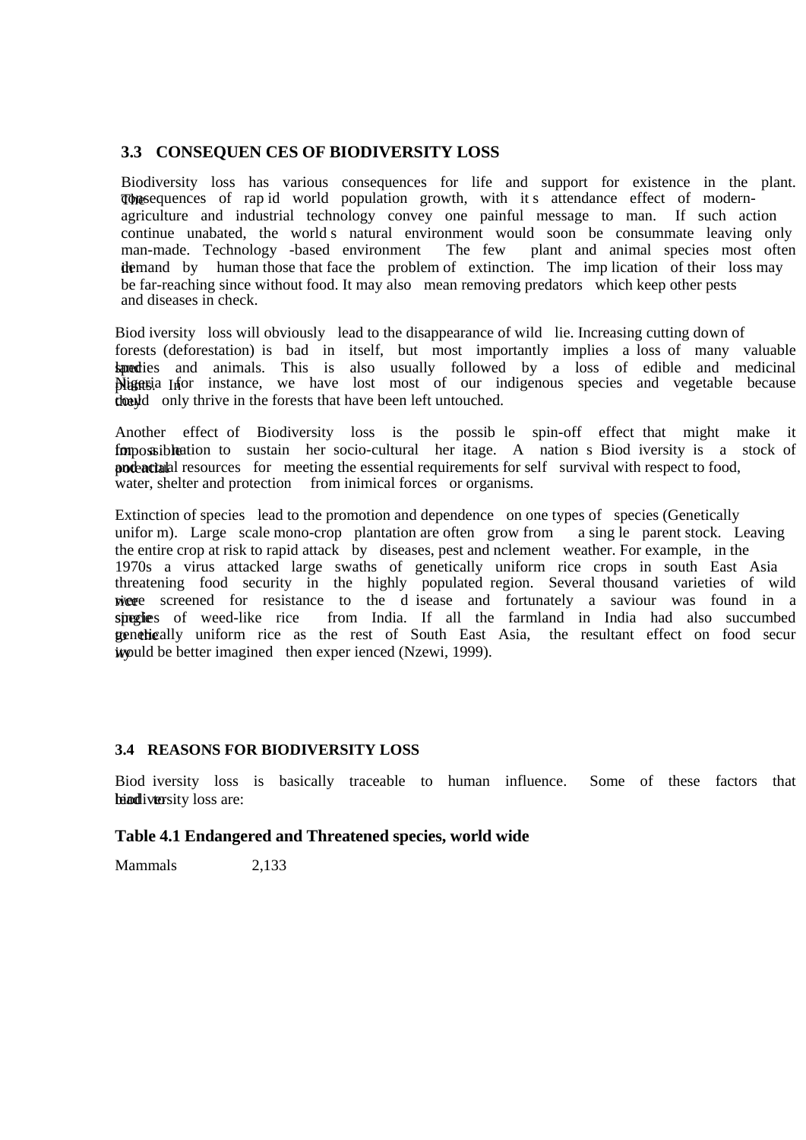# **3.3 CONSEQUEN CES OF BIODIVERSITY LOSS**

Biodiversity loss has various consequences for life and support for existence in the plant. The sequences of rap id world population growth, with it s attendance effect of modernagriculture and industrial technology convey one painful message to man. If such action continue unabated, the world's natural environment would soon be consummate leaving only man-made. Technology -based environment The few plant and animal species most often man-made. Technology -based environment The few demand by human those that face the problem of extinction. The imp lication of their loss may be far-reaching since without food. It may also mean removing predators which keep other pests and diseases in check.

Biod iversity loss will obviously lead to the disappearance of wild lie. Increasing cutting down of forests (deforestation) is bad in itself, but most importantly implies a loss of many valuable land species and animals. This is also usually followed by a loss of edible and medicinal Migagia Infor instance, we have lost most of our indigenous species and vegetable because they could only thrive in the forests that have been left untouched.

Another effect of Biodiversity loss is the possib le spin-off effect that might make it for a form ossible ation to sustain her socio-cultural her itage. A nation s Biod iversity is a stock of **and actual resources** for meeting the essential requirements for self survival with respect to food, water, shelter and protection from inimical forces or organisms.

Extinction of species lead to the promotion and dependence on one types of species (Genetically unifor m). Large scale mono-crop plantation are often grow from a sing le parent stock. Leaving the entire crop at risk to rapid attack by diseases, pest and nclement weather. For example, in the 1970s a virus attacked large swaths of genetically uniform rice crops in south East Asia threatening food security in the highly populated region. Several thousand varieties of wild rice screened for resistance to the d isease and fortunately a saviour was found in a singlies of weed-like rice from India. If all the farmland in India had also succumbed to the genetically uniform rice as the rest of South East Asia, the resultant effect on food secur it would be better imagined then experienced (Nzewi, 1999).

#### **3.4 REASONS FOR BIODIVERSITY LOSS**

Biod iversity loss is basically traceable to human influence. Some of these factors that heindiversity loss are:

#### **Table 4.1 Endangered and Threatened species, world wide**

Mammals 2,133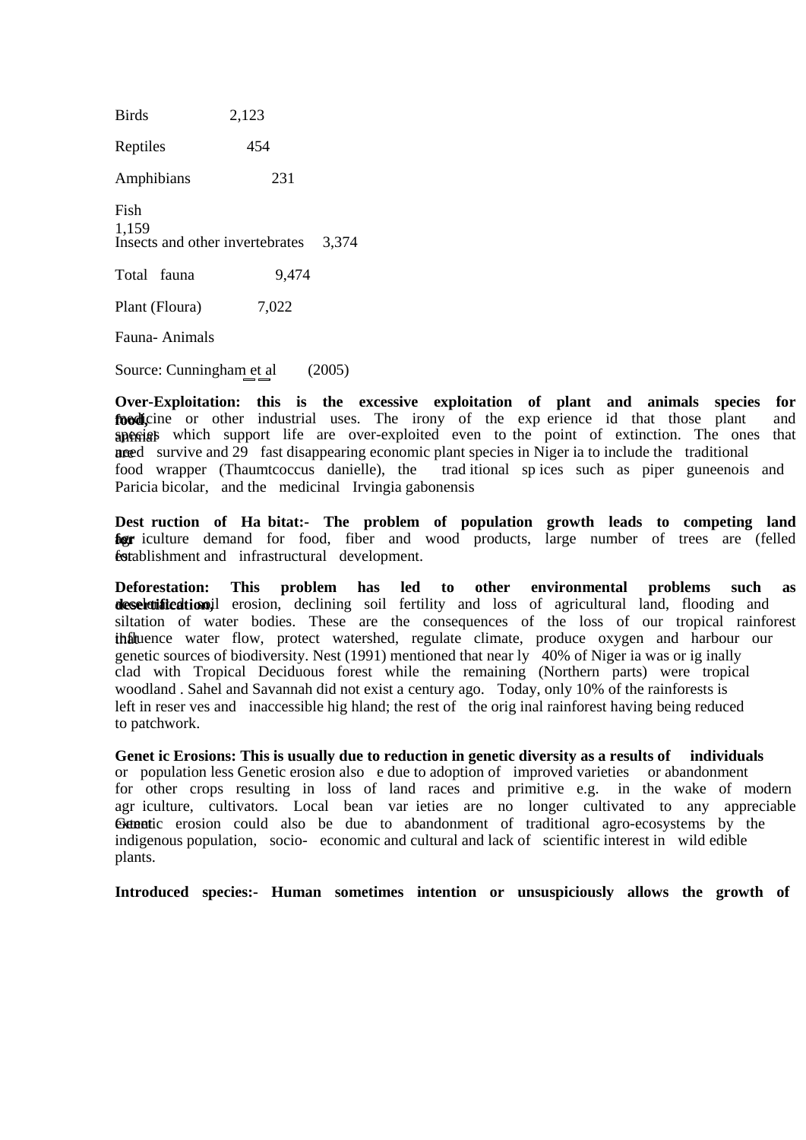Birds 2,123 Reptiles 454 Amphibians 231 Fish 1,159 Insects and other invertebrates 3,374 Total fauna 9,474 Plant (Floura) 7,022 Fauna- Animals

Source: Cunningham et al (2005)

**Over-Exploitation: this is the excessive exploitation of plant and animals species for**  foodicine or other industrial uses. The irony of the exp erience id that those plant and apenially which support life are over-exploited even to the point of extinction. The ones that are need survive and 29 fast disappearing economic plant species in Niger ia to include the traditional food wrapper (Thaumtcoccus danielle), the traditional spices such as piper guneenois trad itional sp ices such as piper guneenois and Paricia bicolar, and the medicinal Irvingia gabonensis

**Dest ruction of Ha bitat:- The problem of population growth leads to competing land for** iculture demand for food, fiber and wood products, large number of trees are (felled for tablishment and infrastructural development.

**Deforestation: This problem has led to other environmental problems such as deselvification**il erosion, declining soil fertility and loss of agricultural land, flooding and siltation of water bodies. These are the consequences of the loss of our tropical rainforest that uence water flow, protect watershed, regulate climate, produce oxygen and harbour our genetic sources of biodiversity. Nest (1991) mentioned that near ly 40% of Niger ia was or ig inally clad with Tropical Deciduous forest while the remaining (Northern parts) were tropical woodland . Sahel and Savannah did not exist a century ago. Today, only 10% of the rainforests is left in reser ves and inaccessible hig hland; the rest of the orig inal rainforest having being reduced to patchwork.

**Genet ic Erosions: This is usually due to reduction in genetic diversity as a results of individuals** or population less Genetic erosion also e due to adoption of improved varieties or abandonment for other crops resulting in loss of land races and primitive e.g. in the wake of modern agr iculture, cultivators. Local bean var ieties are no longer cultivated to any appreciable Extentic erosion could also be due to abandonment of traditional agro-ecosystems by the indigenous population, socio- economic and cultural and lack of scientific interest in wild edible plants.

**Introduced species:- Human sometimes intention or unsuspiciously allows the growth of**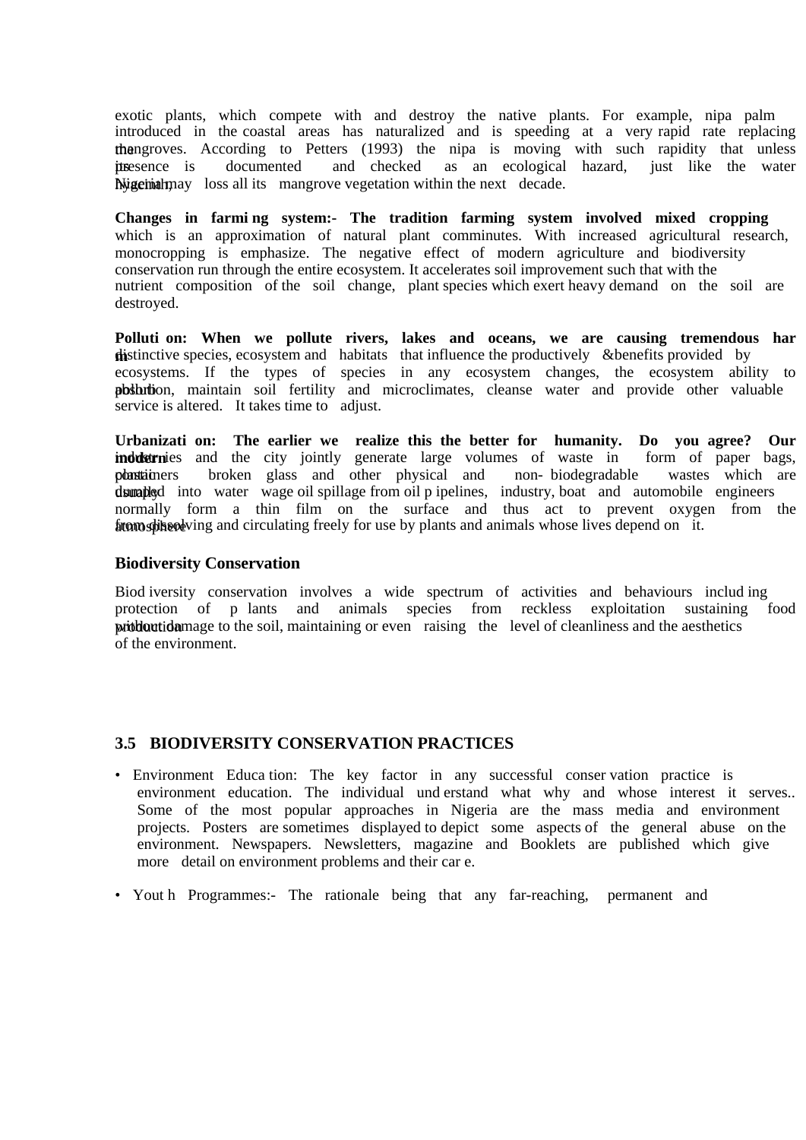exotic plants, which compete with and destroy the native plants. For example, nipa palm introduced in the coastal areas has naturalized and is speeding at a very rapid rate replacing the mangroves. According to Petters (1993) the nipa is moving with such rapidity that unless its presence is documented and checked as an ecological hazard, just like the water hyagering may loss all its mangrove vegetation within the next decade.

**Changes in farmi ng system:- The tradition farming system involved mixed cropping**  which is an approximation of natural plant comminutes. With increased agricultural research, monocropping is emphasize. The negative effect of modern agriculture and biodiversity conservation run through the entire ecosystem. It accelerates soil improvement such that with the nutrient composition of the soil change, plant species which exert heavy demand on the soil are destroyed.

**Polluti on: When we pollute rivers, lakes and oceans, we are causing tremendous har m i**dded by *distinctive species, ecosystem and habitats that influence the productively &benefits provided by* ecosystems. If the types of species in any ecosystem changes, the ecosystem ability to pbsbrtion, maintain soil fertility and microclimates, cleanse water and provide other valuable service is altered. It takes time to adjust.

Urbanizati on: The earlier we realize this the better for humanity. Do you agree? Our **inductrieries** and the city jointly generate large volumes of waste in form of paper bags, **industri**nes and the city jointly generate large volumes of waste in form of paper bags, **plastiquers** broken glass and other physical and non-biodegradable wastes which are plastic containers broken glass and other physical and non-biodegradable dumated into water wage oil spillage from oil p ipelines, industry, boat and automobile engineers normally form a thin film on the surface and thus act to prevent oxygen from the from stheod ving and circulating freely for use by plants and animals whose lives depend on it.

#### **Biodiversity Conservation**

Biod iversity conservation involves a wide spectrum of activities and behaviours including protection of p lants and animals species from reckless exploitation sustaining food protection of p lants and animals species from reckless problem with a soil, maintaining or even raising the level of cleanliness and the aesthetics of the environment.

# **3.5 BIODIVERSITY CONSERVATION PRACTICES**

- Environment Educa tion: The key factor in any successful conser vation practice is environment education. The individual und erstand what why and whose interest it serves.. Some of the most popular approaches in Nigeria are the mass media and environment projects. Posters are sometimes displayed to depict some aspects of the general abuse on the environment. Newspapers. Newsletters, magazine and Booklets are published which give more detail on environment problems and their car e.
- Yout h Programmes:- The rationale being that any far-reaching, permanent and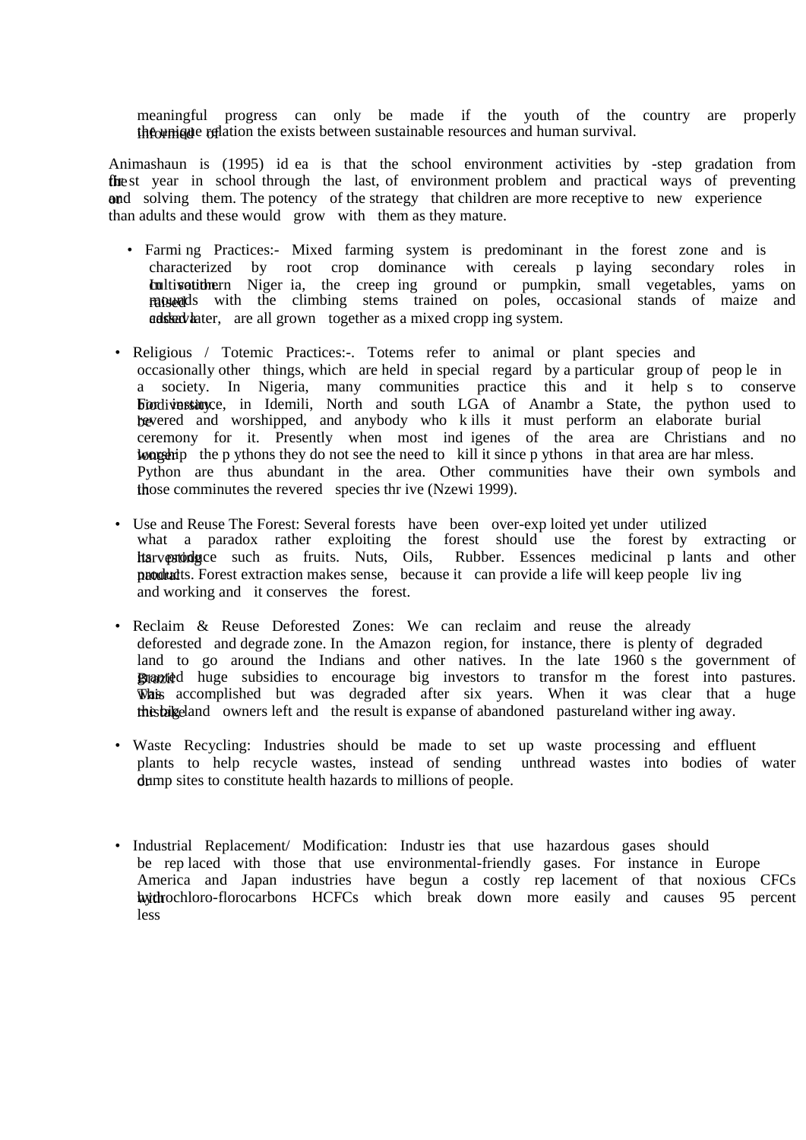meaningful progress can only be made if the youth of the country are properly the unique relation the exists between sustainable resources and human survival.

Animashaun is (1995) id ea is that the school environment activities by -step gradation from the st year in school through the last, of environment problem and practical ways of preventing ond solving them. The potency of the strategy that children are more receptive to new experience than adults and these would grow with them as they mature.

- Farmi ng Practices:- Mixed farming system is predominant in the forest zone and is characterized by root crop dominance with cereals p laying secondary roles in **cultivation** in some vegetables, variance in some vegetables, in the creep ing ground or pumpkin, small vegetables, yams on raised ds with the climbing stems trained on poles, occasional stands of maize and **adskaviater**, are all grown together as a mixed cropp ing system.
- Religious / Totemic Practices:-. Totems refer to animal or plant species and occasionally other things, which are held in special regard by a particular group of peop le in a society. In Nigeria, many communities practice this and it help s to conserve **Fordiversity.** For in Idemili, North and south LGA of Anambr a State, the python used to be revered and worshipped, and anybody who k ills it must perform an elaborate burial ceremony for it. Presently when most ind igenes of the area are Christians and no longerhip the p ythons they do not see the need to kill it since p ythons in that area are har mless. Python are thus abundant in the area. Other communities have their own symbols and those comminutes the revered species thr ive (Nzewi 1999).
- Use and Reuse The Forest: Several forests have been over-exp loited yet under utilized what a paradox rather exploiting the forest should use the forest by extracting or harvestong its extending its products produce such as fruits. Nuts, Oils, Rubber. Essences medicinal p lants and other **products.** Forest extraction makes sense, because it can provide a life will keep people living and working and it conserves the forest.
- Reclaim & Reuse Deforested Zones: We can reclaim and reuse the already deforested and degrade zone. In the Amazon region, for instance, there is plenty of degraded land to go around the Indians and other natives. In the late 1960 s the government of Branted huge subsidies to encourage big investors to transform the forest into pastures. Whis accomplished but was degraded after six years. When it was clear that a huge this big land owners left and the result is expanse of abandoned pastureland wither ing away.
- Waste Recycling: Industries should be made to set up waste processing and effluent plants to help recycle wastes, instead of sending unthread wastes into bodies of water dump sites to constitute health hazards to millions of people.
- Industrial Replacement/ Modification: Industries that use hazardous gases should be rep laced with those that use environmental-friendly gases. For instance in Europe America and Japan industries have begun a costly rep lacement of that noxious CFCs hydrochloro-florocarbons HCFCs which break down more easily and causes 95 percent less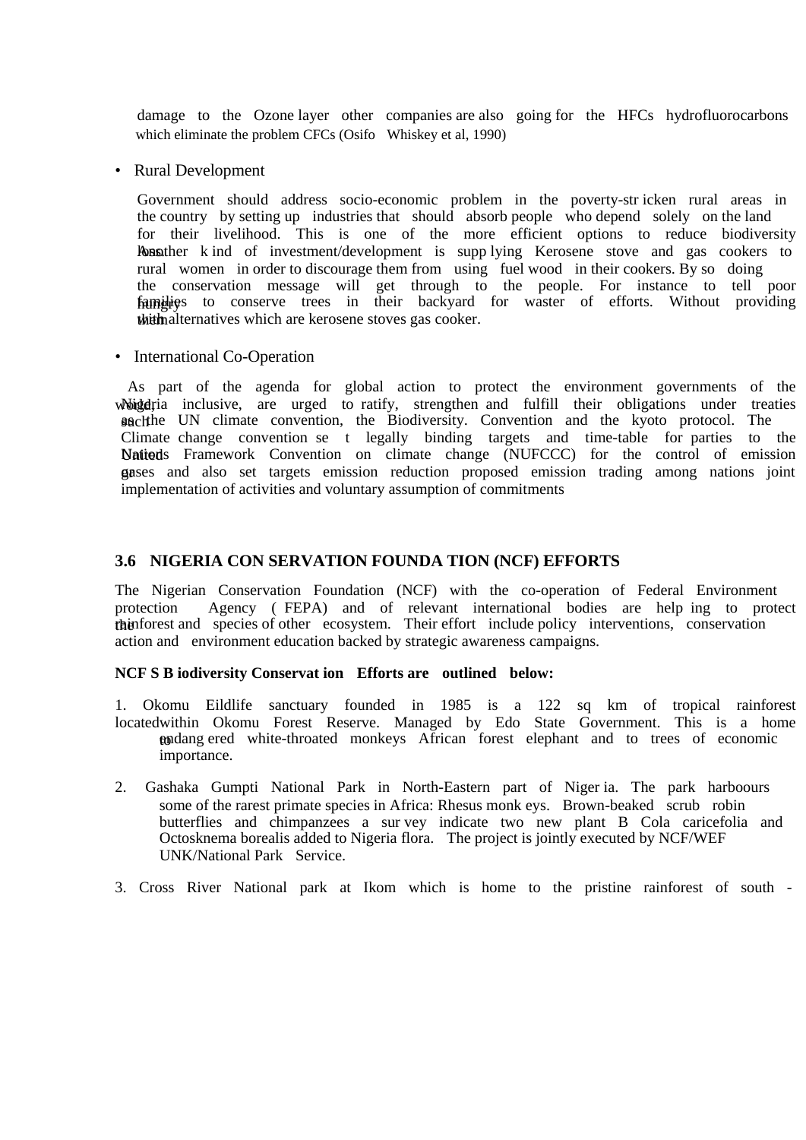damage to the Ozone layer other companies are also going for the HFCs hydrofluorocarbons which eliminate the problem CFCs (Osifo Whiskey et al, 1990)

• Rural Development

Government should address socio-economic problem in the poverty-str icken rural areas in the country by setting up industries that should absorb people who depend solely on the land for their livelihood. This is one of the more efficient options to reduce biodiversity **Rosather** k ind of investment/development is supp lying Kerosene stove and gas cookers to rural women in order to discourage them from using fuel wood in their cookers. By so doing the conservation message will get through to the people. For instance to tell poor families to conserve trees in their backyard for waster of efforts. Without providing the mail ternatives which are kerosene stoves gas cooker.

• International Co-Operation

 As part of the agenda for global action to protect the environment governments of the whigte depends inclusive, are urged to ratify, strengthen and fulfill their obligations under treaties such the UN climate convention, the Biodiversity. Convention and the kyoto protocol. The Climate change convention se t legally binding targets and time-table for parties to the Nations Framework Convention on climate change (NUFCCC) for the control of emission gases and also set targets emission reduction proposed emission trading among nations joint implementation of activities and voluntary assumption of commitments

# **3.6 NIGERIA CON SERVATION FOUNDA TION (NCF) EFFORTS**

The Nigerian Conservation Foundation (NCF) with the co-operation of Federal Environment protection Agency ( FEPA) and of relevant international bodies are help ing to protect the ration research species of other ecosystem. Their effort include policy interventions, conservation action and environment education backed by strategic awareness campaigns.

#### **NCF S B iodiversity Conservat ion Efforts are outlined below:**

1. Okomu Eildlife sanctuary founded in 1985 is a 122 sq km of tropical rainforest located within Okomu Forest Reserve. Managed by Edo State Government. This is a home to endang ered white-throated monkeys African forest elephant and to trees of economic importance.

- 2. Gashaka Gumpti National Park in North-Eastern part of Niger ia. The park harboours some of the rarest primate species in Africa: Rhesus monk eys. Brown-beaked scrub robin butterflies and chimpanzees a sur vey indicate two new plant B Cola caricefolia and Octosknema borealis added to Nigeria flora. The project is jointly executed by NCF/WEF UNK/National Park Service.
- 3. Cross River National park at Ikom which is home to the pristine rainforest of south -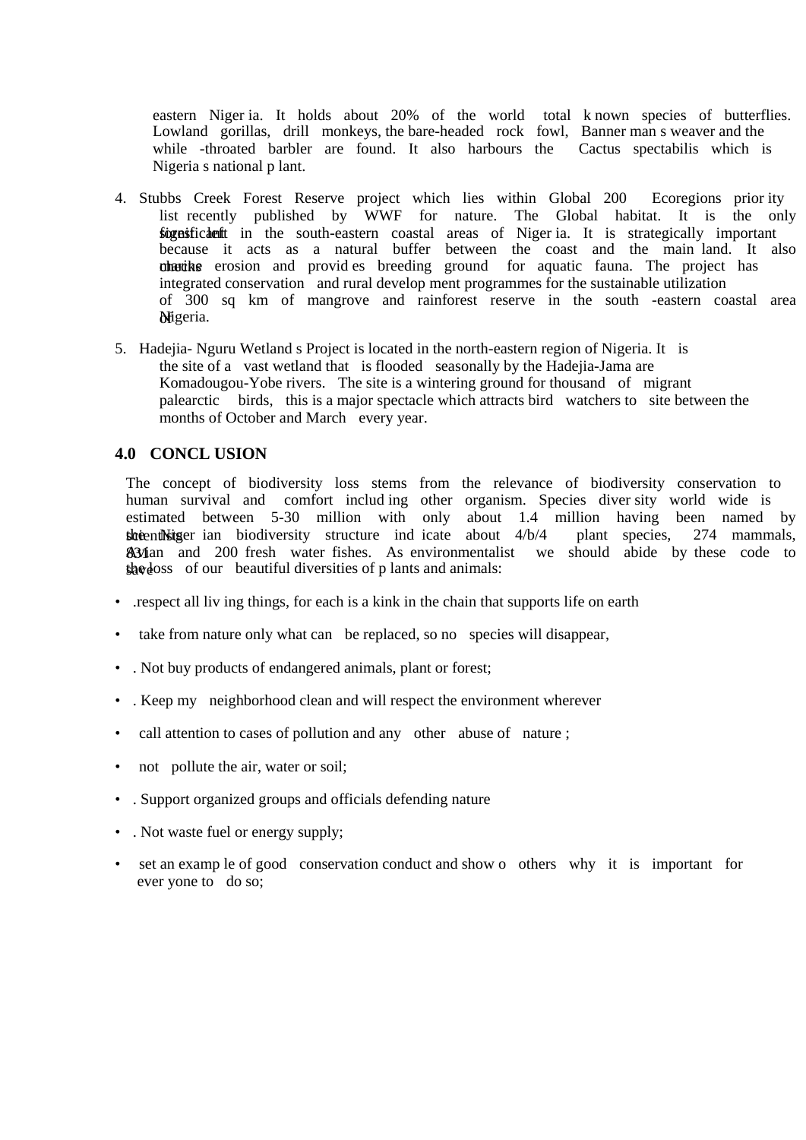eastern Niger ia. It holds about 20% of the world total k nown species of butterflies. Lowland gorillas, drill monkeys, the bare-headed rock fowl, Banner man s weaver and the while -throated barbler are found. It also harbours the Cactus spectabilis which is Nigeria s national p lant.

- 4. Stubbs Creek Forest Reserve project which lies within Global 200 Ecoregions prior ity list recently published by WWF for nature. The Global habitat. It is the only significant in the south-eastern coastal areas of Niger ia. It is strategically important because it acts as a natural buffer between the coast and the main land. It also chacks erosion and provid es breeding ground for aquatic fauna. The project has integrated conservation and rural develop ment programmes for the sustainable utilization of 300 sq km of mangrove and rainforest reserve in the south -eastern coastal area Migeria.
- 5. Hadejia- Nguru Wetland s Project is located in the north-eastern region of Nigeria. It is the site of a vast wetland that is flooded seasonally by the Hadejia-Jama are Komadougou-Yobe rivers. The site is a wintering ground for thousand of migrant palearctic birds, this is a major spectacle which attracts bird watchers to site between the months of October and March every year.

## **4.0 CONCL USION**

The concept of biodiversity loss stems from the relevance of biodiversity conservation to human survival and comfort includ ing other organism. Species diver sity world wide is estimated between 5-30 million with only about 1.4 million having been named by stoientistiger ian biodiversity structure ind icate about  $4/b/4$  plant species, 274 mammals, 834 and 200 fresh water fishes. As environmentalist we should abide by these code to  $\frac{1}{2}$  she doss of our beautiful diversities of p lants and animals:

- .respect all liv ing things, for each is a kink in the chain that supports life on earth
- take from nature only what can be replaced, so no species will disappear,
- . Not buy products of endangered animals, plant or forest;
- . Keep my neighborhood clean and will respect the environment wherever
- call attention to cases of pollution and any other abuse of nature ;
- not pollute the air, water or soil;
- . Support organized groups and officials defending nature
- . Not waste fuel or energy supply;
- set an examp le of good conservation conduct and show o others why it is important for ever yone to do so;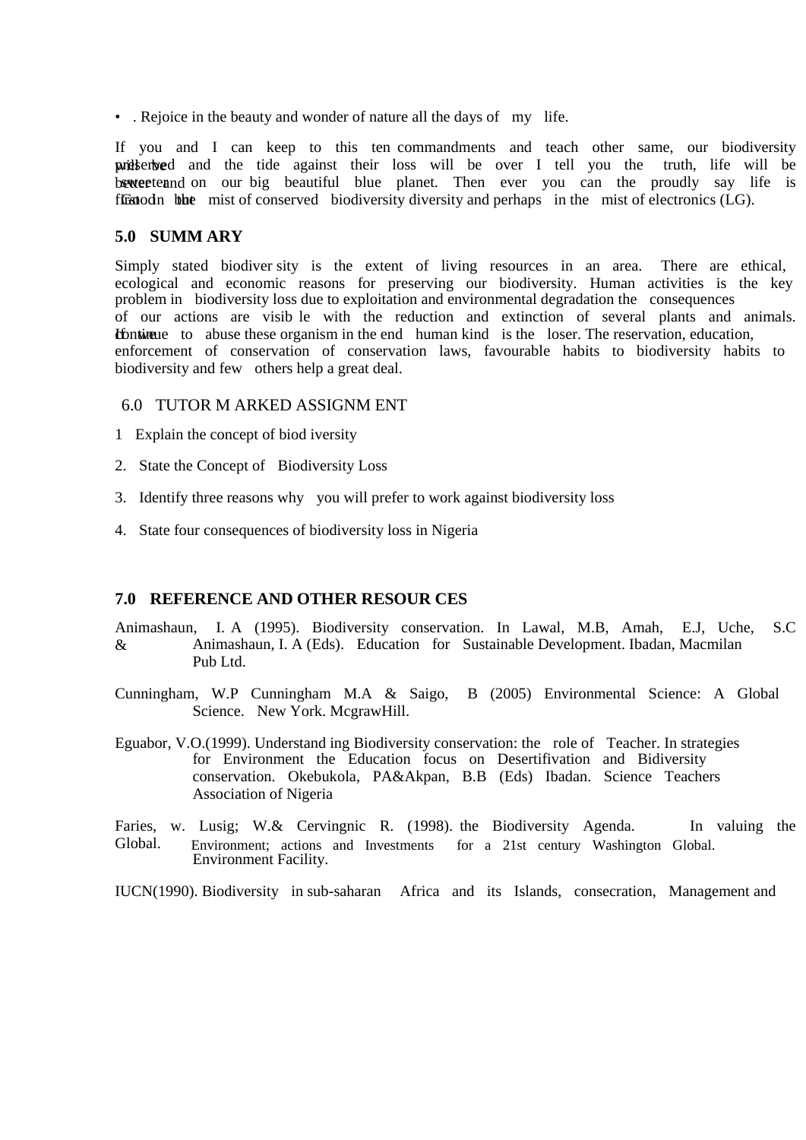• . Rejoice in the beauty and wonder of nature all the days of my life.

If you and I can keep to this ten commandments and teach other same, our biodiversity priddent weder and the tide against their loss will be over I tell you the truth, life will be better and such the such and such the planet. Then ever you can the proudly say life is first in the mist of conserved biodiversity diversity and perhaps in the mist of electronics (LG).

## **5.0 SUMM ARY**

Simply stated biodiver sity is the extent of living resources in an area. There are ethical, ecological and economic reasons for preserving our biodiversity. Human activities is the key problem in biodiversity loss due to exploitation and environmental degradation the consequences of our actions are visib le with the reduction and extinction of several plants and animals. **If the these** to abuse these organism in the end human kind is the loser. The reservation, education, enforcement of conservation of conservation laws, favourable habits to biodiversity habits to biodiversity and few others help a great deal.

## 6.0 TUTOR M ARKED ASSIGNM ENT

- 1 Explain the concept of biod iversity
- 2. State the Concept of Biodiversity Loss
- 3. Identify three reasons why you will prefer to work against biodiversity loss
- 4. State four consequences of biodiversity loss in Nigeria

# **7.0 REFERENCE AND OTHER RESOUR CES**

Animashaun, I. A (1995). Biodiversity conservation. In Lawal, M.B, Amah, E.J, Uche, S.C & Animashaun, I. A (Eds). Education for Sustainable Development. Ibadan, Macmilan Pub Ltd.

Cunningham, W.P Cunningham M.A & Saigo, B (2005) Environmental Science: A Global Science. New York. McgrawHill.

- Eguabor, V.O.(1999). Understand ing Biodiversity conservation: the role of Teacher. In strategies for Environment the Education focus on Desertifivation and Bidiversity conservation. Okebukola, PA&Akpan, B.B (Eds) Ibadan. Science Teachers Association of Nigeria
- Faries, w. Lusig; W.& Cervingnic R. (1998) the Biodiversity Agenda. In valuing the Global. Environment; actions and Investments for a 21st century Washington Global. Environment Facility.

IUCN(1990). Biodiversity in sub-saharan Africa and its Islands, consecration, Management and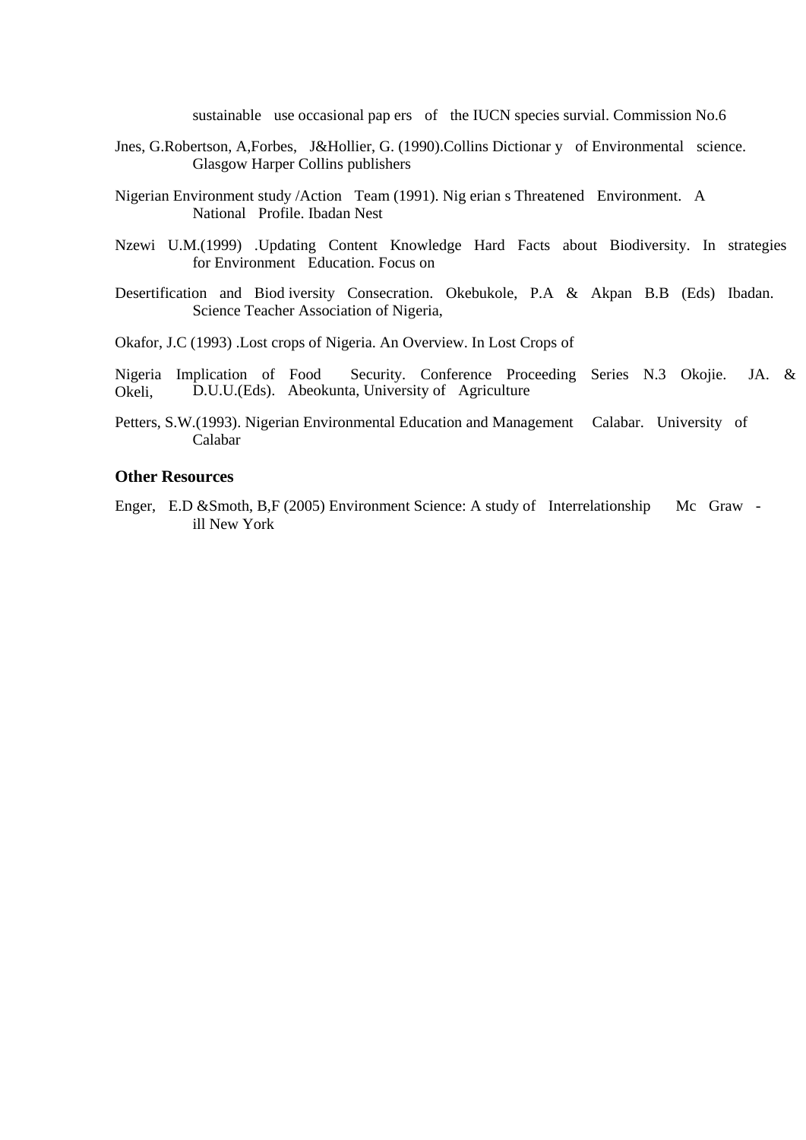sustainable use occasional pap ers of the IUCN species survial. Commission No.6

- Jnes, G.Robertson, A,Forbes, J&Hollier, G. (1990).Collins Dictionar y of Environmental science. Glasgow Harper Collins publishers
- Nigerian Environment study /Action Team (1991). Nig erian s Threatened Environment. A National Profile. Ibadan Nest
- Nzewi U.M.(1999) .Updating Content Knowledge Hard Facts about Biodiversity. In strategies for Environment Education. Focus on
- Desertification and Biod iversity Consecration. Okebukole, P.A & Akpan B.B (Eds) Ibadan. Science Teacher Association of Nigeria,
- Okafor, J.C (1993) .Lost crops of Nigeria. An Overview. In Lost Crops of
- Nigeria Implication of Food Security. Conference Proceeding Series N.3 Okojie. JA. & Okeli, D.U.U.(Eds). Abeokunta, University of Agriculture
- Petters, S.W.(1993). Nigerian Environmental Education and Management Calabar. University of Calabar

## **Other Resources**

Enger, E.D & Smoth, B,F (2005) Environment Science: A study of Interrelationship Mc Graw ill New York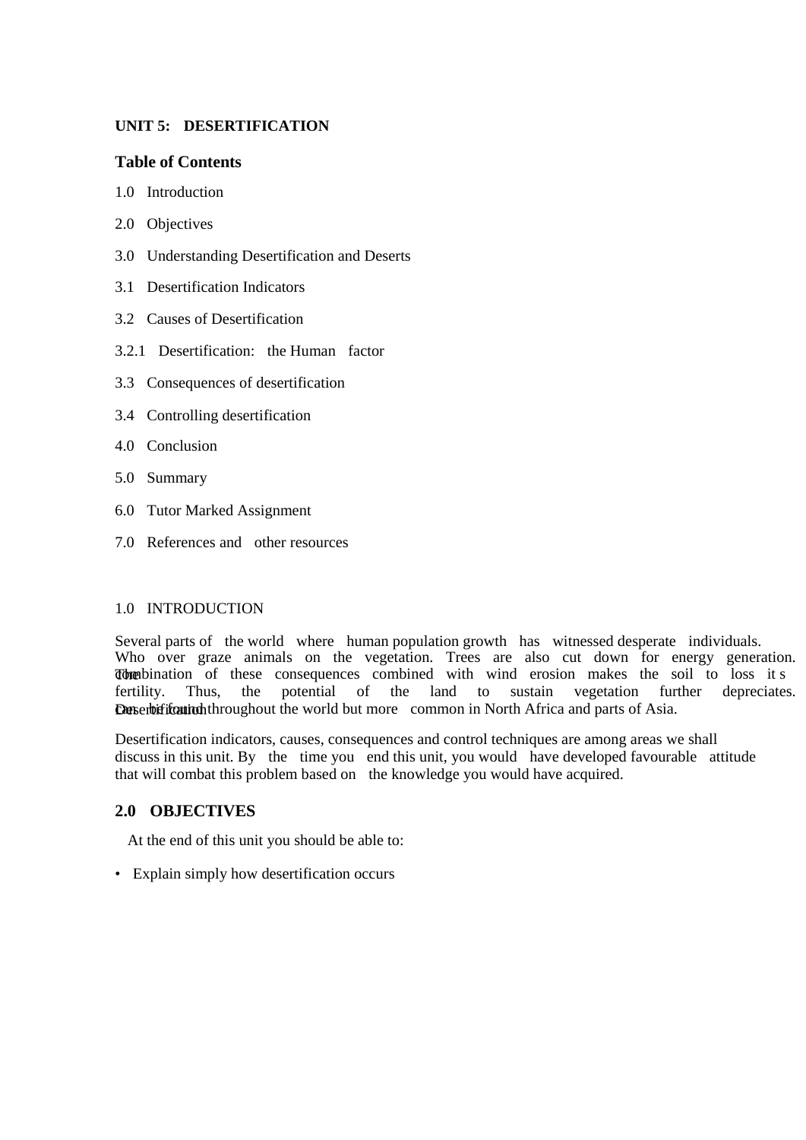# **UNIT 5: DESERTIFICATION**

# **Table of Contents**

- 1.0 Introduction
- 2.0 Objectives
- 3.0 Understanding Desertification and Deserts
- 3.1 Desertification Indicators
- 3.2 Causes of Desertification
- 3.2.1 Desertification: the Human factor
- 3.3 Consequences of desertification
- 3.4 Controlling desertification
- 4.0 Conclusion
- 5.0 Summary
- 6.0 Tutor Marked Assignment
- 7.0 References and other resources

# 1.0 INTRODUCTION

Several parts of the world where human population growth has witnessed desperate individuals. Who over graze animals on the vegetation. Trees are also cut down for energy generation. The combination of these consequences combined with wind erosion makes the soil to loss it s fertility. Thus, the potential of the land to sustain vegetation further depreciates. Desertification throughout the world but more common in North Africa and parts of Asia.

Desertification indicators, causes, consequences and control techniques are among areas we shall discuss in this unit. By the time you end this unit, you would have developed favourable attitude that will combat this problem based on the knowledge you would have acquired.

# **2.0 OBJECTIVES**

At the end of this unit you should be able to:

• Explain simply how desertification occurs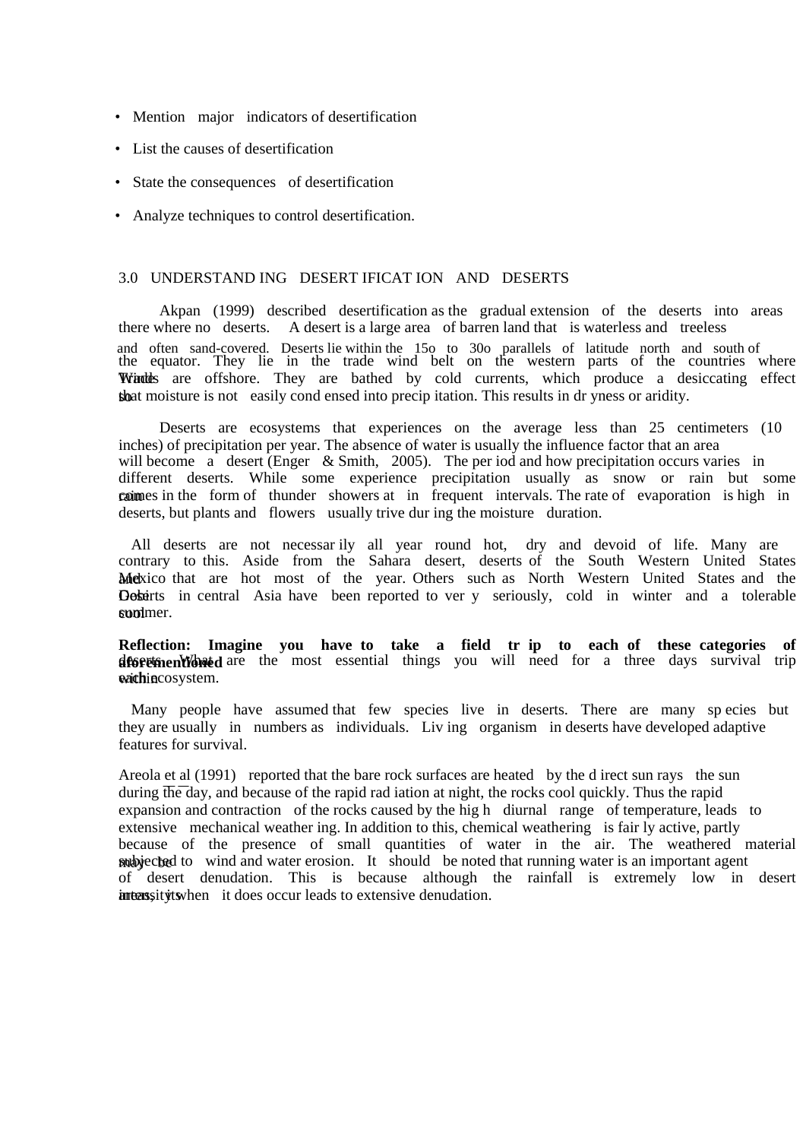- Mention major indicators of desertification
- List the causes of desertification
- State the consequences of desertification
- Analyze techniques to control desertification.

#### 3.0 UNDERSTAND ING DESERT IFICAT ION AND DESERTS

Akpan (1999) described desertification as the gradual extension of the deserts into areas there where no deserts. A desert is a large area of barren land that is waterless and treeless and often sand-covered. Deserts lie within the 15o to 30o parallels of latitude north and south of the equator. They lie in the trade wind belt on the western parts of the countries where Windles are offshore. They are bathed by cold currents, which produce a desiccating effect sheat moisture is not easily cond ensed into precip itation. This results in dr yness or aridity.

Deserts are ecosystems that experiences on the average less than 25 centimeters (10 inches) of precipitation per year. The absence of water is usually the influence factor that an area will become a desert (Enger & Smith, 2005). The per iod and how precipitation occurs varies in different deserts. While some experience precipitation usually as snow or rain but some commes in the form of thunder showers at in frequent intervals. The rate of evaporation is high in deserts, but plants and flowers usually trive dur ing the moisture duration.

 All deserts are not necessar ily all year round hot, dry and devoid of life. Many are contrary to this. Aside from the Sahara desert, deserts of the South Western United States Mexico that are hot most of the year. Others such as North Western United States and the **Gobirts** in central Asia have been reported to ver y seriously, cold in winter and a tolerable sum mer.

**Reflection: Imagine you have to take a field tr ip to each of these categories of aforementioned** are the most essential things you will need for a three days survival trip waithine cosystem.

 Many people have assumed that few species live in deserts. There are many sp ecies but they are usually in numbers as individuals. Liv ing organism in deserts have developed adaptive features for survival.

Areola et al (1991) reported that the bare rock surfaces are heated by the d irect sun rays the sun during  $\overline{the}$  day, and because of the rapid rad iation at night, the rocks cool quickly. Thus the rapid expansion and contraction of the rocks caused by the hig h diurnal range of temperature, leads to extensive mechanical weather ing. In addition to this, chemical weathering is fair ly active, partly because of the presence of small quantities of water in the air. The weathered material **subjected** to wind and water erosion. It should be noted that running water is an important agent of desert denudation. This is because although the rainfall is extremely low in desert intensity its intensive denudation.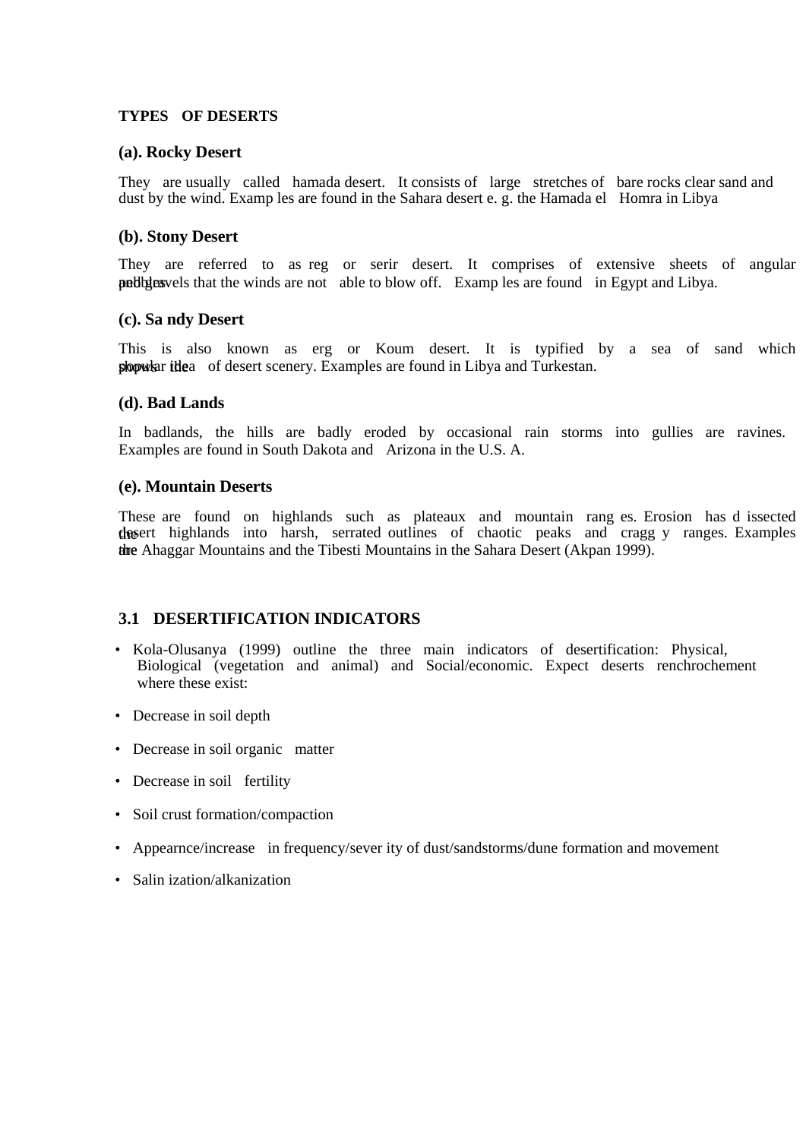## **TYPES OF DESERTS**

## **(a). Rocky Desert**

They are usually called hamada desert. It consists of large stretches of bare rocks clear sand and dust by the wind. Examp les are found in the Sahara desert e. g. the Hamada el Homra in Libya

## **(b). Stony Desert**

They are referred to as reg or serir desert. It comprises of extensive sheets of angular publist areas and gravels that the winds are not able to blow off. Examp les are found in Egypt and Libya.

#### **(c). Sa ndy Desert**

This is also known as erg or Koum desert. It is typified by a sea of sand which shows the popular idea of desert scenery. Examples are found in Libya and Turkestan.

#### **(d). Bad Lands**

In badlands, the hills are badly eroded by occasional rain storms into gullies are ravines. Examples are found in South Dakota and Arizona in the U.S. A.

#### **(e). Mountain Deserts**

These are found on highlands such as plateaux and mountain rang es. Erosion has d issected the desert highlands into harsh, serrated outlines of chaotic peaks and cragg y ranges. Examples the Ahaggar Mountains and the Tibesti Mountains in the Sahara Desert (Akpan 1999).

# **3.1 DESERTIFICATION INDICATORS**

- Kola-Olusanya (1999) outline the three main indicators of desertification: Physical, Biological (vegetation and animal) and Social/economic. Expect deserts renchrochement where these exist:
- Decrease in soil depth
- Decrease in soil organic matter
- Decrease in soil fertility
- Soil crust formation/compaction
- Appearnce/increase in frequency/sever ity of dust/sandstorms/dune formation and movement
- Salin ization/alkanization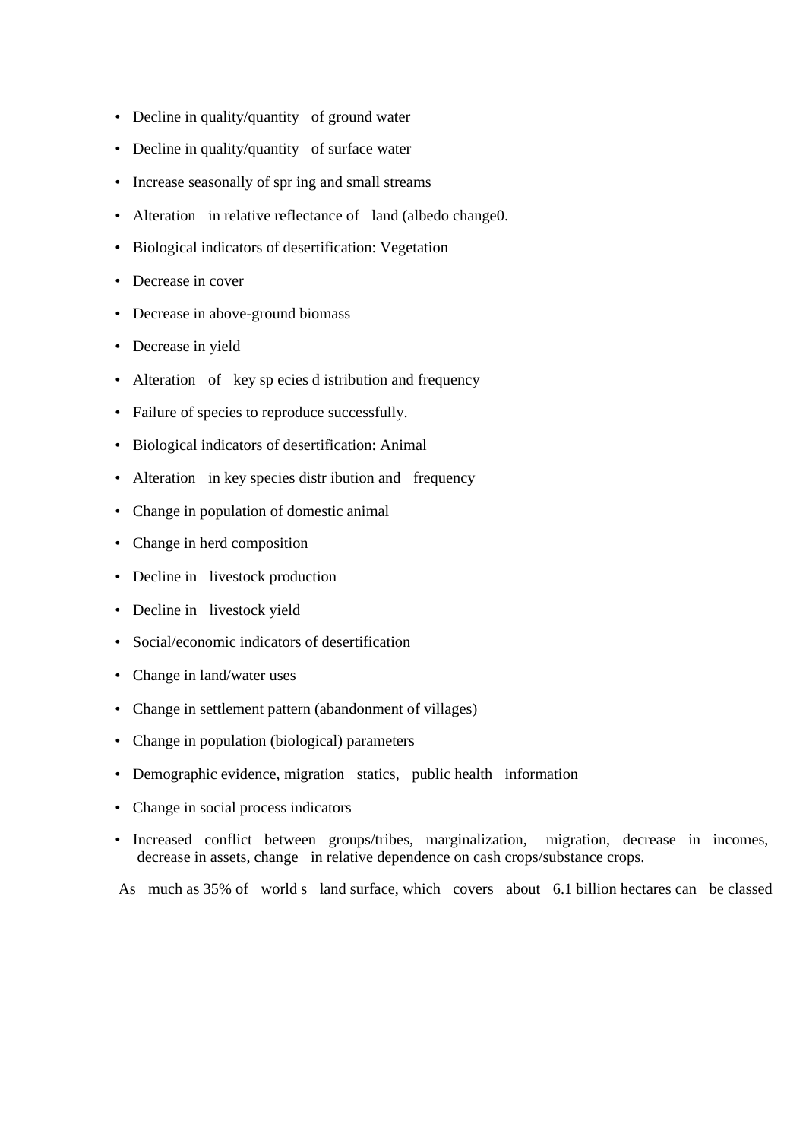- Decline in quality/quantity of ground water
- Decline in quality/quantity of surface water
- Increase seasonally of spr ing and small streams
- Alteration in relative reflectance of land (albedo change0.
- Biological indicators of desertification: Vegetation
- Decrease in cover
- Decrease in above-ground biomass
- Decrease in yield
- Alteration of key sp ecies d istribution and frequency
- Failure of species to reproduce successfully.
- Biological indicators of desertification: Animal
- Alteration in key species distr ibution and frequency
- Change in population of domestic animal
- Change in herd composition
- Decline in livestock production
- Decline in livestock yield
- Social/economic indicators of desertification
- Change in land/water uses
- Change in settlement pattern (abandonment of villages)
- Change in population (biological) parameters
- Demographic evidence, migration statics, public health information
- Change in social process indicators
- Increased conflict between groups/tribes, marginalization, migration, decrease in incomes, decrease in assets, change in relative dependence on cash crops/substance crops.

As much as 35% of world s land surface, which covers about 6.1 billion hectares can be classed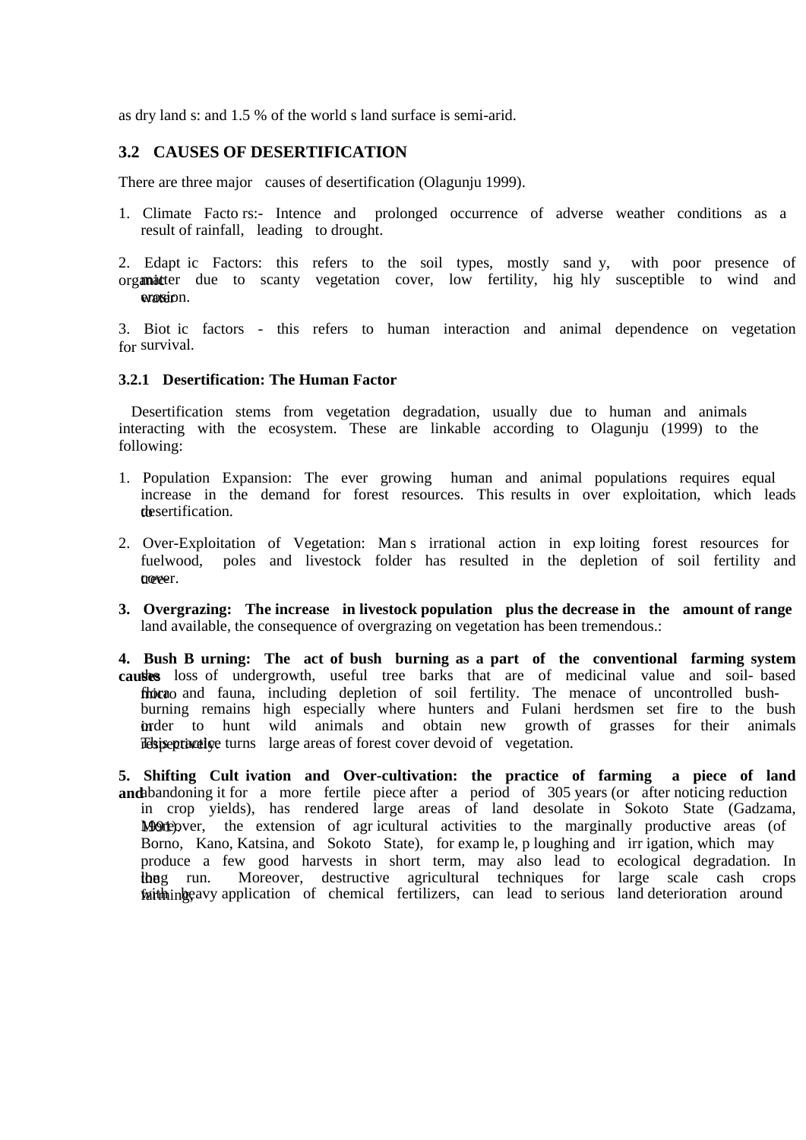as dry land s: and 1.5 % of the world s land surface is semi-arid.

## **3.2 CAUSES OF DESERTIFICATION**

There are three major causes of desertification (Olagunju 1999).

- 1. Climate Facto rs:- Intence and prolonged occurrence of adverse weather conditions as a result of rainfall, leading to drought.
- 2. Edapt ic Factors: this refers to the soil types, mostly sand y, with poor presence of organicter due to scanty vegetation cover, low fertility, hig hly susceptible to wind and erosion.

3. Biot ic factors - this refers to human interaction and animal dependence on vegetation for survival.

#### **3.2.1 Desertification: The Human Factor**

 Desertification stems from vegetation degradation, usually due to human and animals interacting with the ecosystem. These are linkable according to Olagunju (1999) to the following:

- 1. Population Expansion: The ever growing human and animal populations requires equal increase in the demand for forest resources. This results in over exploitation, which leads the sertification.
- 2. Over-Exploitation of Vegetation: Man s irrational action in exp loiting forest resources for fuelwood, poles and livestock folder has resulted in the depletion of soil fertility and tree-
- **3. Overgrazing: The increase in livestock population plus the decrease in the amount of range**  land available, the consequence of overgrazing on vegetation has been tremendous.:
- **4. Bush B urning: The act of bush burning as a part of the conventional farming system**  causes loss of undergrowth, useful tree barks that are of medicinal value and soil- based floicao and fauna, including depletion of soil fertility. The menace of uncontrolled bushburning remains high especially where hunters and Fulani herdsmen set fire to the bush in to hunt wild animals and obtain new growth of grasses for their animals relatively turns large areas of forest cover devoid of vegetation.

**5. Shifting Cult ivation and Over-cultivation: the practice of farming a piece of land and** abandoning it for a more fertile piece after a period of 305 years (or after noticing reduction in crop yields), has rendered large areas of land desolate in Sokoto State (Gadzama, Moreover, the extension of agricultural activities to the marginally productive areas (of Borno, Kano, Katsina, and Sokoto State), for examp le, p loughing and irr igation, which may produce a few good harvests in short term, may also lead to ecological degradation. In the run. Moreover, destructive agricultural techniques for large scale cash crops faith highling the avy application of chemical fertilizers, can lead to serious land deterioration around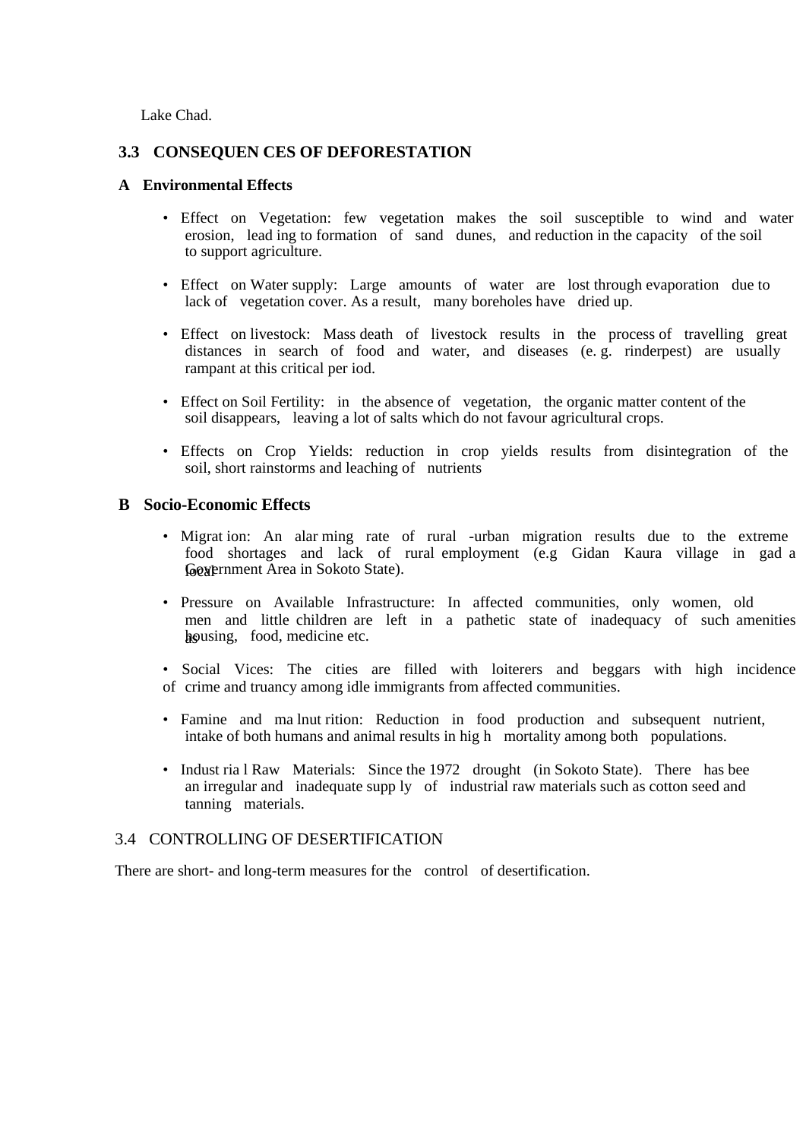Lake Chad.

## **3.3 CONSEQUEN CES OF DEFORESTATION**

#### **A Environmental Effects**

- Effect on Vegetation: few vegetation makes the soil susceptible to wind and water erosion, lead ing to formation of sand dunes, and reduction in the capacity of the soil to support agriculture.
- Effect on Water supply: Large amounts of water are lost through evaporation due to lack of vegetation cover. As a result, many boreholes have dried up.
- Effect on livestock: Mass death of livestock results in the process of travelling great distances in search of food and water, and diseases (e. g. rinderpest) are usually rampant at this critical per iod.
- Effect on Soil Fertility: in the absence of vegetation, the organic matter content of the soil disappears, leaving a lot of salts which do not favour agricultural crops.
- Effects on Crop Yields: reduction in crop yields results from disintegration of the soil, short rainstorms and leaching of nutrients

#### **B Socio-Economic Effects**

- Migrat ion: An alar ming rate of rural -urban migration results due to the extreme food shortages and lack of rural employment (e.g Gidan Kaura village in gad a Government Area in Sokoto State).
- Pressure on Available Infrastructure: In affected communities, only women, old men and little children are left in a pathetic state of inadequacy of such amenities housing, food, medicine etc.
- Social Vices: The cities are filled with loiterers and beggars with high incidence of crime and truancy among idle immigrants from affected communities.
- Famine and ma lnut rition: Reduction in food production and subsequent nutrient, intake of both humans and animal results in hig h mortality among both populations.
- Indust ria l Raw Materials: Since the 1972 drought (in Sokoto State). There has bee an irregular and inadequate supp ly of industrial raw materials such as cotton seed and tanning materials.

## 3.4 CONTROLLING OF DESERTIFICATION

There are short- and long-term measures for the control of desertification.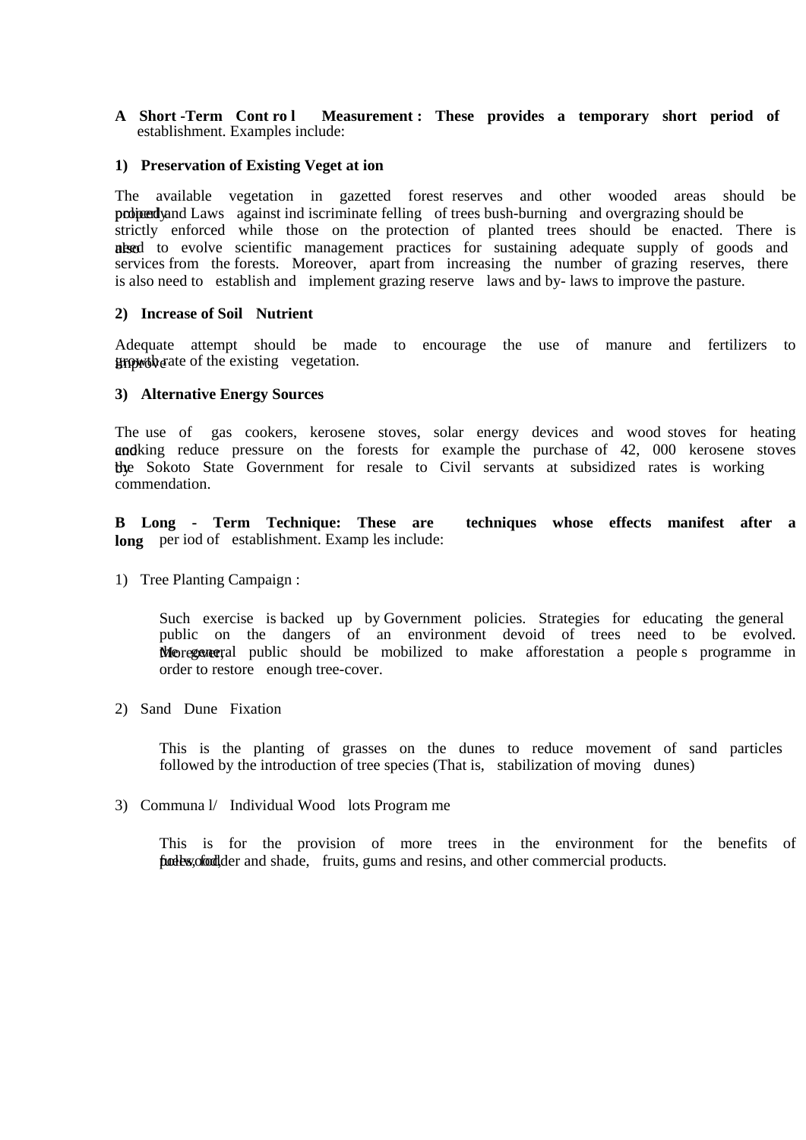**A Short -Term Cont ro l Measurement : These provides a temporary short period of**  establishment. Examples include:

#### **1) Preservation of Existing Veget at ion**

The available vegetation in gazetted forest reserves and other wooded areas should be probined y and Laws against ind iscriminate felling of trees bush-burning and overgrazing should be strictly enforced while those on the protection of planted trees should be enacted. There is alsed to evolve scientific management practices for sustaining adequate supply of goods and services from the forests. Moreover, apart from increasing the number of grazing reserves, there is also need to establish and implement grazing reserve laws and by- laws to improve the pasture.

#### **2) Increase of Soil Nutrient**

Adequate attempt should be made to encourage the use of manure and fertilizers to improvement of the existing vegetation.

#### **3) Alternative Energy Sources**

The use of gas cookers, kerosene stoves, solar energy devices and wood stoves for heating and king reduce pressure on the forests for example the purchase of 42, 000 kerosene stoves by the Sokoto State Government for resale to Civil servants at subsidized rates is working commendation.

**B Long - Term Technique: These are techniques whose effects manifest after a**  long per iod of establishment. Examp les include:

1) Tree Planting Campaign :

Such exercise is backed up by Government policies. Strategies for educating the general public on the dangers of an environment devoid of trees need to be evolved. Morecover al public should be mobilized to make afforestation a people's programme in order to restore enough tree-cover.

2) Sand Dune Fixation

This is the planting of grasses on the dunes to reduce movement of sand particles followed by the introduction of tree species (That is, stabilization of moving dunes)

3) Communa l/ Individual Wood lots Program me

This is for the provision of more trees in the environment for the benefits of fuelbs, cfodder and shade, fruits, gums and resins, and other commercial products.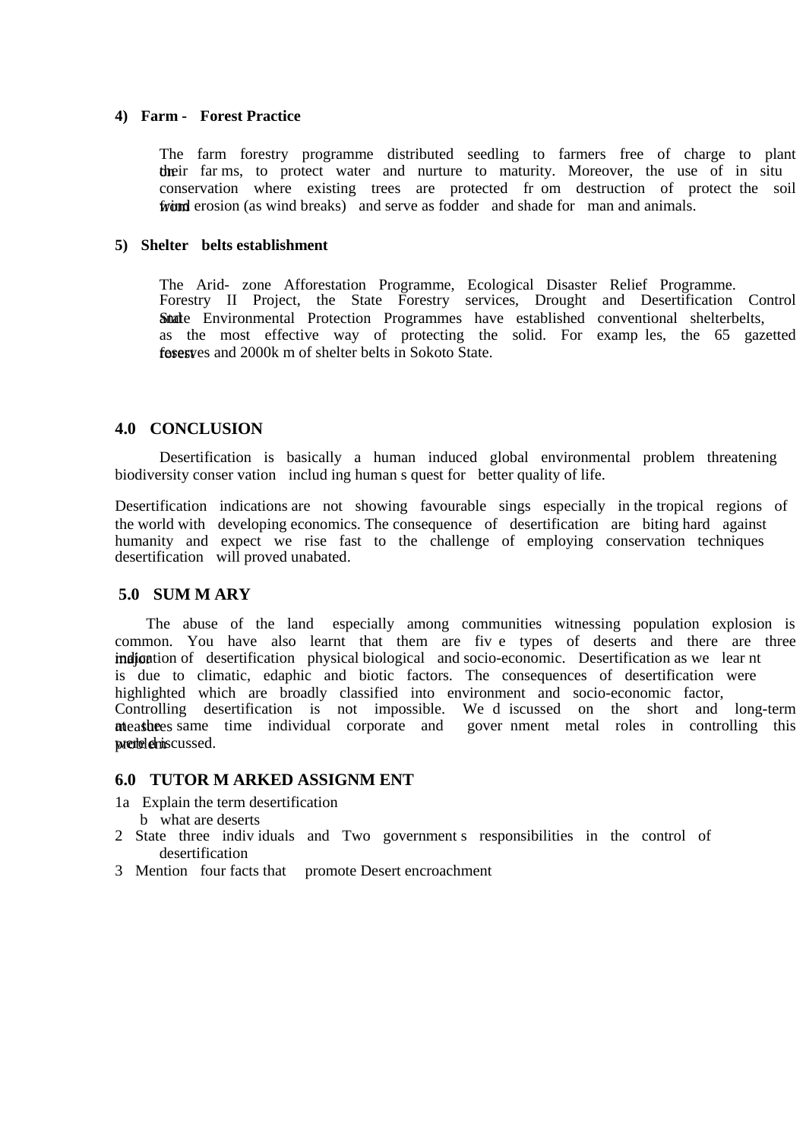#### **4) Farm - Forest Practice**

The farm forestry programme distributed seedling to farmers free of charge to plant their far ms, to protect water and nurture to maturity. Moreover, the use of in situ conservation where existing trees are protected fr om destruction of protect the soil from erosion (as wind breaks) and serve as fodder and shade for man and animals.

#### **5) Shelter belts establishment**

The Arid- zone Afforestation Programme, Ecological Disaster Relief Programme. Forestry II Project, the State Forestry services, Drought and Desertification Control State Environmental Protection Programmes have established conventional shelterbelts, as the most effective way of protecting the solid. For examp les, the 65 gazetted forest reserves and 2000k m of shelter belts in Sokoto State.

#### **4.0 CONCLUSION**

Desertification is basically a human induced global environmental problem threatening biodiversity conser vation includ ing human s quest for better quality of life.

Desertification indications are not showing favourable sings especially in the tropical regions of the world with developing economics. The consequence of desertification are biting hard against humanity and expect we rise fast to the challenge of employing conservation techniques desertification will proved unabated.

#### **5.0 SUM M ARY**

 The abuse of the land especially among communities witnessing population explosion is common. You have also learnt that them are fiv e types of deserts and there are three indication of desertification physical biological and socio-economic. Desertification as we lear nt is due to climatic, edaphic and biotic factors. The consequences of desertification were highlighted which are broadly classified into environment and socio-economic factor, Controlling desertification is not impossible. We d iscussed on the short and long-term measures same time individual corporate and gover nment metal roles in controlling this predelemiscussed.

#### **6.0 TUTOR M ARKED ASSIGNM ENT**

1a Explain the term desertification

- b what are deserts
- 2 State three indiv iduals and Two government s responsibilities in the control of desertification
- 3 Mention four facts that promote Desert encroachment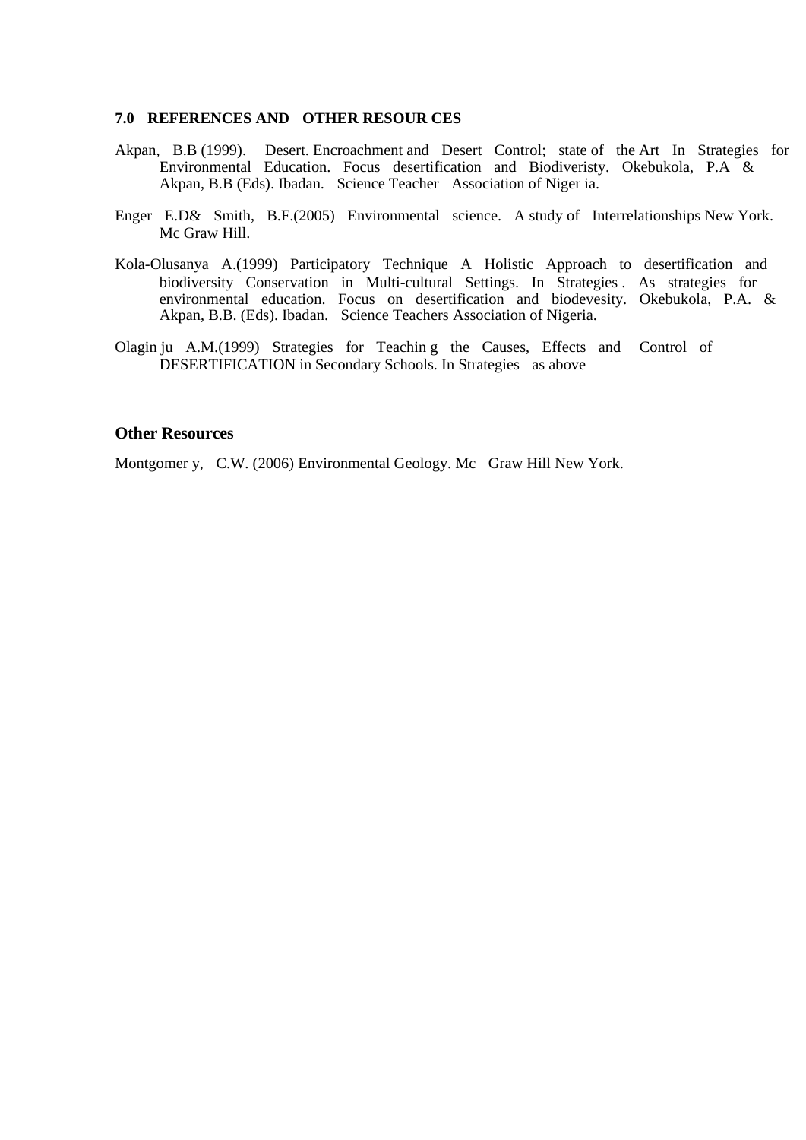#### **7.0 REFERENCES AND OTHER RESOUR CES**

- Akpan, B.B (1999). Desert. Encroachment and Desert Control; state of the Art In Strategies for Environmental Education. Focus desertification and Biodiveristy. Okebukola, P.A & Akpan, B.B (Eds). Ibadan. Science Teacher Association of Niger ia.
- Enger E.D& Smith, B.F.(2005) Environmental science. A study of Interrelationships New York. Mc Graw Hill.
- Kola-Olusanya A.(1999) Participatory Technique A Holistic Approach to desertification and biodiversity Conservation in Multi-cultural Settings. In Strategies . As strategies for environmental education. Focus on desertification and biodevesity. Okebukola, P.A. & Akpan, B.B. (Eds). Ibadan. Science Teachers Association of Nigeria.
- Olagin ju A.M.(1999) Strategies for Teachin g the Causes, Effects and Control of DESERTIFICATION in Secondary Schools. In Strategies as above

#### **Other Resources**

Montgomer y, C.W. (2006) Environmental Geology. Mc Graw Hill New York.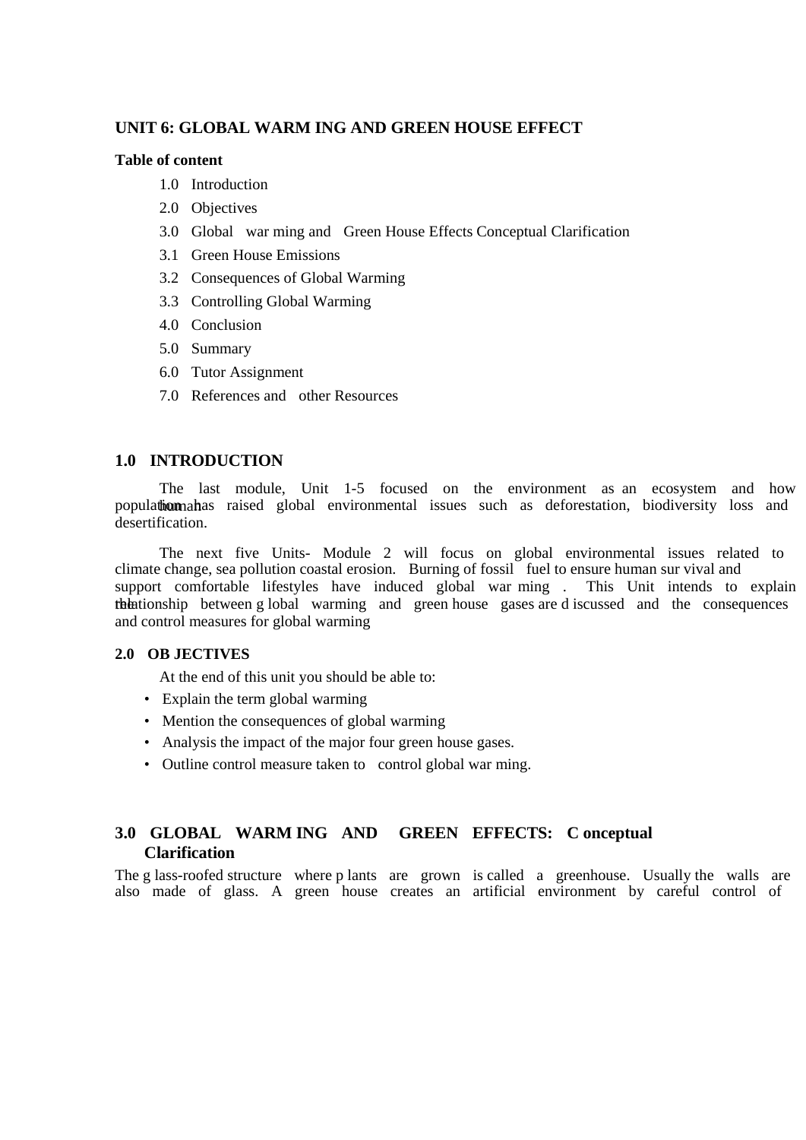# **UNIT 6: GLOBAL WARM ING AND GREEN HOUSE EFFECT**

#### **Table of content**

- 1.0 Introduction
- 2.0 Objectives
- 3.0 Global war ming and Green House Effects Conceptual Clarification
- 3.1 Green House Emissions
- 3.2 Consequences of Global Warming
- 3.3 Controlling Global Warming
- 4.0 Conclusion
- 5.0 Summary
- 6.0 Tutor Assignment
- 7.0 References and other Resources

## **1.0 INTRODUCTION**

The last module, Unit 1-5 focused on the environment as an ecosystem and how population has raised global environmental issues such as deforestation, biodiversity loss and desertification.

The next five Units- Module 2 will focus on global environmental issues related to climate change, sea pollution coastal erosion. Burning of fossil fuel to ensure human sur vival and support comfortable lifestyles have induced global war ming . This Unit intends to explain the relationship between g lobal warming and green house gases are d iscussed and the consequences and control measures for global warming

#### **2.0 OB JECTIVES**

At the end of this unit you should be able to:

- Explain the term global warming
- Mention the consequences of global warming
- Analysis the impact of the major four green house gases.
- Outline control measure taken to control global war ming.

# **3.0 GLOBAL WARM ING AND GREEN EFFECTS: C onceptual Clarification**

The g lass-roofed structure where p lants are grown is called a greenhouse. Usually the walls are also made of glass. A green house creates an artificial environment by careful control of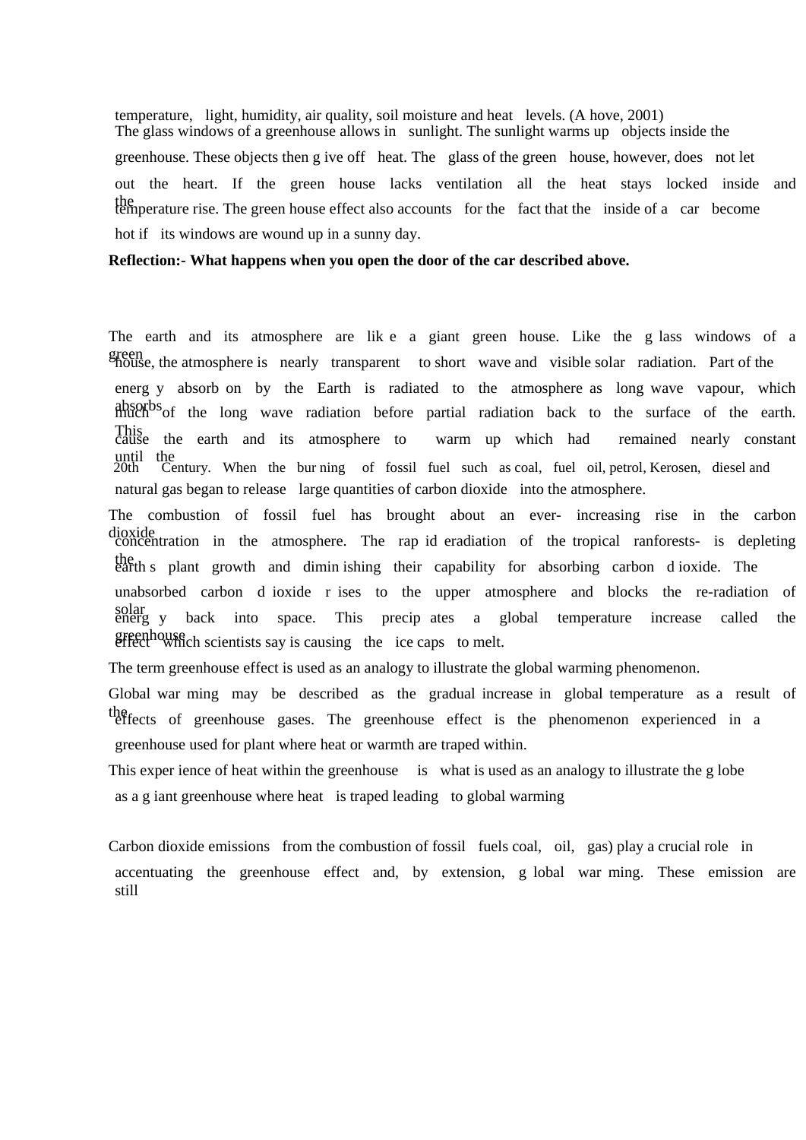temperature, light, humidity, air quality, soil moisture and heat levels. (A hove, 2001) The glass windows of a greenhouse allows in sunlight. The sunlight warms up objects inside the greenhouse. These objects then g ive off heat. The glass of the green house, however, does not let out the heart. If the green house lacks ventilation all the heat stays locked inside and temperature rise. The green house effect also accounts for the fact that the inside of a car become hot if its windows are wound up in a sunny day.

#### **Reflection:- What happens when you open the door of the car described above.**

The earth and its atmosphere are lik e a giant green house. Like the g lass windows of a green house, the atmosphere is nearly transparent to short wave and visible solar radiation. Part of the energ y absorb on by the Earth is radiated to the atmosphere as long wave vapour, which absorbs of the long wave radiation before partial radiation back to the surface of the earth. This cause the earth and its atmosphere to warm up which had remained nearly constant until the 20th Century. When the bur ning of fossil fuel such as coal, fuel oil, petrol, Kerosen, diesel and natural gas began to release large quantities of carbon dioxide into the atmosphere.

The combustion of fossil fuel has brought about an ever- increasing rise in the carbon dioxide concentration in the atmosphere. The rap id eradiation of the tropical ranforests- is depleting the earth s plant growth and dimin ishing their capability for absorbing carbon d ioxide. The unabsorbed carbon d ioxide r ises to the upper atmosphere and blocks the re-radiation of solar energ y back into space. This precip ates a global temperature increase called the greenhouse effect which scientists say is causing the ice caps to melt.

The term greenhouse effect is used as an analogy to illustrate the global warming phenomenon.

Global war ming may be described as the gradual increase in global temperature as a result of the effects of greenhouse gases. The greenhouse effect is the phenomenon experienced in a greenhouse used for plant where heat or warmth are traped within.

This exper ience of heat within the greenhouse is what is used as an analogy to illustrate the g lobe as a g iant greenhouse where heat is traped leading to global warming

Carbon dioxide emissions from the combustion of fossil fuels coal, oil, gas) play a crucial role in accentuating the greenhouse effect and, by extension, g lobal war ming. These emission are still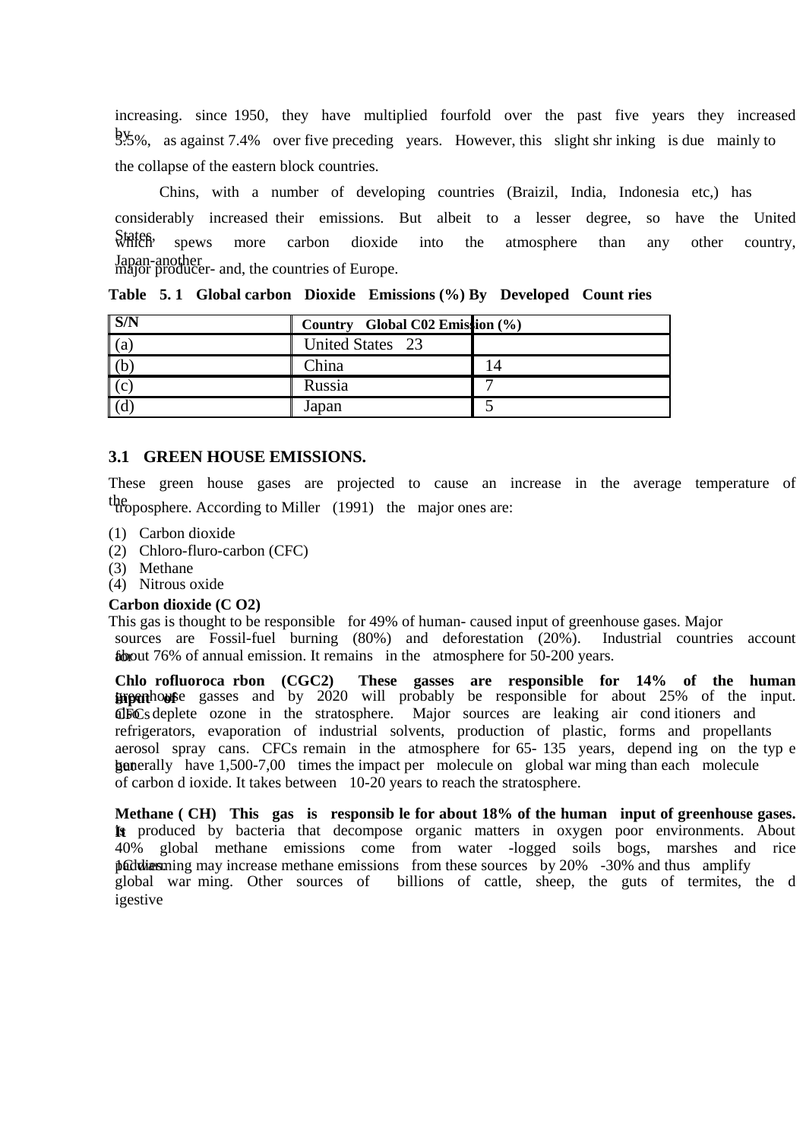increasing. since 1950, they have multiplied fourfold over the past five years they increased by 5.5%, as against 7.4% over five preceding years. However, this slight shr inking is due mainly to the collapse of the eastern block countries.

Chins, with a number of developing countries (Braizil, India, Indonesia etc,) has considerably increased their emissions. But albeit to a lesser degree, so have the United States, spews more carbon dioxide into the atmosphere than any other country, Japan-another major producer- and, the countries of Europe.

|               | Country Global C02 Emission (%) |  |
|---------------|---------------------------------|--|
| l (a          | United States 23                |  |
|               | China                           |  |
| $\mathsf{IC}$ | Russia                          |  |
|               | Japan                           |  |

**Table 5. 1 Global carbon Dioxide Emissions (%) By Developed Count ries** 

## **3.1 GREEN HOUSE EMISSIONS.**

These green house gases are projected to cause an increase in the average temperature of the troposphere. According to Miller (1991) the major ones are:

- (1) Carbon dioxide
- (2) Chloro-fluro-carbon (CFC)
- (3) Methane
- (4) Nitrous oxide

#### **Carbon dioxide (C O2)**

This gas is thought to be responsible for 49% of human- caused input of greenhouse gases. Major sources are Fossil-fuel burning (80%) and deforestation (20%). Industrial countries account for about 76% of annual emission. It remains in the atmosphere for 50-200 years.

**Chlo rofluoroca rbon (CGC2) These gasses are responsible for 14% of the human input of about 25%** of the input. also deplete ozone in the stratosphere. Major sources are leaking air cond itioners and refrigerators, evaporation of industrial solvents, production of plastic, forms and propellants aerosol spray cans. CFCs remain in the atmosphere for 65- 135 years, depend ing on the typ e but generally have 1,500-7,00 times the impact per molecule on global war ming than each molecule of carbon d ioxide. It takes between 10-20 years to reach the stratosphere.

**Methane ( CH) This gas is responsib le for about 18% of the human input of greenhouse gases.**  It produced by bacteria that decompose organic matters in oxygen poor environments. About 40% global methane emissions come from water -logged soils bogs, marshes and rice  $\beta$  and thus may increase methane emissions from these sources by 20% -30% and thus amplify global war ming. Other sources of billions of cattle, sheep, the guts of termites, the d igestive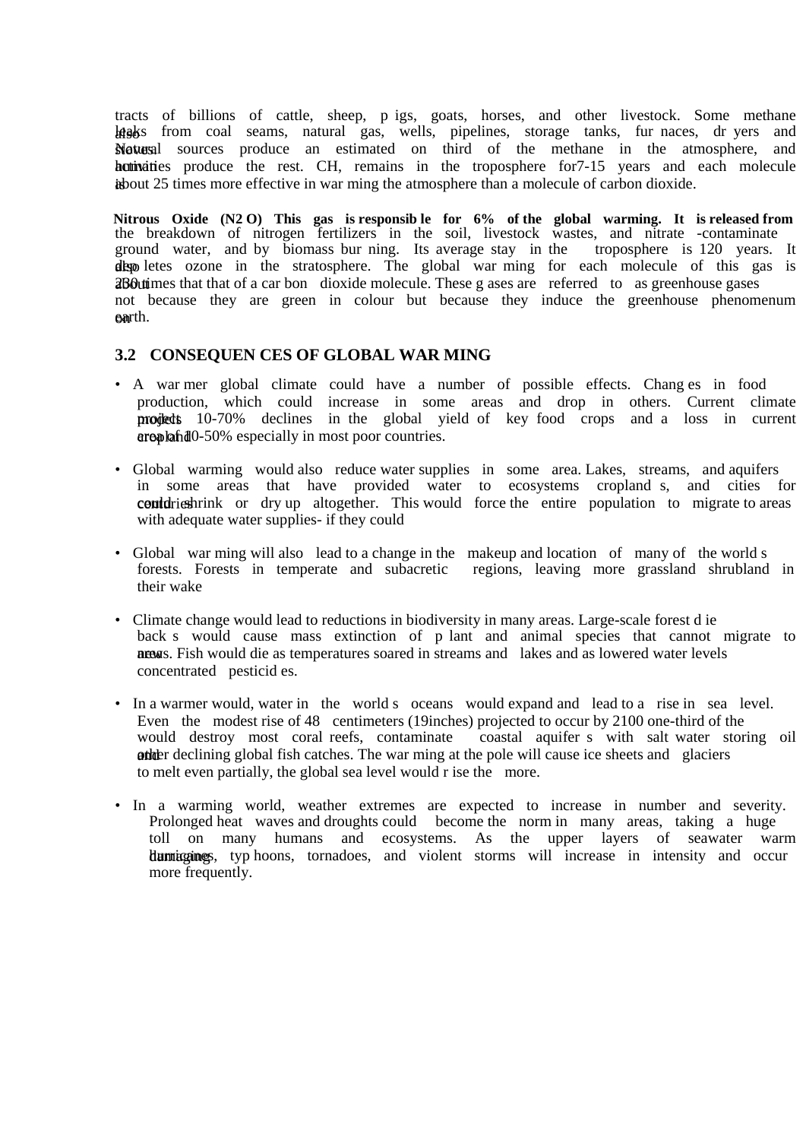tracts of billions of cattle, sheep, p igs, goats, horses, and other livestock. Some methane lass from coal seams, natural gas, wells, pipelines, storage tanks, fur naces, dr yers and stoves. Natural sources produce an estimated on third of the methane in the atmosphere, and hortivatives produce the rest. CH, remains in the troposphere for 7-15 years and each molecule is about 25 times more effective in war ming the atmosphere than a molecule of carbon dioxide.

**Nitrous Oxide (N2 O) This gas is responsib le for 6% of the global warming. It is released from** the breakdown of nitrogen fertilizers in the soil, livestock wastes, and nitrate -contaminate ground water, and by biomass bur ning. Its average stay in the troposphere is 120 years. It depoletes ozone in the stratosphere. The global war ming for each molecule of this gas is about 230 times that that of a car bon dioxide molecule. These g ases are referred to as greenhouse gases not because they are green in colour but because they induce the greenhouse phenomenum earth.

## **3.2 CONSEQUEN CES OF GLOBAL WAR MING**

- A war mer global climate could have a number of possible effects. Chang es in food production, which could increase in some areas and drop in others. Current climate projects 10-70% declines in the global yield of key food crops and a loss in current area plant area of 10-50% especially in most poor countries.
- Global warming would also reduce water supplies in some area. Lakes, streams, and aquifers in some areas that have provided water to ecosystems cropland s, and cities for could rieshrink or dry up altogether. This would force the entire population to migrate to areas with adequate water supplies- if they could
- Global war ming will also lead to a change in the makeup and location of many of the world s forests. Forests in temperate and subacretic regions, leaving more grassland shrubland regions, leaving more grassland shrubland in their wake
- Climate change would lead to reductions in biodiversity in many areas. Large-scale forest d ie back s would cause mass extinction of p lant and animal species that cannot migrate to ness. Fish would die as temperatures soared in streams and lakes and as lowered water levels concentrated pesticid es.
- In a warmer would, water in the world s oceans would expand and lead to a rise in sea level. Even the modest rise of 48 centimeters (19inches) projected to occur by 2100 one-third of the would destroy most coral reefs, contaminate coastal aquifer s with salt water stor coastal aquifer s with salt water storing oil ather declining global fish catches. The war ming at the pole will cause ice sheets and glaciers to melt even partially, the global sea level would r ise the more.
- In a warming world, weather extremes are expected to increase in number and severity. Prolonged heat waves and droughts could become the norm in many areas, taking a huge toll on many humans and ecosystems. As the upper layers of seawater warm during typ hoons, tornadoes, and violent storms will increase in intensity and occur more frequently.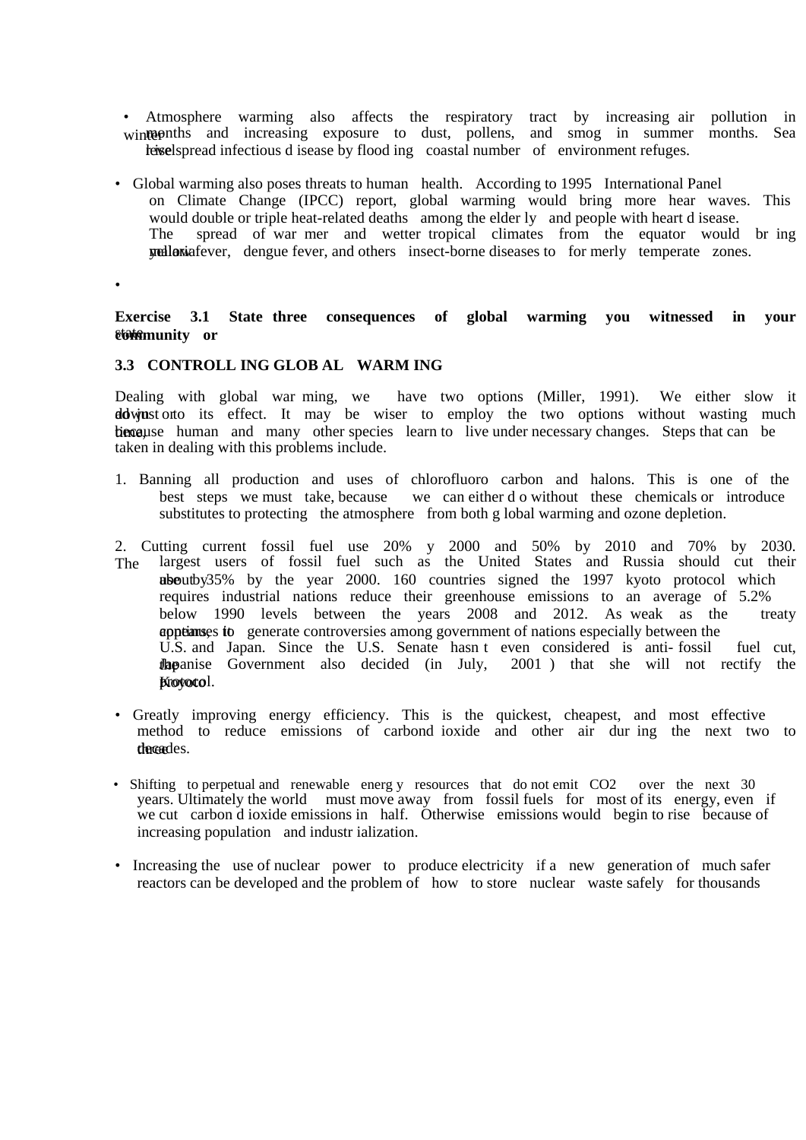- Atmosphere warming also affects the respiratory tract by increasing air pollution in winter months and increasing exposure to dust, pollens, and smog in summer months. Sea leiselspread infectious d isease by flood ing coastal number of environment refuges.
- Global warming also poses threats to human health. According to 1995 International Panel on Climate Change (IPCC) report, global warming would bring more hear waves. This would double or triple heat-related deaths among the elder ly and people with heart d isease.<br>The spread of war mer and wetter tropical climates from the equator would spread of war mer and wetter tropical climates from the equator would br ing mediaria fever, dengue fever, and others insect-borne diseases to for merly temperate zones.

•

**Exercise 3.1 State three consequences of global warming you witnessed in your munity or** 

#### **3.3 CONTROLL ING GLOB AL WARM ING**

Dealing with global war ming, we have two options (Miller, 1991). We either slow it down to its effect. It may be wiser to employ the two options without wasting much ties ause human and many other species learn to live under necessary changes. Steps that can be taken in dealing with this problems include.

- 1. Banning all production and uses of chlorofluoro carbon and halons. This is one of the best steps we must take, because we can either d o without these chemicals or introduce substitutes to protecting the atmosphere from both g lobal warming and ozone depletion.
- 2. Cutting current fossil fuel use 20% y 2000 and 50% by 2010 and 70% by 2030. The largest users of fossil fuel such as the United States and Russia should cut their about by 35% by the year 2000. 160 countries signed the 1997 kyoto protocol which requires industrial nations reduce their greenhouse emissions to an average of 5.2% below 1990 levels between the years 2008 and 2012. As weak as the treaty appears to generate controversies among government of nations especially between the U.S. and Japan. Since the U.S. Senate hasn t even considered is anti- fossil fuel cut, **flapanise** Government also decided (in July, 2001) that she will not rectify the Krovotol.
- Greatly improving energy efficiency. This is the quickest, cheapest, and most effective method to reduce emissions of carbond ioxide and other air dur ing the next two to thereades.
- Shifting to perpetual and renewable energy resources that do not emit CO2 over the next 30 years. Ultimately the world must move away from fossil fuels for most of its energy, even if we cut carbon d ioxide emissions in half. Otherwise emissions would begin to rise because of increasing population and industr ialization.
- Increasing the use of nuclear power to produce electricity if a new generation of much safer reactors can be developed and the problem of how to store nuclear waste safely for thousands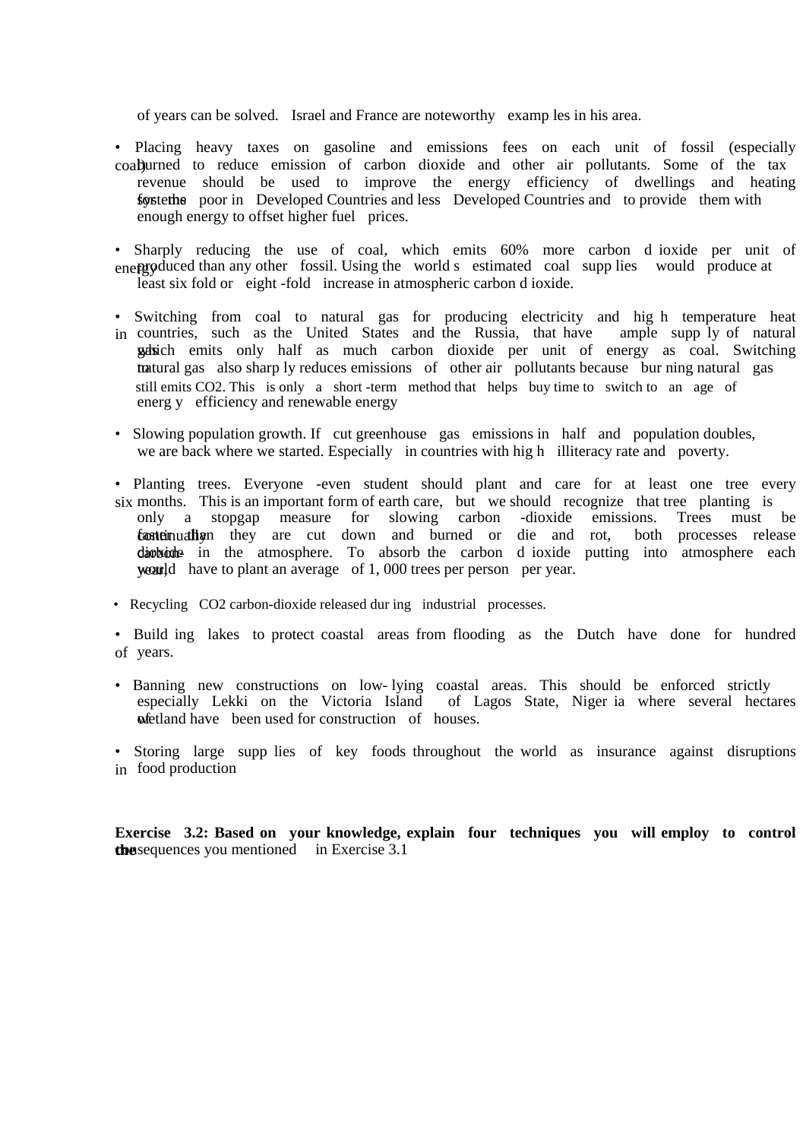of years can be solved. Israel and France are noteworthy examp les in his area.

- Placing heavy taxes on gasoline and emissions fees on each unit of fossil (especially coal) urned to reduce emission of carbon dioxide and other air pollutants. Some of the tax revenue should be used to improve the energy efficiency of dwellings and heating for the poor in Developed Countries and less Developed Countries and to provide them with enough energy to offset higher fuel prices.
- Sharply reducing the use of coal, which emits 60% more carbon d ioxide per unit of energy produced than any other fossil. Using the world s estimated coal supp lies would produce at least six fold or eight -fold increase in atmospheric carbon d ioxide.
- Switching from coal to natural gas for producing electricity and hig h temperature heat in countries, such as the United States and the Russia, that have ample supp ly of natural which emits only half as much carbon dioxide per unit of energy as coal. Switching tratural gas also sharp ly reduces emissions of other air pollutants because bur ning natural gas still emits CO2. This is only a short -term method that helps buy time to switch to an age of energ y efficiency and renewable energy
- Slowing population growth. If cut greenhouse gas emissions in half and population doubles, we are back where we started. Especially in countries with high illiteracy rate and poverty.
- Planting trees. Everyone -even student should plant and care for at least one tree every six months. This is an important form of earth care, but we should recognize that tree planting is only a stopgap measure for slowing carbon -dioxide emissions. Trees must be a stopgap measure for slowing **conteinually that they are cut down and burned or die and rot, both processes release** diobide in the atmosphere. To absorb the carbon d ioxide putting into atmosphere each  $\alpha$  weard have to plant an average of 1,000 trees per person per year.
- Recycling CO2 carbon-dioxide released during industrial processes.
- Build ing lakes to protect coastal areas from flooding as the Dutch have done for hundred of years.
- Banning new constructions on low- lying coastal areas. This should be enforced strictly of Lagos State, Niger ia where several hectares **wetland have** been used for construction of houses.
- Storing large supp lies of key foods throughout the world as insurance against disruptions in food production

**Exercise 3.2: Based on your knowledge, explain four techniques you will employ to control the** sequences you mentioned in Exercise 3.1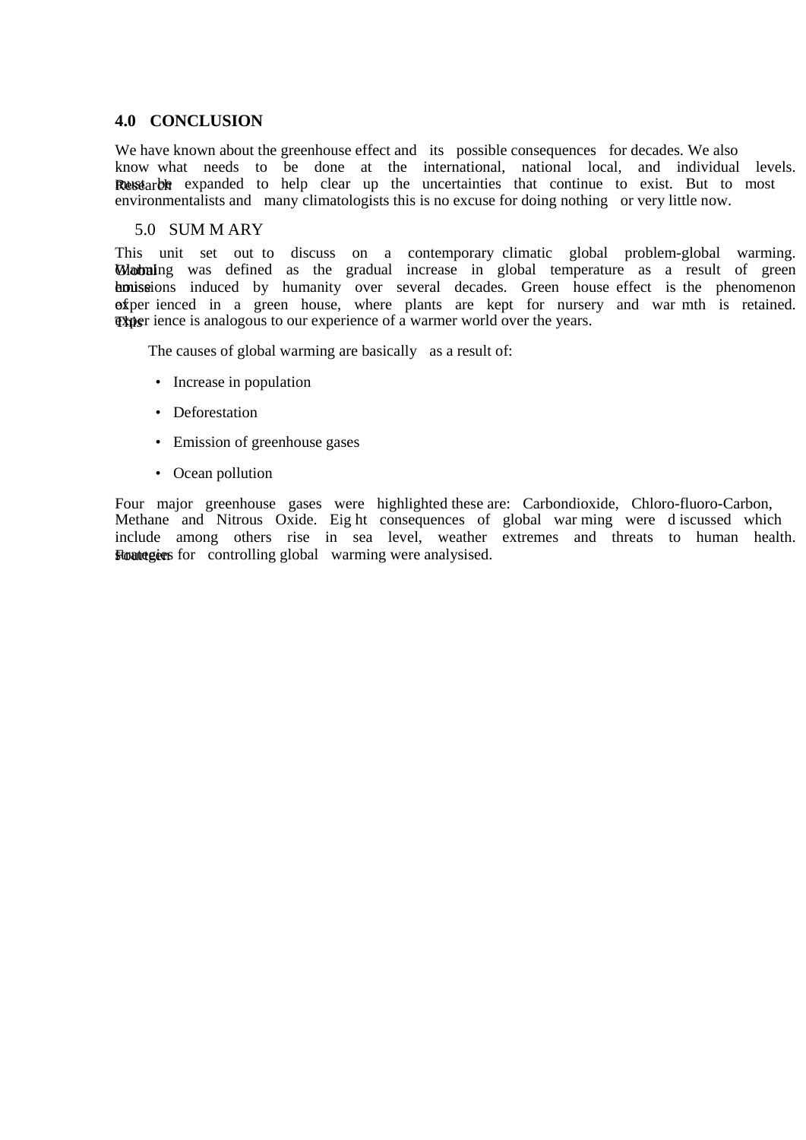# **4.0 CONCLUSION**

We have known about the greenhouse effect and its possible consequences for decades. We also know what needs to be done at the international, national local, and individual levels. Resstarba expanded to help clear up the uncertainties that continue to exist. But to most environmentalists and many climatologists this is no excuse for doing nothing or very little now.

#### 5.0 SUM M ARY

This unit set out to discuss on a contemporary climatic global problem-global warming. Working was defined as the gradual increase in global temperature as a result of green house induced by humanity over several decades. Green house effect is the phenomenon of per ienced in a green house, where plants are kept for nursery and war mth is retained. The rest is analogous to our experience of a warmer world over the years.

The causes of global warming are basically as a result of:

- Increase in population
- Deforestation
- Emission of greenhouse gases
- Ocean pollution

Four major greenhouse gases were highlighted these are: Carbondioxide, Chloro-fluoro-Carbon, Methane and Nitrous Oxide. Eig ht consequences of global war ming were d iscussed which include among others rise in sea level, weather extremes and threats to human health. **Flounteries** for controlling global warming were analysised.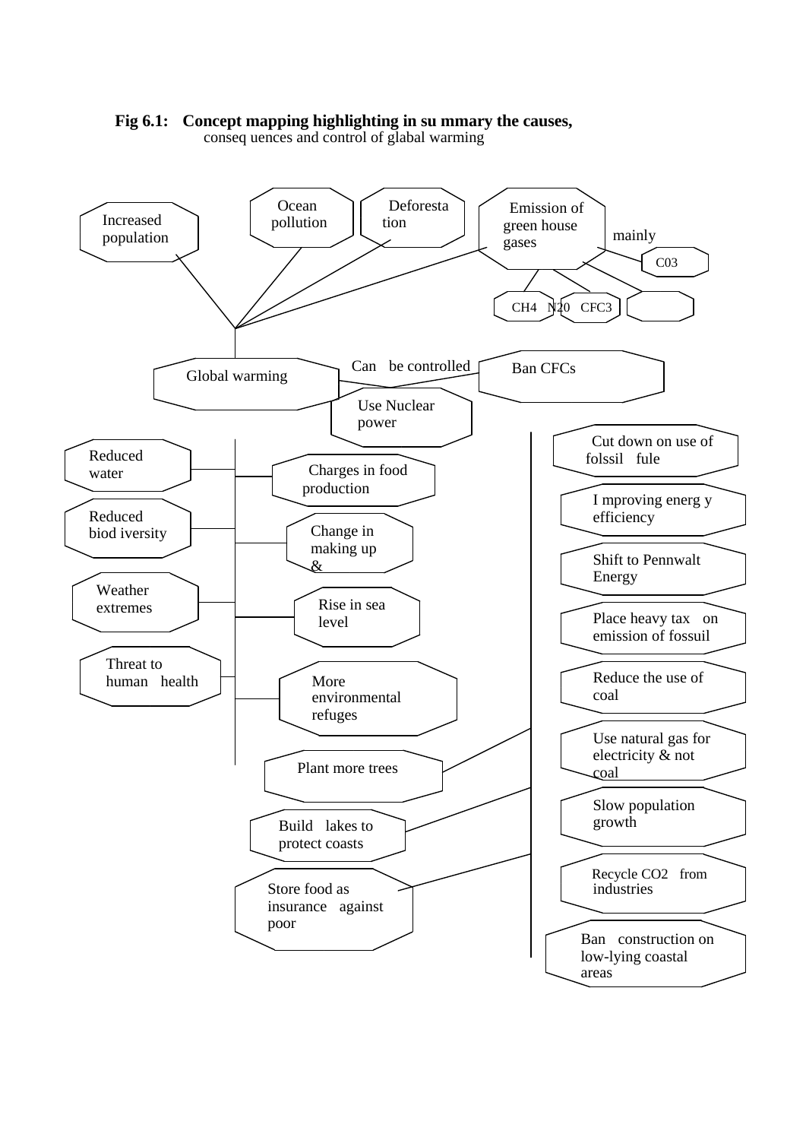

**Fig 6.1: Concept mapping highlighting in su mmary the causes,**  conseq uences and control of glabal warming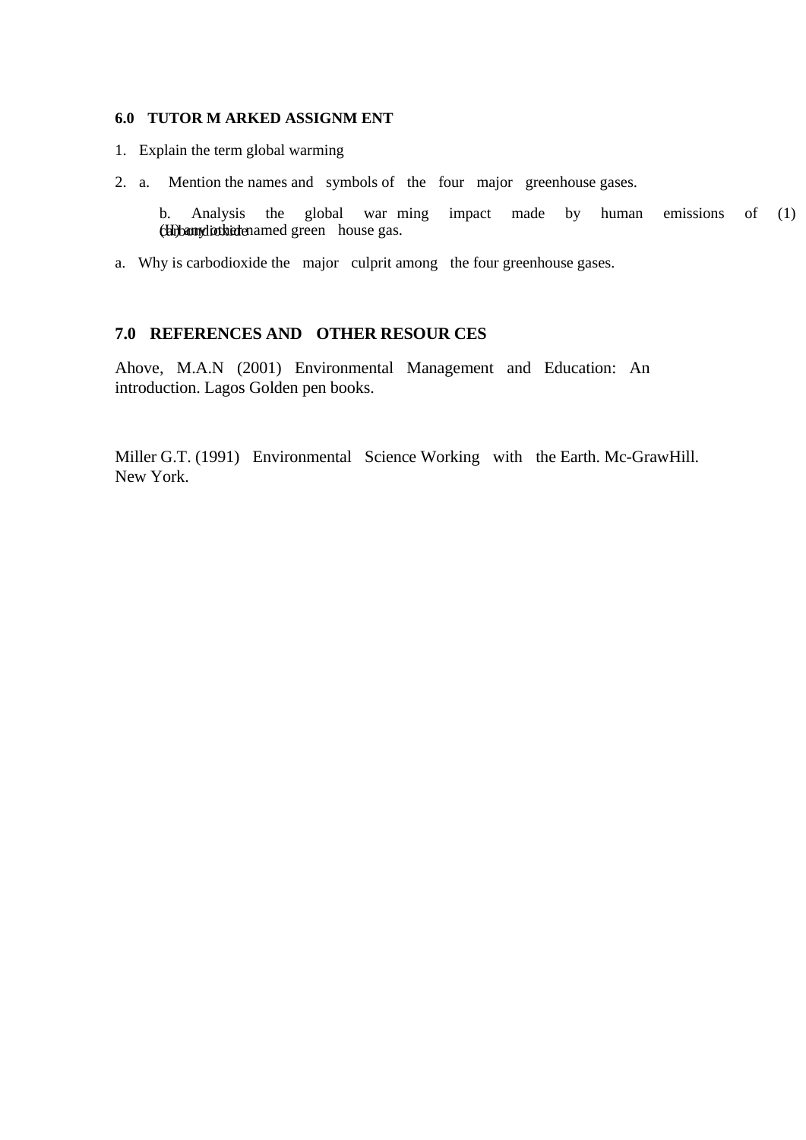## **6.0 TUTOR M ARKED ASSIGNM ENT**

- 1. Explain the term global warming
- 2. a. Mention the names and symbols of the four major greenhouse gases.

b. Analysis the global war ming impact made by human emissions of (1) chibangliothidenamed green house gas.

a. Why is carbodioxide the major culprit among the four greenhouse gases.

# **7.0 REFERENCES AND OTHER RESOUR CES**

Ahove, M.A.N (2001) Environmental Management and Education: An introduction. Lagos Golden pen books.

Miller G.T. (1991) Environmental Science Working with the Earth. Mc-GrawHill. New York.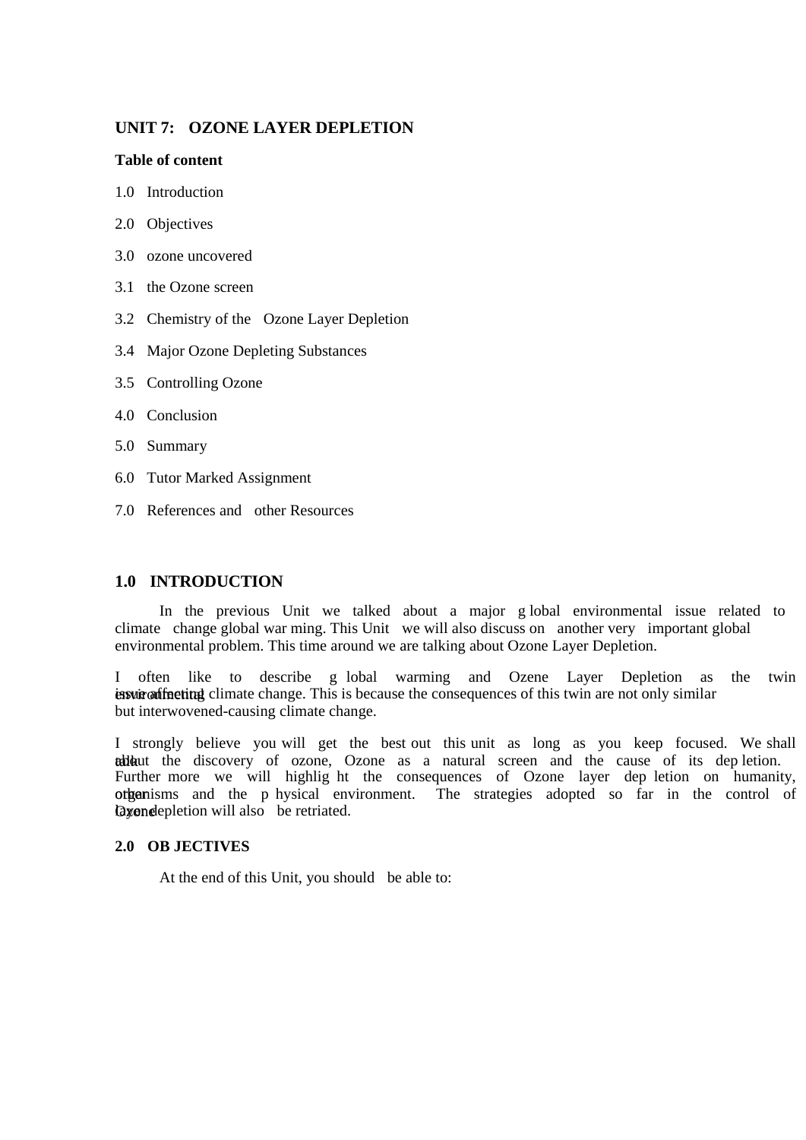# **UNIT 7: OZONE LAYER DEPLETION**

#### **Table of content**

- 1.0 Introduction
- 2.0 Objectives
- 3.0 ozone uncovered
- 3.1 the Ozone screen
- 3.2 Chemistry of the Ozone Layer Depletion
- 3.4 Major Ozone Depleting Substances
- 3.5 Controlling Ozone
- 4.0 Conclusion
- 5.0 Summary
- 6.0 Tutor Marked Assignment
- 7.0 References and other Resources

# **1.0 INTRODUCTION**

In the previous Unit we talked about a major g lobal environmental issue related to climate change global war ming. This Unit we will also discuss on another very important global environmental problem. This time around we are talking about Ozone Layer Depletion.

I often like to describe g lobal warming and Ozene Layer Depletion as the twin environmental is under a finite change. This is because the consequences of this twin are not only similar but interwovened-causing climate change.

I strongly believe you will get the best out this unit as long as you keep focused. We shall talk aut the discovery of ozone, Ozone as a natural screen and the cause of its dep letion. Further more we will highlig ht the consequences of Ozone layer dep letion on humanity, other riganisms and the p hysical environment. The strategies adopted so far in the control of Qxone depletion will also be retriated.

#### **2.0 OB JECTIVES**

At the end of this Unit, you should be able to: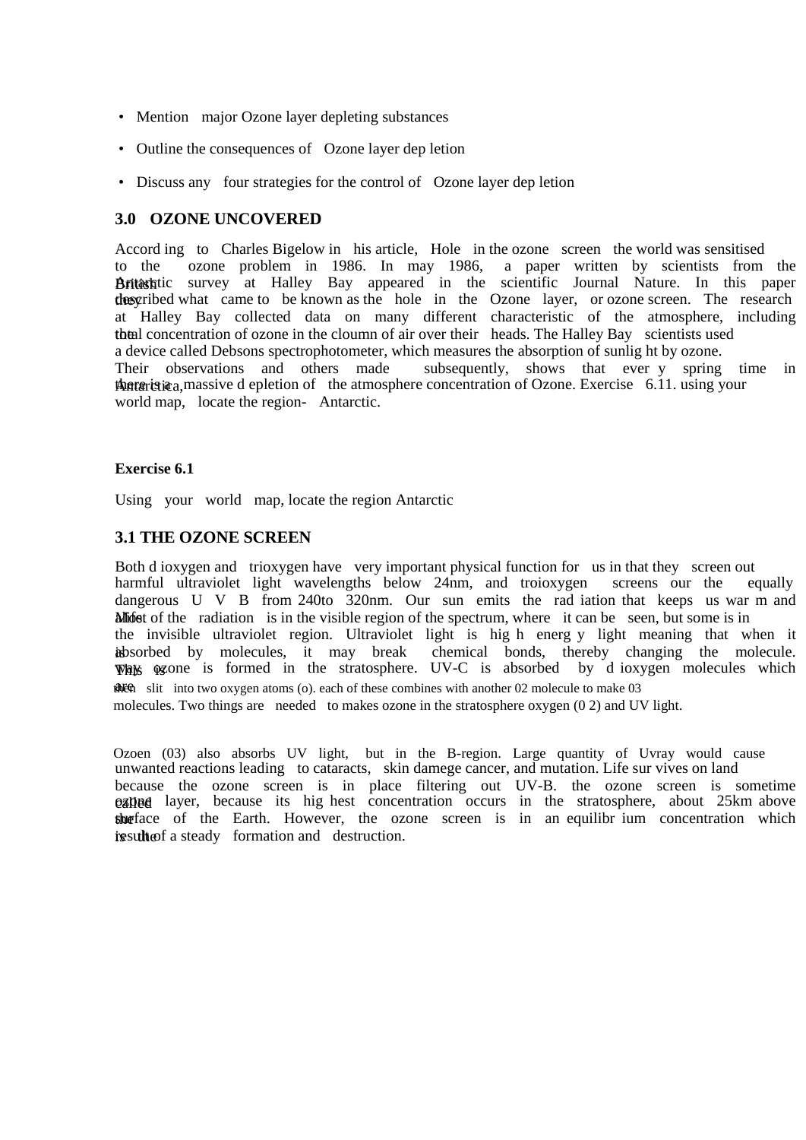- Mention major Ozone layer depleting substances
- Outline the consequences of Ozone layer dep letion
- Discuss any four strategies for the control of Ozone layer dep letion

# **3.0 OZONE UNCOVERED**

Accord ing to Charles Bigelow in his article, Hole in the ozone screen the world was sensitised to the ozone problem in 1986. In may 1986, a paper written by scientists from the British Antion Antarctic survey at Halley Bay appeared in the scientific Journal Nature. In this paper the they despected what came to be known as the hole in the Ozone layer, or ozone screen. The research at Halley Bay collected data on many different characteristic of the atmosphere, including the al concentration of ozone in the cloumn of air over their heads. The Halley Bay scientists used a device called Debsons spectrophotometer, which measures the absorption of sunlig ht by ozone. Their observations and others made subsequently, shows that ever y spring time in there is a massive d epletion of the atmosphere concentration of Ozone. Exercise 6.11. using your world map, locate the region- Antarctic.

#### **Exercise 6.1**

Using your world map, locate the region Antarctic

# **3.1 THE OZONE SCREEN**

Both d ioxygen and trioxygen have very important physical function for us in that they screen out harmful ultraviolet light wavelengths below 24nm, and troioxygen screens our the equally dangerous U V B from 240to 320nm. Our sun emits the rad iation that keeps us war m and Midist of the radiation is in the visible region of the spectrum, where it can be seen, but some is in the invisible ultraviolet region. Ultraviolet light is hig h energ y light meaning that when it is absorbed by molecules, it may break chemical bonds, thereby changing the molecule. Whis is formed in the stratosphere. UV-C is absorbed by d ioxygen molecules which **AREM** slit into two oxygen atoms (o). each of these combines with another 02 molecule to make 03 molecules. Two things are needed to makes ozone in the stratosphere oxygen (0 2) and UV light.

Ozoen (03) also absorbs UV light, but in the B-region. Large quantity of Uvray would cause unwanted reactions leading to cataracts, skin damege cancer, and mutation. Life sur vives on land because the ozone screen is in place filtering out UV-B. the ozone screen is sometime **exhage** layer, because its hig hest concentration occurs in the stratosphere, about 25km above the face of the Earth. However, the ozone screen is in an equilibr ium concentration which in its value of a steady formation and destruction.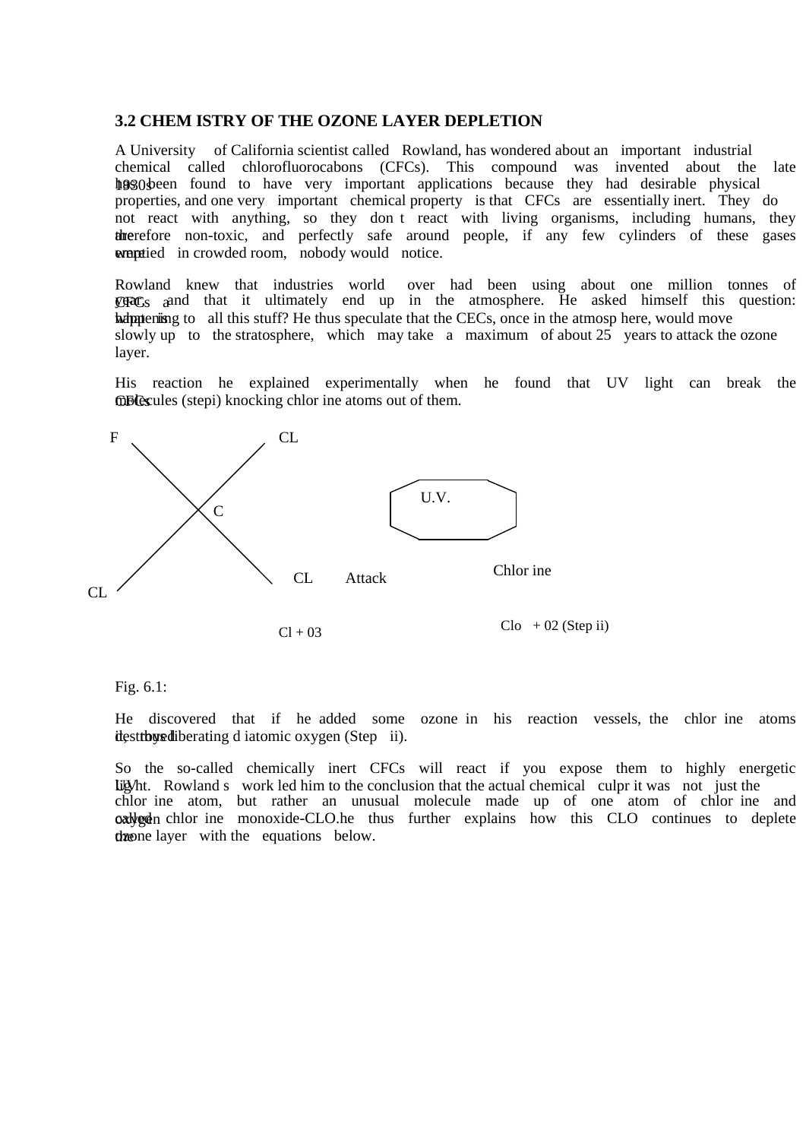## **3.2 CHEM ISTRY OF THE OZONE LAYER DEPLETION**

A University of California scientist called Rowland, has wondered about an important industrial chemical called chlorofluorocabons (CFCs). This compound was invented about the late hosoly here found to have very important applications because they had desirable physical properties, and one very important chemical property is that CFCs are essentially inert. They do not react with anything, so they don t react with living organisms, including humans, they therefore non-toxic, and perfectly safe around people, if any few cylinders of these gases were tied in crowded room, nobody would notice.

Rowland knew that industries world over had been using about one million tonnes of  $CFFC<sub>S</sub>$  and that it ultimately end up in the atmosphere. He asked himself this question: happening to all this stuff? He thus speculate that the CECs, once in the atmosp here, would move slowly up to the stratosphere, which may take a maximum of about  $25$  years to attack the ozone layer.

His reaction he explained experimentally when he found that UV light can break the **GBC**s (stepi) knocking chlor ine atoms out of them.



#### Fig. 6.1:

He discovered that if he added some ozone in his reaction vessels, the chlor ine atoms destrous diberating d iatomic oxygen (Step ii).

So the so-called chemically inert CFCs will react if you expose them to highly energetic Lig Mt. Rowland s work led him to the conclusion that the actual chemical culpr it was not just the chlor ine atom, but rather an unusual molecule made up of one atom of chlor ine and oxygen chlor ine monoxide-CLO.he thus further explains how this CLO continues to deplete the equations below.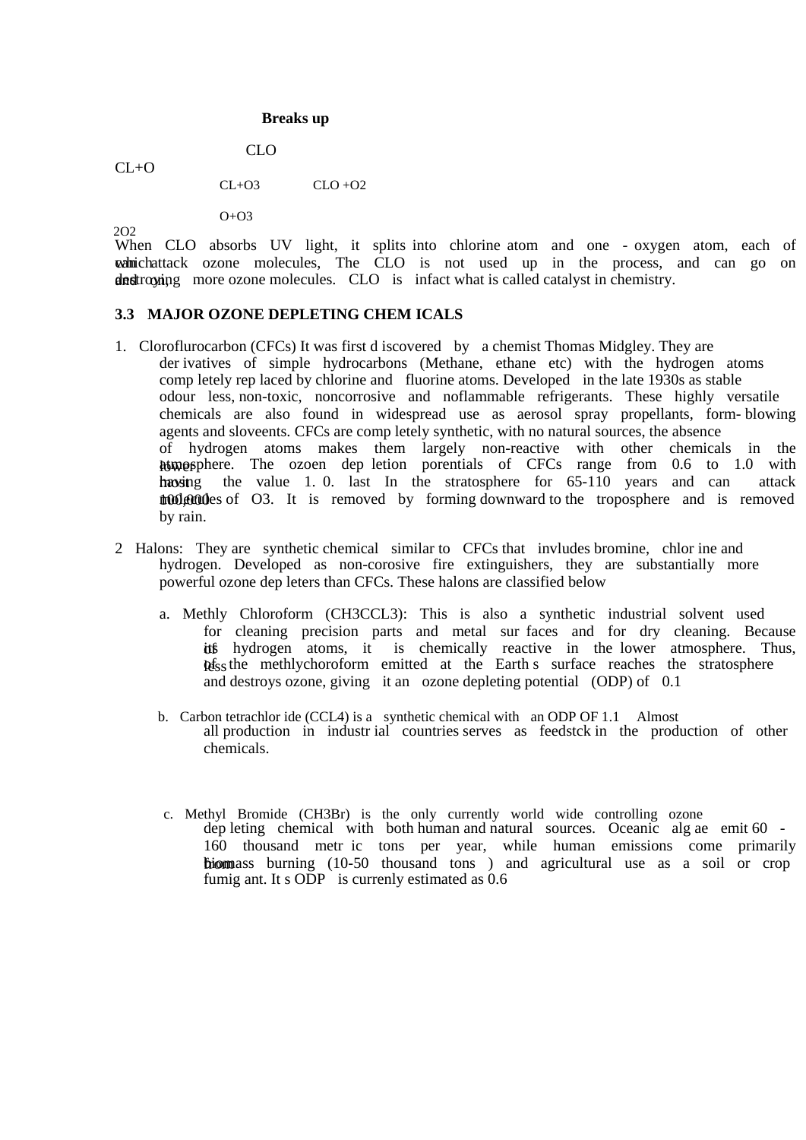#### **Breaks up**

 $CL+O$ 

 $CL+O3$   $CLO+O2$ 

CLO

 $O+O3$ 

2O2 When CLO absorbs UV light, it splits into chlorine atom and one - oxygen atom, each of which attack ozone molecules, The CLO is not used up in the process, and can go on destroying more ozone molecules. CLO is infact what is called catalyst in chemistry.

### **3.3 MAJOR OZONE DEPLETING CHEM ICALS**

- 1. Cloroflurocarbon (CFCs) It was first d iscovered by a chemist Thomas Midgley. They are der ivatives of simple hydrocarbons (Methane, ethane etc) with the hydrogen atoms comp letely rep laced by chlorine and fluorine atoms. Developed in the late 1930s as stable odour less, non-toxic, noncorrosive and noflammable refrigerants. These highly versatile chemicals are also found in widespread use as aerosol spray propellants, form- blowing agents and sloveents. CFCs are comp letely synthetic, with no natural sources, the absence of hydrogen atoms makes them largely non-reactive with other chemicals in the htmosphere. The ozoen dep letion porentials of CFCs range from 0.6 to 1.0 with having the value 1.0. last In the stratosphere for 65-110 years and can attack **100,000** es of O3. It is removed by forming downward to the troposphere and is removed by rain.
- 2 Halons: They are synthetic chemical similar to CFCs that invludes bromine, chlor ine and hydrogen. Developed as non-corosive fire extinguishers, they are substantially more powerful ozone dep leters than CFCs. These halons are classified below
	- a. Methly Chloroform (CH3CCL3): This is also a synthetic industrial solvent used for cleaning precision parts and metal sur faces and for dry cleaning. Because its hydrogen atoms, it is chemically reactive in the lower atmosphere. Thus, less the methlychoroform emitted at the Earth s surface reaches the stratosphere and destroys ozone, giving it an ozone depleting potential (ODP) of 0.1
	- b. Carbon tetrachlor ide (CCL4) is a synthetic chemical with an ODP OF 1.1 Almost all production in industr ial countries serves as feedstck in the production of other chemicals.
	- c. Methyl Bromide (CH3Br) is the only currently world wide controlling ozone dep leting chemical with both human and natural sources. Oceanic alg ae emit 60 - 160 thousand metr ic tons per year, while human emissions come primarily frightnass burning (10-50 thousand tons) and agricultural use as a soil or crop fumig ant. It s ODP is currenly estimated as 0.6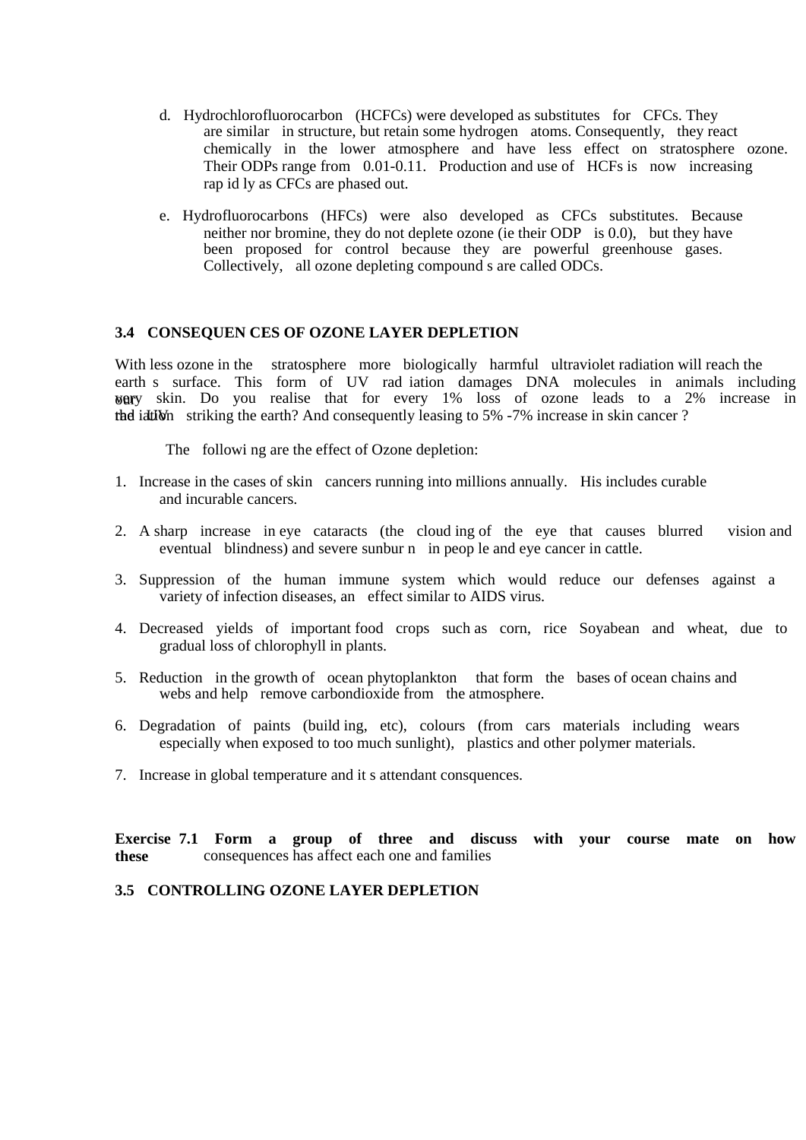- d. Hydrochlorofluorocarbon (HCFCs) were developed as substitutes for CFCs. They are similar in structure, but retain some hydrogen atoms. Consequently, they react chemically in the lower atmosphere and have less effect on stratosphere ozone. Their ODPs range from 0.01-0.11. Production and use of HCFs is now increasing rap id ly as CFCs are phased out.
- e. Hydrofluorocarbons (HFCs) were also developed as CFCs substitutes. Because neither nor bromine, they do not deplete ozone (ie their ODP is 0.0), but they have been proposed for control because they are powerful greenhouse gases. Collectively, all ozone depleting compound s are called ODCs.

### **3.4 CONSEQUEN CES OF OZONE LAYER DEPLETION**

With less ozone in the stratosphere more biologically harmful ultraviolet radiation will reach the earth s surface. This form of UV rad iation damages DNA molecules in animals including  $\gamma$  we skin. Do you realise that for every 1% loss of ozone leads to a 2% increase in the iation striking the earth? And consequently leasing to  $5\%$  -7% increase in skin cancer ?

The followi ng are the effect of Ozone depletion:

- 1. Increase in the cases of skin cancers running into millions annually. His includes curable and incurable cancers.
- 2. A sharp increase in eye cataracts (the cloud ing of the eye that causes blurred vision and eventual blindness) and severe sunbur n in peop le and eye cancer in cattle.
- 3. Suppression of the human immune system which would reduce our defenses against a variety of infection diseases, an effect similar to AIDS virus.
- 4. Decreased yields of important food crops such as corn, rice Soyabean and wheat, due to gradual loss of chlorophyll in plants.
- 5. Reduction in the growth of ocean phytoplankton that form the bases of ocean chains and webs and help remove carbondioxide from the atmosphere.
- 6. Degradation of paints (build ing, etc), colours (from cars materials including wears especially when exposed to too much sunlight), plastics and other polymer materials.
- 7. Increase in global temperature and it s attendant consquences.

**Exercise 7.1 Form a group of three and discuss with your course mate on how these** consequences has affect each one and families

### **3.5 CONTROLLING OZONE LAYER DEPLETION**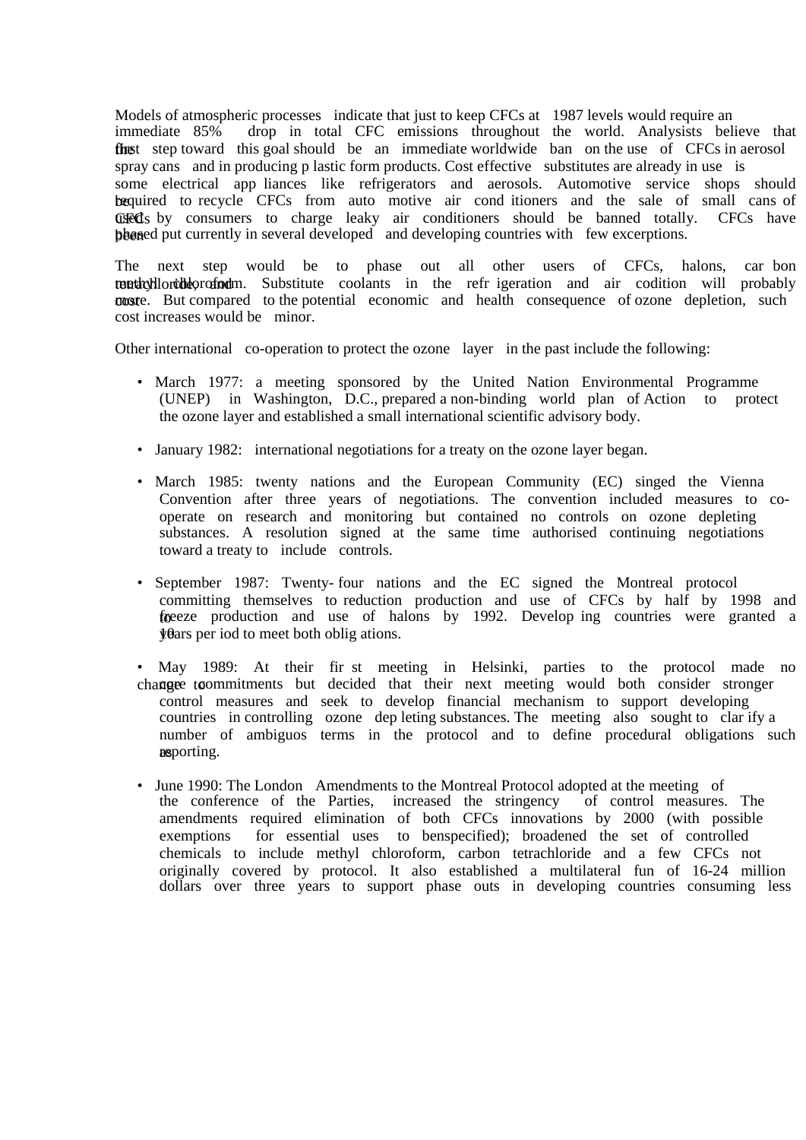Models of atmospheric processes indicate that just to keep CFCs at 1987 levels would require an immediate 85% drop in total CFC emissions throughout the world. Analysists believe that the step toward this goal should be an immediate worldwide ban on the use of CFCs in aerosol spray cans and in producing p lastic form products. Cost effective substitutes are already in use is some electrical app liances like refrigerators and aerosols. Automotive service shops should bequired to recycle CFCs from auto motive air cond itioners and the sale of small cans of GFCs by consumers to charge leaky air conditioners should be banned totally. CFCs have beased put currently in several developed and developing countries with few excerptions.

The next step would be to phase out all other users of CFCs, halons, car bon tenthylloride, and methylloride, and methyloroform. Substitute coolants in the refr igeration and air codition will probably **cost** compared to the potential economic and health consequence of ozone depletion, such cost increases would be minor.

Other international co-operation to protect the ozone layer in the past include the following:

- March 1977: a meeting sponsored by the United Nation Environmental Programme (UNEP) in Washington, D.C., prepared a non-binding world plan of Action to protect the ozone layer and established a small international scientific advisory body.
- January 1982: international negotiations for a treaty on the ozone layer began.
- March 1985: twenty nations and the European Community (EC) singed the Vienna Convention after three years of negotiations. The convention included measures to cooperate on research and monitoring but contained no controls on ozone depleting substances. A resolution signed at the same time authorised continuing negotiations toward a treaty to include controls.
- September 1987: Twenty- four nations and the EC signed the Montreal protocol committing themselves to reduction production and use of CFCs by half by 1998 and freeze production and use of halons by 1992. Develop ing countries were granted a  $\psi$ ars per iod to meet both oblig ations.
- May 1989: At their fir st meeting in Helsinki, parties to the protocol made no change to commitments but decided that their next meeting would both consider stronger control measures and seek to develop financial mechanism to support developing countries in controlling ozone dep leting substances. The meeting also sought to clar ify a number of ambiguos terms in the protocol and to define procedural obligations such nesporting.
- June 1990: The London Amendments to the Montreal Protocol adopted at the meeting of the conference of the Parties, increased the stringency of control measures. The amendments required elimination of both CFCs innovations by 2000 (with possible exemptions for essential uses to benspecified); broadened the set of controlled chemicals to include methyl chloroform, carbon tetrachloride and a few CFCs not originally covered by protocol. It also established a multilateral fun of 16-24 million dollars over three years to support phase outs in developing countries consuming less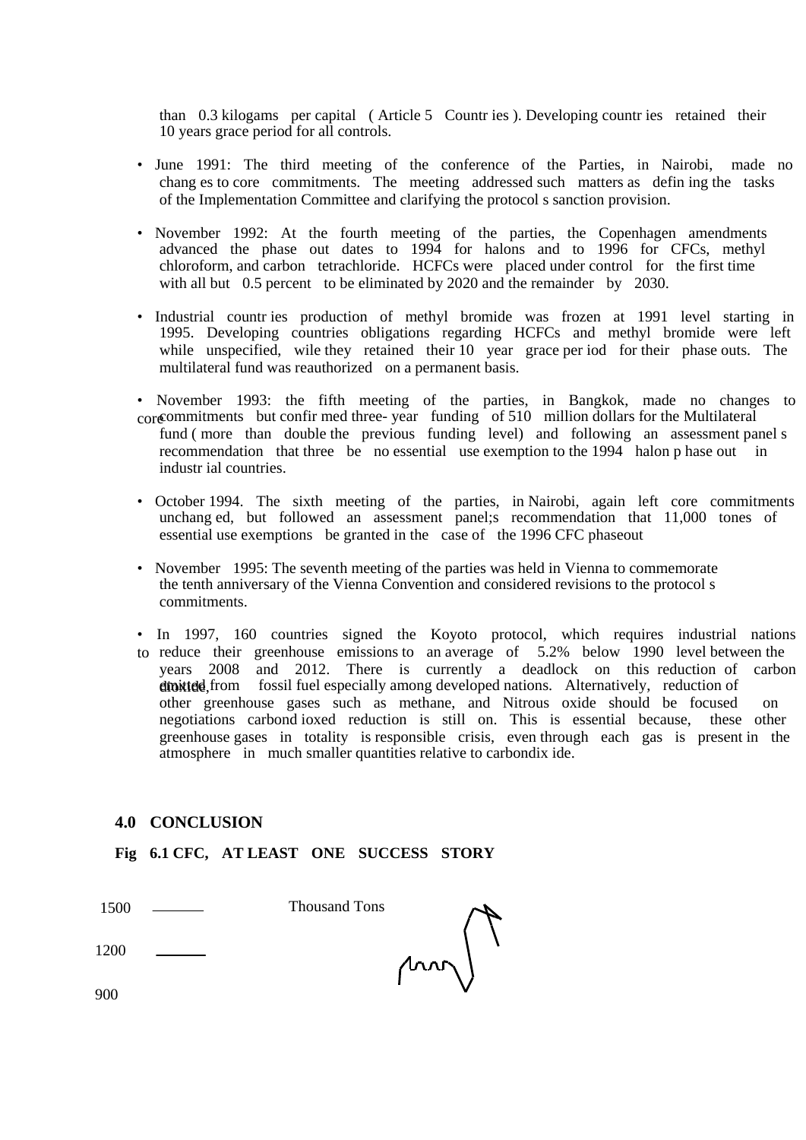than 0.3 kilogams per capital ( Article 5 Countr ies ). Developing countr ies retained their 10 years grace period for all controls.

- June 1991: The third meeting of the conference of the Parties, in Nairobi, made no chang es to core commitments. The meeting addressed such matters as defin ing the tasks of the Implementation Committee and clarifying the protocol s sanction provision.
- November 1992: At the fourth meeting of the parties, the Copenhagen amendments advanced the phase out dates to 1994 for halons and to 1996 for CFCs, methyl chloroform, and carbon tetrachloride. HCFCs were placed under control for the first time with all but 0.5 percent to be eliminated by 2020 and the remainder by 2030.
- Industrial countr ies production of methyl bromide was frozen at 1991 level starting in 1995. Developing countries obligations regarding HCFCs and methyl bromide were left while unspecified, wile they retained their 10 year grace per iod for their phase outs. The multilateral fund was reauthorized on a permanent basis.
- November 1993: the fifth meeting of the parties, in Bangkok, made no changes to core commitments but confir med three- year funding of 510 million dollars for the Multilateral fund ( more than double the previous funding level) and following an assessment panel s recommendation that three be no essential use exemption to the 1994 halon p hase out in industr ial countries.
- October 1994. The sixth meeting of the parties, in Nairobi, again left core commitments unchang ed, but followed an assessment panel;s recommendation that 11,000 tones of essential use exemptions be granted in the case of the 1996 CFC phaseout
- November 1995: The seventh meeting of the parties was held in Vienna to commemorate the tenth anniversary of the Vienna Convention and considered revisions to the protocol s commitments.
- In 1997, 160 countries signed the Koyoto protocol, which requires industrial nations to reduce their greenhouse emissions to an average of 5.2% below 1990 level between the years 2008 and 2012. There is currently a deadlock on this reduction of carbon dioxited, from fossil fuel especially among developed nations. Alternatively, reduction of other greenhouse gases such as methane, and Nitrous oxide should be focused on negotiations carbond ioxed reduction is still on. This is essential because, these other greenhouse gases in totality is responsible crisis, even through each gas is present in the atmosphere in much smaller quantities relative to carbondix ide.

### **4.0 CONCLUSION**

**Fig 6.1 CFC, AT LEAST ONE SUCCESS STORY** 

| 1500 | <b>Thousand Tons</b> |    |
|------|----------------------|----|
| 1200 |                      | MM |
| 900  |                      |    |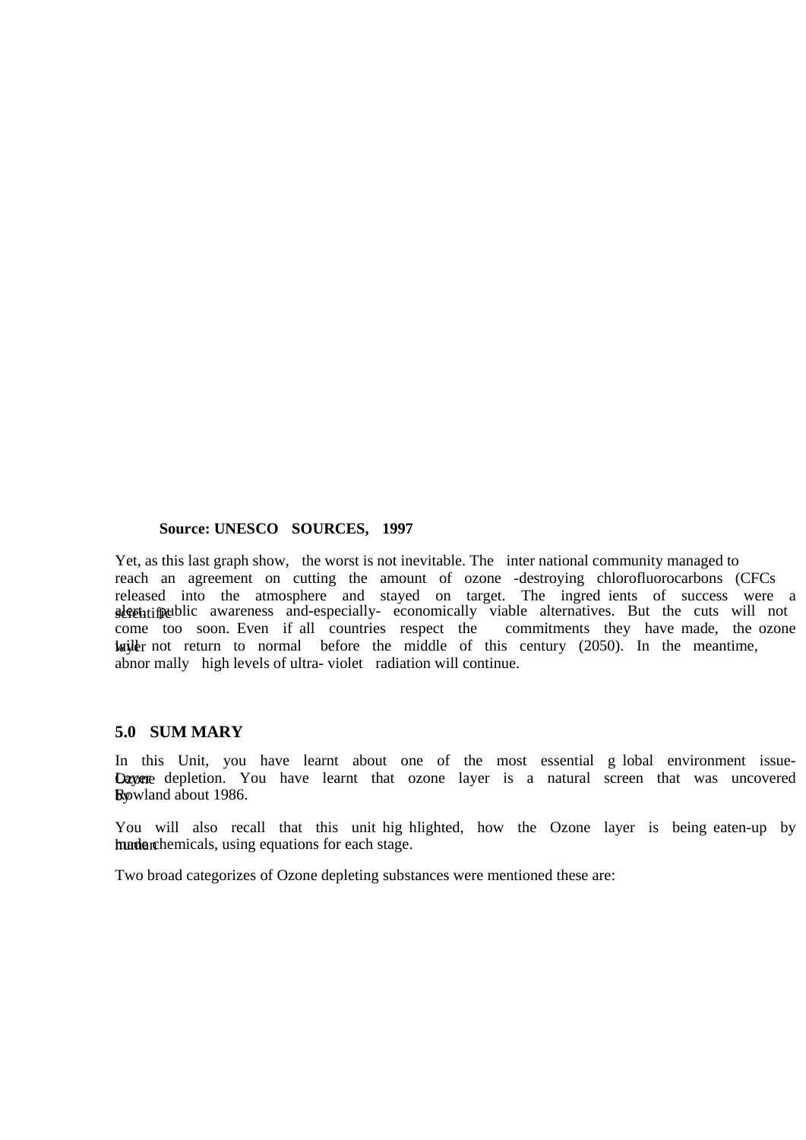#### **Source: UNESCO SOURCES, 1997**

Yet, as this last graph show, the worst is not inevitable. The inter national community managed to reach an agreement on cutting the amount of ozone -destroying chlorofluorocarbons (CFCs released into the atmosphere and stayed on target. The ingred ients of success were a skittificablic awareness and-especially-economically viable alternatives. But the cuts will not come too soon. Even if all countries respect the commitments they have made, the ozone  $\frac{1}{2}$  come too soon. Even if all countries respect the lays interest with the normal before the middle of this century (2050). In the meantime, abnor mally high levels of ultra- violet radiation will continue.

### **5.0 SUM MARY**

In this Unit, you have learnt about one of the most essential g lobal environment issue-Dayere depletion. You have learnt that ozone layer is a natural screen that was uncovered by Rowland about 1986.

You will also recall that this unit hig hlighted, how the Ozone layer is being eaten-up by human made a mate. The mate chemicals, using equations for each stage.

Two broad categorizes of Ozone depleting substances were mentioned these are: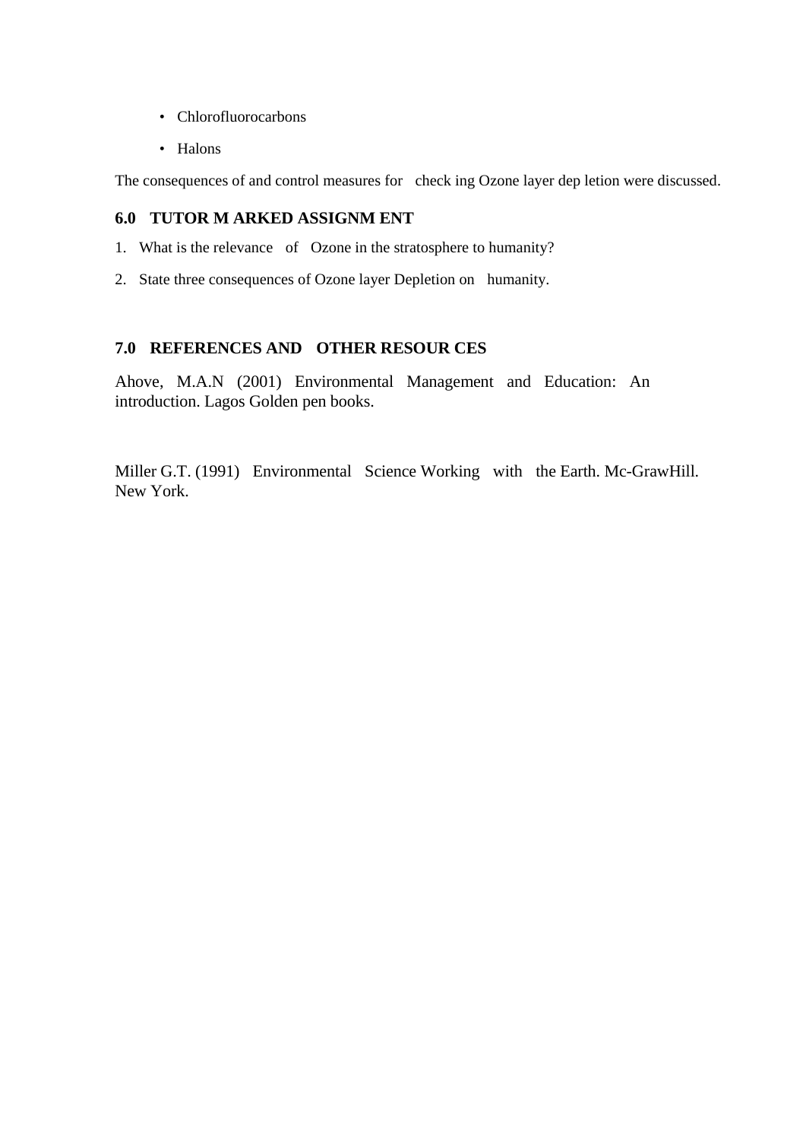- Chlorofluorocarbons
- Halons

The consequences of and control measures for check ing Ozone layer dep letion were discussed.

# **6.0 TUTOR M ARKED ASSIGNM ENT**

- 1. What is the relevance of Ozone in the stratosphere to humanity?
- 2. State three consequences of Ozone layer Depletion on humanity.

# **7.0 REFERENCES AND OTHER RESOUR CES**

Ahove, M.A.N (2001) Environmental Management and Education: An introduction. Lagos Golden pen books.

Miller G.T. (1991) Environmental Science Working with the Earth. Mc-GrawHill. New York.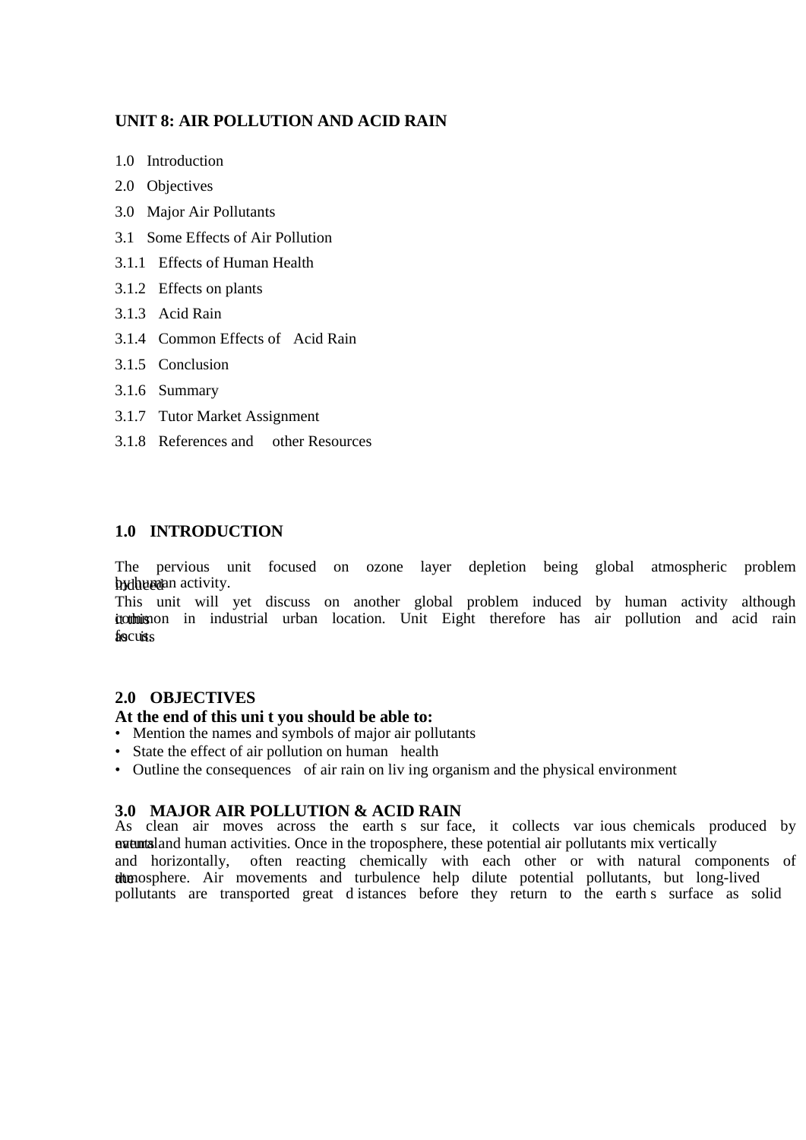### **UNIT 8: AIR POLLUTION AND ACID RAIN**

- 1.0 Introduction
- 2.0 Objectives
- 3.0 Major Air Pollutants
- 3.1 Some Effects of Air Pollution
- 3.1.1 Effects of Human Health
- 3.1.2 Effects on plants
- 3.1.3 Acid Rain
- 3.1.4 Common Effects of Acid Rain
- 3.1.5 Conclusion
- 3.1.6 Summary
- 3.1.7 Tutor Market Assignment
- 3.1.8 References and other Resources

### **1.0 INTRODUCTION**

The pervious unit focused on ozone layer depletion being global atmospheric problem by the body activity.

This unit will yet discuss on another global problem induced by human activity although it to this common in industrial urban location. Unit Eight therefore has air pollution and acid rain focusts

### **2.0 OBJECTIVES**

### **At the end of this uni t you should be able to:**

- Mention the names and symbols of major air pollutants
- State the effect of air pollution on human health
- Outline the consequences of air rain on liv ing organism and the physical environment

### **3.0 MAJOR AIR POLLUTION & ACID RAIN**

As clean air moves across the earth s sur face, it collects var ious chemicals produced by **natural** events and human activities. Once in the troposphere, these potential air pollutants mix vertically and horizontally, often reacting chemically with each other or with natural components of the atmosphere. Air movements and turbulence help dilute potential pollutants, but long-lived pollutants are transported great d istances before they return to the earth s surface as solid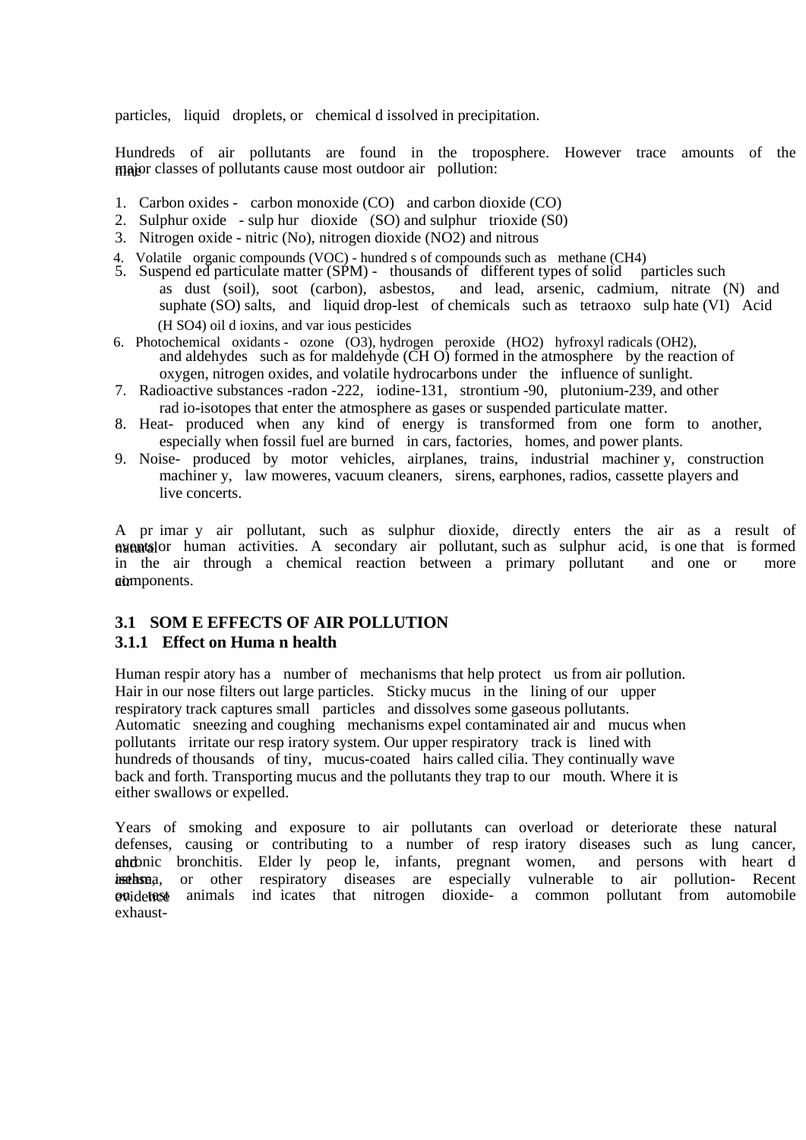particles, liquid droplets, or chemical d issolved in precipitation.

Hundreds of air pollutants are found in the troposphere. However trace amounts of the major classes of pollutants cause most outdoor air pollution:

- 1. Carbon oxides carbon monoxide (CO) and carbon dioxide (CO)
- 2. Sulphur oxide sulp hur dioxide (SO) and sulphur trioxide (S0)
- 3. Nitrogen oxide nitric (No), nitrogen dioxide (NO2) and nitrous
- 4. Volatile organic compounds (VOC) hundred s of compounds such as methane (CH4)
- 5. Suspend ed particulate matter (SPM) thousands of different types of solid particles such as dust (soil), soot (carbon), asbestos, and lead, arsenic, cadmium, nitrate (N) and suphate (SO) salts, and liquid drop-lest of chemicals such as tetraoxo sulp hate (VI) Acid (H SO4) oil d ioxins, and var ious pesticides
- 6. Photochemical oxidants ozone (O3), hydrogen peroxide (HO2) hyfroxyl radicals (OH2), and aldehydes such as for maldehyde  $(\tilde{CH} O)$  formed in the atmosphere by the reaction of oxygen, nitrogen oxides, and volatile hydrocarbons under the influence of sunlight.
- 7. Radioactive substances -radon -222, iodine-131, strontium -90, plutonium-239, and other rad io-isotopes that enter the atmosphere as gases or suspended particulate matter.
- 8. Heat- produced when any kind of energy is transformed from one form to another, especially when fossil fuel are burned in cars, factories, homes, and power plants.
- 9. Noise- produced by motor vehicles, airplanes, trains, industrial machiner y, construction machiner y, law moweres, vacuum cleaners, sirens, earphones, radios, cassette players and live concerts.

A pr imar y air pollutant, such as sulphur dioxide, directly enters the air as a result of  $\alpha$  avents or human activities. A secondary air pollutant, such as sulphur acid, is one that is formed in the air through a chemical reaction between a primary pollutant and one or more in the air through a chemical reaction between a primary pollutant and one or gomponents.

# **3.1 SOM E EFFECTS OF AIR POLLUTION**

### **3.1.1 Effect on Huma n health**

Human respir atory has a number of mechanisms that help protect us from air pollution. Hair in our nose filters out large particles. Sticky mucus in the lining of our upper respiratory track captures small particles and dissolves some gaseous pollutants. Automatic sneezing and coughing mechanisms expel contaminated air and mucus when pollutants irritate our resp iratory system. Our upper respiratory track is lined with hundreds of thousands of tiny, mucus-coated hairs called cilia. They continually wave back and forth. Transporting mucus and the pollutants they trap to our mouth. Where it is either swallows or expelled.

Years of smoking and exposure to air pollutants can overload or deteriorate these natural defenses, causing or contributing to a number of resp iratory diseases such as lung cancer, ahrbnic bronchitis. Elder ly peop le, infants, pregnant women, and persons with heart d issthsma, or other respiratory diseases are especially vulnerable to air pollution- Recent evidence animals ind icates that nitrogen dioxide- a common pollutant from automobile exhaust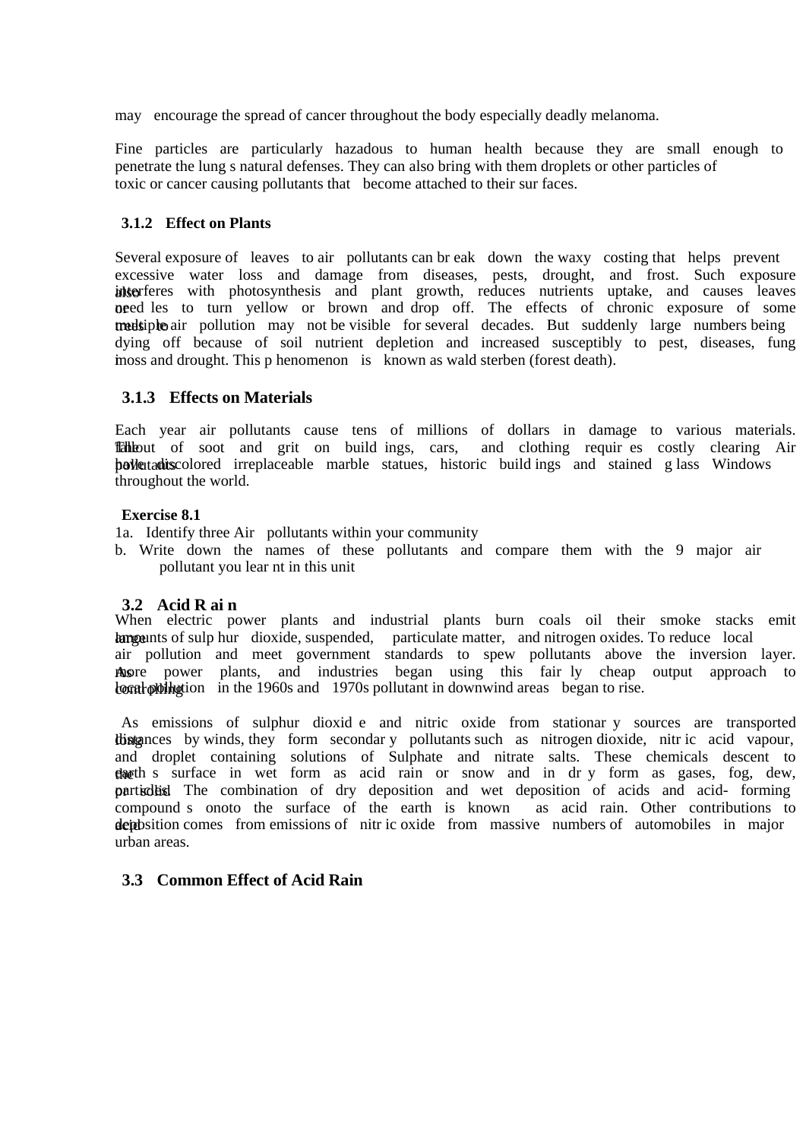may encourage the spread of cancer throughout the body especially deadly melanoma.

Fine particles are particularly hazadous to human health because they are small enough to penetrate the lung s natural defenses. They can also bring with them droplets or other particles of toxic or cancer causing pollutants that become attached to their sur faces.

### **3.1.2 Effect on Plants**

Several exposure of leaves to air pollutants can br eak down the waxy costing that helps prevent excessive water loss and damage from diseases, pests, drought, and frost. Such exposure interferes with photosynthesis and plant growth, reduces nutrients uptake, and causes leaves **orded** les to turn yellow or brown and drop off. The effects of chronic exposure of some treedsiple air pollution may not be visible for several decades. But suddenly large numbers being dying off because of soil nutrient depletion and increased susceptibly to pest, diseases, fung inoss and drought. This p henomenon is known as wald sterben (forest death).

### **3.1.3 Effects on Materials**

Each year air pollutants cause tens of millions of dollars in damage to various materials. The fallout of soot and grit on build ings, cars, and clothing requires costly clearing Air **bollutants** colored irreplaceable marble statues, historic build ings and stained g lass Windows throughout the world.

### **Exercise 8.1**

1a. Identify three Air pollutants within your community

b. Write down the names of these pollutants and compare them with the 9 major air pollutant you lear nt in this unit

### **3.2 Acid R ai n**

When electric power plants and industrial plants burn coals oil their smoke stacks emit harge unts of sulp hur dioxide, suspended, particulate matter, and nitrogen oxides. To reduce local air pollution and meet government standards to spew pollutants above the inversion layer. As nower plants, and industries began using this fair ly cheap output approach to **controlling local pollution** in the 1960s and 1970s pollutant in downwind areas began to rise.

As emissions of sulphur dioxid e and nitric oxide from stationar y sources are transported listances by winds, they form secondar y pollutants such as nitrogen dioxide, nitr ic acid vapour, and droplet containing solutions of Sulphate and nitrate salts. These chemicals descent to the extends surface in wet form as acid rain or snow and in dr y form as gases, fog, dew, particles. The combination of dry deposition and wet deposition of acids and acid- forming compound s onoto the surface of the earth is known as acid rain. Other contributions to deposition comes from emissions of nitr ic oxide from massive numbers of automobiles in major urban areas.

### **3.3 Common Effect of Acid Rain**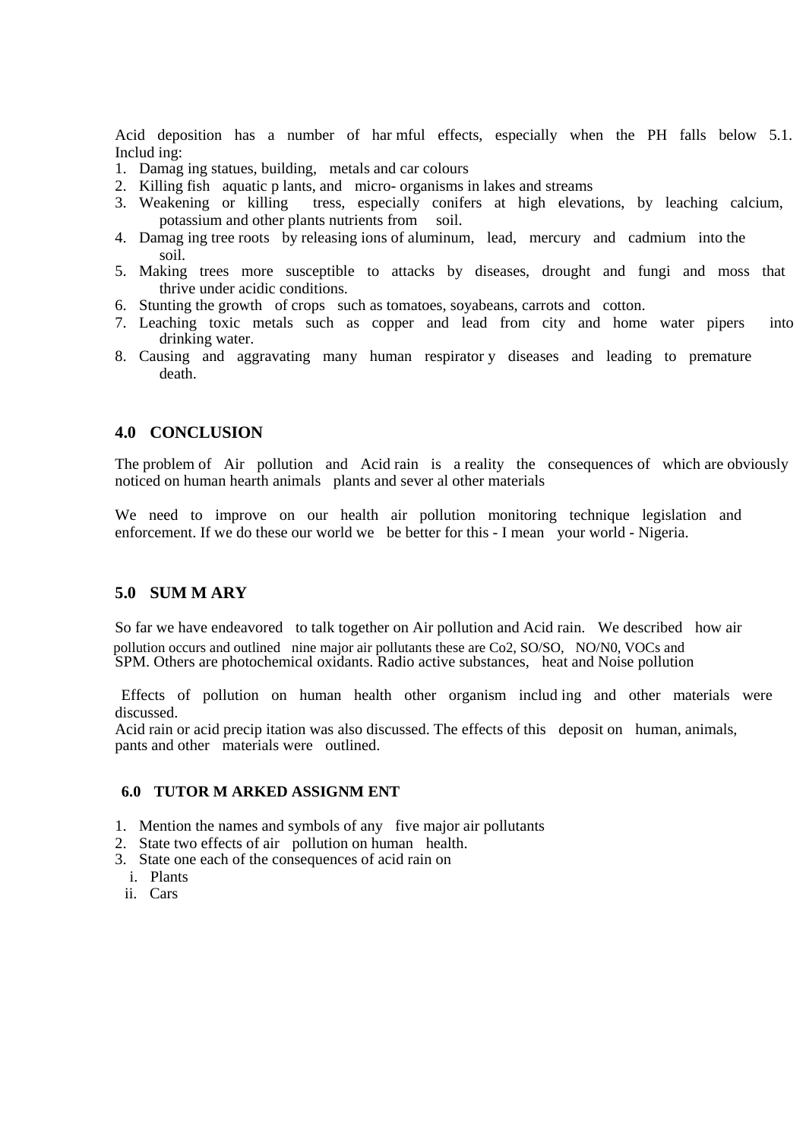Acid deposition has a number of har mful effects, especially when the PH falls below 5.1. Includ ing:

- 1. Damag ing statues, building, metals and car colours
- 2. Killing fish aquatic p lants, and micro- organisms in lakes and streams
- 3. Weakening or killing tress, especially conifers at high elevations, by leaching calcium, potassium and other plants nutrients from soil.
- 4. Damag ing tree roots by releasing ions of aluminum, lead, mercury and cadmium into the soil.
- 5. Making trees more susceptible to attacks by diseases, drought and fungi and moss that thrive under acidic conditions.
- 6. Stunting the growth of crops such as tomatoes, soyabeans, carrots and cotton.
- 7. Leaching toxic metals such as copper and lead from city and home water pipers into drinking water.
- 8. Causing and aggravating many human respirator y diseases and leading to premature death.

### **4.0 CONCLUSION**

The problem of Air pollution and Acid rain is a reality the consequences of which are obviously noticed on human hearth animals plants and sever al other materials

We need to improve on our health air pollution monitoring technique legislation and enforcement. If we do these our world we be better for this - I mean your world - Nigeria.

### **5.0 SUM M ARY**

So far we have endeavored to talk together on Air pollution and Acid rain. We described how air pollution occurs and outlined nine major air pollutants these are Co2, SO/SO, NO/N0, VOCs and SPM. Others are photochemical oxidants. Radio active substances, heat and Noise pollution

 Effects of pollution on human health other organism includ ing and other materials were discussed.

Acid rain or acid precip itation was also discussed. The effects of this deposit on human, animals, pants and other materials were outlined.

### **6.0 TUTOR M ARKED ASSIGNM ENT**

- 1. Mention the names and symbols of any five major air pollutants
- 2. State two effects of air pollution on human health.
- 3. State one each of the consequences of acid rain on
	- i. Plants
- ii. Cars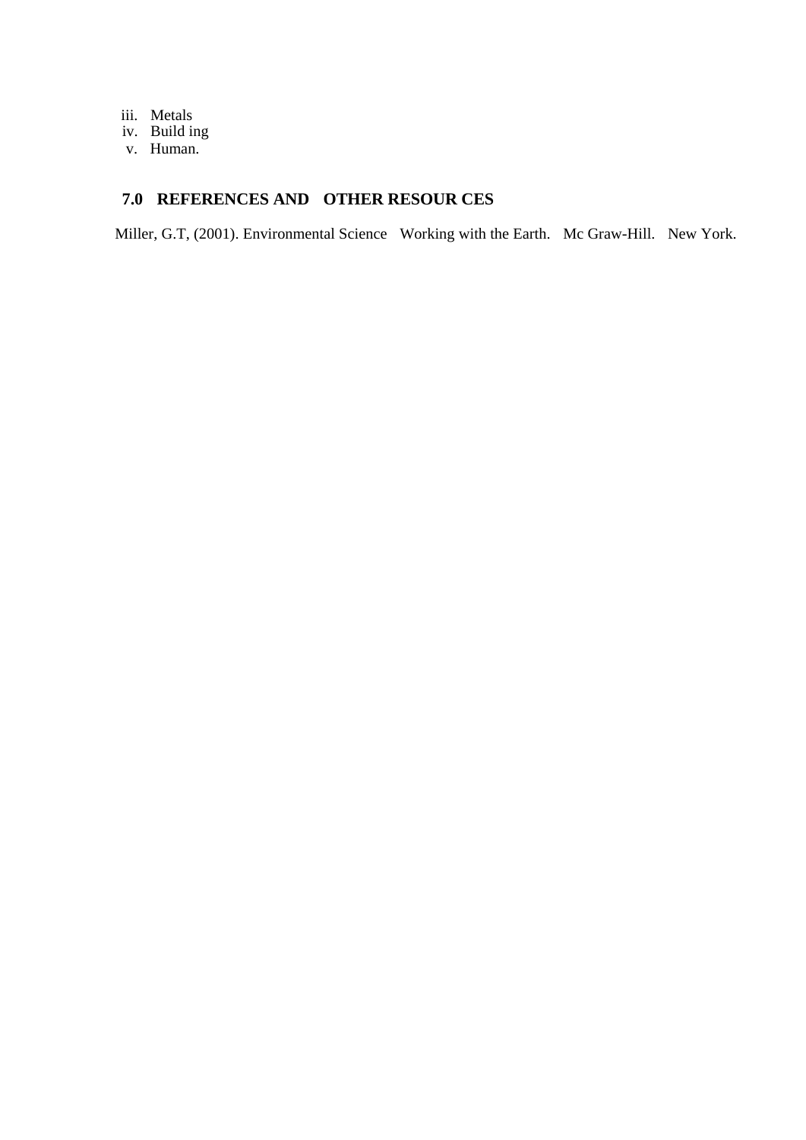- iii. Metals
- iv. Build ing
- v. Human.

# **7.0 REFERENCES AND OTHER RESOUR CES**

Miller, G.T, (2001). Environmental Science Working with the Earth. Mc Graw-Hill. New York.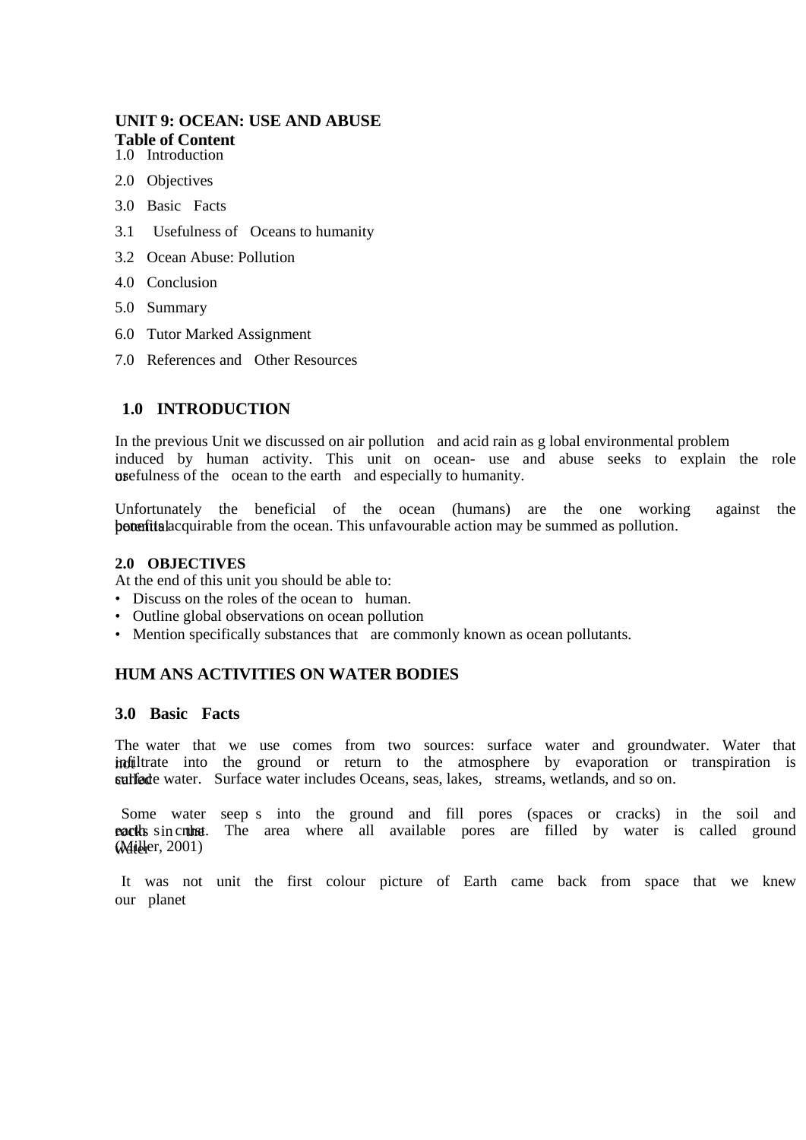### **UNIT 9: OCEAN: USE AND ABUSE Table of Content**  1.0 Introduction

2.0 Objectives

- 3.0 Basic Facts
- 3.1 Usefulness of Oceans to humanity
- 3.2 Ocean Abuse: Pollution
- 4.0 Conclusion
- 5.0 Summary
- 6.0 Tutor Marked Assignment
- 7.0 References and Other Resources

### **1.0 INTRODUCTION**

In the previous Unit we discussed on air pollution and acid rain as g lobal environmental problem induced by human activity. This unit on ocean- use and abuse seeks to explain the role **or** usefulness of the ocean to the earth and especially to humanity.

Unfortunately the beneficial of the ocean (humans) are the one working against the botential acquirable from the ocean. This unfavourable action may be summed as pollution.

### **2.0 OBJECTIVES**

At the end of this unit you should be able to:

- Discuss on the roles of the ocean to human.
- Outline global observations on ocean pollution
- Mention specifically substances that are commonly known as ocean pollutants.

### **HUM ANS ACTIVITIES ON WATER BODIES**

### **3.0 Basic Facts**

The water that we use comes from two sources: surface water and groundwater. Water that indit into the ground or return to the atmosphere by evaporation or transpiration is surface water. Surface water includes Oceans, seas, lakes, streams, wetlands, and so on.

Some water seep s into the ground and fill pores (spaces or cracks) in the soil and **eact** is called ground speaking area where all available pores are filled by water is called ground **Willer**, 2001)

 It was not unit the first colour picture of Earth came back from space that we knew our planet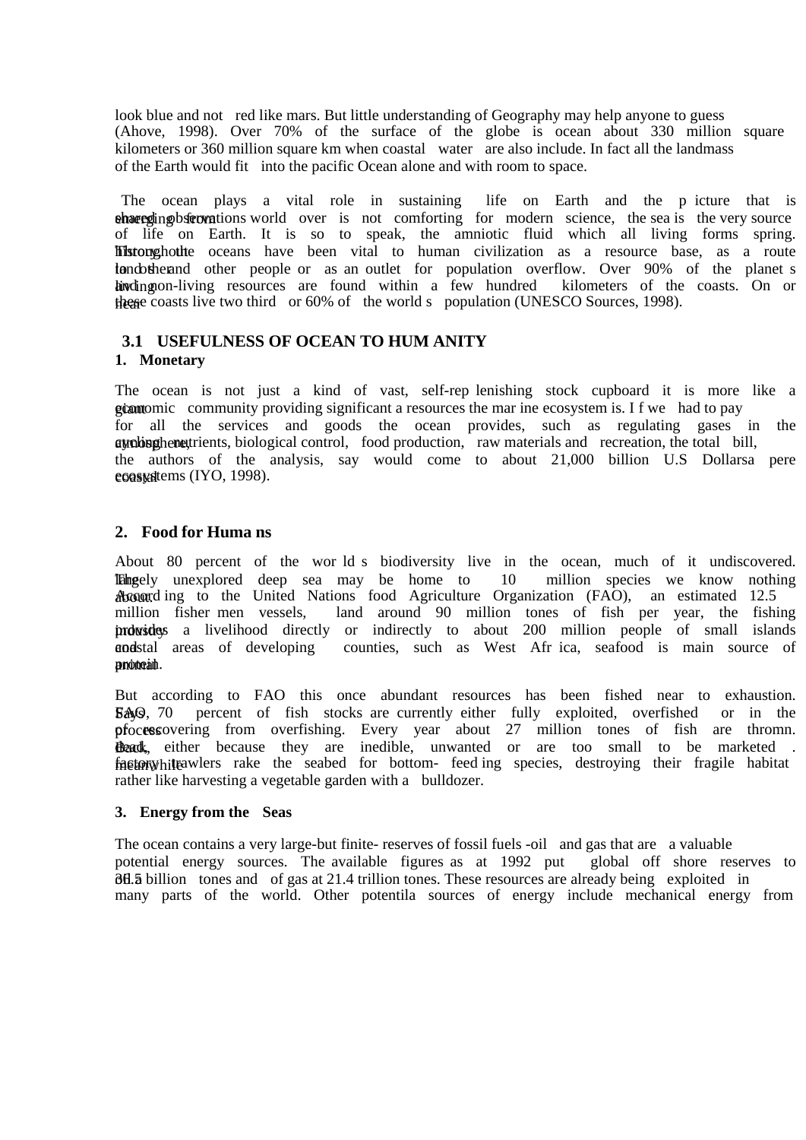look blue and not red like mars. But little understanding of Geography may help anyone to guess (Ahove, 1998). Over 70% of the surface of the globe is ocean about 330 million square kilometers or 360 million square km when coastal water are also include. In fact all the landmass of the Earth would fit into the pacific Ocean alone and with room to space.

The ocean plays a vital role in sustaining life on Earth and the p icture that is shared in post-commutations world over is not comforting for modern science, the sea is the very source of life on Earth. It is so to speak, the amniotic fluid which all living forms spring. Tistoughout te oceans have been vital to human civilization as a resource base, as a route to the record other people or as an outlet for population overflow. Over 90% of the planet s hing ing and non-living resources are found within a few hundred kilometers of the coasts. On or these coasts live two third or 60% of the world s population (UNESCO Sources, 1998).

### **3.1 USEFULNESS OF OCEAN TO HUM ANITY 1. Monetary**

The ocean is not just a kind of vast, self-rep lenishing stock cupboard it is more like a giant equal community providing significant a resources the mar ine ecosystem is. I f we had to pay for all the services and goods the ocean provides, such as regulating gases in the atmosphere, cycling nutrients, biological control, food production, raw materials and recreation, the total bill, the authors of the analysis, say would come to about 21,000 billion U.S Dollarsa pere coastatems (IYO, 1998).

### **2. Food for Huma ns**

About 80 percent of the wor ld s biodiversity live in the ocean, much of it undiscovered. The largely unexplored deep sea may be home to 10 million species we know nothing Account ing to the United Nations food Agriculture Organization (FAO), an estimated 12.5 million fisher men vessels, land around 90 million tones of fish per year, the fishi land around 90 million tones of fish per year, the fishing **induste** is a livelihood directly or indirectly to about 200 million people of small islands applied areas of developing counties, such as West Afr ica, seafood is main source of counties, such as West Afr ica, seafood is main source of proteat.

But according to FAO this once abundant resources has been fished near to exhaustion. Says FAO, 70 percent of fish stocks are currently either fully exploited, overfished or in the processovering from overfishing. Every year about 27 million tones of fish are thromn. Beack, either because they are inedible, unwanted or are too small to be marketed . factory this trawlers rake the seabed for bottom- feed ing species, destroying their fragile habitat rather like harvesting a vegetable garden with a bulldozer.

### **3. Energy from the Seas**

The ocean contains a very large-but finite- reserves of fossil fuels -oil and gas that are a valuable potential energy sources. The available figures as at 1992 put global off shore reserves to  $\delta$ d. 5 billion tones and of gas at 21.4 trillion tones. These resources are already being exploited in many parts of the world. Other potentila sources of energy include mechanical energy from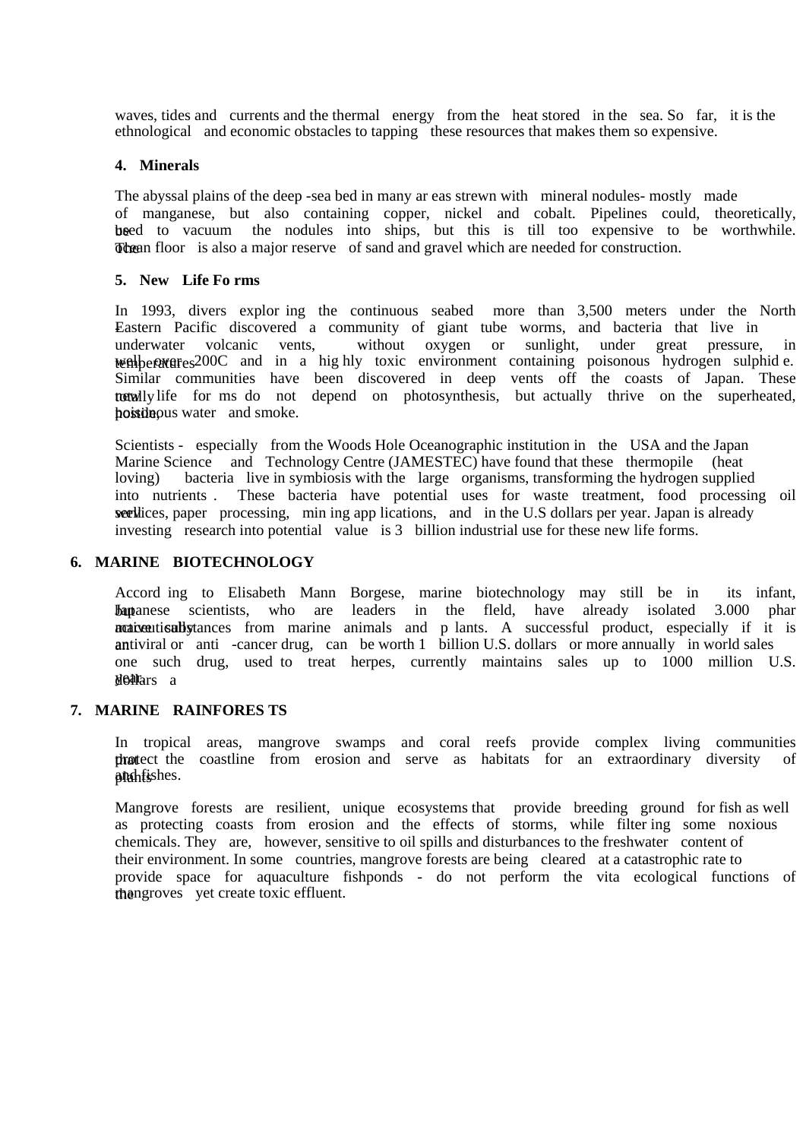waves, tides and currents and the thermal energy from the heat stored in the sea. So far, it is the ethnological and economic obstacles to tapping these resources that makes them so expensive.

#### **4. Minerals**

The abyssal plains of the deep -sea bed in many ar eas strewn with mineral nodules- mostly made of manganese, but also containing copper, nickel and cobalt. Pipelines could, theoretically, beed to vacuum the nodules into ships, but this is till too expensive to be worthwhile. The of sand and gravel which are needed for construction.

#### **5. New Life Fo rms**

In 1993, divers explor ing the continuous seabed more than 3,500 meters under the North Eastern Pacific discovered a community of giant tube worms, and bacteria that live in underwater volcanic vents, without oxygen or sunlight, under great pressure. underwater volcanic vents, without oxygen or sunlight, under great pressure, in well between examples 200C and in a highly toxic environment containing poisonous hydrogen sulphid e. Similar communities have been discovered in deep vents off the coasts of Japan. These totally life for ms do not depend on photosynthesis, but actually thrive on the superheated, hostile pus water and smoke.

Scientists - especially from the Woods Hole Oceanographic institution in the USA and the Japan Marine Science and Technology Centre (JAMESTEC) have found that these thermopile (heat loving) bacteria live in symbiosis with the large organisms, transforming the hydrogen supplied into nutrients . These bacteria have potential uses for waste treatment, food processing oil wet vear, paper processing, min ing app lications, and in the U.S dollars per year. Japan is already investing research into potential value is 3 billion industrial use for these new life forms.

#### **6. MARINE BIOTECHNOLOGY**

Accord ing to Elisabeth Mann Borgese, marine biotechnology may still be in its infant, **but anstead selection** Scientists, who are leaders in the fleld, have already isolated 3.000 phar notiventically tances from marine animals and p lants. A successful product, especially if it is antiviral or anti -cancer drug, can be worth 1 billion U.S. dollars or more annually in world sales one such drug, used to treat herpes, currently maintains sales up to 1000 million U.S. do Mars a

### **7. MARINE RAINFORES TS**

In tropical areas, mangrove swamps and coral reefs provide complex living communities that economies from erosion and serve as habitats for an extraordinary diversity of plantishes.

Mangrove forests are resilient, unique ecosystems that provide breeding ground for fish as well as protecting coasts from erosion and the effects of storms, while filter ing some noxious chemicals. They are, however, sensitive to oil spills and disturbances to the freshwater content of their environment. In some countries, mangrove forests are being cleared at a catastrophic rate to provide space for aquaculture fishponds - do not perform the vita ecological functions of the mangroves yet create toxic effluent.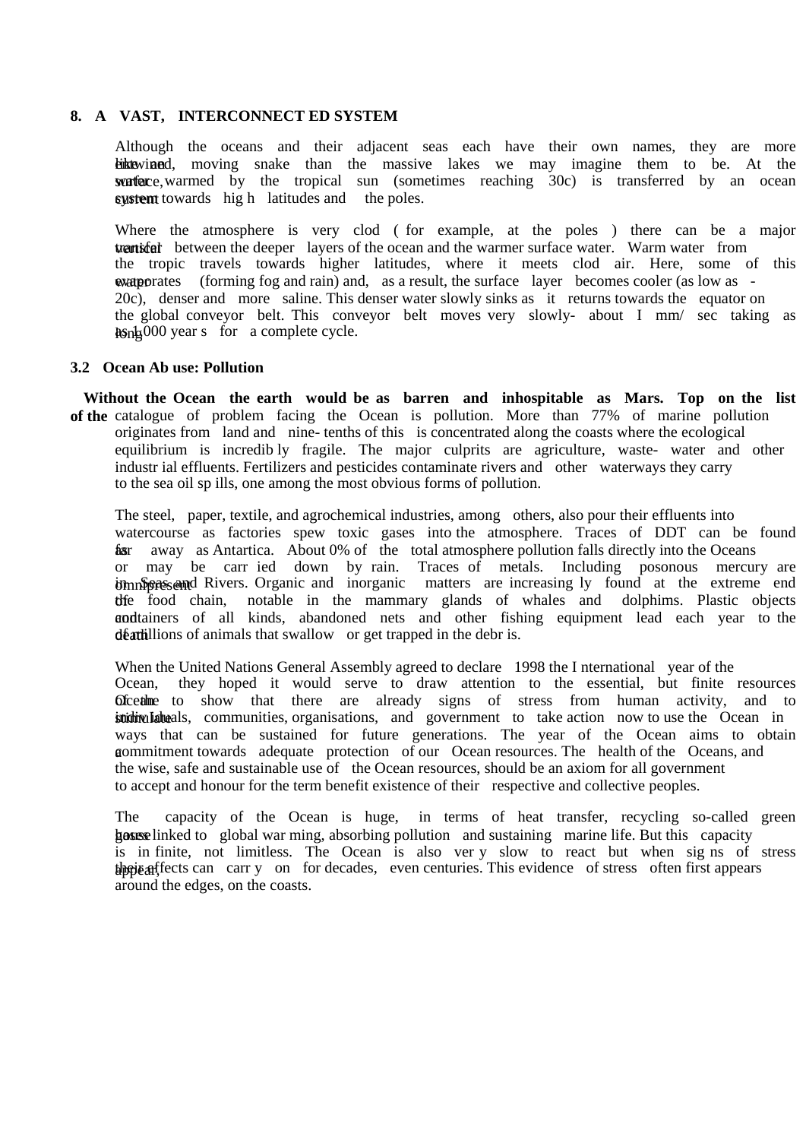### **8. A VAST, INTERCONNECT ED SYSTEM**

Although the oceans and their adjacent seas each have their own names, they are more **Like** and the snake than the massive lakes we may imagine them to be. At the surface, warmed by the tropical sun (sometimes reaching 30c) is transferred by an ocean system towards high latitudes and the poles.

Where the atmosphere is very clod ( for example, at the poles ) there can be a major **transfer between the deeper** layers of the ocean and the warmer surface water. Warm water from the tropic travels towards higher latitudes, where it meets clod air. Here, some of this waterporates (forming fog and rain) and, as a result, the surface layer becomes cooler (as low as -20c), denser and more saline. This denser water slowly sinks as it returns towards the equator on the global conveyor belt. This conveyor belt moves very slowly- about I mm/ sec taking as  $\log_{10} 000$  year s for a complete cycle.

### **3.2 Ocean Ab use: Pollution**

 **Without the Ocean the earth would be as barren and inhospitable as Mars. Top on the list of the** catalogue of problem facing the Ocean is pollution. More than 77% of marine pollution originates from land and nine- tenths of this is concentrated along the coasts where the ecological equilibrium is incredib ly fragile. The major culprits are agriculture, waste- water and other industr ial effluents. Fertilizers and pesticides contaminate rivers and other waterways they carry to the sea oil sp ills, one among the most obvious forms of pollution.

The steel, paper, textile, and agrochemical industries, among others, also pour their effluents into watercourse as factories spew toxic gases into the atmosphere. Traces of DDT can be found far away as Antartica. About 0% of the total atmosphere pollution falls directly into the Oceans or may be carr ied down by rain. Traces of metals. Including posonous mercury are immisent in Season in Search in Sea and inorganic matters are increasing ly found at the extreme end the food chain, notable in the mammary glands of whales and dolphims. Plastic objects and tainers of all kinds, abandoned nets and other fishing equipment lead each year to the death dividend in the debr is.

When the United Nations General Assembly agreed to declare 1998 the I nternational year of the Ocean, they hoped it would serve to draw attention to the essential, but finite resources **Ofcetime** to show that there are already signs of stress from human activity, and to stricting laterals, communities, organisations, and government to take action now to use the Ocean in ways that can be sustained for future generations. The year of the Ocean aims to obtain a commitment towards adequate protection of our Ocean resources. The health of the Oceans, and the wise, safe and sustainable use of the Ocean resources, should be an axiom for all government to accept and honour for the term benefit existence of their respective and collective peoples.

The capacity of the Ocean is huge, in terms of heat transfer, recycling so-called green hosts gases linked to global war ming, absorbing pollution and sustaining marine life. But this capacity is in finite, not limitless. The Ocean is also ver y slow to react but when sig ns of stress the is affects can carr y on for decades, even centuries. This evidence of stress often first appears around the edges, on the coasts.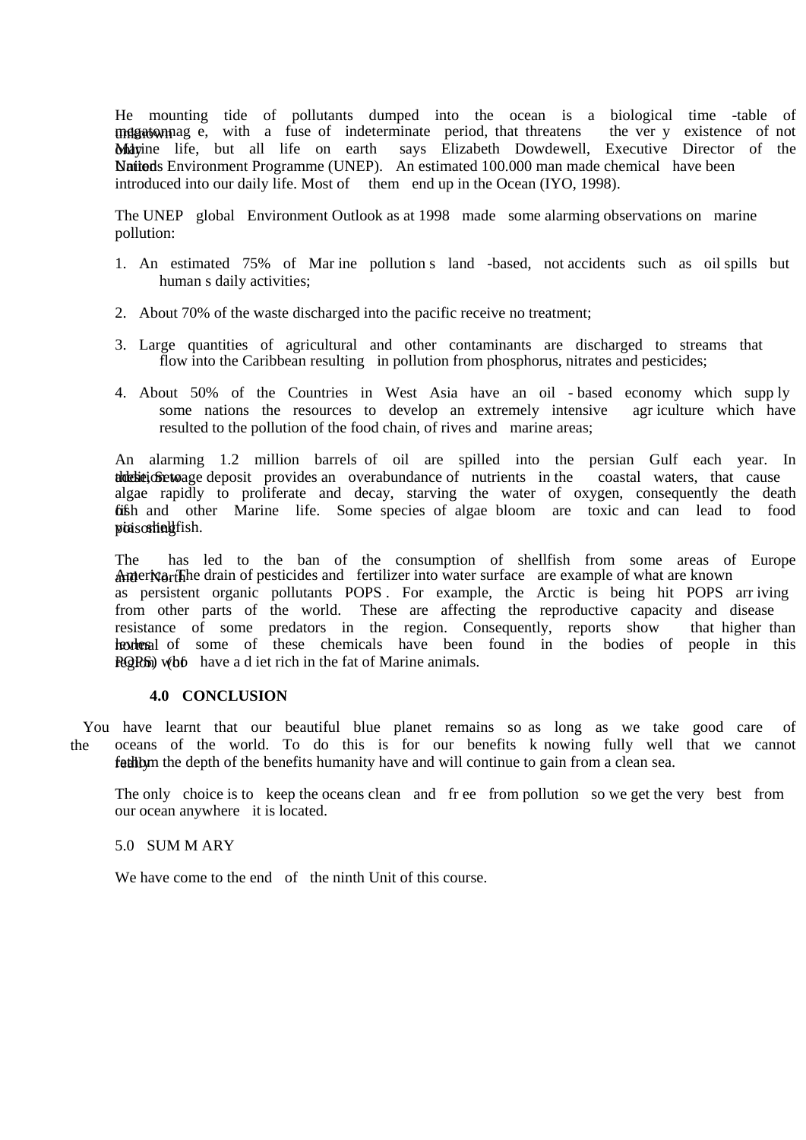He mounting tide of pollutants dumped into the ocean is a biological time -table of magnition magnition megation megation in the verture of not indeterminate period, that threatens the verture v existence of not **Mayine** life, but all life on earth says Elizabeth Dowdewell, Executive Director of the Nations Environment Programme (UNEP). An estimated 100.000 man made chemical have been introduced into our daily life. Most of them end up in the Ocean (IYO, 1998).

The UNEP global Environment Outlook as at 1998 made some alarming observations on marine pollution:

- 1. An estimated 75% of Mar ine pollution s land -based, not accidents such as oil spills but human s daily activities;
- 2. About 70% of the waste discharged into the pacific receive no treatment;
- 3. Large quantities of agricultural and other contaminants are discharged to streams that flow into the Caribbean resulting in pollution from phosphorus, nitrates and pesticides;
- 4. About 50% of the Countries in West Asia have an oil based economy which supp ly some nations the resources to develop an extremely intensive agr iculture which have resulted to the pollution of the food chain, of rives and marine areas;

An alarming 1.2 million barrels of oil are spilled into the persian Gulf each year. In the time to the to the second to the set of the season of the season of the coastal waters, that cause algae rapidly to proliferate and decay, starving the water of oxygen, consequently the death **fish and other Marine life.** Some species of algae bloom are toxic and can lead to food poisoning fish.

The has led to the ban of the consumption of shellfish from some areas of Europe **Ameriver The drain of pesticides and fertilizer into water surface** are example of what are known as persistent organic pollutants POPS . For example, the Arctic is being hit POPS arr iving from other parts of the world. These are affecting the reproductive capacity and disease resistance of some predators in the region. Consequently, reports show that higher than hexternal of some of these chemicals have been found in the bodies of people in this **ROPS**) who have a d iet rich in the fat of Marine animals.

#### **4.0 CONCLUSION**

 You have learnt that our beautiful blue planet remains so as long as we take good care of the oceans of the world. To do this is for our benefits k nowing fully well that we cannot fathom the depth of the benefits humanity have and will continue to gain from a clean sea.

The only choice is to keep the oceans clean and fr ee from pollution so we get the very best from our ocean anywhere it is located.

#### 5.0 SUM M ARY

We have come to the end of the ninth Unit of this course.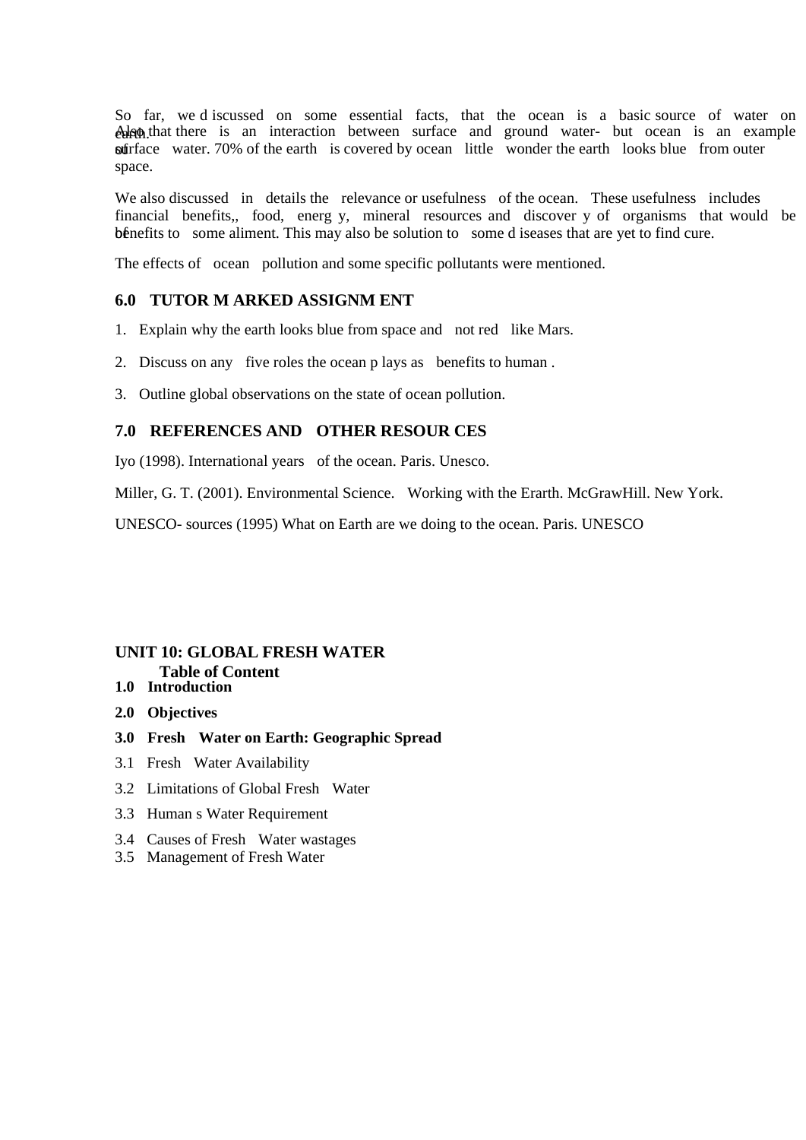So far, we d iscussed on some essential facts, that the ocean is a basic source of water on calgon that there is an interaction between surface and ground water- but ocean is an example suffrace water. 70% of the earth is covered by ocean little wonder the earth looks blue from outer space.

We also discussed in details the relevance or usefulness of the ocean. These usefulness includes financial benefits,, food, energ y, mineral resources and discover y of organisms that would be bénefits to some aliment. This may also be solution to some d iseases that are yet to find cure.

The effects of ocean pollution and some specific pollutants were mentioned.

### **6.0 TUTOR M ARKED ASSIGNM ENT**

- 1. Explain why the earth looks blue from space and not red like Mars.
- 2. Discuss on any five roles the ocean p lays as benefits to human .
- 3. Outline global observations on the state of ocean pollution.

### **7.0 REFERENCES AND OTHER RESOUR CES**

Iyo (1998). International years of the ocean. Paris. Unesco.

Miller, G. T. (2001). Environmental Science. Working with the Erarth. McGrawHill. New York.

UNESCO- sources (1995) What on Earth are we doing to the ocean. Paris. UNESCO

### **UNIT 10: GLOBAL FRESH WATER Table of Content**

- **1.0 Introduction**
- **2.0 Objectives**
- **3.0 Fresh Water on Earth: Geographic Spread**
- 3.1 Fresh Water Availability
- 3.2 Limitations of Global Fresh Water
- 3.3 Human s Water Requirement
- 3.4 Causes of Fresh Water wastages
- 3.5 Management of Fresh Water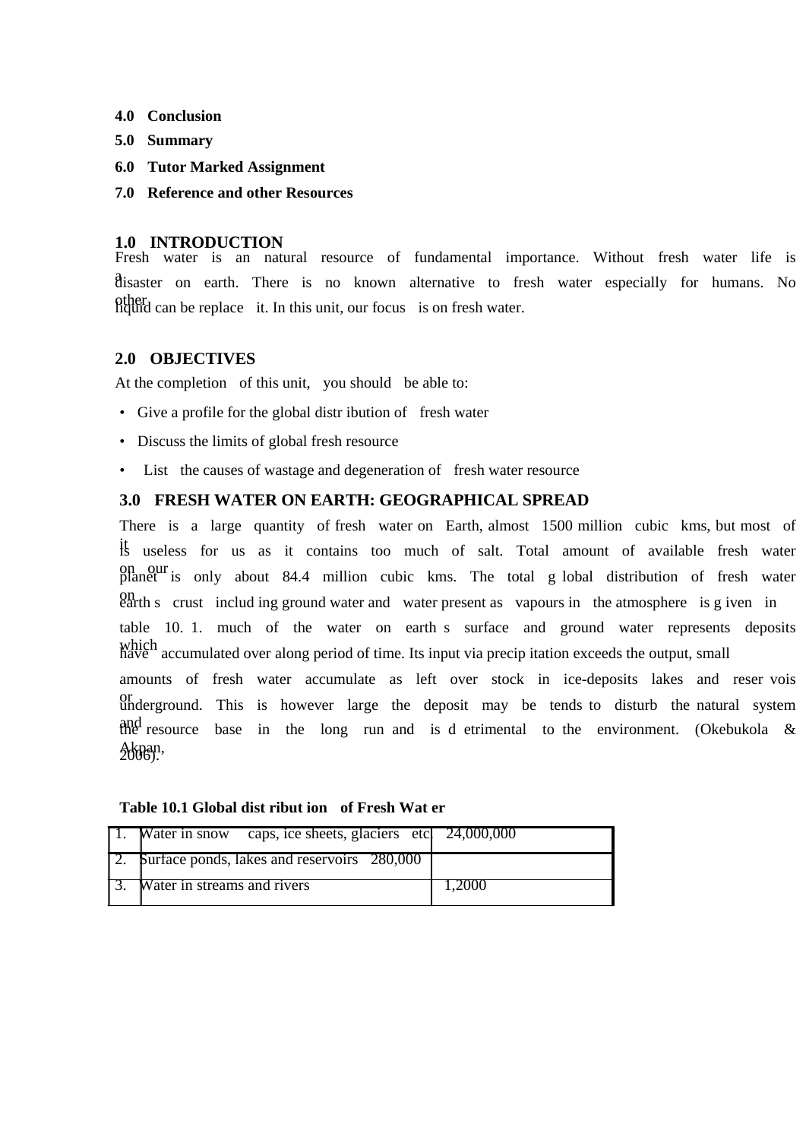- **4.0 Conclusion**
- **5.0 Summary**
- **6.0 Tutor Marked Assignment**
- **7.0 Reference and other Resources**

### **1.0 INTRODUCTION**

Fresh water is an natural resource of fundamental importance. Without fresh water life is a disaster on earth. There is no known alternative to fresh water especially for humans. No other<br>liquid can be replace it. In this unit, our focus is on fresh water.

### **2.0 OBJECTIVES**

At the completion of this unit, you should be able to:

- Give a profile for the global distribution of fresh water
- Discuss the limits of global fresh resource
- List the causes of wastage and degeneration of fresh water resource

### **3.0 FRESH WATER ON EARTH: GEOGRAPHICAL SPREAD**

There is a large quantity of fresh water on Earth, almost 1500 million cubic kms, but most of <sup>It</sup> useless for us as it contains too much of salt. Total amount of available fresh water on our planet is only about 84.4 million cubic kms. The total g lobal distribution of fresh water on earth s crust includ ing ground water and water present as vapours in the atmosphere is g iven in table 10. 1. much of the water on earth s surface and ground water represents deposits which accumulated over along period of time. Its input via precip itation exceeds the output, small amounts of fresh water accumulate as left over stock in ice-deposits lakes and reser vois or underground. This is however large the deposit may be tends to disturb the natural system and resource base in the long run and is d etrimental to the environment. (Okebukola & Akpan,<br>2006).

| caps, ice sheets, glaciers etc. 24,000,000<br>Water in snow |        |
|-------------------------------------------------------------|--------|
| <b>Surface ponds, lakes and reservoirs</b> 280,000          |        |
| <b>Water</b> in streams and rivers                          | 1.2000 |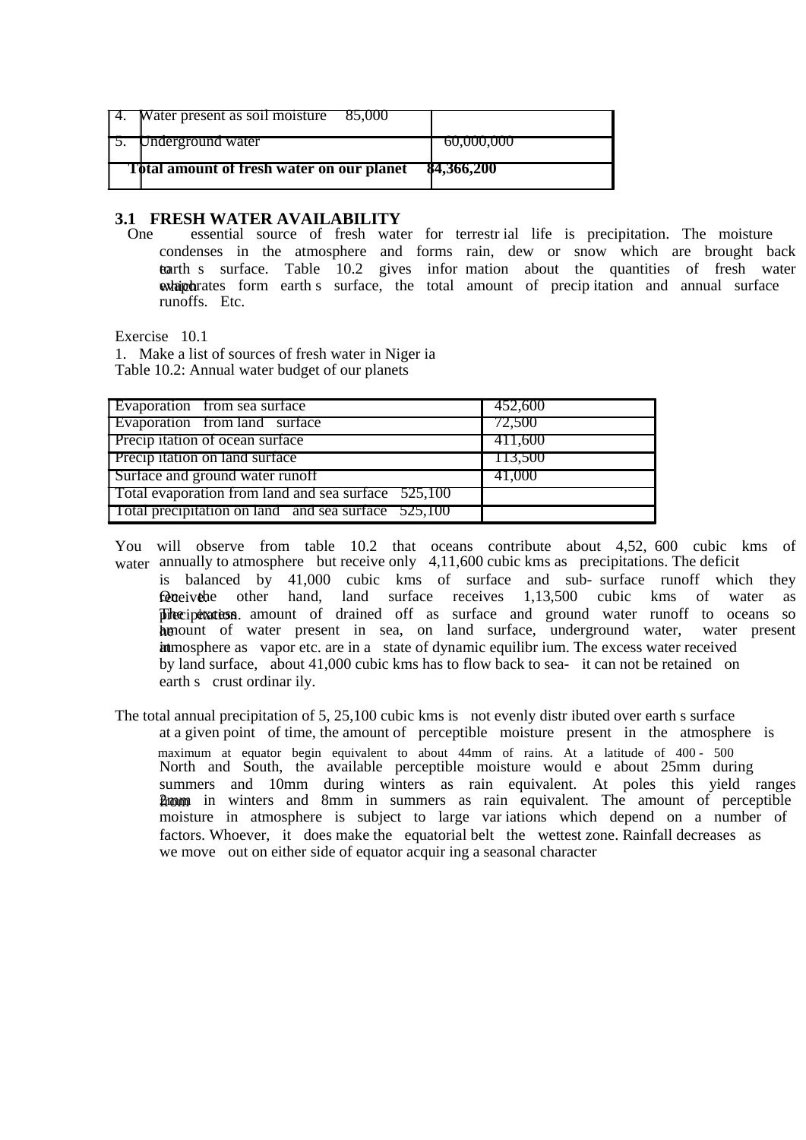| $\parallel$ 4. Water present as soil moisture 85,000 |            |
|------------------------------------------------------|------------|
| <b>1.5.</b> Underground water                        | 60,000,000 |
| <b>Total amount of fresh water on our planet</b>     | 84,366,200 |

# **3.1 FRESH WATER AVAILABILITY**<br>One essential source of fresh water

essential source of fresh water for terrestr ial life is precipitation. The moisture condenses in the atmosphere and forms rain, dew or snow which are brought back tearth s surface. Table 10.2 gives infor mation about the quantities of fresh water whip the form earth s surface, the total amount of precipitation and annual surface runoffs. Etc.

Exercise 10.1

1. Make a list of sources of fresh water in Niger ia Table 10.2: Annual water budget of our planets

| Evaporation from sea surface                        | 452,600 |
|-----------------------------------------------------|---------|
| Evaporation from land surface                       | 72,500  |
| Precip itation of ocean surface                     | 411,600 |
| Precip itation on land surface                      | TI3,500 |
| Surface and ground water runoff                     | 41,000  |
| Total evaporation from land and sea surface 525,100 |         |
| Total precipitation on land and sea surface 525,100 |         |
|                                                     |         |

- You will observe from table 10.2 that oceans contribute about 4,52, 600 cubic kms of water annually to atmosphere but receive only 4,11,600 cubic kms as precipitations. The deficit is balanced by 41,000 cubic kms of surface and sub- surface runoff which they **requelively** the other hand, land surface receives  $1,13,500$  cubic kms of water as precipitation. amount of drained off as surface and ground water runoff to oceans so he amount of water present in sea, on land surface, underground water, water present in atmosphere as vapor etc. are in a state of dynamic equilibr ium. The excess water received by land surface, about 41,000 cubic kms has to flow back to sea- it can not be retained on earth s crust ordinar ily.
- The total annual precipitation of 5, 25,100 cubic kms is not evenly distributed over earth s surface at a given point of time, the amount of perceptible moisture present in the atmosphere is maximum at equator begin equivalent to about 44mm of rains. At a latitude of 400 - 500 North and South, the available perceptible moisture would e about 25mm during summers and 10mm during winters as rain equivalent. At poles this yield ranges from 2mm in winters and 8mm in summers as rain equivalent. The amount of perceptible moisture in atmosphere is subject to large var iations which depend on a number of factors. Whoever, it does make the equatorial belt the wettest zone. Rainfall decreases as we move out on either side of equator acquir ing a seasonal character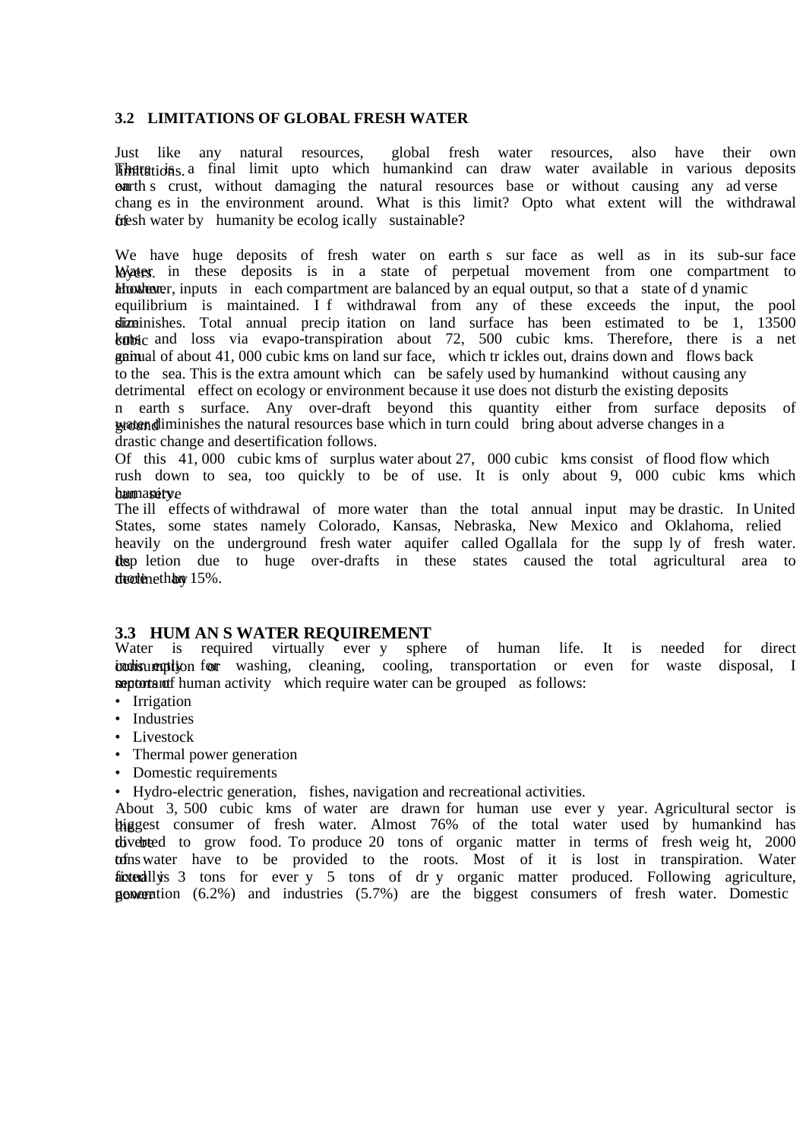### **3.2 LIMITATIONS OF GLOBAL FRESH WATER**

Just like any natural resources, global fresh water resources, also have their own **There** is a final limit upto which humankind can draw water available in various deposits **earth** s crust, without damaging the natural resources base or without causing any ad verse chang es in the environment around. What is this limit? Opto what extent will the withdrawal  $f$ **f** $\epsilon$ sh water by humanity be ecolog ically sustainable?

We have huge deposits of fresh water on earth s sur face as well as in its sub-sur face Water in these deposits is in a state of perpetual movement from one compartment to However, inputs in each compartment are balanced by an equal output, so that a state of d ynamic equilibrium is maintained. I f withdrawal from any of these exceeds the input, the pool  $s$ ize inishes. Total annual precipitation on land surface has been estimated to be 1, 13500 kubic and loss via evapo-transpiration about 72, 500 cubic kms. Therefore, there is a net gainual of about 41, 000 cubic kms on land sur face, which tr ickles out, drains down and flows back to the sea. This is the extra amount which can be safely used by humankind without causing any detrimental effect on ecology or environment because it use does not disturb the existing deposits n earth s surface. Any over-draft beyond this quantity either from surface deposits of water diminishes the natural resources base which in turn could bring about adverse changes in a drastic change and desertification follows.

Of this 41, 000 cubic kms of surplus water about 27, 000 cubic kms consist of flood flow which rush down to sea, too quickly to be of use. It is only about 9, 000 cubic kms which bam assitye

The ill effects of withdrawal of more water than the total annual input may be drastic. In United States, some states namely Colorado, Kansas, Nebraska, New Mexico and Oklahoma, relied heavily on the underground fresh water aquifer called Ogallala for the supp ly of fresh water. **Its** dep letion due to huge over-drafts in these states caused the total agricultural area to  $d$ rectione than  $15%$ .

### **3.3 HUM AN S WATER REQUIREMENT**

Water is required virtually ever y sphere of human life. It is needed for direct indisumption for washing, cleaning, cooling, transportation or even for waste disposal, I **septorant human activity** which require water can be grouped as follows:

- Irrigation
- Industries
- Livestock
- Thermal power generation
- Domestic requirements

• Hydro-electric generation, fishes, navigation and recreational activities.

About 3, 500 cubic kms of water are drawn for human use ever y year. Agricultural sector is thiggest consumer of fresh water. Almost 76% of the total water used by humankind has the diverted to grow food. To produce 20 tons of organic matter in terms of fresh weight, 2000 tofns water have to be provided to the roots. Most of it is lost in transpiration. Water fixed this actually is 3 tons for ever y 5 tons of dr y organic matter produced. Following agriculture, **goveration**  $(6.2\%)$  and industries  $(5.7\%)$  are the biggest consumers of fresh water. Domestic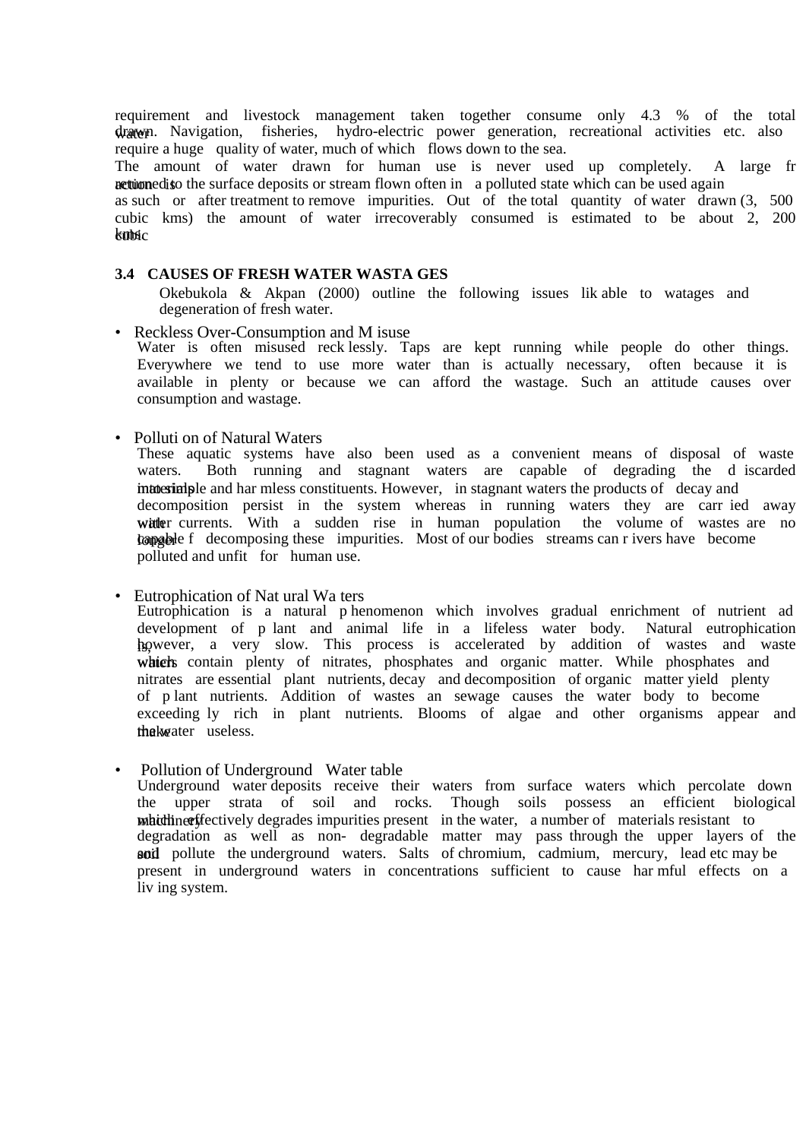requirement and livestock management taken together consume only 4.3 % of the total drawn. Navigation, fisheries, hydro-electric power generation, recreational activities etc. also require a huge quality of water, much of which flows down to the sea.

The amount of water drawn for human use is never used up completely. A large fr netwo is a the surface deposits or stream flown often in a polluted state which can be used again

as such or after treatment to remove impurities. Out of the total quantity of water drawn (3, 500 cubic kms) the amount of water irrecoverably consumed is estimated to be about 2, 200  $k$ ms $c$ 

#### **3.4 CAUSES OF FRESH WATER WASTA GES**

Okebukola & Akpan (2000) outline the following issues lik able to watages and degeneration of fresh water.

- Reckless Over-Consumption and M isuse Water is often misused reck lessly. Taps are kept running while people do other things. Everywhere we tend to use more water than is actually necessary, often because it is available in plenty or because we can afford the wastage. Such an attitude causes over consumption and wastage.
- Polluti on of Natural Waters

These aquatic systems have also been used as a convenient means of disposal of waste waters. Both running and stagnant waters are capable of degrading the d iscarded into extra into simple and har mless constituents. However, in stagnant waters the products of decay and decomposition persist in the system whereas in running waters they are carr ied away with a sudden rise in human population the volume of wastes are no  $\alpha$  bapable f decomposing these impurities. Most of our bodies streams can r ivers have become polluted and unfit for human use.

• Eutrophication of Nat ural Wa ters

Eutrophication is a natural p henomenon which involves gradual enrichment of nutrient ad development of p lant and animal life in a lifeless water body. Natural eutrophication however, a very slow. This process is accelerated by addition of wastes and waste which contain plenty of nitrates, phosphates and organic matter. While phosphates and nitrates are essential plant nutrients, decay and decomposition of organic matter yield plenty of p lant nutrients. Addition of wastes an sewage causes the water body to become exceeding ly rich in plant nutrients. Blooms of algae and other organisms appear and the kwater useless.

• Pollution of Underground Water table Underground water deposits receive their waters from surface waters which percolate down the upper strata of soil and rocks. Though soils possess an efficient biological matchiner frectively degrades impurities present in the water, a number of materials resistant to degradation as well as non- degradable matter may pass through the upper layers of the soil pollute the underground waters. Salts of chromium, cadmium, mercury, lead etc may be present in underground waters in concentrations sufficient to cause har mful effects on a liv ing system.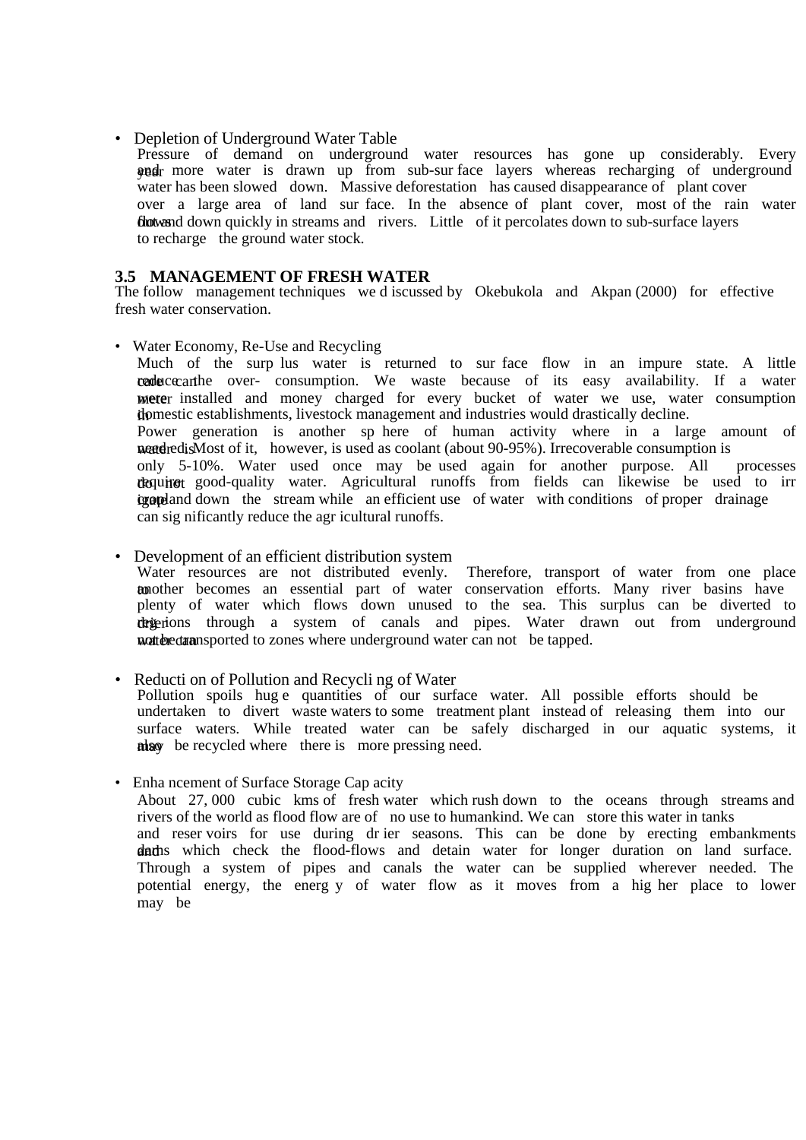#### • Depletion of Underground Water Table

Pressure of demand on underground water resources has gone up considerably. Every wedr more water is drawn up from sub-sur face layers whereas recharging of underground water has been slowed down. Massive deforestation has caused disappearance of plant cover over a large area of land sur face. In the absence of plant cover, most of the rain water flows and down quickly in streams and rivers. Little of it percolates down to sub-surface layers to recharge the ground water stock.

### **3.5 MANAGEMENT OF FRESH WATER**

The follow management techniques we d iscussed by Okebukola and Akpan (2000) for effective fresh water conservation.

• Water Economy, Re-Use and Recycling

Much of the surp lus water is returned to sur face flow in an impure state. A little cade cecan reduce the over- consumption. We waste because of its easy availability. If a water meter installed and money charged for every bucket of water we use, water consumption domestic establishments, livestock management and industries would drastically decline. Power generation is another sp here of human activity where in a large amount of water is next of it, however, is used as coolant (about 90-95%). Irrecoverable consumption is<br>only 5-10%. Water used once may be used again for another purpose. All processes only 5-10%. Water used once may be used again for another purpose. All dequired good-quality water. Agricultural runoffs from fields can likewise be used to irr **igated** down the stream while an efficient use of water with conditions of proper drainage can sig nificantly reduce the agr icultural runoffs.

### • Development of an efficient distribution system

Water resources are not distributed evenly. Therefore, transport of water from one place to and the comes an essential part of water conservation efforts. Many river basins have plenty of water which flows down unused to the sea. This surplus can be diverted to drig ions through a system of canals and pipes. Water drawn out from underground watter can not be tapped.

### • Reducti on of Pollution and Recycli ng of Water

Pollution spoils hug e quantities of our surface water. All possible efforts should be undertaken to divert waste waters to some treatment plant instead of releasing them into our surface waters. While treated water can be safely discharged in our aquatic systems, it may be recycled where there is more pressing need.

### • Enha ncement of Surface Storage Cap acity

About 27, 000 cubic kms of fresh water which rush down to the oceans through streams and rivers of the world as flood flow are of no use to humankind. We can store this water in tanks and reser voirs for use during dr ier seasons. This can be done by erecting embankments dadns which check the flood-flows and detain water for longer duration on land surface. Through a system of pipes and canals the water can be supplied wherever needed. The potential energy, the energ y of water flow as it moves from a hig her place to lower may be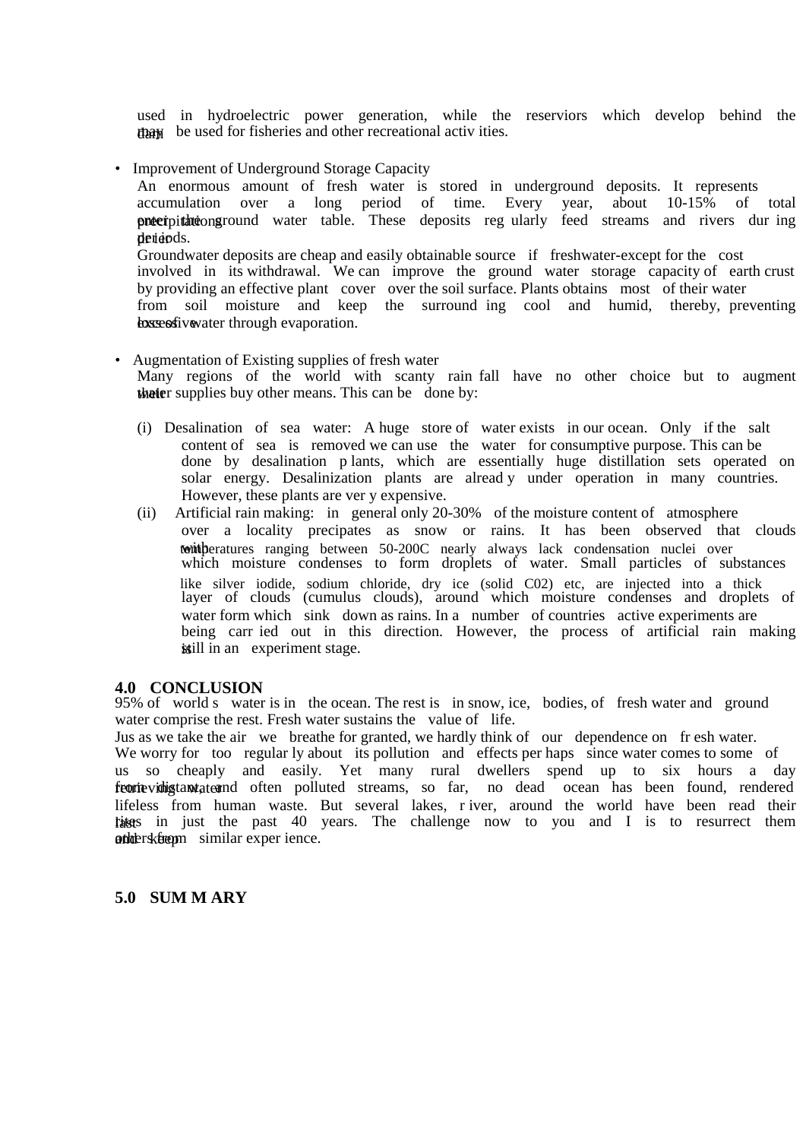used in hydroelectric power generation, while the reserviors which develop behind the dam be used for fisheries and other recreational activ ities.

• Improvement of Underground Storage Capacity

An enormous amount of fresh water is stored in underground deposits. It represents accumulation over a long period of time. Every year, about 10-15% of total precipitations round water table. These deposits regularly feed streams and rivers during derieds. Groundwater deposits are cheap and easily obtainable source if freshwater-except for the cost involved in its withdrawal. We can improve the ground water storage capacity of earth crust by providing an effective plant cover over the soil surface. Plants obtains most of their water from soil moisture and keep the surround ing cool and humid, thereby, preventing **Excessive** vater through evaporation.

- Augmentation of Existing supplies of fresh water Many regions of the world with scanty rain fall have no other choice but to augment their supplies buy other means. This can be done by:
	- (i) Desalination of sea water: A huge store of water exists in our ocean. Only if the salt content of sea is removed we can use the water for consumptive purpose. This can be done by desalination p lants, which are essentially huge distillation sets operated on solar energy. Desalinization plants are alread y under operation in many countries. However, these plants are ver y expensive.
	- (ii) Artificial rain making: in general only 20-30% of the moisture content of atmosphere over a locality precipates as snow or rains. It has been observed that clouds tontheratures ranging between 50-200C nearly always lack condensation nuclei over which moisture condenses to form droplets of water. Small particles of substances like silver iodide, sodium chloride, dry ice (solid C02) etc, are injected into a thick layer of clouds (cumulus clouds), around which moisture condenses and droplets of water form which sink down as rains. In a number of countries active experiments are being carr ied out in this direction. However, the process of artificial rain making is still in an experiment stage.

### **4.0 CONCLUSION**

95% of world s water is in the ocean. The rest is in snow, ice, bodies, of fresh water and ground water comprise the rest. Fresh water sustains the value of life.

Jus as we take the air we breathe for granted, we hardly think of our dependence on fr esh water. We worry for too regular ly about its pollution and effects per haps since water comes to some of us so cheaply and easily. Yet many rural dwellers spend up to six hours a day feorievidig tantate and often polluted streams, so far, no dead ocean has been found, rendered lifeless from human waste. But several lakes, r iver, around the world have been read their tiggs in just the past 40 years. The challenge now to you and I is to resurrect them and the rest of the similar experience.

### **5.0 SUM M ARY**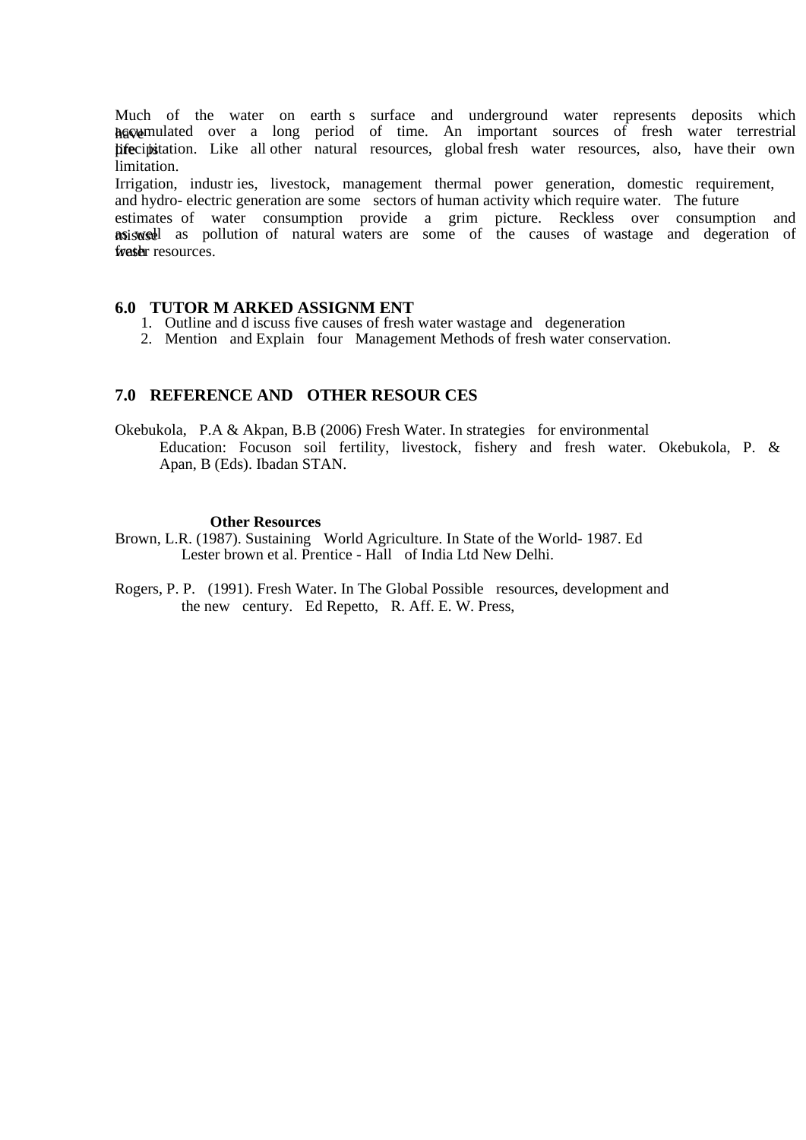Much of the water on earth s surface and underground water represents deposits which have mulated over a long period of time. An important sources of fresh water terrestrial hife cipistation. Like all other natural resources, global fresh water resources, also, have their own limitation.

Irrigation, industr ies, livestock, management thermal power generation, domestic requirement, and hydro- electric generation are some sectors of human activity which require water. The future

estimates of water consumption provide a grim picture. Reckless over consumption and miswed as pollution of natural waters are some of the causes of wastage and degeration of fraster resources.

#### **6.0 TUTOR M ARKED ASSIGNM ENT**

- 1. Outline and d iscuss five causes of fresh water wastage and degeneration
- 2. Mention and Explain four Management Methods of fresh water conservation.

### **7.0 REFERENCE AND OTHER RESOUR CES**

Okebukola, P.A & Akpan, B.B (2006) Fresh Water. In strategies for environmental Education: Focuson soil fertility, livestock, fishery and fresh water. Okebukola, P. & Apan, B (Eds). Ibadan STAN.

#### **Other Resources**

- Brown, L.R. (1987). Sustaining World Agriculture. In State of the World- 1987. Ed Lester brown et al. Prentice - Hall of India Ltd New Delhi.
- Rogers, P. P. (1991). Fresh Water. In The Global Possible resources, development and the new century. Ed Repetto, R. Aff. E. W. Press,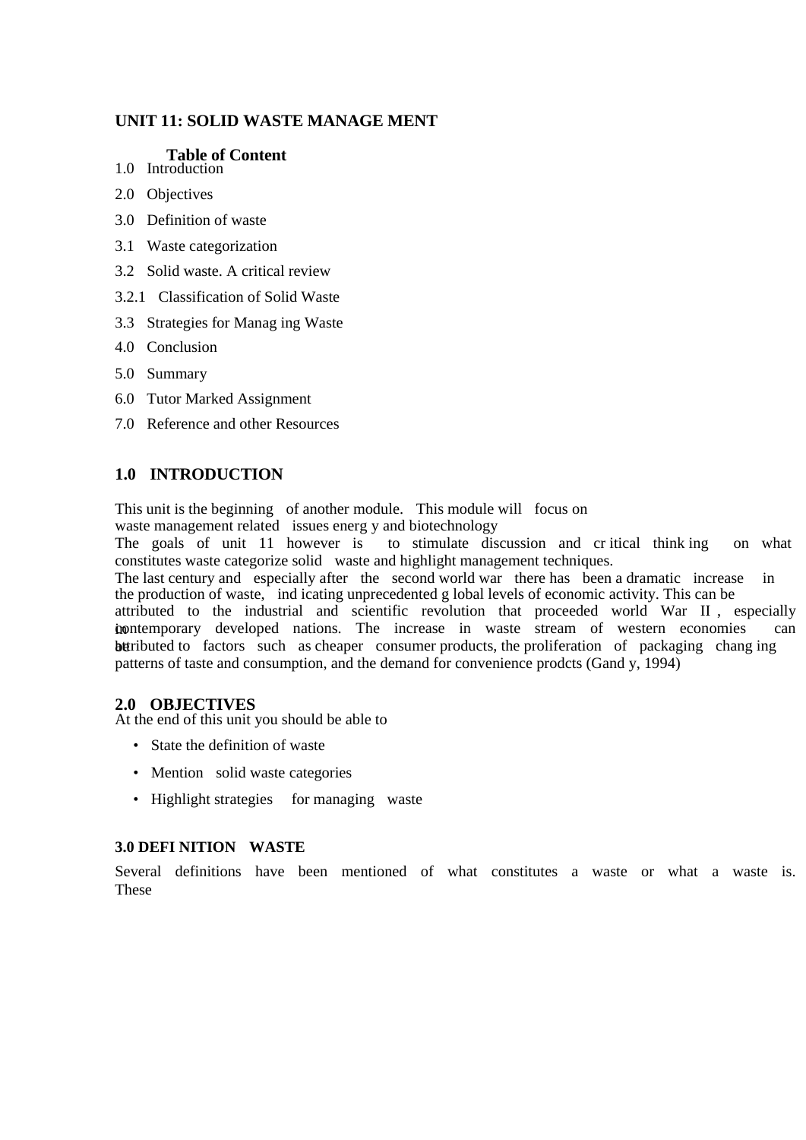### **UNIT 11: SOLID WASTE MANAGE MENT**

### **Table of Content**

- 1.0 Introduction
- 2.0 Objectives
- 3.0 Definition of waste
- 3.1 Waste categorization
- 3.2 Solid waste. A critical review
- 3.2.1 Classification of Solid Waste
- 3.3 Strategies for Manag ing Waste
- 4.0 Conclusion
- 5.0 Summary
- 6.0 Tutor Marked Assignment
- 7.0 Reference and other Resources

### **1.0 INTRODUCTION**

This unit is the beginning of another module. This module will focus on

waste management related issues energ y and biotechnology

The goals of unit 11 however is to stimulate discussion and cr itical think ing on what constitutes waste categorize solid waste and highlight management techniques.

The last century and especially after the second world war there has been a dramatic increase in the production of waste, ind icating unprecedented g lobal levels of economic activity. This can be attributed to the industrial and scientific revolution that proceeded world War II , especially in contemporary developed nations. The increase in waste stream of western economies can be tributed to factors such as cheaper consumer products, the proliferation of packaging changing patterns of taste and consumption, and the demand for convenience prodcts (Gand y, 1994)

### **2.0 OBJECTIVES**

At the end of this unit you should be able to

- State the definition of waste
- Mention solid waste categories
- Highlight strategies for managing waste

### **3.0 DEFI NITION WASTE**

Several definitions have been mentioned of what constitutes a waste or what a waste is. These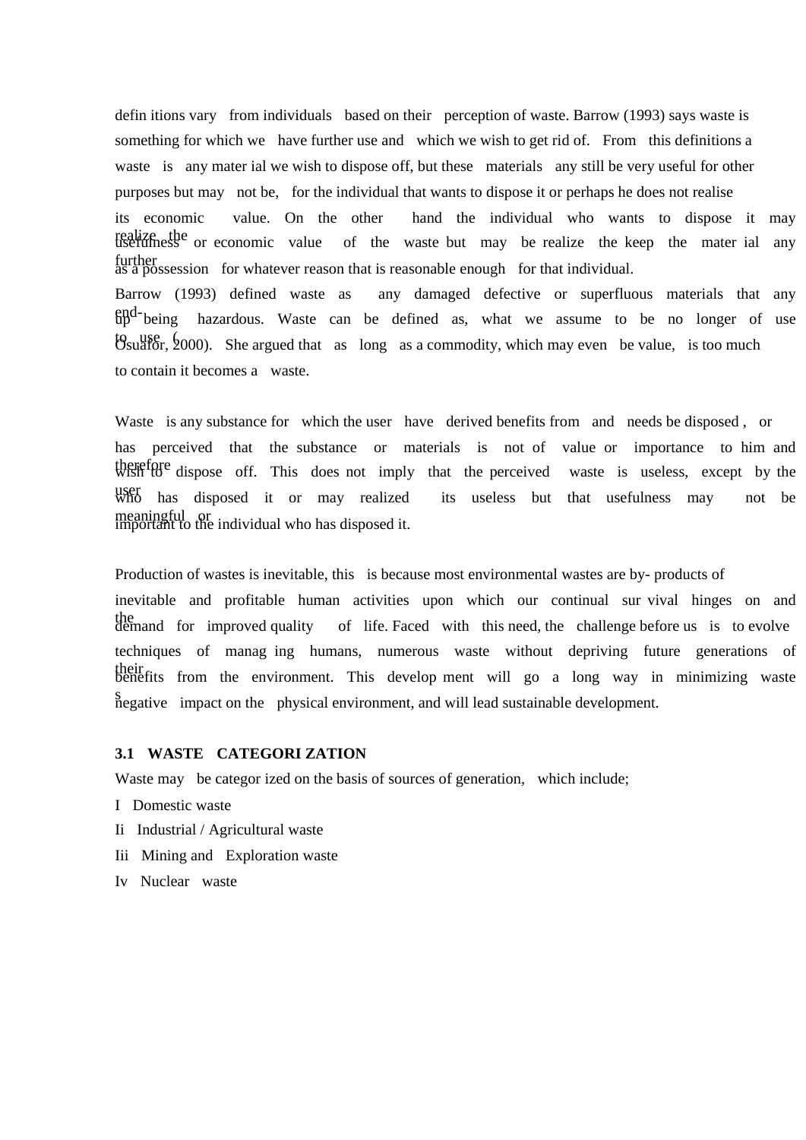defin itions vary from individuals based on their perception of waste. Barrow (1993) says waste is something for which we have further use and which we wish to get rid of. From this definitions a waste is any mater ial we wish to dispose off, but these materials any still be very useful for other purposes but may not be, for the individual that wants to dispose it or perhaps he does not realise its economic value. On the other hand the individual who wants to dispose it may realize the or economic value of the waste but may be realize the keep the mater ial any further as a possession for whatever reason that is reasonable enough for that individual. Barrow (1993) defined waste as any damaged defective or superfluous materials that any end-being hazardous. Waste can be defined as, what we assume to be no longer of use  $\mu$  use ( $\mu$ ). She argued that as long as a commodity, which may even be value, is too much to contain it becomes a waste.

Waste is any substance for which the user have derived benefits from and needs be disposed, or has perceived that the substance or materials is not of value or importance to him and therefore dispose off. This does not imply that the perceived waste is useless, except by the user has disposed it or may realized its useless but that usefulness may not be meaningful or<br>important to the individual who has disposed it.

Production of wastes is inevitable, this is because most environmental wastes are by- products of inevitable and profitable human activities upon which our continual sur vival hinges on and the demand for improved quality of life. Faced with this need, the challenge before us is to evolve techniques of manag ing humans, numerous waste without depriving future generations of their benefits from the environment. This develop ment will go a long way in minimizing waste s negative impact on the physical environment, and will lead sustainable development.

### **3.1 WASTE CATEGORI ZATION**

Waste may be categor ized on the basis of sources of generation, which include;

- I Domestic waste
- Ii Industrial / Agricultural waste
- Iii Mining and Exploration waste
- Iv Nuclear waste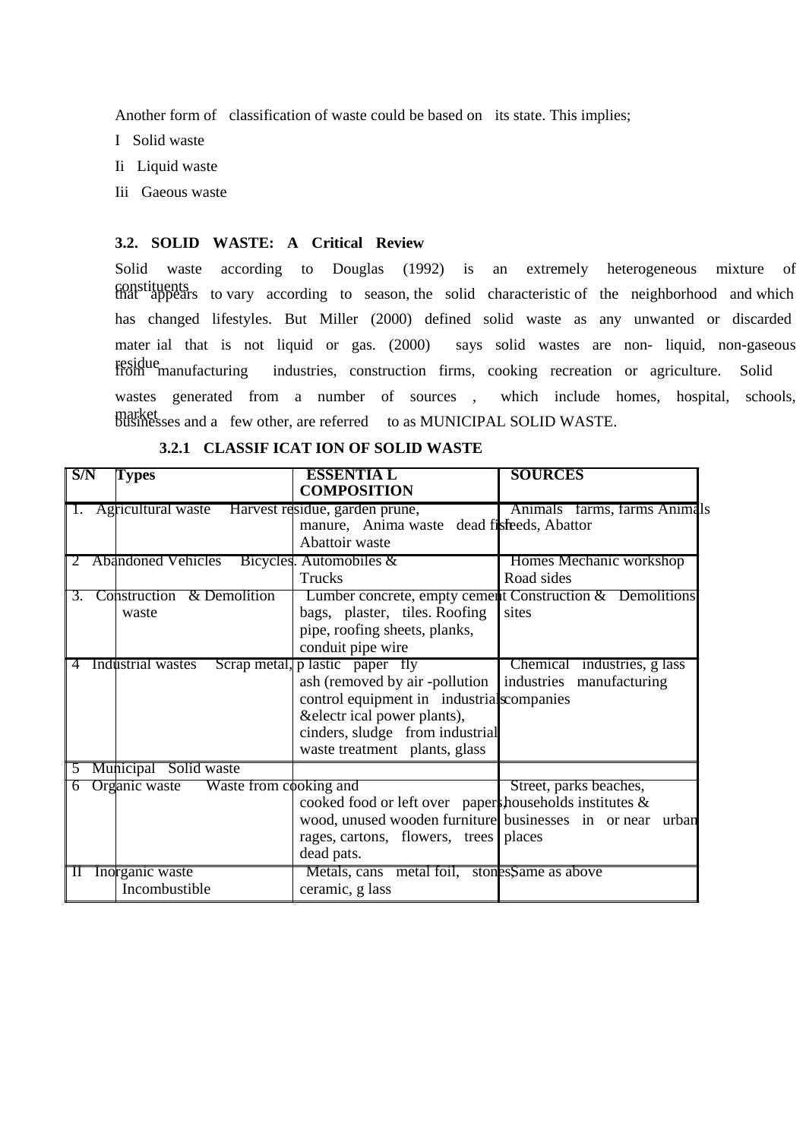Another form of classification of waste could be based on its state. This implies;

- I Solid waste
- Ii Liquid waste
- Iii Gaeous waste

### **3.2. SOLID WASTE: A Critical Review**

Solid waste according to Douglas (1992) is an extremely heterogeneous mixture of constituents that appears to vary according to season, the solid characteristic of the neighborhood and which has changed lifestyles. But Miller (2000) defined solid waste as any unwanted or discarded mater ial that is not liquid or gas. (2000) says solid wastes are non- liquid, non-gaseous residue from manufacturing industries, construction firms, cooking recreation or agriculture. Solid wastes generated from a number of sources , which include homes, hospital, schools, market businesses and a few other, are referred to as MUNICIPAL SOLID WASTE.

| S/N            | Types                                                  | <b>ESSENTIA L</b><br><b>COMPOSITION</b>                                                                                                                                                                               | <b>SOURCES</b>                                                                                    |
|----------------|--------------------------------------------------------|-----------------------------------------------------------------------------------------------------------------------------------------------------------------------------------------------------------------------|---------------------------------------------------------------------------------------------------|
|                | Agricultural waste Harvest residue, garden prune,      | manure, Anima waste dead fisfeeds, Abattor<br>Abattoir waste                                                                                                                                                          | Animals farms, farms Animals                                                                      |
| 3.             | <b>Abandoned Vehicles</b><br>Construction & Demolition | Bicycles. Automobiles &<br><b>Trucks</b>                                                                                                                                                                              | Homes Mechanic workshop<br>Road sides<br>Lumber concrete, empty cement Construction & Demolitions |
|                | waste                                                  | bags, plaster, tiles. Roofing<br>pipe, roofing sheets, planks,<br>conduit pipe wire                                                                                                                                   | sites                                                                                             |
| $\overline{4}$ | Industrial wastes                                      | Scrap metal, p lastic paper fly<br>ash (removed by air -pollution  <br>control equipment in industrial scompanies<br>& electr ical power plants),<br>cinders, sludge from industrial<br>waste treatment plants, glass | Chemical industries, g lass<br>industries manufacturing                                           |
| $\mathcal{L}$  | Municipal Solid waste                                  |                                                                                                                                                                                                                       |                                                                                                   |
|                | Organic waste<br>Waste from cooking and                | cooked food or left over paper households institutes &<br>rages, cartons, flowers, trees   places<br>dead pats.                                                                                                       | Street, parks beaches,<br>wood, unused wooden furniture businesses in or near urban               |
| $\mathbf{\Pi}$ | Inorganic waste<br>Incombustible                       | Metals, cans metal foil, stones, Same as above<br>ceramic, g lass                                                                                                                                                     |                                                                                                   |

#### **3.2.1 CLASSIF ICAT ION OF SOLID WASTE**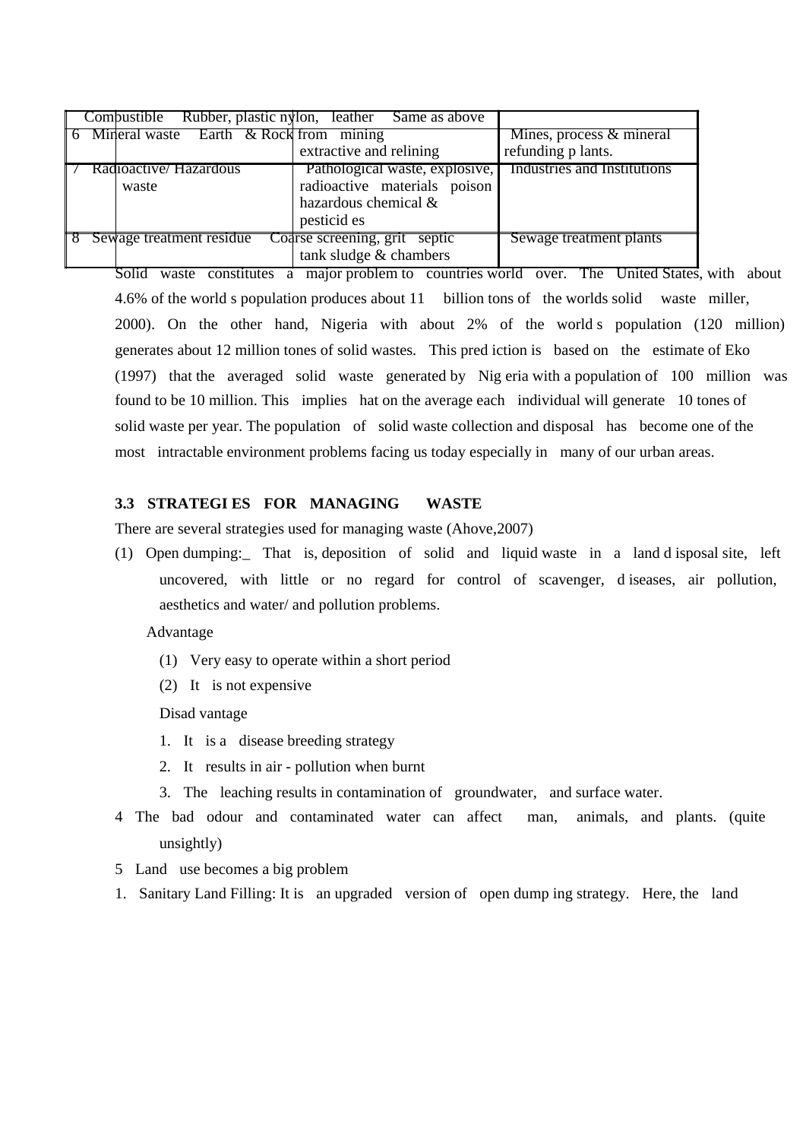| Combustible Rubber, plastic nylon, leather Same as above |                                                                                                       |                                                |
|----------------------------------------------------------|-------------------------------------------------------------------------------------------------------|------------------------------------------------|
| 6 Mineral waste Earth & Rock from mining                 | extractive and relining                                                                               | Mines, process & mineral<br>refunding p lants. |
| Radioactive/ Hazardous<br>waste                          | Pathological waste, explosive,<br>radioactive materials poison<br>hazardous chemical &<br>pesticid es | Industries and Institutions                    |
| Sewage treatment residue                                 | Coarse screening, grit septic<br>tank sludge & chambers                                               | Sewage treatment plants                        |

Solid waste constitutes a major problem to countries world over. The United States, with about 4.6% of the world s population produces about 11 billion tons of the worlds solid waste miller, 2000). On the other hand, Nigeria with about 2% of the world s population (120 million) generates about 12 million tones of solid wastes. This pred iction is based on the estimate of Eko (1997) that the averaged solid waste generated by Nig eria with a population of 100 million was found to be 10 million. This implies hat on the average each individual will generate 10 tones of solid waste per year. The population of solid waste collection and disposal has become one of the most intractable environment problems facing us today especially in many of our urban areas.

### **3.3 STRATEGI ES FOR MANAGING WASTE**

There are several strategies used for managing waste (Ahove,2007)

(1) Open dumping:\_ That is, deposition of solid and liquid waste in a land d isposal site, left uncovered, with little or no regard for control of scavenger, d iseases, air pollution, aesthetics and water/ and pollution problems.

#### Advantage

- (1) Very easy to operate within a short period
- (2) It is not expensive

Disad vantage

- 1. It is a disease breeding strategy
- 2. It results in air pollution when burnt
- 3. The leaching results in contamination of groundwater, and surface water.
- 4 The bad odour and contaminated water can affect man, animals, and plants. (quite unsightly)
- 5 Land use becomes a big problem
- 1. Sanitary Land Filling: It is an upgraded version of open dump ing strategy. Here, the land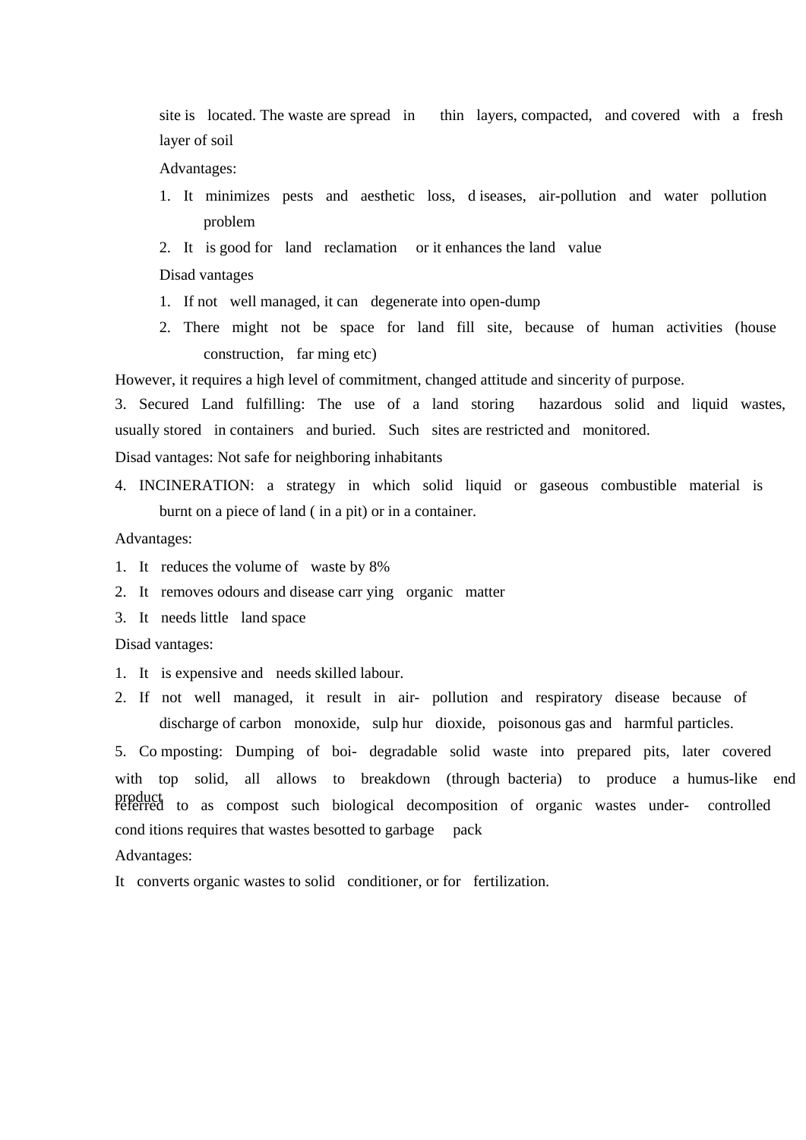site is located. The waste are spread in thin layers, compacted, and covered with a fresh layer of soil

Advantages:

- 1. It minimizes pests and aesthetic loss, d iseases, air-pollution and water pollution problem
- 2. It is good for land reclamation or it enhances the land value

Disad vantages

- 1. If not well managed, it can degenerate into open-dump
- 2. There might not be space for land fill site, because of human activities (house construction, far ming etc)

However, it requires a high level of commitment, changed attitude and sincerity of purpose.

3. Secured Land fulfilling: The use of a land storing hazardous solid and liquid wastes, usually stored in containers and buried. Such sites are restricted and monitored.

Disad vantages: Not safe for neighboring inhabitants

4. INCINERATION: a strategy in which solid liquid or gaseous combustible material is burnt on a piece of land ( in a pit) or in a container.

Advantages:

- 1. It reduces the volume of waste by 8%
- 2. It removes odours and disease carr ying organic matter
- 3. It needs little land space

Disad vantages:

- 1. It is expensive and needs skilled labour.
- 2. If not well managed, it result in air- pollution and respiratory disease because of discharge of carbon monoxide, sulp hur dioxide, poisonous gas and harmful particles.

5. Co mposting: Dumping of boi- degradable solid waste into prepared pits, later covered with top solid, all allows to breakdown (through bacteria) to produce a humus-like end product referred to as compost such biological decomposition of organic wastes under- controlled cond itions requires that wastes besotted to garbage pack

Advantages:

It converts organic wastes to solid conditioner, or for fertilization.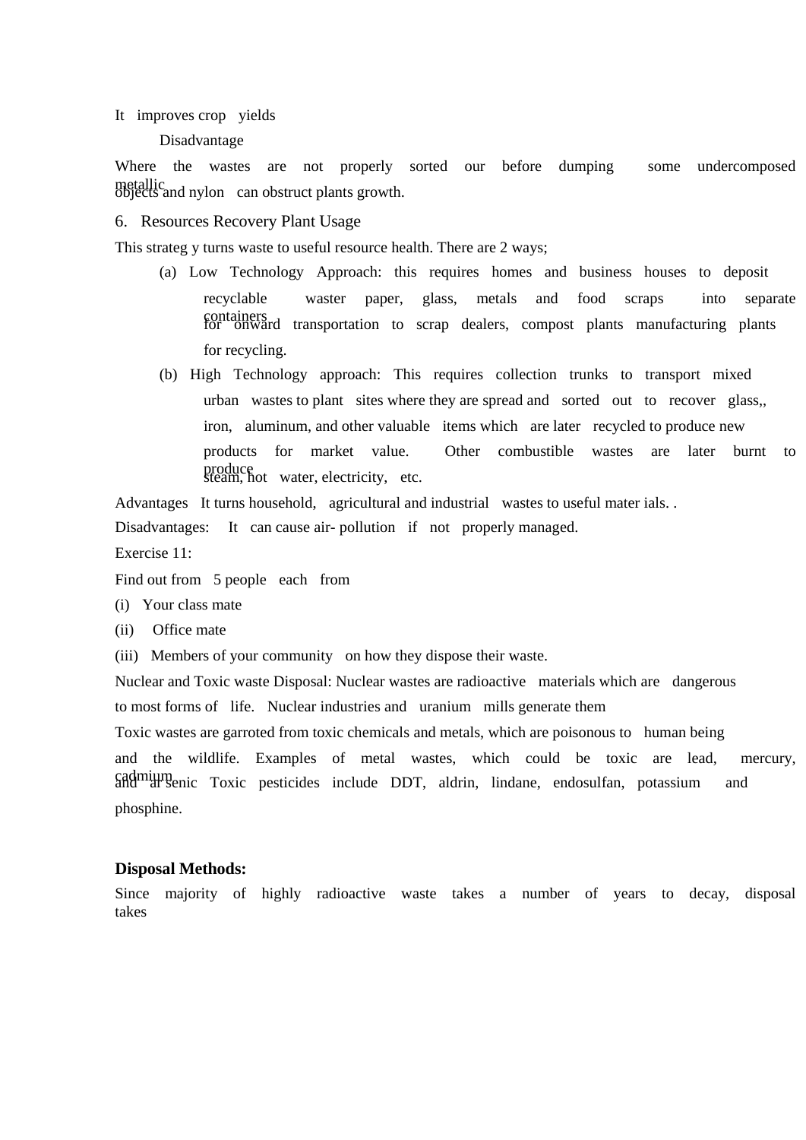It improves crop yields

#### Disadvantage

Where the wastes are not properly sorted our before dumping some undercomposed metallic objects and nylon can obstruct plants growth.

### 6. Resources Recovery Plant Usage

This strateg y turns waste to useful resource health. There are 2 ways;

- (a) Low Technology Approach: this requires homes and business houses to deposit recyclable waster paper, glass, metals and food scraps into separate containers for onward transportation to scrap dealers, compost plants manufacturing plants for recycling.
- (b) High Technology approach: This requires collection trunks to transport mixed urban wastes to plant sites where they are spread and sorted out to recover glass,, iron, aluminum, and other valuable items which are later recycled to produce new products for market value. Other combustible wastes are later burnt to produce steam, hot water, electricity, etc.

Advantages It turns household, agricultural and industrial wastes to useful mater ials. .

Disadvantages: It can cause air- pollution if not properly managed.

Exercise 11:

Find out from 5 people each from

- (i) Your class mate
- (ii) Office mate
- (iii) Members of your community on how they dispose their waste.

Nuclear and Toxic waste Disposal: Nuclear wastes are radioactive materials which are dangerous to most forms of life. Nuclear industries and uranium mills generate them

Toxic wastes are garroted from toxic chemicals and metals, which are poisonous to human being and the wildlife. Examples of metal wastes, which could be toxic are lead, mercury, cadmium and articular and and areas include DDT, aldrin, lindane, endosulfan, potassium and phosphine.

### **Disposal Methods:**

Since majority of highly radioactive waste takes a number of years to decay, disposal takes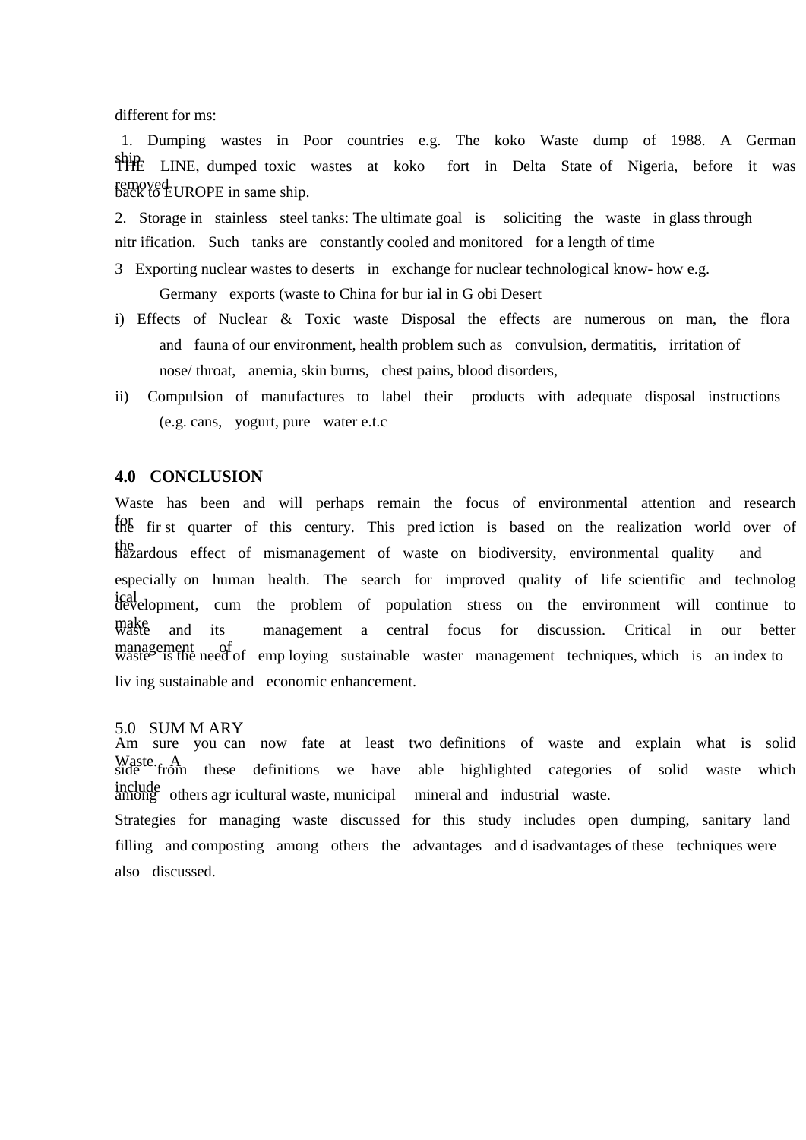different for ms:

1. Dumping wastes in Poor countries e.g. The koko Waste dump of 1988. A German ship LINE, dumped toxic wastes at koko fort in Delta State of Nigeria, before it was removed<br>back to EUROPE in same ship.

2. Storage in stainless steel tanks: The ultimate goal is soliciting the waste in glass through nitr ification. Such tanks are constantly cooled and monitored for a length of time

- 3 Exporting nuclear wastes to deserts in exchange for nuclear technological know- how e.g. Germany exports (waste to China for bur ial in G obi Desert
- i) Effects of Nuclear & Toxic waste Disposal the effects are numerous on man, the flora and fauna of our environment, health problem such as convulsion, dermatitis, irritation of nose/ throat, anemia, skin burns, chest pains, blood disorders,
- ii) Compulsion of manufactures to label their products with adequate disposal instructions (e.g. cans, yogurt, pure water e.t.c

### **4.0 CONCLUSION**

Waste has been and will perhaps remain the focus of environmental attention and research for the fir st quarter of this century. This pred iction is based on the realization world over of the hazardous effect of mismanagement of waste on biodiversity, environmental quality and especially on human health. The search for improved quality of life scientific and technolog ical development, cum the problem of population stress on the environment will continue to make waste and its management a central focus for discussion. Critical in our better management of of emp loying sustainable waster management techniques, which is an index to waster is the need of emp loying sustainable waster management techniques, which is an index to liv ing sustainable and economic enhancement.

#### 5.0 SUM M ARY

Am sure you can now fate at least two definitions of waste and explain what is solid Waste. A these definitions we have able highlighted categories of solid waste which include among others agr icultural waste, municipal mineral and industrial waste.

Strategies for managing waste discussed for this study includes open dumping, sanitary land filling and composting among others the advantages and d isadvantages of these techniques were also discussed.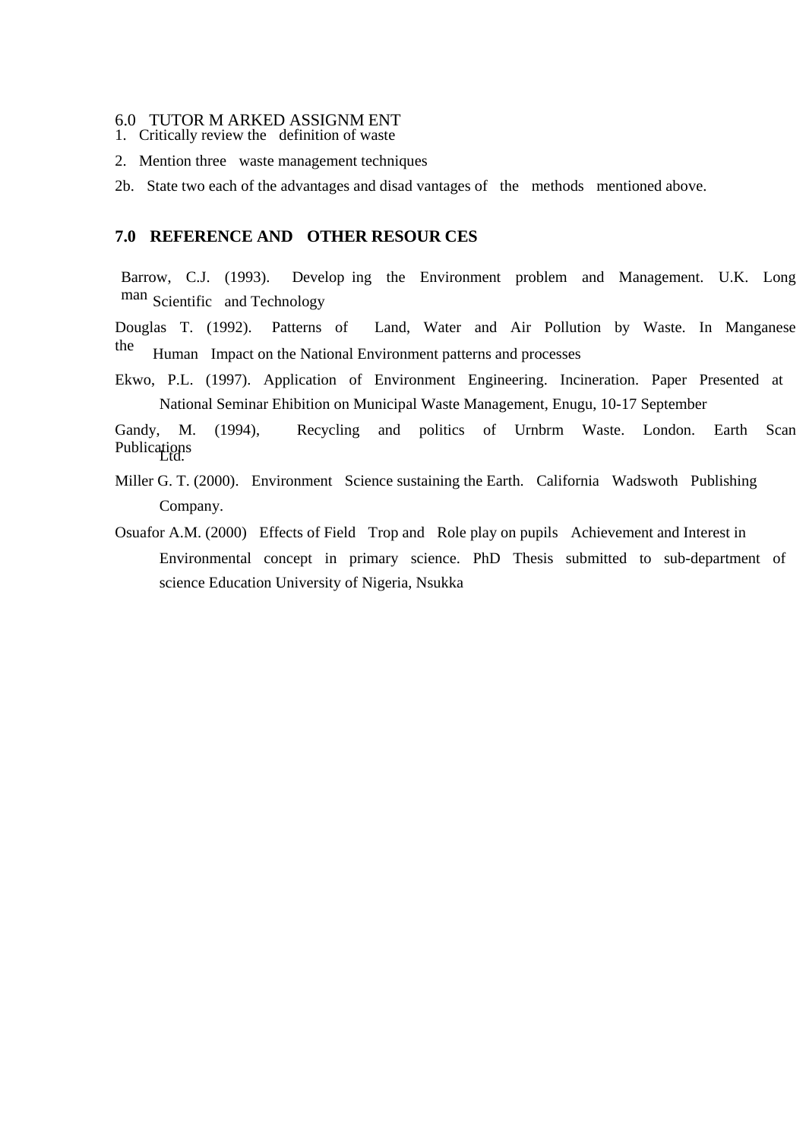#### 6.0 TUTOR M ARKED ASSIGNM ENT

- 1. Critically review the definition of waste
- 2. Mention three waste management techniques

2b. State two each of the advantages and disad vantages of the methods mentioned above.

### **7.0 REFERENCE AND OTHER RESOUR CES**

Barrow, C.J. (1993). Develop ing the Environment problem and Management. U.K. Long man Scientific and Technology

Douglas T. (1992). Patterns of Land, Water and Air Pollution by Waste. In Manganese the Human Impact on the National Environment patterns and processes

Ekwo, P.L. (1997). Application of Environment Engineering. Incineration. Paper Presented at National Seminar Ehibition on Municipal Waste Management, Enugu, 10-17 September

Gandy, M. (1994), Recycling and politics of Urnbrm Waste. London. Earth Scan Publications<br>Ltd.

- Miller G. T. (2000). Environment Science sustaining the Earth. California Wadswoth Publishing Company.
- Osuafor A.M. (2000) Effects of Field Trop and Role play on pupils Achievement and Interest in Environmental concept in primary science. PhD Thesis submitted to sub-department of science Education University of Nigeria, Nsukka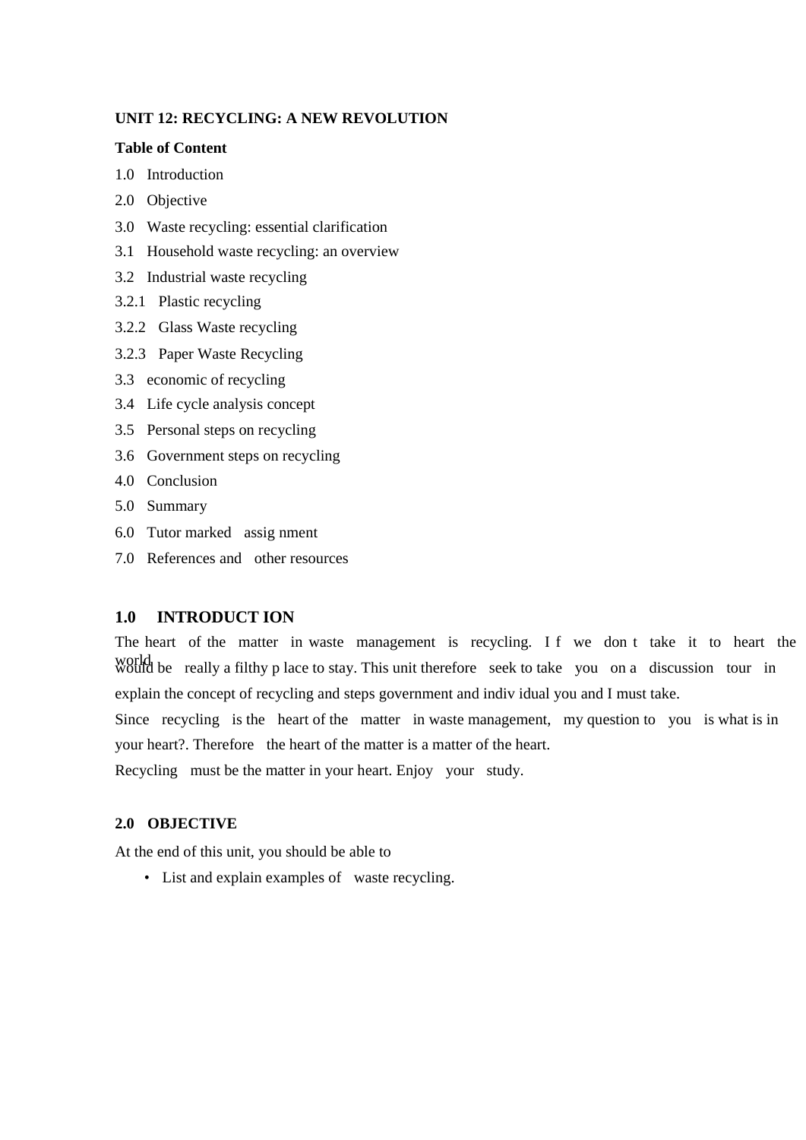### **UNIT 12: RECYCLING: A NEW REVOLUTION**

#### **Table of Content**

- 1.0 Introduction
- 2.0 Objective
- 3.0 Waste recycling: essential clarification
- 3.1 Household waste recycling: an overview
- 3.2 Industrial waste recycling
- 3.2.1 Plastic recycling
- 3.2.2 Glass Waste recycling
- 3.2.3 Paper Waste Recycling
- 3.3 economic of recycling
- 3.4 Life cycle analysis concept
- 3.5 Personal steps on recycling
- 3.6 Government steps on recycling
- 4.0 Conclusion
- 5.0 Summary
- 6.0 Tutor marked assig nment
- 7.0 References and other resources

### **1.0 INTRODUCT ION**

The heart of the matter in waste management is recycling. I f we don t take it to heart the world be really a filthy p lace to stay. This unit therefore seek to take you on a discussion tour in explain the concept of recycling and steps government and indiv idual you and I must take.

Since recycling is the heart of the matter in waste management, my question to you is what is in your heart?. Therefore the heart of the matter is a matter of the heart.

Recycling must be the matter in your heart. Enjoy your study.

### **2.0 OBJECTIVE**

At the end of this unit, you should be able to

• List and explain examples of waste recycling.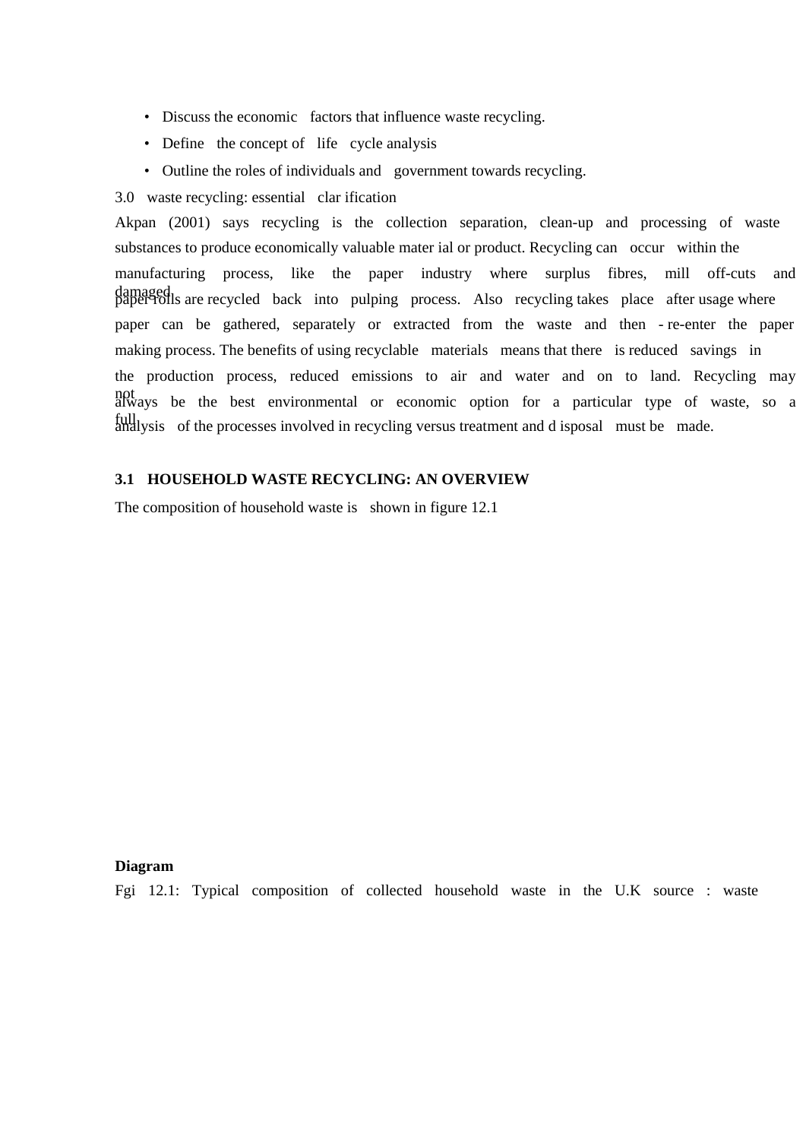- Discuss the economic factors that influence waste recycling.
- Define the concept of life cycle analysis
- Outline the roles of individuals and government towards recycling.
- 3.0 waste recycling: essential clar ification

Akpan (2001) says recycling is the collection separation, clean-up and processing of waste substances to produce economically valuable mater ial or product. Recycling can occur within the manufacturing process, like the paper industry where surplus fibres, mill off-cuts and damaged<br>paper rolls are recycled back into pulping process. Also recycling takes place after usage where paper can be gathered, separately or extracted from the waste and then - re-enter the paper making process. The benefits of using recyclable materials means that there is reduced savings in the production process, reduced emissions to air and water and on to land. Recycling may not always be the best environmental or economic option for a particular type of waste, so a full full states of the processes involved in recycling versus treatment and d isposal must be made.

### **3.1 HOUSEHOLD WASTE RECYCLING: AN OVERVIEW**

The composition of household waste is shown in figure 12.1

#### **Diagram**

Fgi 12.1: Typical composition of collected household waste in the U.K source : waste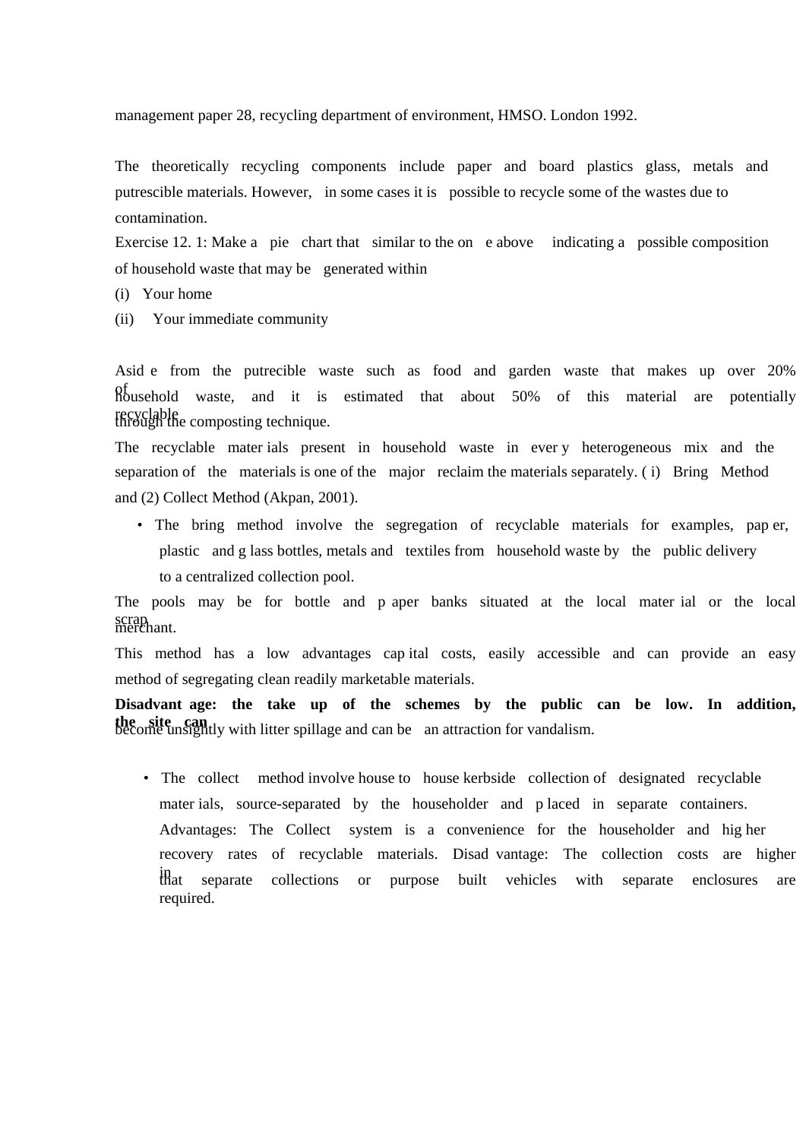management paper 28, recycling department of environment, HMSO. London 1992.

The theoretically recycling components include paper and board plastics glass, metals and putrescible materials. However, in some cases it is possible to recycle some of the wastes due to contamination.

Exercise 12. 1: Make a pie chart that similar to the on e above indicating a possible composition of household waste that may be generated within

- (i) Your home
- (ii) Your immediate community

Asid e from the putrecible waste such as food and garden waste that makes up over 20% of household waste, and it is estimated that about 50% of this material are potentially recyclable through the composting technique.

The recyclable mater ials present in household waste in ever y heterogeneous mix and the separation of the materials is one of the major reclaim the materials separately. ( i) Bring Method and (2) Collect Method (Akpan, 2001).

• The bring method involve the segregation of recyclable materials for examples, pap er, plastic and g lass bottles, metals and textiles from household waste by the public delivery to a centralized collection pool.

The pools may be for bottle and p aper banks situated at the local mater ial or the local scrap<br>merchant.

This method has a low advantages cap ital costs, easily accessible and can provide an easy method of segregating clean readily marketable materials.

**Disadvant age: the take up of the schemes by the public can be low. In addition, the site can** become unsightly with litter spillage and can be an attraction for vandalism.

• The collect method involve house to house kerbside collection of designated recyclable mater ials, source-separated by the householder and p laced in separate containers. Advantages: The Collect system is a convenience for the householder and hig her recovery rates of recyclable materials. Disad vantage: The collection costs are higher in that separate collections or purpose built vehicles with separate enclosures are required.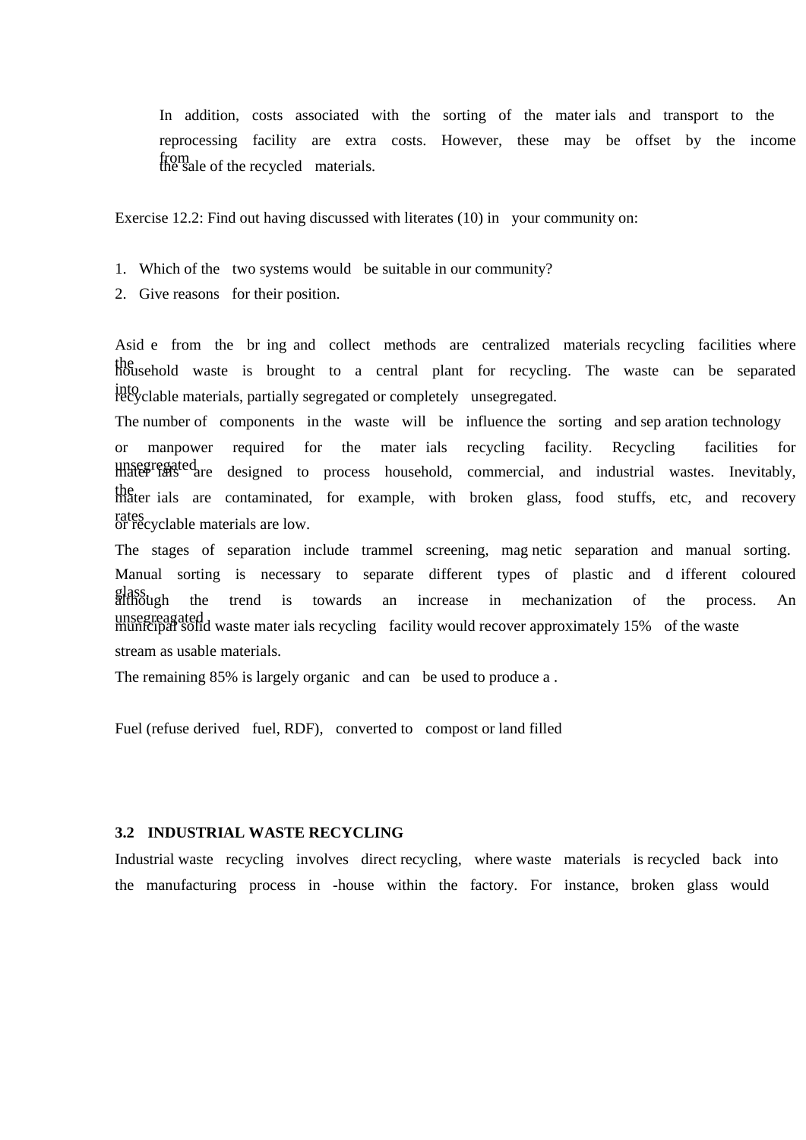In addition, costs associated with the sorting of the mater ials and transport to the reprocessing facility are extra costs. However, these may be offset by the income from the sale of the recycled materials.

Exercise 12.2: Find out having discussed with literates (10) in your community on:

- 1. Which of the two systems would be suitable in our community?
- 2. Give reasons for their position.

Asid e from the br ing and collect methods are centralized materials recycling facilities where the household waste is brought to a central plant for recycling. The waste can be separated into recyclable materials, partially segregated or completely unsegregated.

The number of components in the waste will be influence the sorting and sep aration technology or manpower required for the mater ials recycling facility. Recycling facilities for unsegregated are designed to process household, commercial, and industrial wastes. Inevitably, the mater ials are contaminated, for example, with broken glass, food stuffs, etc, and recovery rates or recyclable materials are low.

The stages of separation include trammel screening, mag netic separation and manual sorting. Manual sorting is necessary to separate different types of plastic and d ifferent coloured glass, although the trend is towards an increase in mechanization of the process. An unsegreagated<br>municipal solid waste mater ials recycling facility would recover approximately 15% of the waste stream as usable materials.

The remaining 85% is largely organic and can be used to produce a.

Fuel (refuse derived fuel, RDF), converted to compost or land filled

#### **3.2 INDUSTRIAL WASTE RECYCLING**

Industrial waste recycling involves direct recycling, where waste materials is recycled back into the manufacturing process in -house within the factory. For instance, broken glass would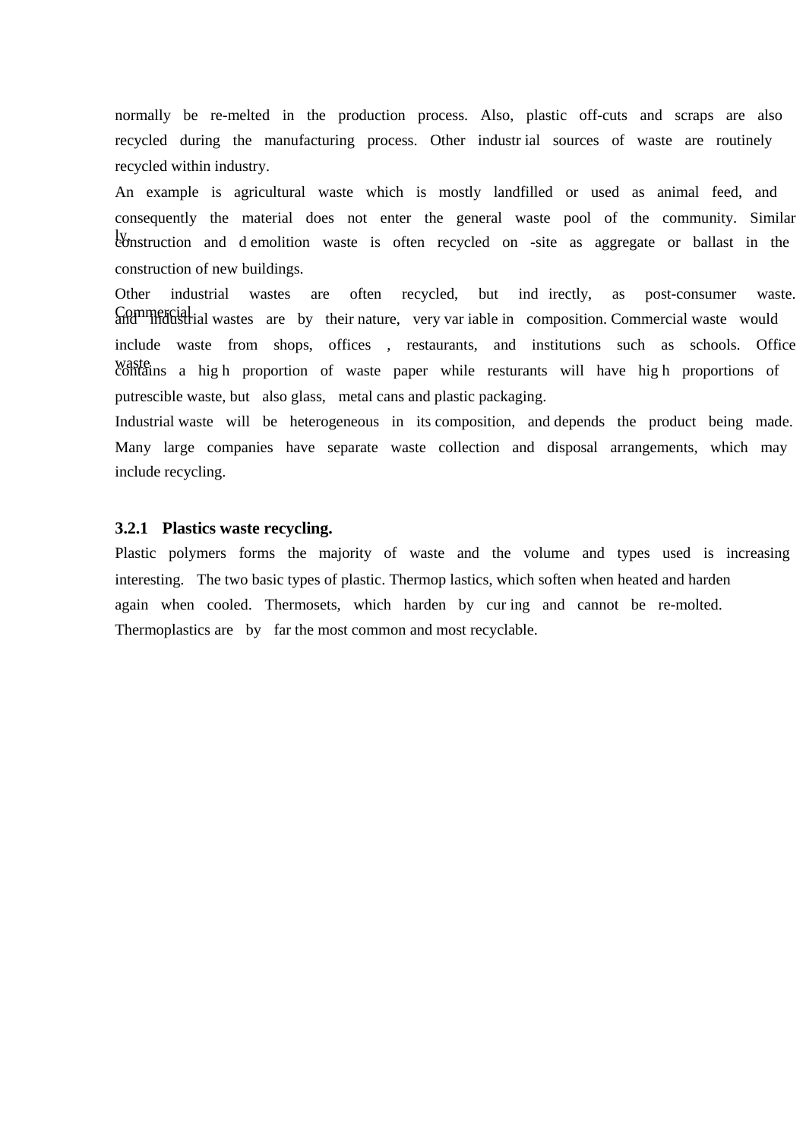normally be re-melted in the production process. Also, plastic off-cuts and scraps are also recycled during the manufacturing process. Other industr ial sources of waste are routinely recycled within industry.

An example is agricultural waste which is mostly landfilled or used as animal feed, and consequently the material does not enter the general waste pool of the community. Similar ly, construction and d emolition waste is often recycled on -site as aggregate or ballast in the construction of new buildings.

Other industrial wastes are often recycled, but ind irectly, as post-consumer waste. Commercial and industrial wastes are by their nature, very var iable in composition. Commercial waste would include waste from shops, offices , restaurants, and institutions such as schools. Office waste contains a hig h proportion of waste paper while resturants will have hig h proportions of putrescible waste, but also glass, metal cans and plastic packaging.

Industrial waste will be heterogeneous in its composition, and depends the product being made. Many large companies have separate waste collection and disposal arrangements, which may include recycling.

#### **3.2.1 Plastics waste recycling.**

Plastic polymers forms the majority of waste and the volume and types used is increasing interesting. The two basic types of plastic. Thermop lastics, which soften when heated and harden again when cooled. Thermosets, which harden by cur ing and cannot be re-molted. Thermoplastics are by far the most common and most recyclable.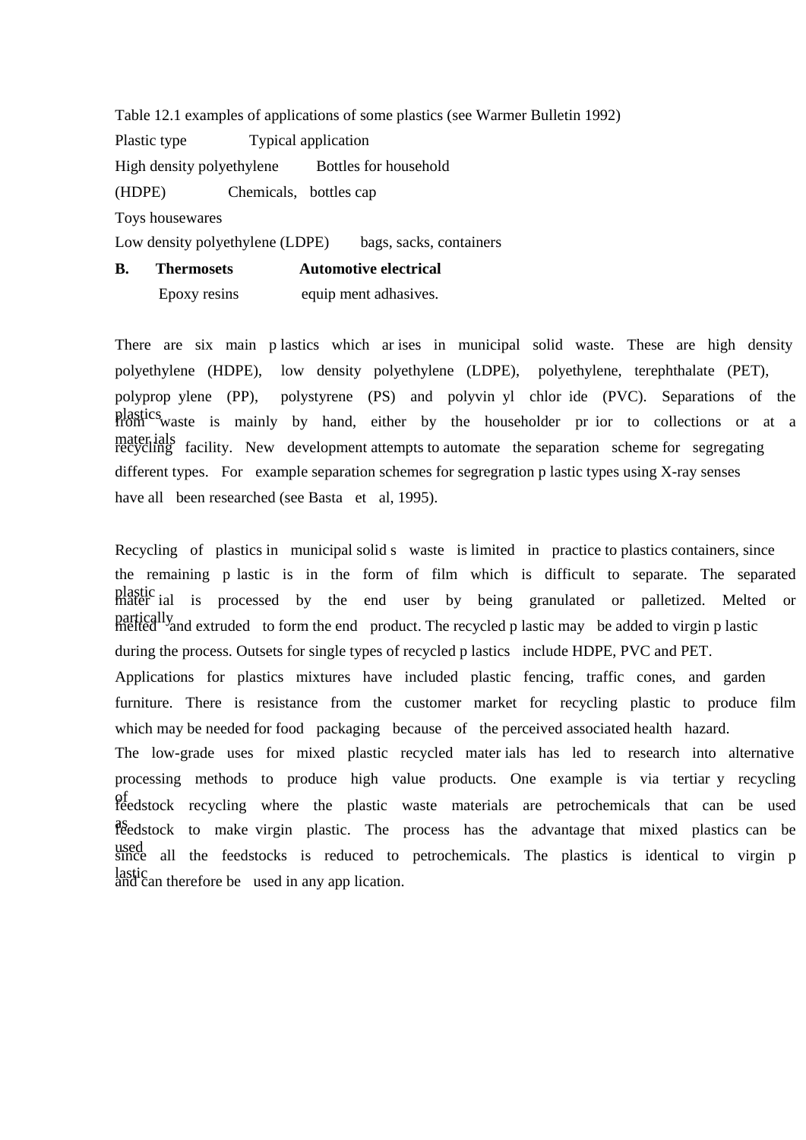Table 12.1 examples of applications of some plastics (see Warmer Bulletin 1992) Plastic type Typical application High density polyethylene Bottles for household (HDPE) Chemicals, bottles cap Toys housewares Low density polyethylene (LDPE) bags, sacks, containers **B. Thermosets Automotive electrical** 

Epoxy resins equip ment adhasives.

There are six main p lastics which ar ises in municipal solid waste. These are high density polyethylene (HDPE), low density polyethylene (LDPE), polyethylene, terephthalate (PET), polyprop ylene (PP), polystyrene (PS) and polyvin yl chlor ide (PVC). Separations of the plastics waste is mainly by hand, either by the householder pr ior to collections or at a mater ials facility. New development attempts to automate the separation scheme for segregating different types. For example separation schemes for segregration p lastic types using X-ray senses have all been researched (see Basta et al, 1995).

Recycling of plastics in municipal solid s waste is limited in practice to plastics containers, since the remaining p lastic is in the form of film which is difficult to separate. The separated plastic mater ial is processed by the end user by being granulated or palletized. Melted or partically and extruded to form the end product. The recycled p lastic may be added to virgin p lastic method. during the process. Outsets for single types of recycled p lastics include HDPE, PVC and PET. Applications for plastics mixtures have included plastic fencing, traffic cones, and garden furniture. There is resistance from the customer market for recycling plastic to produce film which may be needed for food packaging because of the perceived associated health hazard. The low-grade uses for mixed plastic recycled mater ials has led to research into alternative processing methods to produce high value products. One example is via tertiar y recycling of feedstock recycling where the plastic waste materials are petrochemicals that can be used as feedstock to make virgin plastic. The process has the advantage that mixed plastics can be used since all the feedstocks is reduced to petrochemicals. The plastics is identical to virgin p lastic and can therefore be used in any app lication.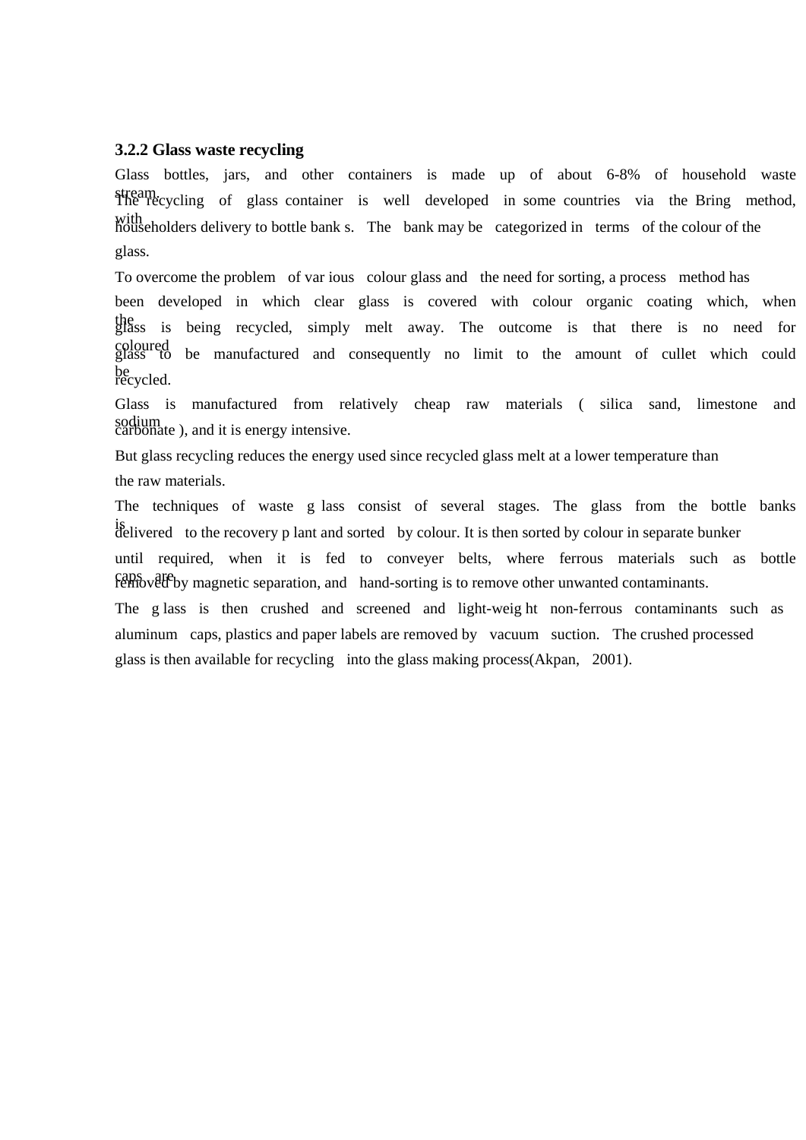# **3.2.2 Glass waste recycling**

Glass bottles, jars, and other containers is made up of about 6-8% of household waste stream. The recycling of glass container is well developed in some countries via the Bring method, with<br>householders delivery to bottle bank s. The bank may be categorized in terms of the colour of the glass.

To overcome the problem of var ious colour glass and the need for sorting, a process method has been developed in which clear glass is covered with colour organic coating which, when the glass is being recycled, simply melt away. The outcome is that there is no need for coloured glass to be manufactured and consequently no limit to the amount of cullet which could be<br>recycled.

Glass is manufactured from relatively cheap raw materials ( silica sand, limestone and sodium<br>carbonate ), and it is energy intensive.

But glass recycling reduces the energy used since recycled glass melt at a lower temperature than the raw materials.

The techniques of waste g lass consist of several stages. The glass from the bottle banks is delivered to the recovery p lant and sorted by colour. It is then sorted by colour in separate bunker

until required, when it is fed to conveyer belts, where ferrous materials such as bottle caps are removed by magnetic separation, and hand-sorting is to remove other unwanted contaminants.

The g lass is then crushed and screened and light-weig ht non-ferrous contaminants such as aluminum caps, plastics and paper labels are removed by vacuum suction. The crushed processed glass is then available for recycling into the glass making process(Akpan, 2001).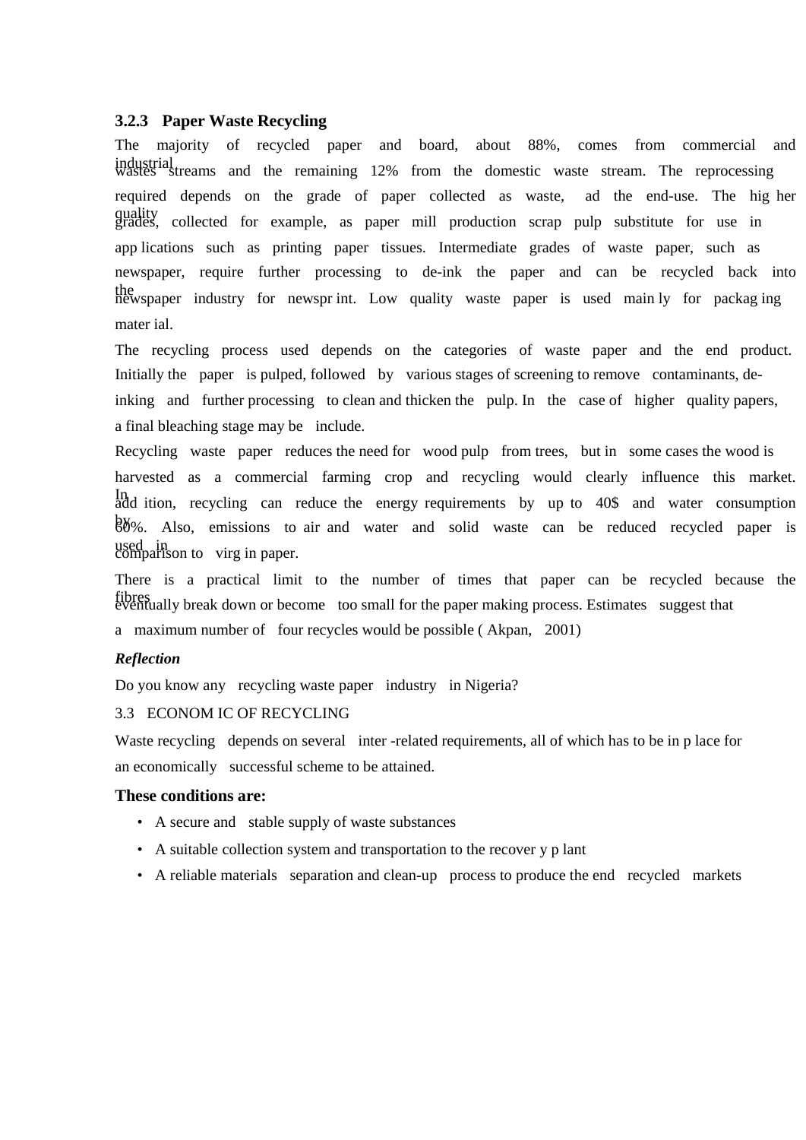### **3.2.3 Paper Waste Recycling**

The majority of recycled paper and board, about 88%, comes from commercial and industrial streams and the remaining 12% from the domestic waste stream. The reprocessing required depends on the grade of paper collected as waste, ad the end-use. The hig her quality grades, collected for example, as paper mill production scrap pulp substitute for use in app lications such as printing paper tissues. Intermediate grades of waste paper, such as newspaper, require further processing to de-ink the paper and can be recycled back into the newspaper industry for newspr int. Low quality waste paper is used main ly for packag ing mater ial.

The recycling process used depends on the categories of waste paper and the end product. Initially the paper is pulped, followed by various stages of screening to remove contaminants, deinking and further processing to clean and thicken the pulp. In the case of higher quality papers, a final bleaching stage may be include.

Recycling waste paper reduces the need for wood pulp from trees, but in some cases the wood is harvested as a commercial farming crop and recycling would clearly influence this market. In Intitum, recycling can reduce the energy requirements by up to 40\$ and water consumption 88%. Also, emissions to air and water and solid waste can be reduced recycled paper is used in comparison to virg in paper.

There is a practical limit to the number of times that paper can be recycled because the fibres eventually break down or become too small for the paper making process. Estimates suggest that a maximum number of four recycles would be possible ( Akpan, 2001)

### *Reflection*

Do you know any recycling waste paper industry in Nigeria?

### 3.3 ECONOM IC OF RECYCLING

Waste recycling depends on several inter-related requirements, all of which has to be in p lace for an economically successful scheme to be attained.

### **These conditions are:**

- A secure and stable supply of waste substances
- A suitable collection system and transportation to the recover y p lant
- A reliable materials separation and clean-up process to produce the end recycled markets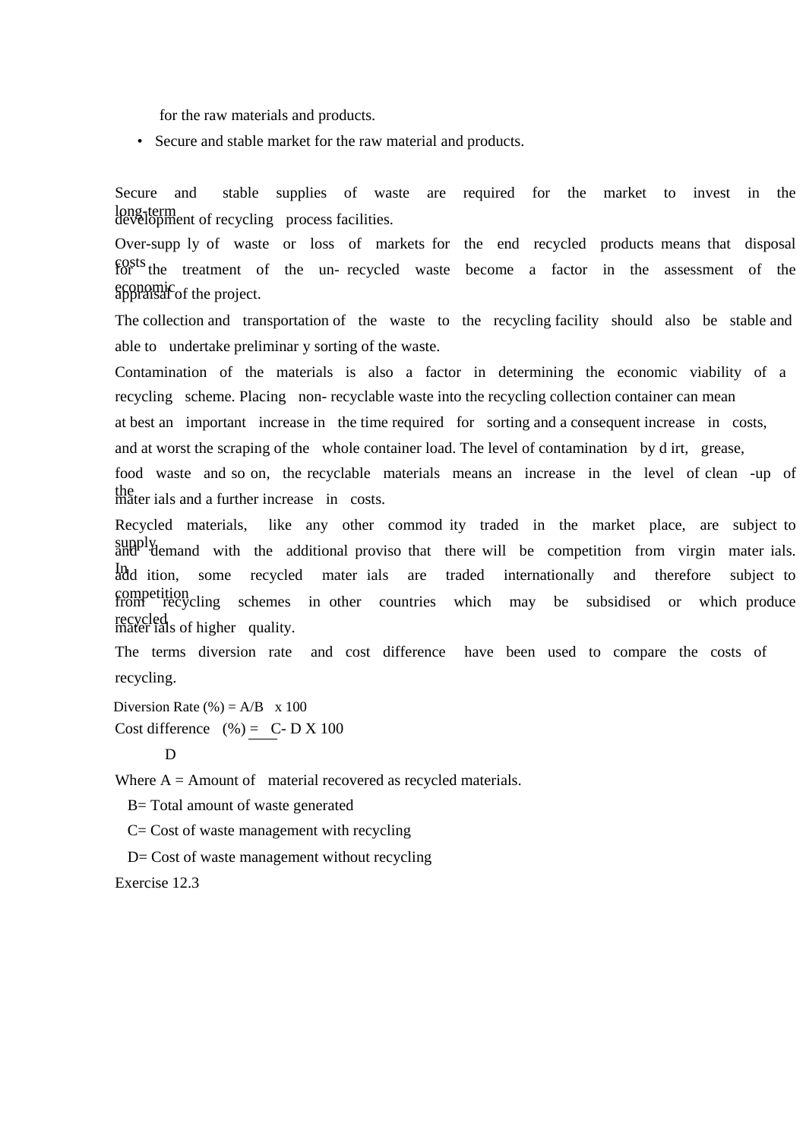for the raw materials and products.

• Secure and stable market for the raw material and products.

Secure and stable supplies of waste are required for the market to invest in the long-term development of recycling process facilities.

Over-supp ly of waste or loss of markets for the end recycled products means that disposal costs for the treatment of the un- recycled waste become a factor in the assessment of the economic appraisal of the project.

The collection and transportation of the waste to the recycling facility should also be stable and able to undertake preliminar y sorting of the waste.

Contamination of the materials is also a factor in determining the economic viability of a recycling scheme. Placing non- recyclable waste into the recycling collection container can mean

at best an important increase in the time required for sorting and a consequent increase in costs, and at worst the scraping of the whole container load. The level of contamination by d irt, grease,

food waste and so on, the recyclable materials means an increase in the level of clean -up of the mater ials and a further increase in costs.

Recycled materials, like any other commod ity traded in the market place, are subject to supply demand with the additional proviso that there will be competition from virgin mater ials. In add ition, some recycled mater ials are traded internationally and therefore subject to competition from recycling schemes in other countries which may be subsidised or which produce recycled<br>mater ials of higher quality.

The terms diversion rate and cost difference have been used to compare the costs of recycling.

Diversion Rate  $(\% ) = A/B \times 100$ Cost difference  $(\% ) = C$ - D X 100

$$
D
$$

Where  $A =$  Amount of material recovered as recycled materials.

B= Total amount of waste generated

C= Cost of waste management with recycling

D= Cost of waste management without recycling

Exercise 12.3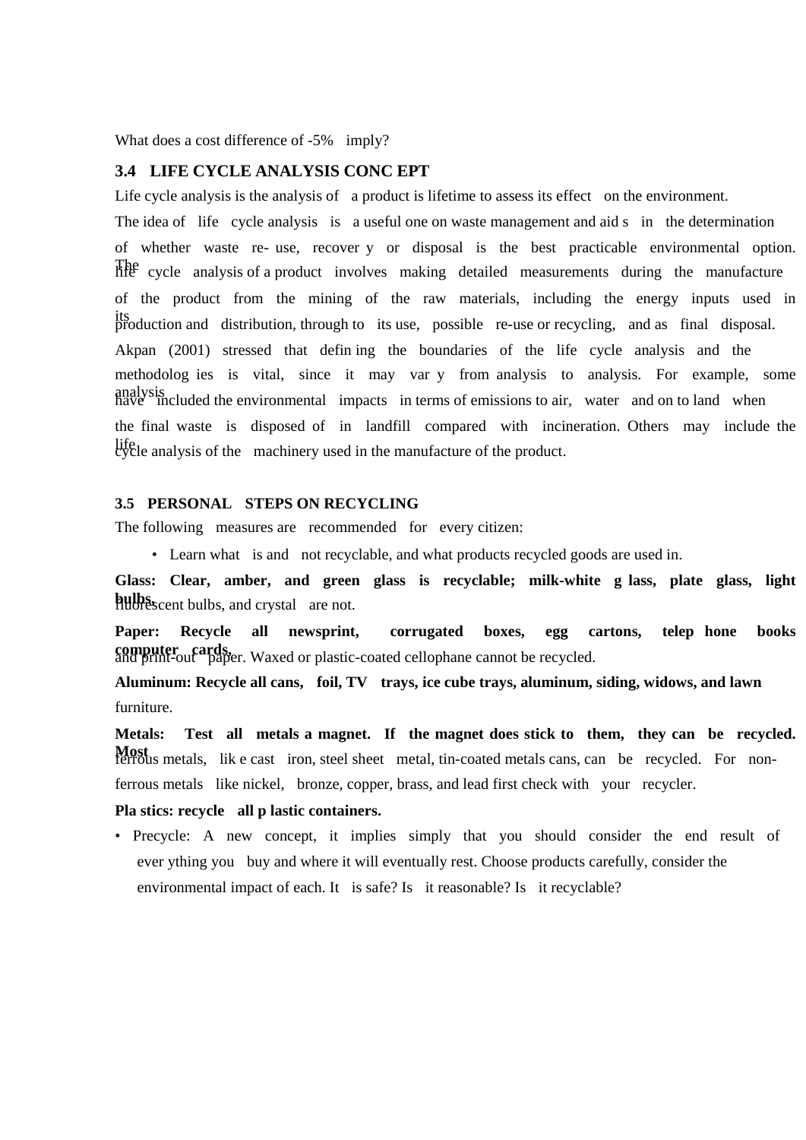What does a cost difference of -5% imply?

#### **3.4 LIFE CYCLE ANALYSIS CONC EPT**

Life cycle analysis is the analysis of a product is lifetime to assess its effect on the environment. The idea of life cycle analysis is a useful one on waste management and aid s in the determination of whether waste re- use, recover y or disposal is the best practicable environmental option. The cycle analysis of a product involves making detailed measurements during the manufacture of the product from the mining of the raw materials, including the energy inputs used in its production and distribution, through to its use, possible re-use or recycling, and as final disposal. Akpan (2001) stressed that defin ing the boundaries of the life cycle analysis and the methodolog ies is vital, since it may var y from analysis to analysis. For example, some analysis included the environmental impacts in terms of emissions to air, water and on to land when the final waste is disposed of in landfill compared with incineration. Others may include the life analysis of the machinery used in the manufacture of the product.

# **3.5 PERSONAL STEPS ON RECYCLING**

The following measures are recommended for every citizen:

• Learn what is and not recyclable, and what products recycled goods are used in.

**Glass: Clear, amber, and green glass is recyclable; milk-white g lass, plate glass, light bulbs** excent bulbs, and crystal are not.

**Paper: Recycle all newsprint, corrugated boxes, egg cartons, telep hone books computer cards,** and print-out paper. Waxed or plastic-coated cellophane cannot be recycled.

**Aluminum: Recycle all cans, foil, TV trays, ice cube trays, aluminum, siding, widows, and lawn**  furniture.

**Metals: Test all metals a magnet. If the magnet does stick to them, they can be recycled. Most has** *ferrous* metals, like cast iron, steel sheet metal, tin-coated metals cans, can be recycled. For nonferrous metals like nickel, bronze, copper, brass, and lead first check with your recycler.

**Pla stics: recycle all p lastic containers.** 

• Precycle: A new concept, it implies simply that you should consider the end result of ever ything you buy and where it will eventually rest. Choose products carefully, consider the environmental impact of each. It is safe? Is it reasonable? Is it recyclable?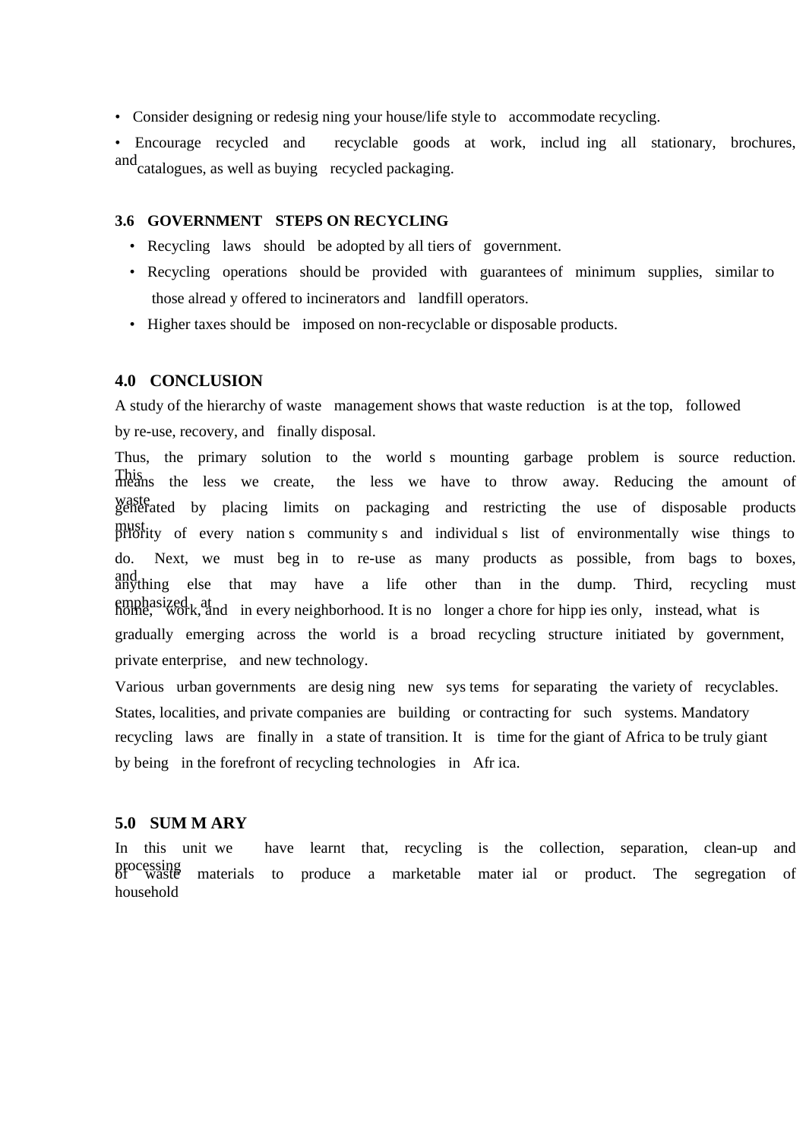• Consider designing or redesig ning your house/life style to accommodate recycling.

• Encourage recycled and recyclable goods at work, includ ing all stationary, brochures, and catalogues, as well as buying recycled packaging.

### **3.6 GOVERNMENT STEPS ON RECYCLING**

- Recycling laws should be adopted by all tiers of government.
- Recycling operations should be provided with guarantees of minimum supplies, similar to those alread y offered to incinerators and landfill operators.
- Higher taxes should be imposed on non-recyclable or disposable products.

# **4.0 CONCLUSION**

A study of the hierarchy of waste management shows that waste reduction is at the top, followed by re-use, recovery, and finally disposal.

Thus, the primary solution to the world s mounting garbage problem is source reduction. This means the less we create, the less we have to throw away. Reducing the amount of waste generated by placing limits on packaging and restricting the use of disposable products must priority of every nation s community s and individual s list of environmentally wise things to do. Next, we must beg in to re-use as many products as possible, from bags to boxes, and anything else that may have a life other than in the dump. Third, recycling must emphasized at a home, work, and in every neighborhood. It is no longer a chore for hipp ies only, instead, what is gradually emerging across the world is a broad recycling structure initiated by government, private enterprise, and new technology.

Various urban governments are desig ning new sys tems for separating the variety of recyclables. States, localities, and private companies are building or contracting for such systems. Mandatory recycling laws are finally in a state of transition. It is time for the giant of Africa to be truly giant by being in the forefront of recycling technologies in Afr ica.

#### **5.0 SUM M ARY**

In this unit we have learnt that, recycling is the collection, separation, clean-up and processing of waste materials to produce a marketable mater ial or product. The segregation of household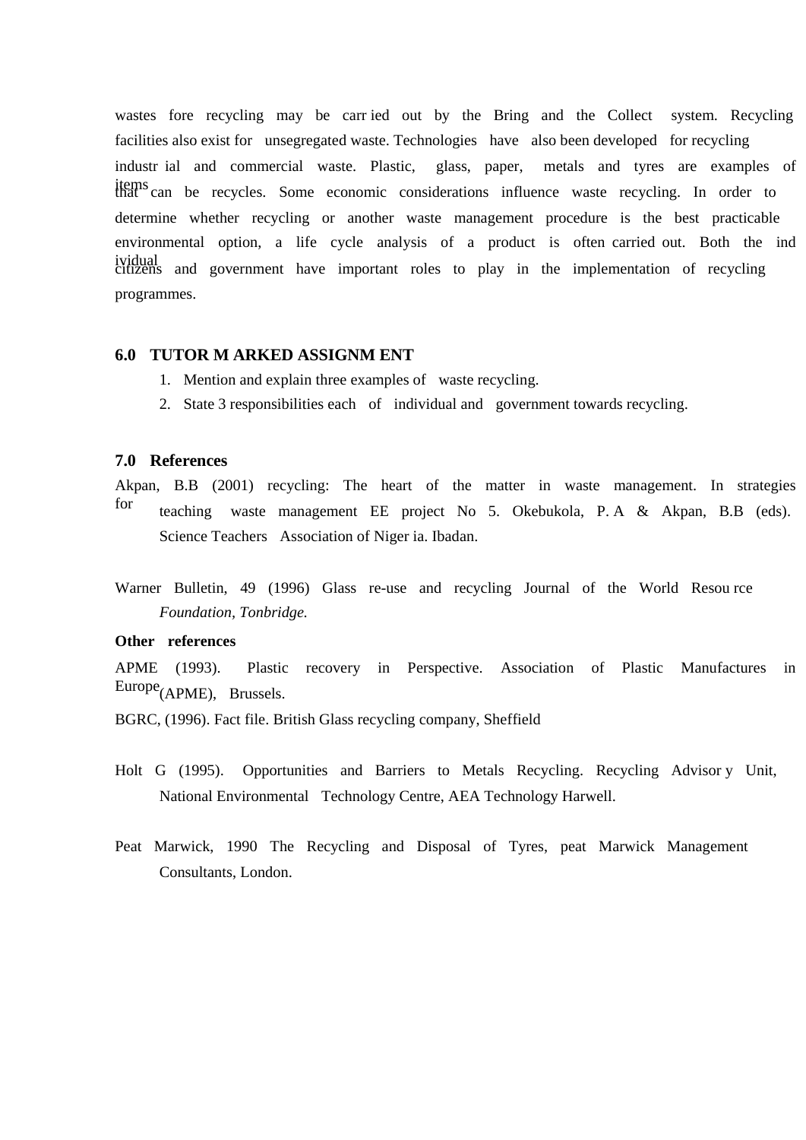wastes fore recycling may be carr ied out by the Bring and the Collect system. Recycling facilities also exist for unsegregated waste. Technologies have also been developed for recycling industr ial and commercial waste. Plastic, glass, paper, metals and tyres are examples of items that can be recycles. Some economic considerations influence waste recycling. In order to determine whether recycling or another waste management procedure is the best practicable environmental option, a life cycle analysis of a product is often carried out. Both the ind ividual citizens and government have important roles to play in the implementation of recycling programmes.

### **6.0 TUTOR M ARKED ASSIGNM ENT**

- 1. Mention and explain three examples of waste recycling.
- 2. State 3 responsibilities each of individual and government towards recycling.

### **7.0 References**

Akpan, B.B (2001) recycling: The heart of the matter in waste management. In strategies for teaching waste management EE project No 5. Okebukola, P. A & Akpan, B.B (eds). Science Teachers Association of Niger ia. Ibadan.

Warner Bulletin, 49 (1996) Glass re-use and recycling Journal of the World Resou rce *Foundation, Tonbridge.* 

### **Other references**

APME (1993). Plastic recovery in Perspective. Association of Plastic Manufactures in Europe<sub>(APME)</sub>, Brussels.

BGRC, (1996). Fact file. British Glass recycling company, Sheffield

- Holt G (1995). Opportunities and Barriers to Metals Recycling. Recycling Advisor y Unit, National Environmental Technology Centre, AEA Technology Harwell.
- Peat Marwick, 1990 The Recycling and Disposal of Tyres, peat Marwick Management Consultants, London.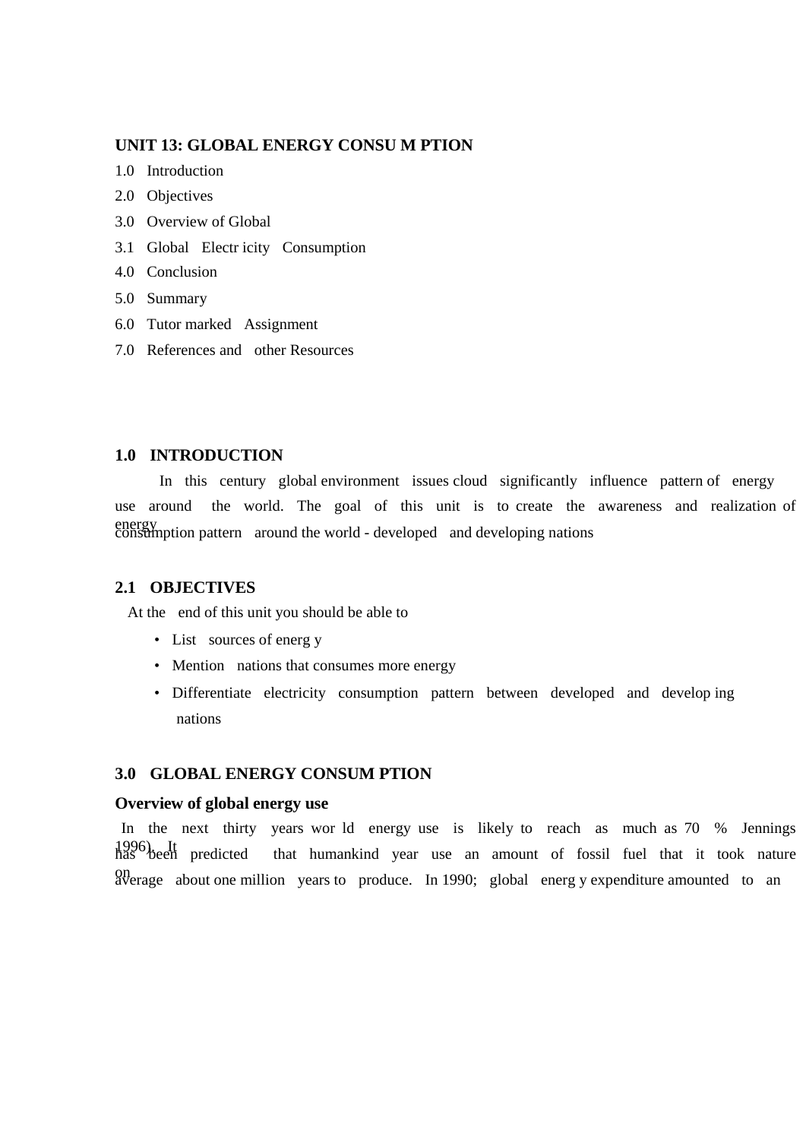# **UNIT 13: GLOBAL ENERGY CONSU M PTION**

- 1.0 Introduction
- 2.0 Objectives
- 3.0 Overview of Global
- 3.1 Global Electr icity Consumption
- 4.0 Conclusion
- 5.0 Summary
- 6.0 Tutor marked Assignment
- 7.0 References and other Resources

# **1.0 INTRODUCTION**

In this century global environment issues cloud significantly influence pattern of energy use around the world. The goal of this unit is to create the awareness and realization of energy consumption pattern around the world - developed and developing nations

### **2.1 OBJECTIVES**

At the end of this unit you should be able to

- List sources of energ y
- Mention nations that consumes more energy
- Differentiate electricity consumption pattern between developed and develop ing nations

### **3.0 GLOBAL ENERGY CONSUM PTION**

### **Overview of global energy use**

In the next thirty years wor ld energy use is likely to reach as much as 70 % Jennings 1996). It has been predicted that humankind year use an amount of fossil fuel that it took nature on average about one million years to produce. In 1990; global energ y expenditure amounted to an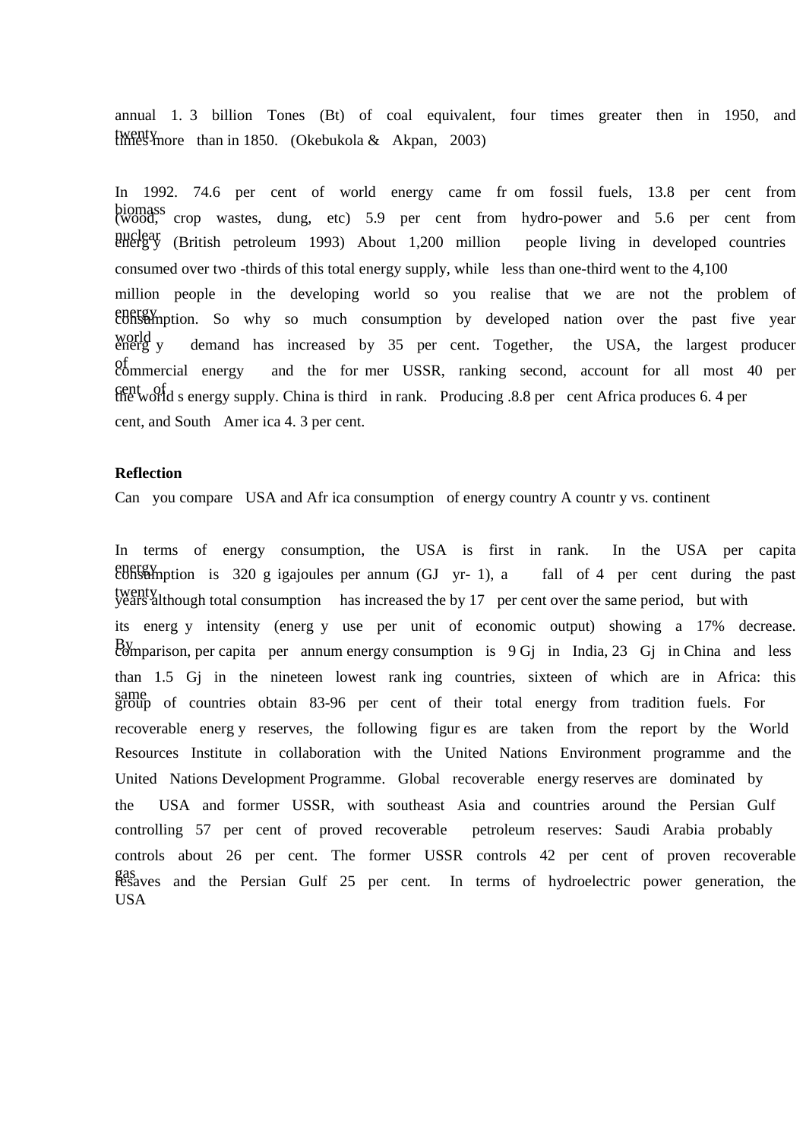annual 1. 3 billion Tones (Bt) of coal equivalent, four times greater then in 1950, and twenty than in 1850. (Okebukola & Akpan, 2003)

In 1992. 74.6 per cent of world energy came fr om fossil fuels, 13.8 per cent from biomass (wood, crop wastes, dung, etc) 5.9 per cent from hydro-power and 5.6 per cent from nuclear (British petroleum 1993) About 1,200 million people living in developed countries consumed over two -thirds of this total energy supply, while less than one-third went to the 4,100 million people in the developing world so you realise that we are not the problem of energy consumption. So why so much consumption by developed nation over the past five year world<br>energ y demand has increased by 35 per cent. Together, the USA, the largest producer of commercial energy and the for mer USSR, ranking second, account for all most 40 per cent of  $\alpha$  s energy supply. China is third in rank. Producing .8.8 per cent Africa produces 6.4 per cent, and South Amer ica 4. 3 per cent.

# **Reflection**

Can you compare USA and Afr ica consumption of energy country A countr y vs. continent

In terms of energy consumption, the USA is first in rank. In the USA per capita energy consumption is 320 g igajoules per annum (GJ yr- 1), a fall of 4 per cent during the past twenty years although total consumption has increased the by 17 per cent over the same period, but with its energ y intensity (energ y use per unit of economic output) showing a 17% decrease. By comparison, per capita per annum energy consumption is 9 Gj in India, 23 Gj in China and less than 1.5 Gj in the nineteen lowest rank ing countries, sixteen of which are in Africa: this same group of countries obtain 83-96 per cent of their total energy from tradition fuels. For recoverable energ y reserves, the following figur es are taken from the report by the World Resources Institute in collaboration with the United Nations Environment programme and the United Nations Development Programme. Global recoverable energy reserves are dominated by the USA and former USSR, with southeast Asia and countries around the Persian Gulf controlling 57 per cent of proved recoverable petroleum reserves: Saudi Arabia probably controls about 26 per cent. The former USSR controls 42 per cent of proven recoverable gas resaves and the Persian Gulf 25 per cent. In terms of hydroelectric power generation, the USA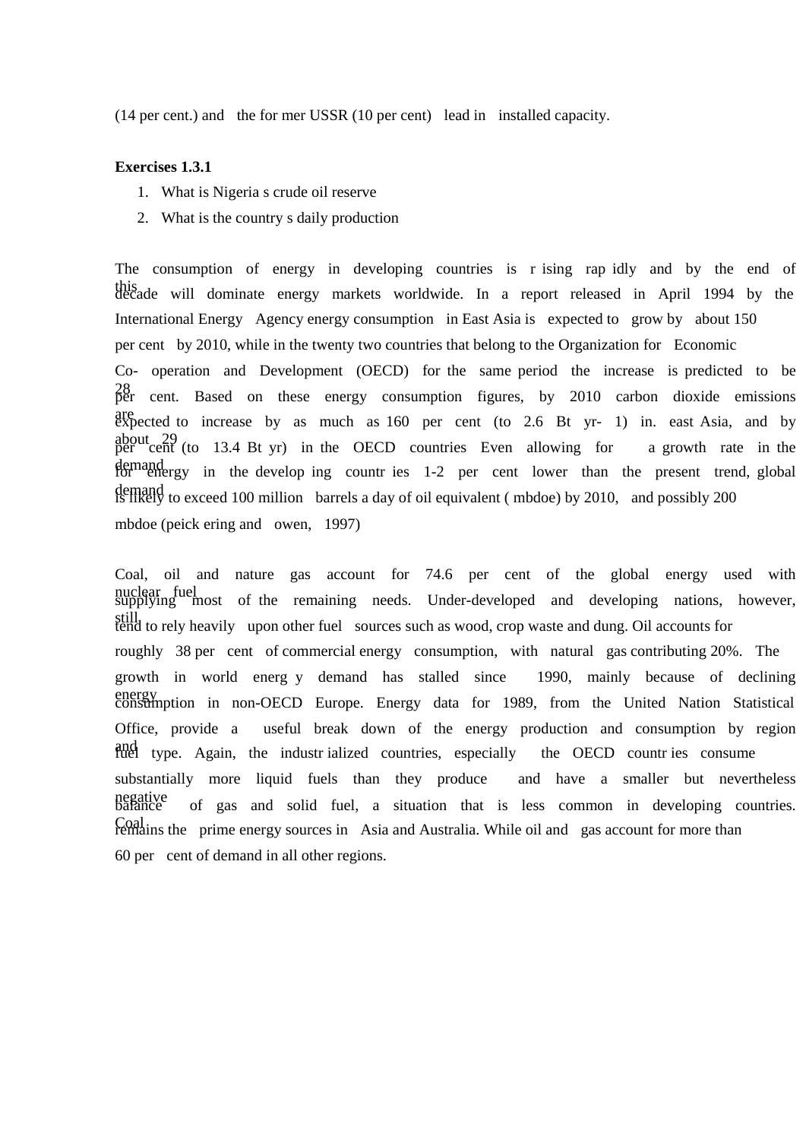(14 per cent.) and the for mer USSR (10 per cent) lead in installed capacity.

#### **Exercises 1.3.1**

- 1. What is Nigeria s crude oil reserve
- 2. What is the country s daily production

The consumption of energy in developing countries is r ising rap idly and by the end of this decade will dominate energy markets worldwide. In a report released in April 1994 by the International Energy Agency energy consumption in East Asia is expected to grow by about 150 per cent by 2010, while in the twenty two countries that belong to the Organization for Economic Co- operation and Development (OECD) for the same period the increase is predicted to be  $^{28}_{per}$  cent. Based on these energy consumption figures, by 2010 carbon dioxide emissions are expected to increase by as much as 160 per cent (to 2.6 Bt yr- 1) in. east Asia, and by about 29 per cent (to 13.4 Bt yr) in the OECD countries Even allowing for a growth rate in the demand<br>for energy in the develop ing countries 1-2 per cent lower than the present trend, global demand is likely to exceed 100 million barrels a day of oil equivalent ( mbdoe) by 2010, and possibly 200 mbdoe (peick ering and owen, 1997)

Coal, oil and nature gas account for 74.6 per cent of the global energy used with nuclear fuel<br>supplying most of the remaining needs. Under-developed and developing nations, however, still tend to rely heavily upon other fuel sources such as wood, crop waste and dung. Oil accounts for roughly 38 per cent of commercial energy consumption, with natural gas contributing 20%. The growth in world energ y demand has stalled since 1990, mainly because of declining energy consumption in non-OECD Europe. Energy data for 1989, from the United Nation Statistical Office, provide a useful break down of the energy production and consumption by region and type. Again, the industrialized countries, especially the OECD countries consume substantially more liquid fuels than they produce and have a smaller but nevertheless negative of gas and solid fuel, a situation that is less common in developing countries. Coal remains the prime energy sources in Asia and Australia. While oil and gas account for more than 60 per cent of demand in all other regions.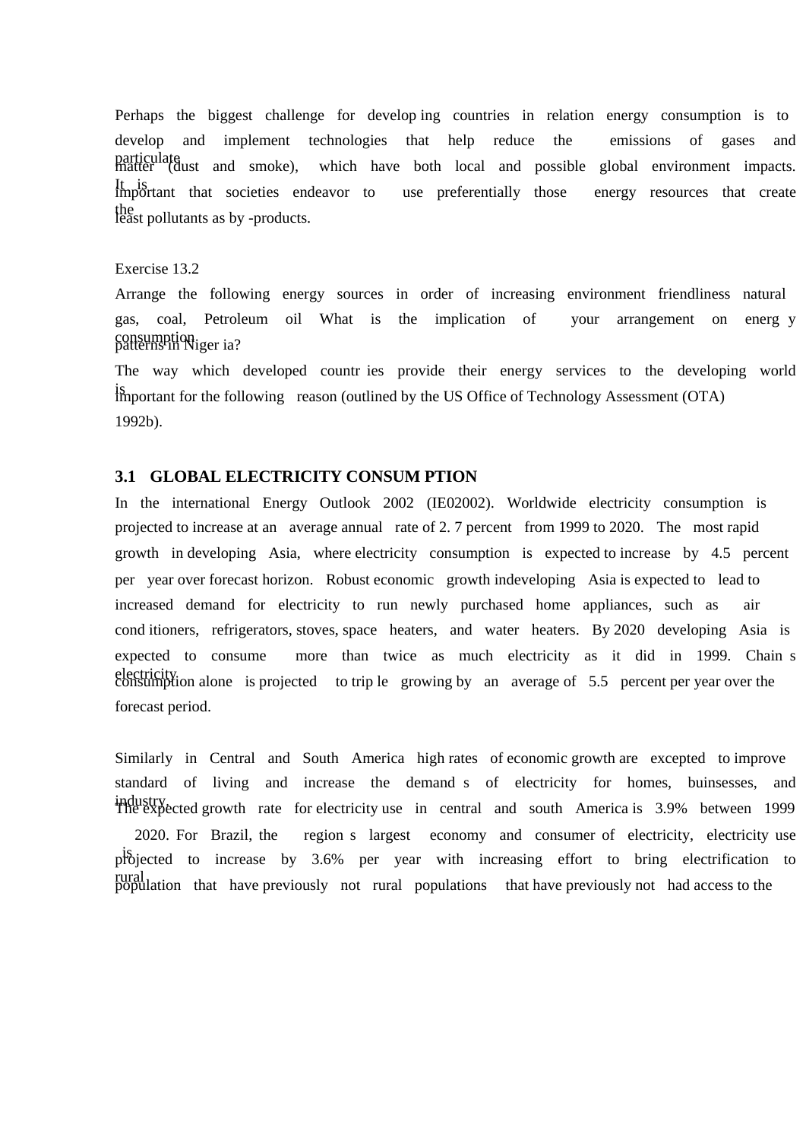Perhaps the biggest challenge for develop ing countries in relation energy consumption is to develop and implement technologies that help reduce the emissions of gases and particulate matter (dust and smoke), which have both local and possible global environment impacts. It is important that societies endeavor to use preferentially those energy resources that create the least pollutants as by -products.

### Exercise 13.2

Arrange the following energy sources in order of increasing environment friendliness natural gas, coal, Petroleum oil What is the implication of your arrangement on energ y consumption.<br>patterns in Niger ia?

The way which developed countr ies provide their energy services to the developing world Is important for the following reason (outlined by the US Office of Technology Assessment (OTA) 1992b).

### **3.1 GLOBAL ELECTRICITY CONSUM PTION**

In the international Energy Outlook 2002 (IE02002). Worldwide electricity consumption is projected to increase at an average annual rate of 2. 7 percent from 1999 to 2020. The most rapid growth in developing Asia, where electricity consumption is expected to increase by 4.5 percent per year over forecast horizon. Robust economic growth indeveloping Asia is expected to lead to increased demand for electricity to run newly purchased home appliances, such as air cond itioners, refrigerators, stoves, space heaters, and water heaters. By 2020 developing Asia is expected to consume more than twice as much electricity as it did in 1999. Chain s electricity.<br>consumption alone is projected to trip le growing by an average of 5.5 percent per year over the forecast period.

Similarly in Central and South America high rates of economic growth are excepted to improve standard of living and increase the demand s of electricity for homes, buinsesses, and industry. The expected growth rate for electricity use in central and south America is 3.9% between 1999 2020. For Brazil, the region s largest economy and consumer of electricity, electricity use projected to increase by 3.6% per year with increasing effort to bring electrification to rural population that have previously not rural populations that have previously not had access to the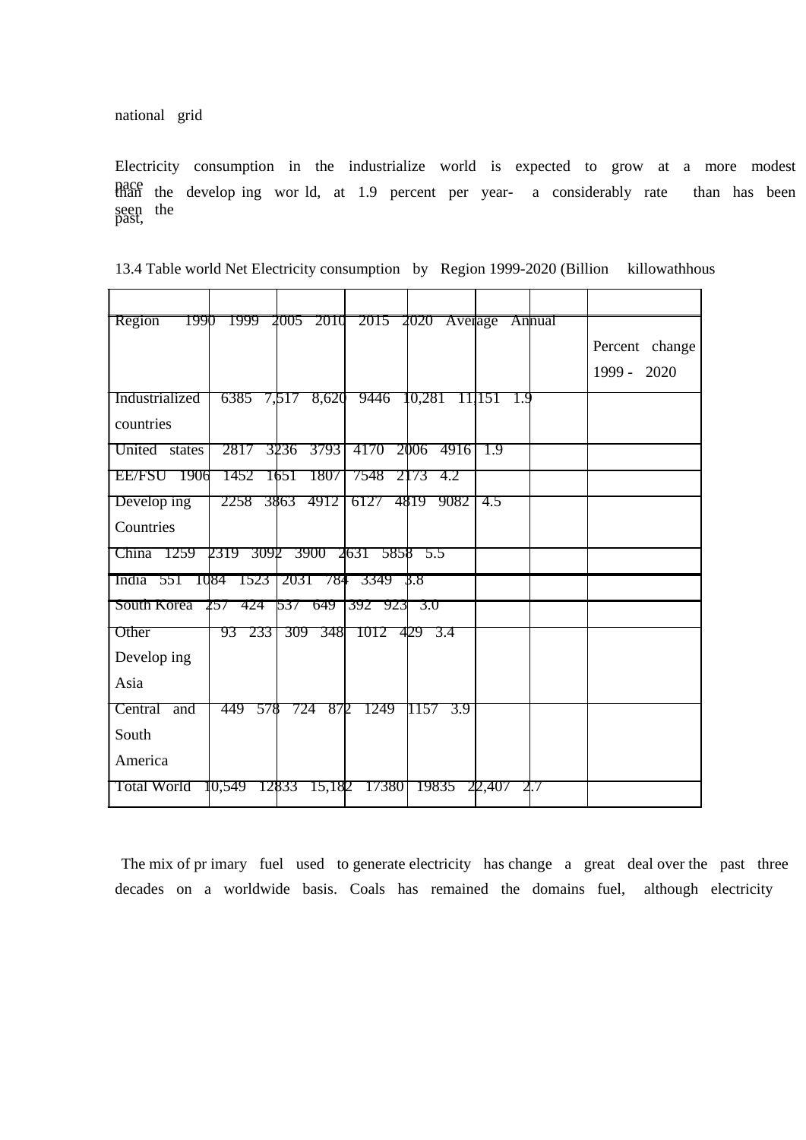national grid

Electricity consumption in the industrialize world is expected to grow at a more modest pace than the develop ing wor ld, at 1.9 percent per year- a considerably rate than has been seen the past,

| 13.4 Table world Net Electricity consumption by Region 1999-2020 (Billion killowathhous |  |  |  |
|-----------------------------------------------------------------------------------------|--|--|--|
|-----------------------------------------------------------------------------------------|--|--|--|

| Region<br>1990              |              | 1999 2005 2010 |              | 2015 2020 Average |                | Annual |                |
|-----------------------------|--------------|----------------|--------------|-------------------|----------------|--------|----------------|
|                             |              |                |              |                   |                |        | Percent change |
|                             |              |                |              |                   |                |        | 1999 - 2020    |
| Industrialized              | 6385 7,517   | 8,620          | 9446         | 10,281 11,151     | 1.9            |        |                |
| countries                   |              |                |              |                   |                |        |                |
| United states               | 2817         | 3236 3793      | 4170         | 4916<br>2006      | <sup>1.9</sup> |        |                |
| EE/FSU<br>1906              | 1452         | 1651<br>1807   | 7548         | 2173<br>4.2       |                |        |                |
| Develop ing                 |              | 2258 3863 4912 | 6127 4819    | 9082              | 4.5            |        |                |
| Countries                   |              |                |              |                   |                |        |                |
| China 1259                  | 2319 3092    | 3900           | 2631<br>5858 | 5.5               |                |        |                |
| 55T<br>TQ84<br><b>India</b> | 1523         | 203T<br>784    | 3349         | 3.8               |                |        |                |
| South Korea                 | 424<br>257   | -649<br>537    | 392<br>923   | 3.0               |                |        |                |
| Other                       | 93 233       | 309<br>3481    | 1012 429 3.4 |                   |                |        |                |
| Develop ing                 |              |                |              |                   |                |        |                |
| Asia                        |              |                |              |                   |                |        |                |
| Central and                 | 449 578      | 87D<br>724     | 1249         | 1157<br>3.9       |                |        |                |
| South                       |              |                |              |                   |                |        |                |
| America                     |              |                |              |                   |                |        |                |
| <b>Total World</b>          | 10,549 12833 | 15,182         | 173801       | 19835             | 22,407         | 2.7    |                |
|                             |              |                |              |                   |                |        |                |

 The mix of pr imary fuel used to generate electricity has change a great deal over the past three decades on a worldwide basis. Coals has remained the domains fuel, although electricity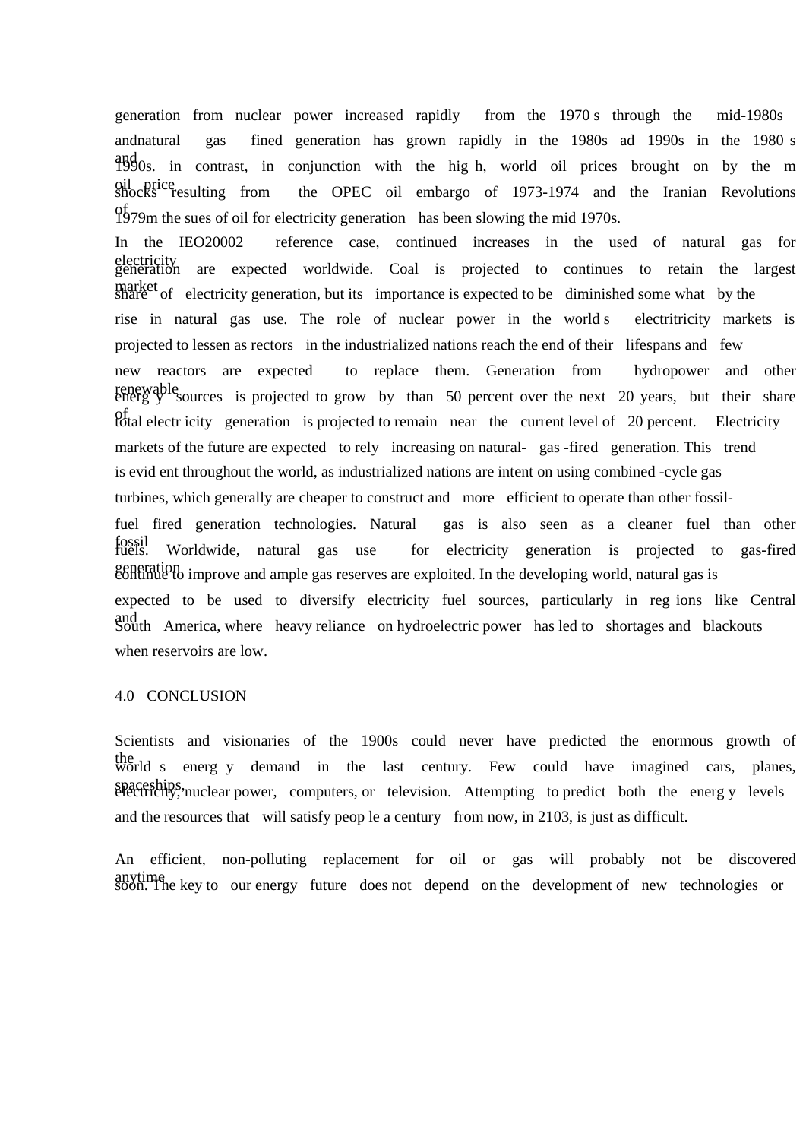generation from nuclear power increased rapidly from the 1970 s through the mid-1980s andnatural gas fined generation has grown rapidly in the 1980s ad 1990s in the 1980 s and 1990s. in contrast, in conjunction with the hig h, world oil prices brought on by the m oil price shocks resulting from the OPEC oil embargo of 1973-1974 and the Iranian Revolutions  $^{05}_{12}$ 79m the sues of oil for electricity generation has been slowing the mid 1970s.

In the IEO20002 reference case, continued increases in the used of natural gas for electricity generation are expected worldwide. Coal is projected to continues to retain the largest market share of electricity generation, but its importance is expected to be diminished some what by the rise in natural gas use. The role of nuclear power in the world s electritricity markets is projected to lessen as rectors in the industrialized nations reach the end of their lifespans and few new reactors are expected to replace them. Generation from hydropower and other renewable<br>energ y sources is projected to grow by than 50 percent over the next 20 years, but their share  $_{\text{total}}^{\text{opt}}$  electr icity generation is projected to remain near the current level of 20 percent. Electricity markets of the future are expected to rely increasing on natural- gas -fired generation. This trend is evid ent throughout the world, as industrialized nations are intent on using combined -cycle gas turbines, which generally are cheaper to construct and more efficient to operate than other fossilfuel fired generation technologies. Natural gas is also seen as a cleaner fuel than other fossil fuels. Worldwide, natural gas use for electricity generation is projected to gas-fired generation improve and ample gas reserves are exploited. In the developing world, natural gas is expected to be used to diversify electricity fuel sources, particularly in reg ions like Central and South America, where heavy reliance on hydroelectric power has led to shortages and blackouts when reservoirs are low.

#### 4.0 CONCLUSION

Scientists and visionaries of the 1900s could never have predicted the enormous growth of the world s energ y demand in the last century. Few could have imagined cars, planes, spaceships, nuclear power, computers, or television. Attempting to predict both the energy levels and the resources that will satisfy peop le a century from now, in 2103, is just as difficult.

An efficient, non-polluting replacement for oil or gas will probably not be discovered anytime soon. The key to our energy future does not depend on the development of new technologies or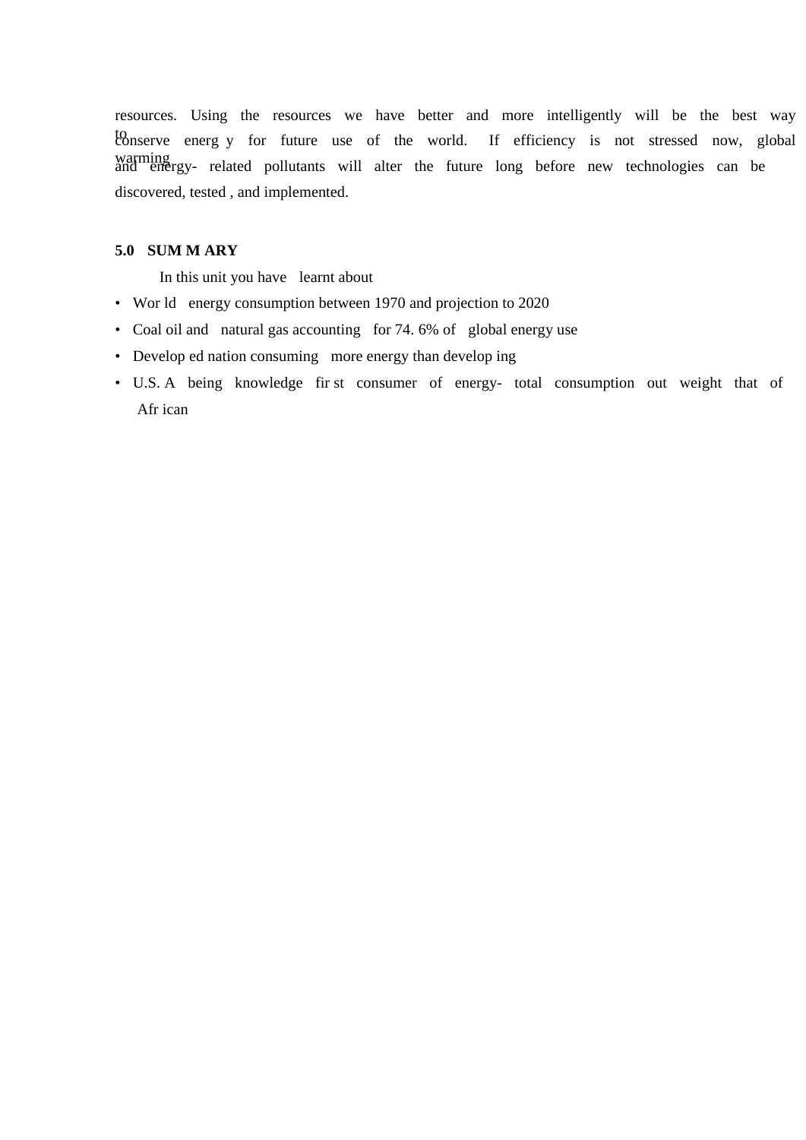resources. Using the resources we have better and more intelligently will be the best way to to conserve energ y for future use of the world. If efficiency is not stressed now, global warming<br>and energy- related pollutants will alter the future long before new technologies can be discovered, tested , and implemented.

### **5.0 SUM M ARY**

In this unit you have learnt about

- Wor ld energy consumption between 1970 and projection to 2020
- Coal oil and natural gas accounting for 74. 6% of global energy use
- Develop ed nation consuming more energy than develop ing
- U.S. A being knowledge fir st consumer of energy- total consumption out weight that of Afr ican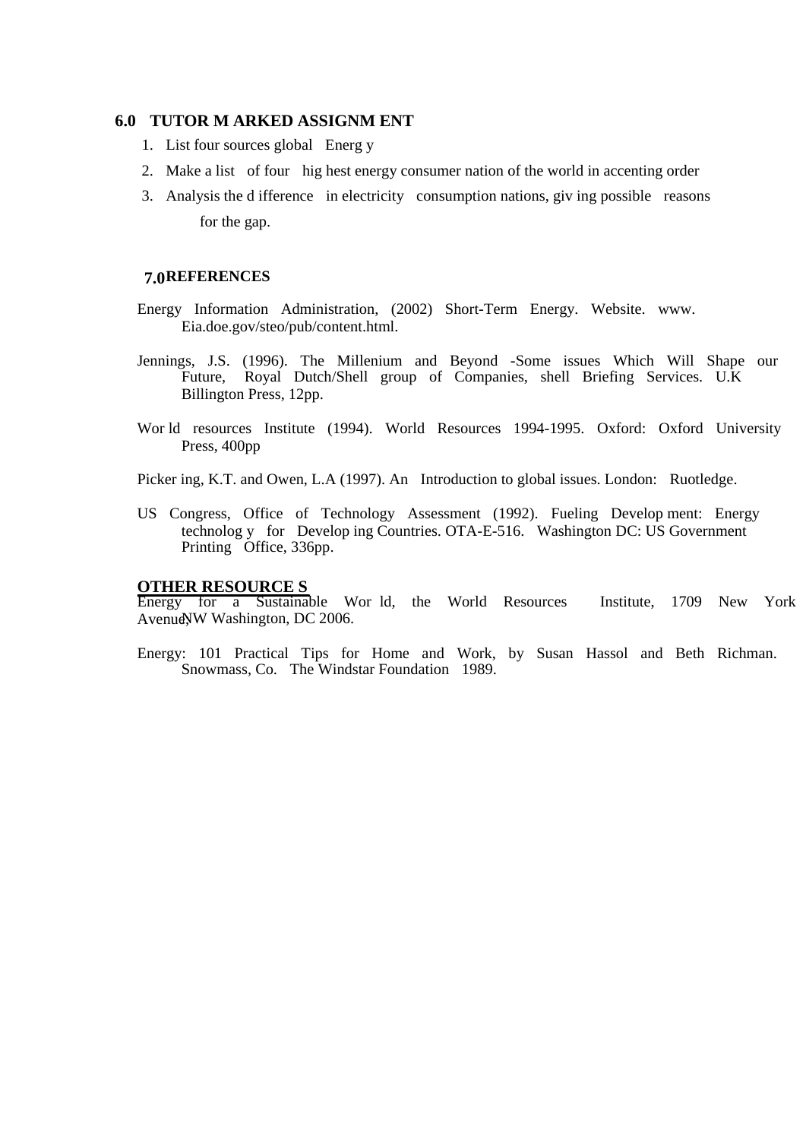### **6.0 TUTOR M ARKED ASSIGNM ENT**

- 1. List four sources global Energ y
- 2. Make a list of four hig hest energy consumer nation of the world in accenting order
- 3. Analysis the d ifference in electricity consumption nations, giv ing possible reasons for the gap.

#### **REFERENCES 7.0**

- Energy Information Administration, (2002) Short-Term Energy. Website. www. Eia.doe.gov/steo/pub/content.html.
- Jennings, J.S. (1996). The Millenium and Beyond -Some issues Which Will Shape our Future, Royal Dutch/Shell group of Companies, shell Briefing Services. U.K Billington Press, 12pp.
- Wor ld resources Institute (1994). World Resources 1994-1995. Oxford: Oxford University Press, 400pp

Picker ing, K.T. and Owen, L.A (1997). An Introduction to global issues. London: Ruotledge.

US Congress, Office of Technology Assessment (1992). Fueling Develop ment: Energy technolog y for Develop ing Countries. OTA-E-516. Washington DC: US Government Printing Office, 336pp.

### **OTHER RESOURCE S**

Energy for a Sustainable Wor ld, the World Resources Institute, 1709 New York Avenue, WW Washington, DC 2006.

Energy: 101 Practical Tips for Home and Work, by Susan Hassol and Beth Richman. Snowmass, Co. The Windstar Foundation 1989.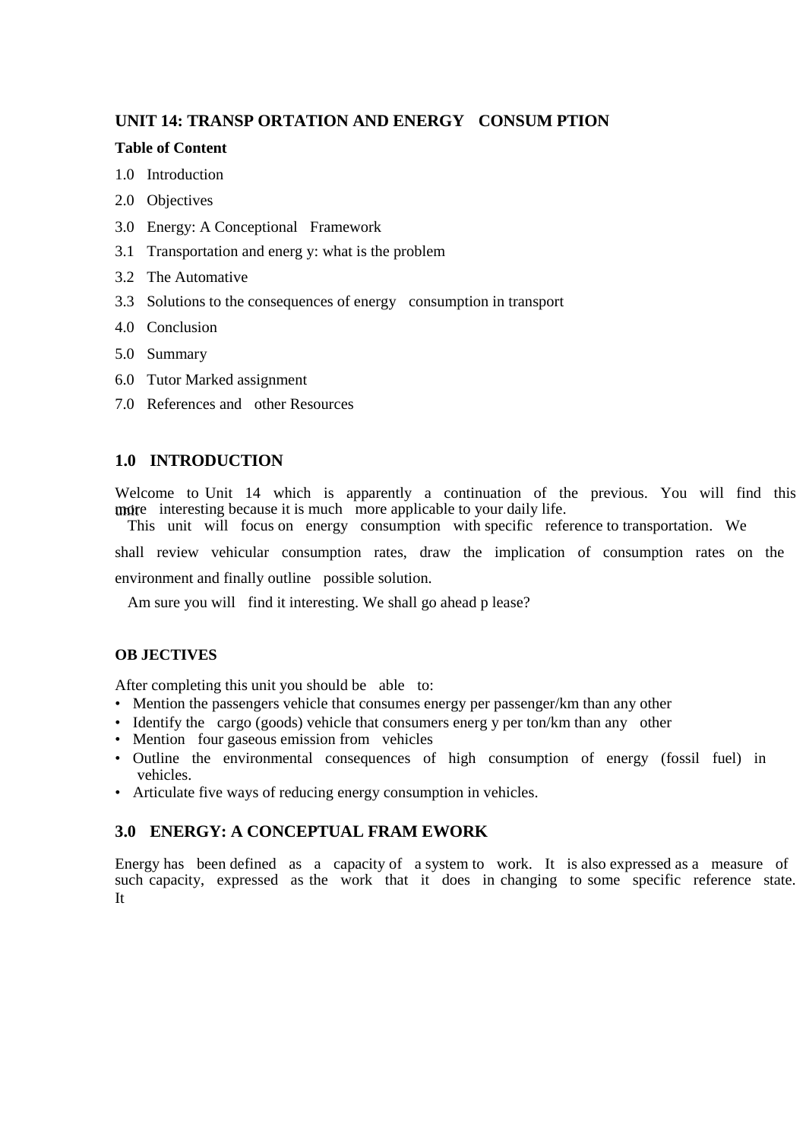# **UNIT 14: TRANSP ORTATION AND ENERGY CONSUM PTION**

### **Table of Content**

- 1.0 Introduction
- 2.0 Objectives
- 3.0 Energy: A Conceptional Framework
- 3.1 Transportation and energ y: what is the problem
- 3.2 The Automative
- 3.3 Solutions to the consequences of energy consumption in transport
- 4.0 Conclusion
- 5.0 Summary
- 6.0 Tutor Marked assignment
- 7.0 References and other Resources

# **1.0 INTRODUCTION**

Welcome to Unit 14 which is apparently a continuation of the previous. You will find this unite interesting because it is much more applicable to your daily life.

This unit will focus on energy consumption with specific reference to transportation. We

shall review vehicular consumption rates, draw the implication of consumption rates on the

environment and finally outline possible solution.

Am sure you will find it interesting. We shall go ahead p lease?

### **OB JECTIVES**

After completing this unit you should be able to:

- Mention the passengers vehicle that consumes energy per passenger/km than any other
- Identify the cargo (goods) vehicle that consumers energ y per ton/km than any other
- Mention four gaseous emission from vehicles
- Outline the environmental consequences of high consumption of energy (fossil fuel) in vehicles.
- Articulate five ways of reducing energy consumption in vehicles.

# **3.0 ENERGY: A CONCEPTUAL FRAM EWORK**

Energy has been defined as a capacity of a system to work. It is also expressed as a measure of such capacity, expressed as the work that it does in changing to some specific reference state. It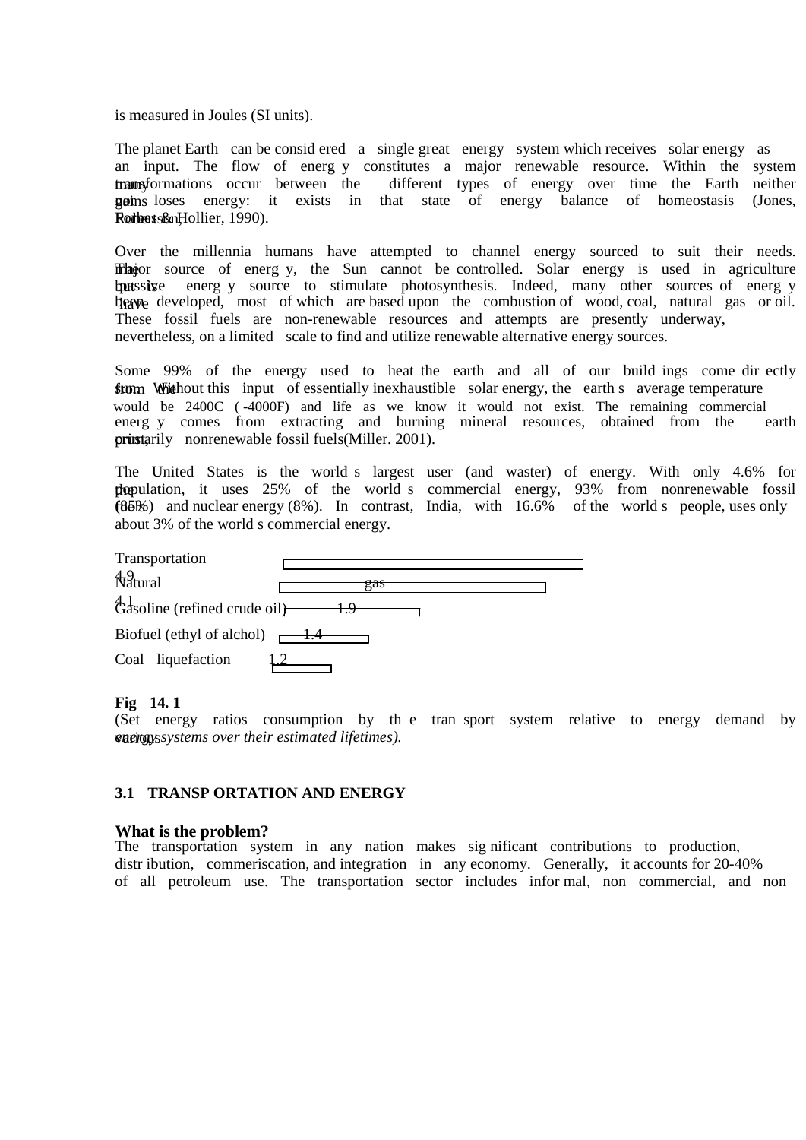is measured in Joules (SI units).

The planet Earth can be consid ered a single great energy system which receives solar energy as an input. The flow of energ y constitutes a major renewable resource. Within the system transformations occur between the different types of energy over time the Earth neither different types of energy over time the Earth neither **gains** loses energy: it exists in that state of energy balance of homeostasis (Jones, Rotherts&nHollier, 1990).

Over the millennia humans have attempted to channel energy sourced to suit their needs. Theor source of energ y, the Sun cannot be controlled. Solar energy is used in agriculture but is passive energ y source to stimulate photosynthesis. Indeed, many other sources of energ y begave developed, most of which are based upon the combustion of wood, coal, natural gas or oil. These fossil fuels are non-renewable resources and attempts are presently underway, nevertheless, on a limited scale to find and utilize renewable alternative energy sources.

Some 99% of the energy used to heat the earth and all of our build ings come dir ectly from Whithout this input of essentially inexhaustible solar energy, the earth s average temperature would be 2400C (-4000F) and life as we know it would not exist. The remaining commercial energ y comes from extracting and burning mineral resources, obtained from the earth energ y comes from extracting and burning mineral resources, obtained from the prinstarily nonrenewable fossil fuels(Miller. 2001).

The United States is the world s largest user (and waster) of energy. With only 4.6% for the population, it uses 25% of the world s commercial energy, 93% from nonrenewable fossil  $f85\%$ ) and nuclear energy (8%). In contrast, India, with 16.6% of the world s people, uses only about 3% of the world s commercial energy.

| Transportation                                                   |  |
|------------------------------------------------------------------|--|
| 49<br>Natural<br>gas                                             |  |
| $\frac{41}{6}$ dasoline (refined crude oil) $\frac{1}{\sqrt{6}}$ |  |
| Biofuel (ethyl of alchol) $\leftarrow$ 1.4                       |  |
| Coal liquefaction                                                |  |

#### **Fig 14. 1**

(Set energy ratios consumption by th e tran sport system relative to energy demand by various *energy systems over their estimated lifetimes).* 

#### **3.1 TRANSP ORTATION AND ENERGY**

#### **What is the problem?**

The transportation system in any nation makes sig nificant contributions to production, distr ibution, commeriscation, and integration in any economy. Generally, it accounts for 20-40% of all petroleum use. The transportation sector includes infor mal, non commercial, and non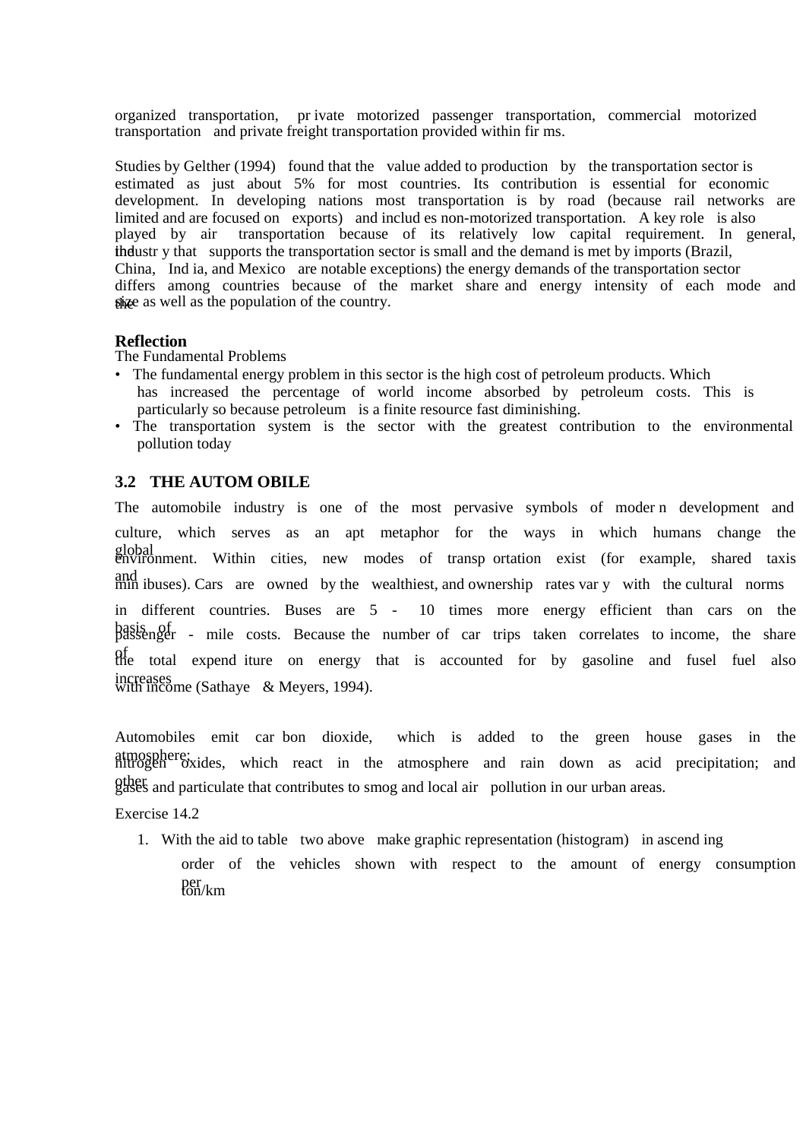organized transportation, pr ivate motorized passenger transportation, commercial motorized transportation and private freight transportation provided within fir ms.

Studies by Gelther (1994) found that the value added to production by the transportation sector is estimated as just about 5% for most countries. Its contribution is essential for economic development. In developing nations most transportation is by road (because rail networks are limited and are focused on exports) and includ es non-motorized transportation. A key role is also played by air transportation because of its relatively low capital requirement. In general, the industry that supports the transportation sector is small and the demand is met by imports (Brazil, China, Ind ia, and Mexico are notable exceptions) the energy demands of the transportation sector differs among countries because of the market share and energy intensity of each mode and shize as well as the population of the country.

### **Reflection**

The Fundamental Problems

- The fundamental energy problem in this sector is the high cost of petroleum products. Which has increased the percentage of world income absorbed by petroleum costs. This is particularly so because petroleum is a finite resource fast diminishing.
- The transportation system is the sector with the greatest contribution to the environmental pollution today

# **3.2 THE AUTOM OBILE**

The automobile industry is one of the most pervasive symbols of moder n development and culture, which serves as an apt metaphor for the ways in which humans change the global environment. Within cities, new modes of transp ortation exist (for example, shared taxis and min ibuses). Cars are owned by the wealthiest, and ownership rates var y with the cultural norms in different countries. Buses are 5 - 10 times more energy efficient than cars on the basis of passenger - mile costs. Because the number of car trips taken correlates to income, the share of the total expend iture on energy that is accounted for by gasoline and fusel fuel also increases with income (Sathaye & Meyers, 1994).

Automobiles emit car bon dioxide, which is added to the green house gases in the atmosphere; nitrogen oxides, which react in the atmosphere and rain down as acid precipitation; and other gases and particulate that contributes to smog and local air pollution in our urban areas.

Exercise 14.2

1. With the aid to table two above make graphic representation (histogram) in ascend ing order of the vehicles shown with respect to the amount of energy consumption  $per$ <sub>fon/km</sub>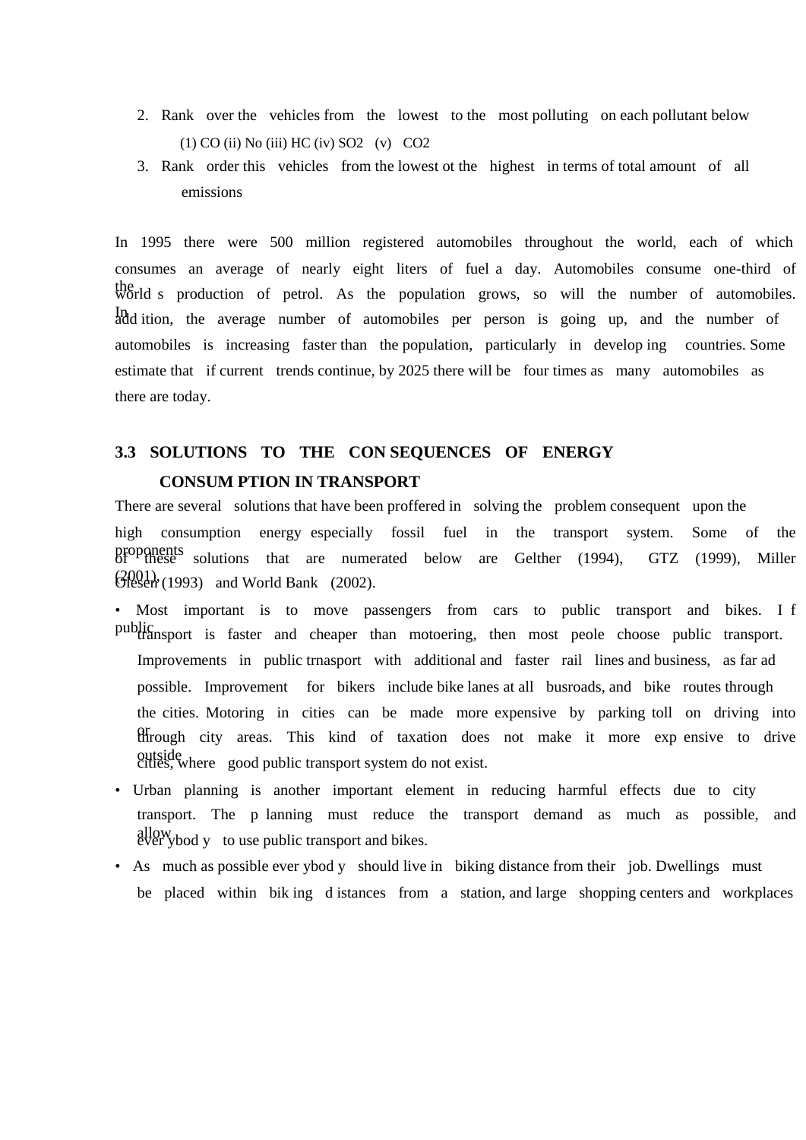- 2. Rank over the vehicles from the lowest to the most polluting on each pollutant below (1) CO (ii) No (iii) HC (iv) SO2 (v) CO2
- 3. Rank order this vehicles from the lowest ot the highest in terms of total amount of all emissions

In 1995 there were 500 million registered automobiles throughout the world, each of which consumes an average of nearly eight liters of fuel a day. Automobiles consume one-third of the world s production of petrol. As the population grows, so will the number of automobiles. In add ition, the average number of automobiles per person is going up, and the number of automobiles is increasing faster than the population, particularly in develop ing countries. Some estimate that if current trends continue, by 2025 there will be four times as many automobiles as there are today.

# **3.3 SOLUTIONS TO THE CON SEQUENCES OF ENERGY CONSUM PTION IN TRANSPORT**

There are several solutions that have been proffered in solving the problem consequent upon the high consumption energy especially fossil fuel in the transport system. Some of the proponents solutions that are numerated below are Gelther (1994), GTZ (1999), Miller  $G[Q]$  (1993) and World Bank (2002).

- Most important is to move passengers from cars to public transport and bikes. I f public transport is faster and cheaper than motoering, then most peole choose public transport. Improvements in public trnasport with additional and faster rail lines and business, as far ad possible. Improvement for bikers include bike lanes at all busroads, and bike routes through the cities. Motoring in cities can be made more expensive by parking toll on driving into efficult through city areas. This kind of taxation does not make it more exp ensive to drive outside cities, where good public transport system do not exist.
- Urban planning is another important element in reducing harmful effects due to city transport. The p lanning must reduce the transport demand as much as possible, and allow ever ybod y to use public transport and bikes.
- As much as possible ever ybod y should live in biking distance from their job. Dwellings must be placed within bik ing d istances from a station, and large shopping centers and workplaces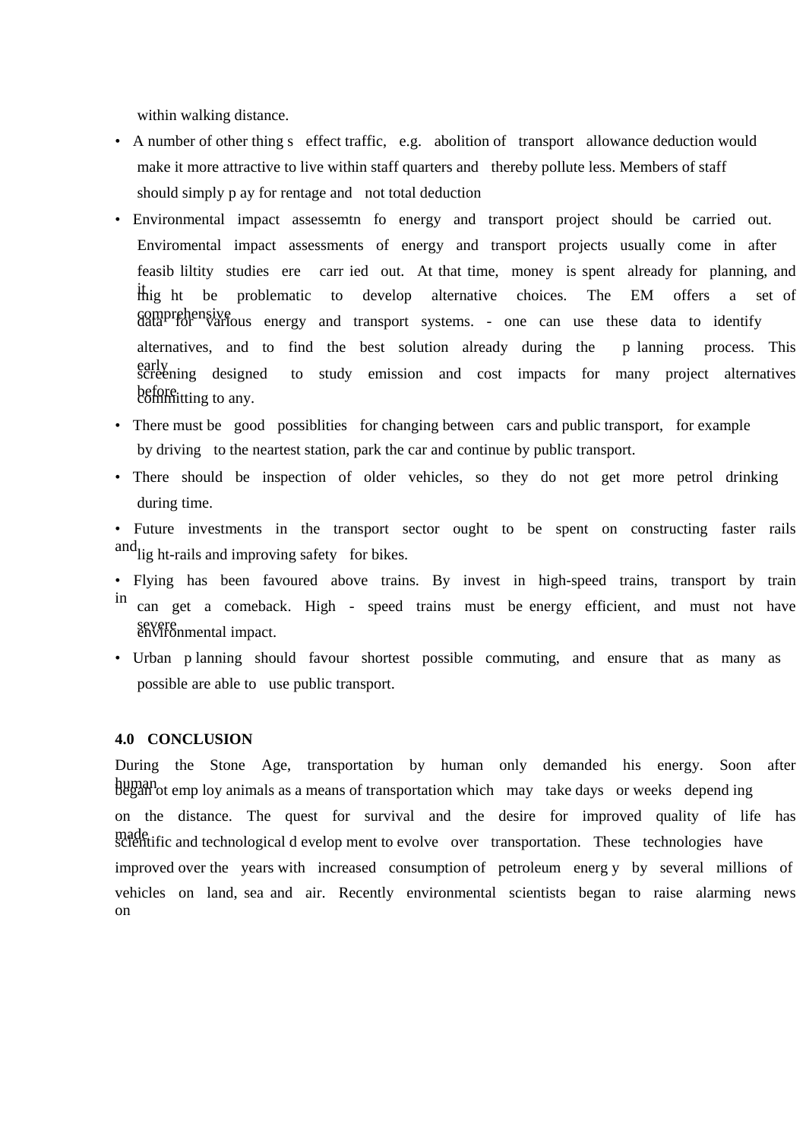within walking distance.

- A number of other thing s effect traffic, e.g. abolition of transport allowance deduction would make it more attractive to live within staff quarters and thereby pollute less. Members of staff should simply p ay for rentage and not total deduction
- Environmental impact assessemtn fo energy and transport project should be carried out. Enviromental impact assessments of energy and transport projects usually come in after feasib liltity studies ere carr ied out. At that time, money is spent already for planning, and thig ht be problematic to develop alternative choices. The EM offers a set of comprehensive data for various energy and transport systems. - one can use these data to identify alternatives, and to find the best solution already during the p lanning process. This early screening designed to study emission and cost impacts for many project alternatives before electric committing to any.
- There must be good possibilities for changing between cars and public transport, for example by driving to the neartest station, park the car and continue by public transport.
- There should be inspection of older vehicles, so they do not get more petrol drinking during time.
- Future investments in the transport sector ought to be spent on constructing faster rails and light-rails and improving safety for bikes.
- Flying has been favoured above trains. By invest in high-speed trains, transport by train in can get a comeback. High - speed trains must be energy efficient, and must not have severe<br>environmental impact.
- Urban p lanning should favour shortest possible commuting, and ensure that as many as possible are able to use public transport.

### **4.0 CONCLUSION**

During the Stone Age, transportation by human only demanded his energy. Soon after human began ot emp loy animals as a means of transportation which may take days or weeks depend ing on the distance. The quest for survival and the desire for improved quality of life has made if and technological d evelop ment to evolve over transportation. These technologies have improved over the years with increased consumption of petroleum energ y by several millions of vehicles on land, sea and air. Recently environmental scientists began to raise alarming news on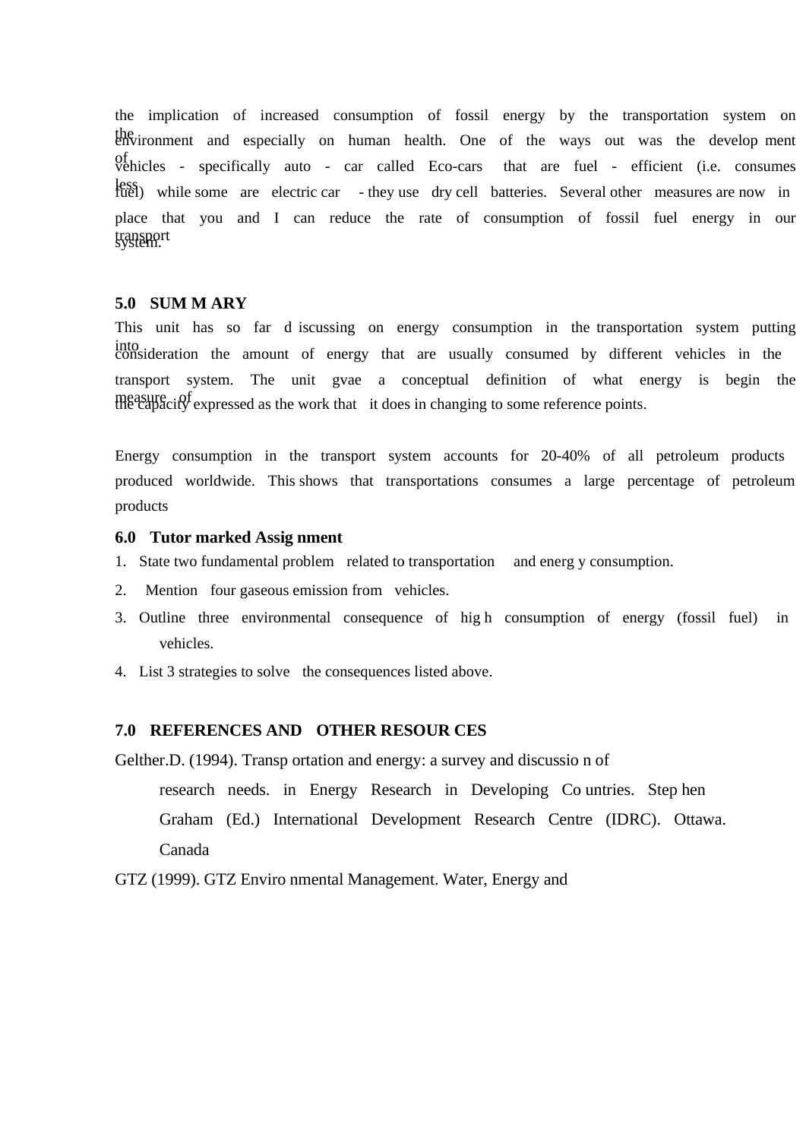the implication of increased consumption of fossil energy by the transportation system on the environment and especially on human health. One of the ways out was the develop ment of vehicles - specifically auto - car called Eco-cars that are fuel - efficient (i.e. consumes less while some are electric car - they use dry cell batteries. Several other measures are now in place that you and I can reduce the rate of consumption of fossil fuel energy in our transport system.

### **5.0 SUM M ARY**

This unit has so far d iscussing on energy consumption in the transportation system putting into consideration the amount of energy that are usually consumed by different vehicles in the transport system. The unit gvae a conceptual definition of what energy is begin the measure of expressed as the work that it does in changing to some reference points.

Energy consumption in the transport system accounts for 20-40% of all petroleum products produced worldwide. This shows that transportations consumes a large percentage of petroleum products

### **6.0 Tutor marked Assig nment**

- 1. State two fundamental problem related to transportation and energ y consumption.
- 2. Mention four gaseous emission from vehicles.
- 3. Outline three environmental consequence of hig h consumption of energy (fossil fuel) in vehicles.
- 4. List 3 strategies to solve the consequences listed above.

### **7.0 REFERENCES AND OTHER RESOUR CES**

Gelther.D. (1994). Transp ortation and energy: a survey and discussio n of research needs. in Energy Research in Developing Co untries. Step hen Graham (Ed.) International Development Research Centre (IDRC). Ottawa. Canada

GTZ (1999). GTZ Enviro nmental Management. Water, Energy and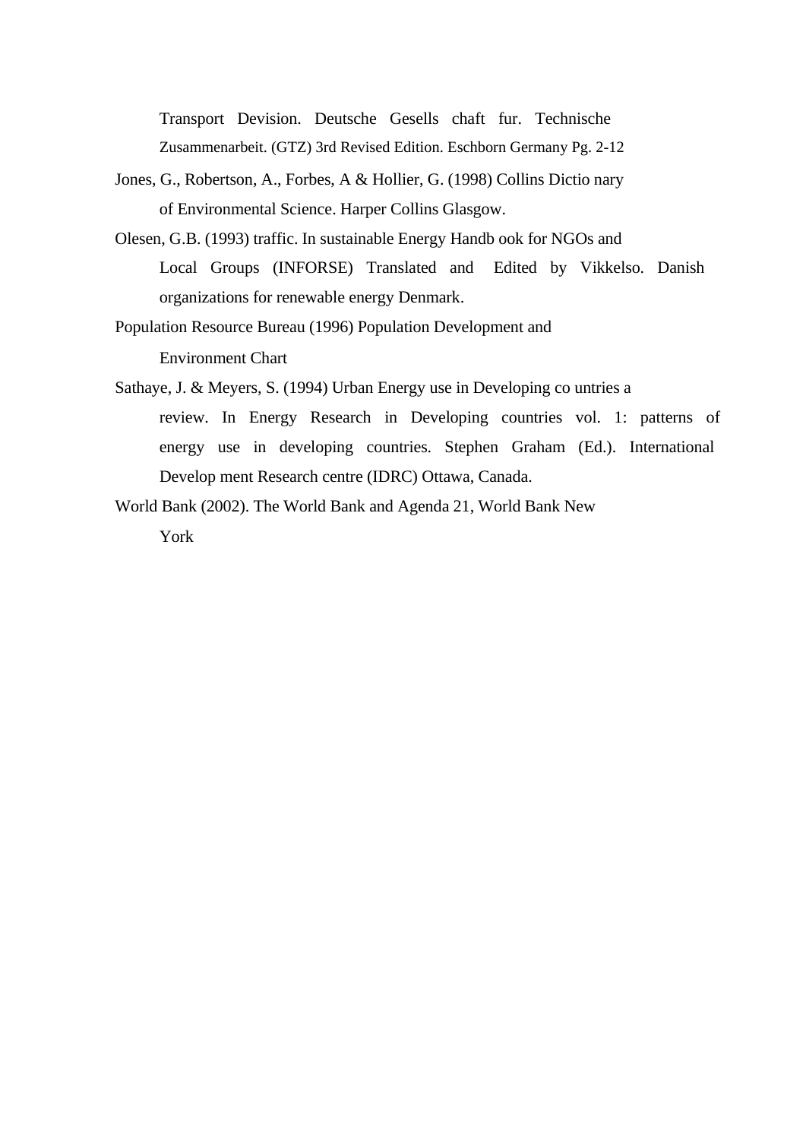Transport Devision. Deutsche Gesells chaft fur. Technische Zusammenarbeit. (GTZ) 3rd Revised Edition. Eschborn Germany Pg. 2-12

- Jones, G., Robertson, A., Forbes, A & Hollier, G. (1998) Collins Dictio nary of Environmental Science. Harper Collins Glasgow.
- Olesen, G.B. (1993) traffic. In sustainable Energy Handb ook for NGOs and Local Groups (INFORSE) Translated and Edited by Vikkelso. Danish organizations for renewable energy Denmark.
- Population Resource Bureau (1996) Population Development and Environment Chart
- Sathaye, J. & Meyers, S. (1994) Urban Energy use in Developing co untries a review. In Energy Research in Developing countries vol. 1: patterns of energy use in developing countries. Stephen Graham (Ed.). International Develop ment Research centre (IDRC) Ottawa, Canada.
- World Bank (2002). The World Bank and Agenda 21, World Bank New York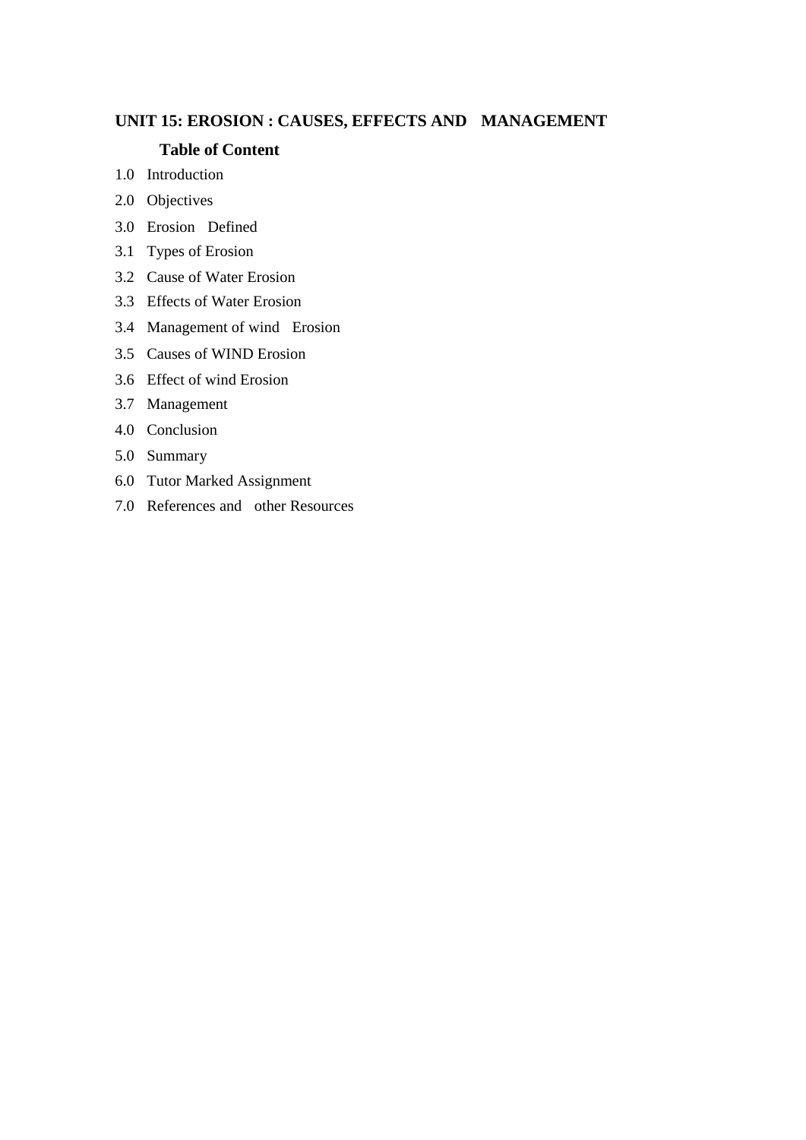# **UNIT 15: EROSION : CAUSES, EFFECTS AND MANAGEMENT**

# **Table of Content**

- 1.0 Introduction
- 2.0 Objectives
- 3.0 Erosion Defined
- 3.1 Types of Erosion
- 3.2 Cause of Water Erosion
- 3.3 Effects of Water Erosion
- 3.4 Management of wind Erosion
- 3.5 Causes of WIND Erosion
- 3.6 Effect of wind Erosion
- 3.7 Management
- 4.0 Conclusion
- 5.0 Summary
- 6.0 Tutor Marked Assignment
- 7.0 References and other Resources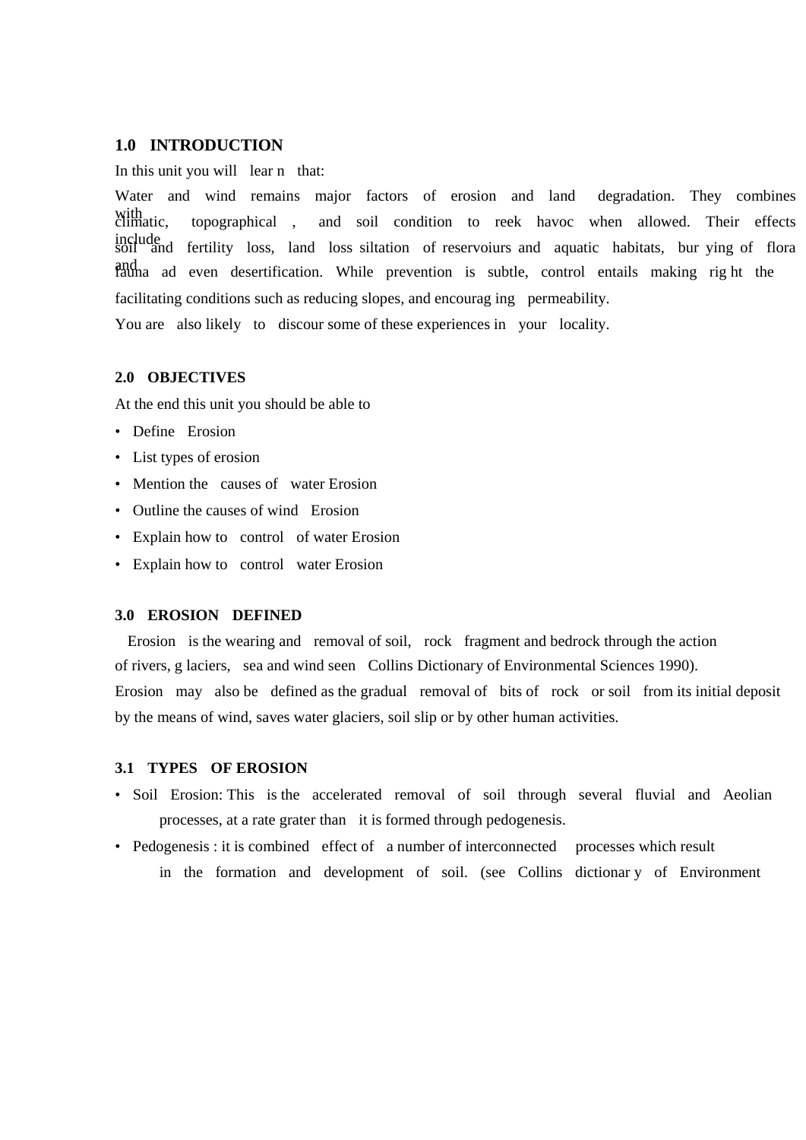### **1.0 INTRODUCTION**

In this unit you will lear n that:

Water and wind remains major factors of erosion and land degradation. They combines with<br>climatic, topographical , and soil condition to reek havoc when allowed. Their effects include soil and fertility loss, land loss siltation of reservoiurs and aquatic habitats, bur ying of flora and ad even desertification. While prevention is subtle, control entails making right the facilitating conditions such as reducing slopes, and encourag ing permeability.

You are also likely to discour some of these experiences in your locality.

### **2.0 OBJECTIVES**

At the end this unit you should be able to

- Define Erosion
- List types of erosion
- Mention the causes of water Erosion
- Outline the causes of wind Erosion
- Explain how to control of water Erosion
- Explain how to control water Erosion

### **3.0 EROSION DEFINED**

 Erosion is the wearing and removal of soil, rock fragment and bedrock through the action of rivers, g laciers, sea and wind seen Collins Dictionary of Environmental Sciences 1990). Erosion may also be defined as the gradual removal of bits of rock or soil from its initial deposit by the means of wind, saves water glaciers, soil slip or by other human activities.

#### **3.1 TYPES OF EROSION**

- Soil Erosion: This is the accelerated removal of soil through several fluvial and Aeolian processes, at a rate grater than it is formed through pedogenesis.
- Pedogenesis : it is combined effect of a number of interconnected processes which result in the formation and development of soil. (see Collins dictionar y of Environment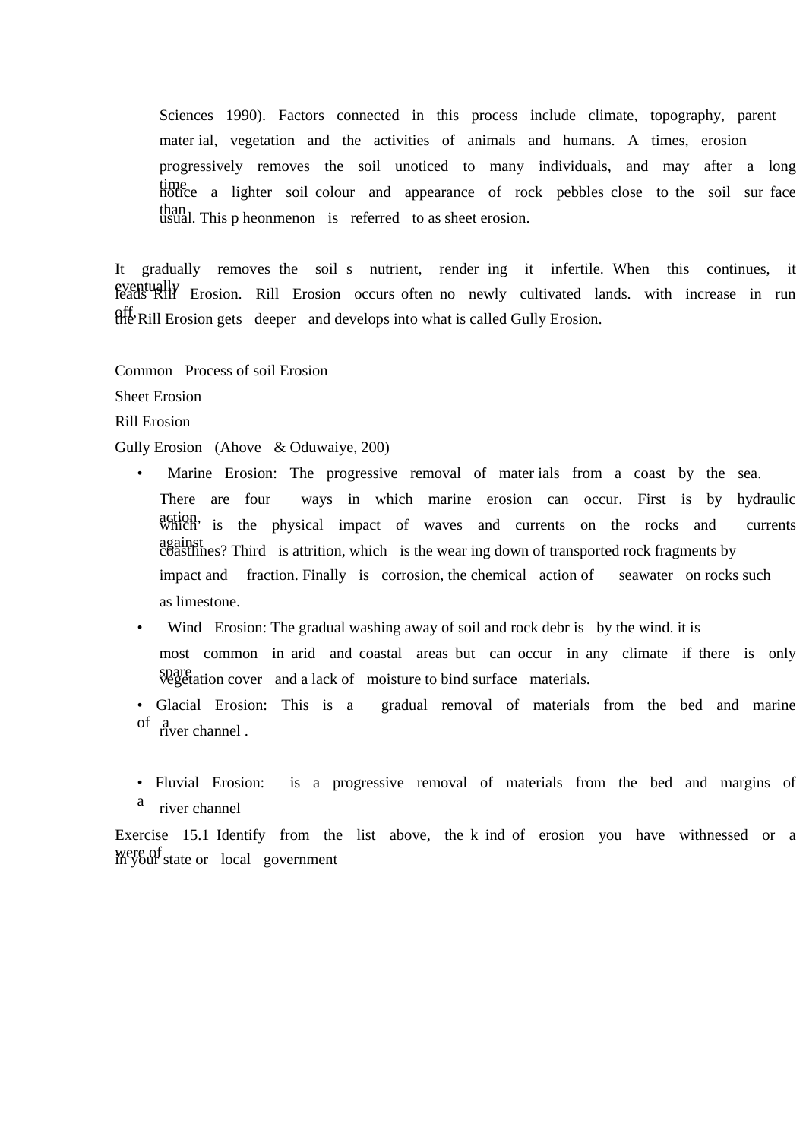Sciences 1990). Factors connected in this process include climate, topography, parent mater ial, vegetation and the activities of animals and humans. A times, erosion progressively removes the soil unoticed to many individuals, and may after a long time notice a lighter soil colour and appearance of rock pebbles close to the soil sur face than usual. This p heonmenon is referred to as sheet erosion.

It gradually removes the soil s nutrient, render ing it infertile. When this continues, it eventually Erosion. Rill Erosion occurs often no newly cultivated lands. with increase in run off, the Rill Erosion gets deeper and develops into what is called Gully Erosion.

Common Process of soil Erosion

Sheet Erosion

Rill Erosion

Gully Erosion (Ahove & Oduwaiye, 200)

- Marine Erosion: The progressive removal of mater ials from a coast by the sea. There are four ways in which marine erosion can occur. First is by hydraulic action, is the physical impact of waves and currents on the rocks and currents against coastlines? Third is attrition, which is the wear ing down of transported rock fragments by impact and fraction. Finally is corrosion, the chemical action of seawater on rocks such as limestone.
- Wind Erosion: The gradual washing away of soil and rock debr is by the wind. it is most common in arid and coastal areas but can occur in any climate if there is only spare<br>vegetation cover and a lack of moisture to bind surface materials.
- Glacial Erosion: This is a gradual removal of materials from the bed and marine of a river channel.
- Fluvial Erosion: is a progressive removal of materials from the bed and margins of river channel

Exercise 15.1 Identify from the list above, the k ind of erosion you have withnessed or a were of state or local government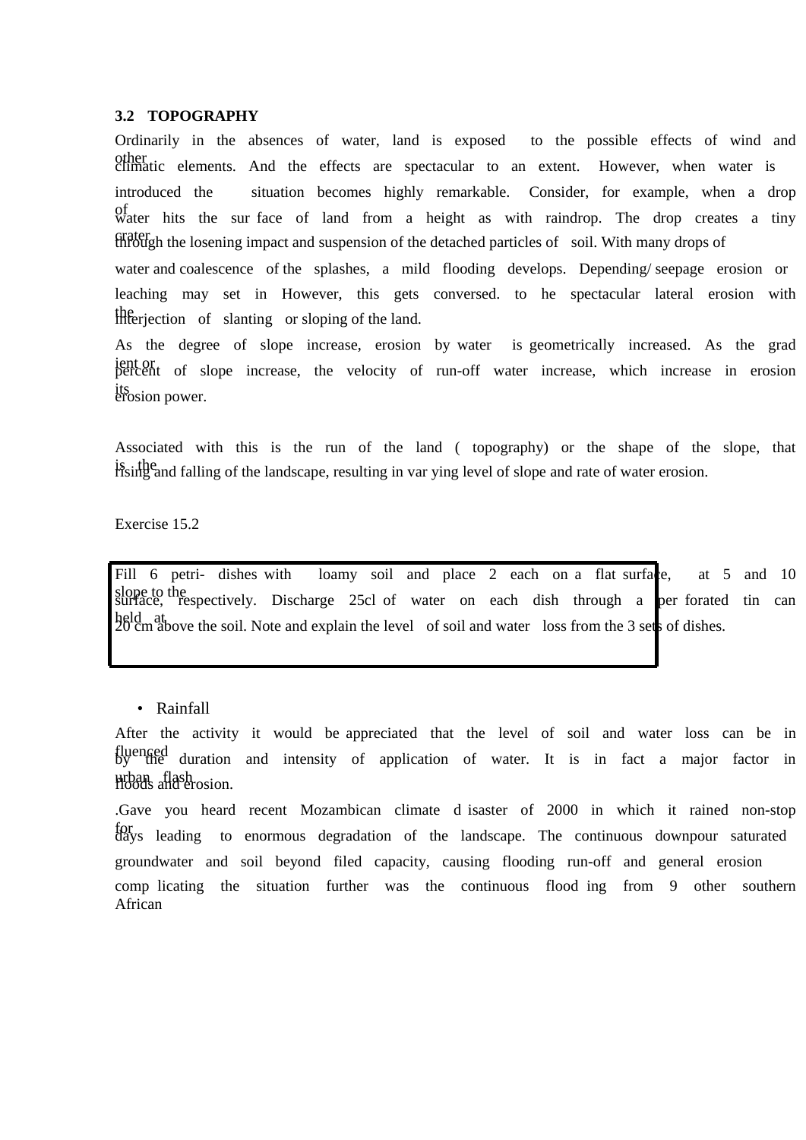### **3.2 TOPOGRAPHY**

Ordinarily in the absences of water, land is exposed to the possible effects of wind and other climatic elements. And the effects are spectacular to an extent. However, when water is introduced the situation becomes highly remarkable. Consider, for example, when a drop of water hits the sur face of land from a height as with raindrop. The drop creates a tiny crater through the losening impact and suspension of the detached particles of soil. With many drops of water and coalescence of the splashes, a mild flooding develops. Depending/ seepage erosion or leaching may set in However, this gets conversed. to he spectacular lateral erosion with Ifteriection of slanting or sloping of the land.

As the degree of slope increase, erosion by water is geometrically increased. As the grad ient or percent of slope increase, the velocity of run-off water increase, which increase in erosion its erosion power.

Associated with this is the run of the land ( topography) or the shape of the slope, that is the rising and falling of the landscape, resulting in var ying level of slope and rate of water erosion.

Exercise 15.2

Fill 6 petri- dishes with loamy soil and place 2 each on a flat surface, at 5 and 10 slope to the surface, respectively. Discharge 25cl of water on each dish through a per forated tin can held at at 20 cm above the soil. Note and explain the level of soil and water loss from the 3 sets of dishes.

#### • Rainfall

After the activity it would be appreciated that the level of soil and water loss can be in fluenced by the duration and intensity of application of water. It is in fact a major factor in urban flash floods and erosion.

.Gave you heard recent Mozambican climate d isaster of 2000 in which it rained non-stop for days leading to enormous degradation of the landscape. The continuous downpour saturated groundwater and soil beyond filed capacity, causing flooding run-off and general erosion comp licating the situation further was the continuous flood ing from 9 other southern African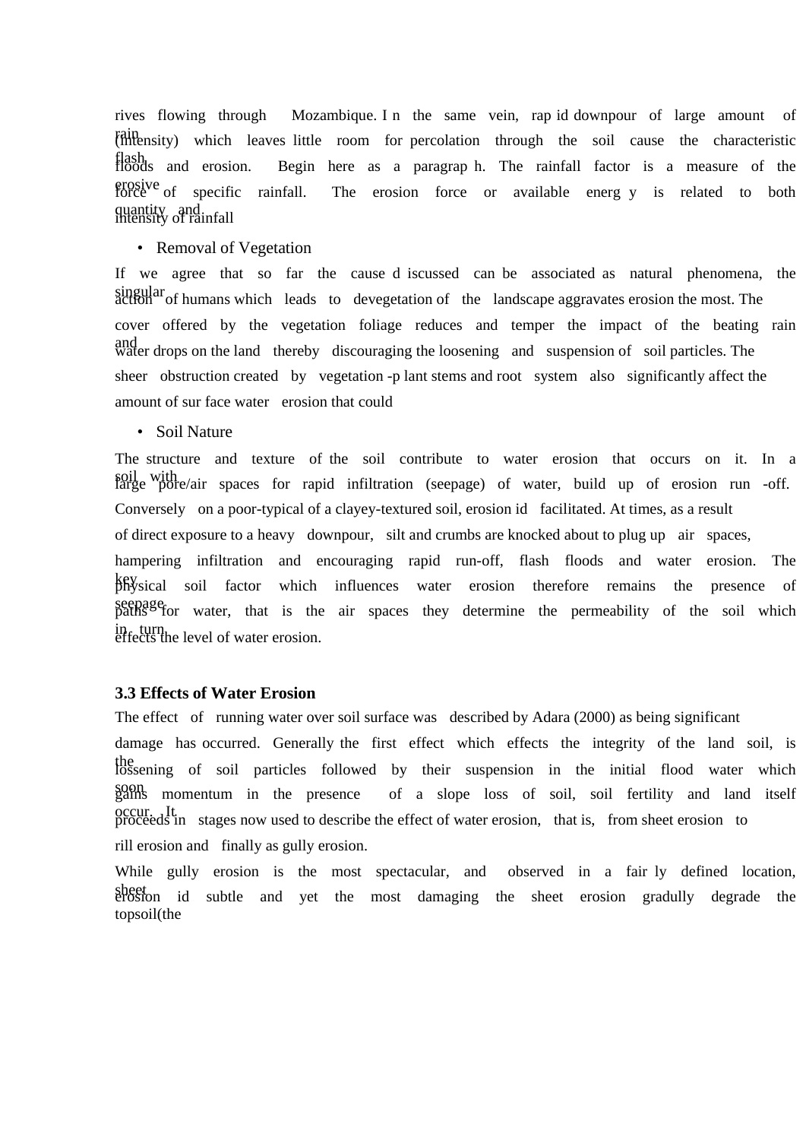rives flowing through Mozambique. I n the same vein, rap id downpour of large amount of rain (intensity) which leaves little room for percolation through the soil cause the characteristic flash floods and erosion. Begin here as a paragrap h. The rainfall factor is a measure of the erosive force of specific rainfall. The erosion force or available energ y is related to both quantity and intensity of rainfall

### • Removal of Vegetation

If we agree that so far the cause d iscussed can be associated as natural phenomena, the singular of humans which leads to devegetation of the landscape aggravates erosion the most. The cover offered by the vegetation foliage reduces and temper the impact of the beating rain and water drops on the land thereby discouraging the loosening and suspension of soil particles. The sheer obstruction created by vegetation -p lant stems and root system also significantly affect the amount of sur face water erosion that could

• Soil Nature

The structure and texture of the soil contribute to water erosion that occurs on it. In a soil with vith large pore/air spaces for rapid infiltration (seepage) of water, build up of erosion run -off. Conversely on a poor-typical of a clayey-textured soil, erosion id facilitated. At times, as a result of direct exposure to a heavy downpour, silt and crumbs are knocked about to plug up air spaces, hampering infiltration and encouraging rapid run-off, flash floods and water erosion. The key physical soil factor which influences water erosion therefore remains the presence of seepage for water, that is the air spaces they determine the permeability of the soil which in, turn<br>effects the level of water erosion.

# **3.3 Effects of Water Erosion**

The effect of running water over soil surface was described by Adara (2000) as being significant damage has occurred. Generally the first effect which effects the integrity of the land soil, is the lossening of soil particles followed by their suspension in the initial flood water which soon gains momentum in the presence of a slope loss of soil, soil fertility and land itself occur. It proceeds in stages now used to describe the effect of water erosion, that is, from sheet erosion to rill erosion and finally as gully erosion.

While gully erosion is the most spectacular, and observed in a fair ly defined location, sheet erosion id subtle and yet the most damaging the sheet erosion gradully degrade the topsoil(the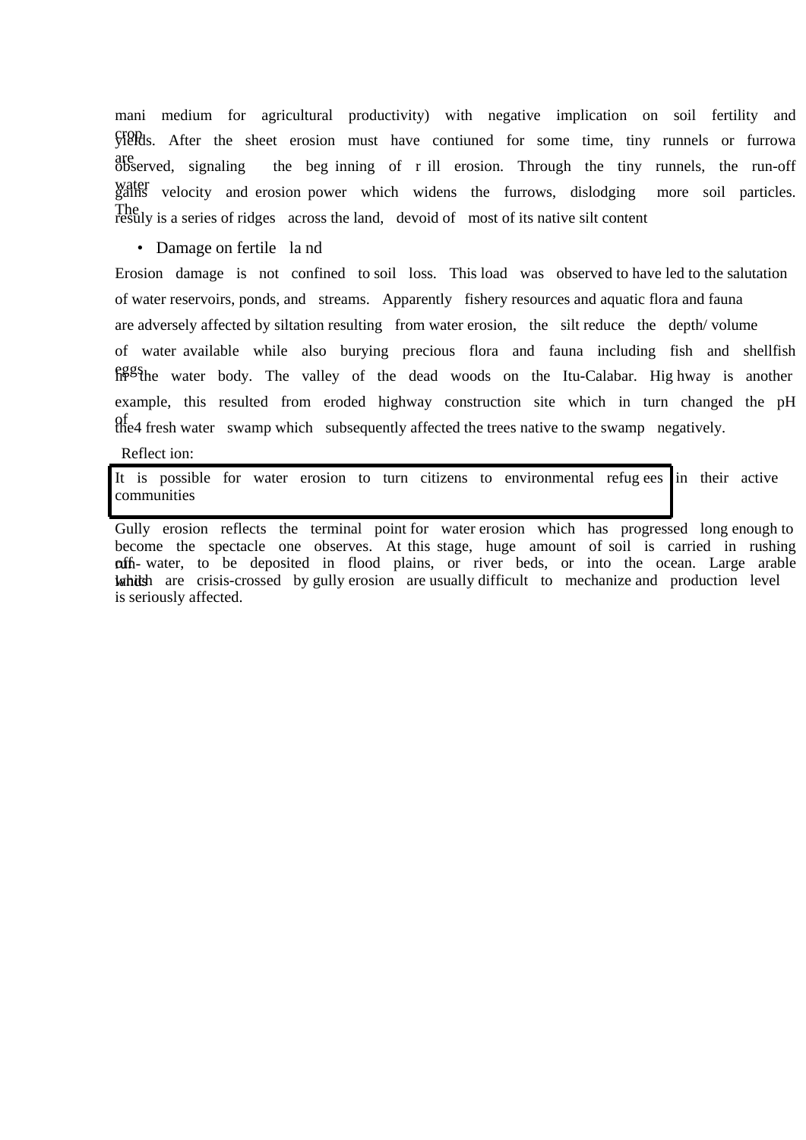mani medium for agricultural productivity) with negative implication on soil fertility and crop yields. After the sheet erosion must have contiuned for some time, tiny runnels or furrowa are observed, signaling the beg inning of r ill erosion. Through the tiny runnels, the run-off water gains velocity and erosion power which widens the furrows, dislodging more soil particles. The resuly is a series of ridges across the land, devoid of most of its native silt content

• Damage on fertile land

Erosion damage is not confined to soil loss. This load was observed to have led to the salutation of water reservoirs, ponds, and streams. Apparently fishery resources and aquatic flora and fauna are adversely affected by siltation resulting from water erosion, the silt reduce the depth/ volume of water available while also burying precious flora and fauna including fish and shellfish eggs the water body. The valley of the dead woods on the Itu-Calabar. Hig hway is another example, this resulted from eroded highway construction site which in turn changed the pH the4 fresh water swamp which subsequently affected the trees native to the swamp negatively.

Reflect ion:

It is possible for water erosion to turn citizens to environmental refugees in their active communities ı

Gully erosion reflects the terminal point for water erosion which has progressed long enough to become the spectacle one observes. At this stage, huge amount of soil is carried in rushing ruffi- water, to be deposited in flood plains, or river beds, or into the ocean. Large arable which are crisis-crossed by gully erosion are usually difficult to mechanize and production level is seriously affected.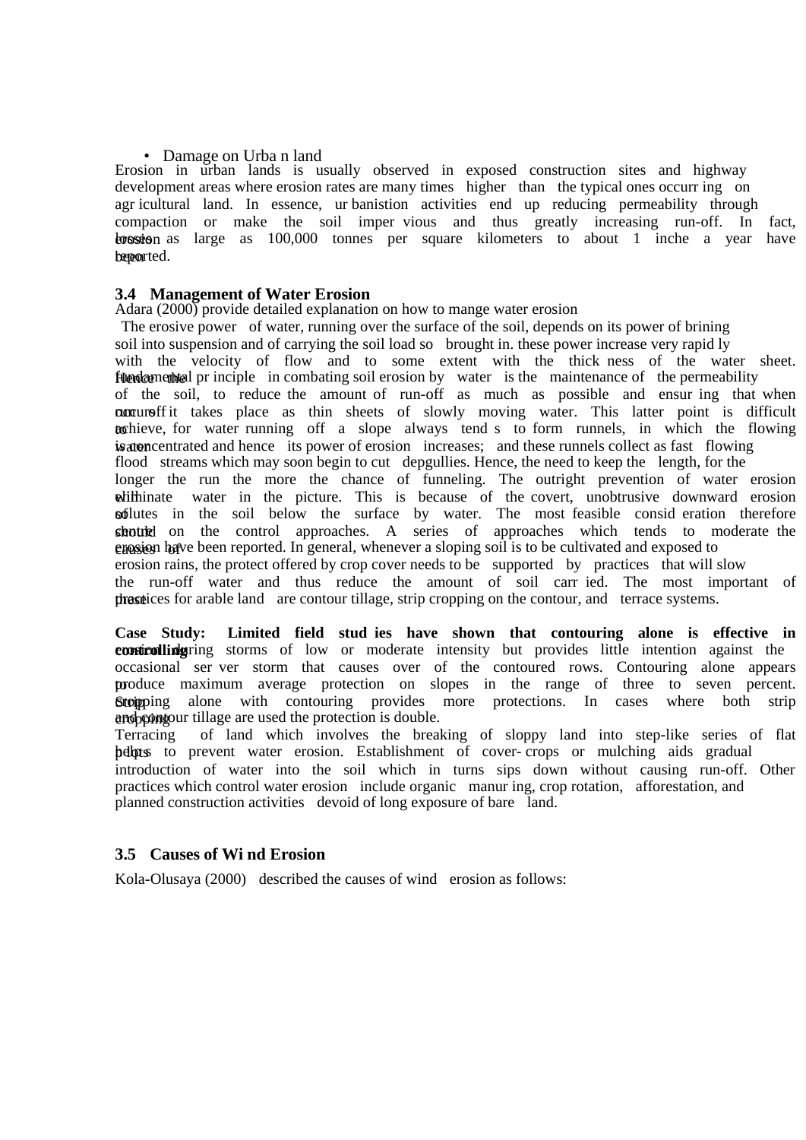### • Damage on Urba n land

Erosion in urban lands is usually observed in exposed construction sites and highway development areas where erosion rates are many times higher than the typical ones occurr ing on agr icultural land. In essence, ur banistion activities end up reducing permeability through compaction or make the soil imper vious and thus greatly increasing run-off. In fact, bossion as large as 100,000 tonnes per square kilometers to about 1 inche a year have becourted.

### **3.4 Management of Water Erosion**

Adara (2000) provide detailed explanation on how to mange water erosion

 The erosive power of water, running over the surface of the soil, depends on its power of brining soil into suspension and of carrying the soil load so brought in. these power increase very rapid ly with the velocity of flow and to some extent with the thick ness of the water sheet. fundamental principle in combating soil erosion by water is the maintenance of the permeability of the soil, to reduce the amount of run-off as much as possible and ensur ing that when run off it takes place as thin sheets of slowly moving water. This latter point is difficult to the achieve, for water running off a slope always tend s to form runnels, in which the flowing is in the set of erosion increases; and these runnels collect as fast flowing flood streams which may soon begin to cut depgullies. Hence, the need to keep the length, for the longer the run the more the chance of funneling. The outright prevention of water erosion white water in the picture. This is because of the covert, unobtrusive downward erosion **soflutes** in the soil below the surface by water. The most feasible consideration therefore should on the control approaches. A series of approaches which tends to moderate the erosion have been reported. In general, whenever a sloping soil is to be cultivated and exposed to erosion rains, the protect offered by crop cover needs to be supported by practices that will slow the run-off water and thus reduce the amount of soil carr ied. The most important of these for arable land are contour tillage, strip cropping on the contour, and terrace systems.

**Case Study: Limited field stud ies have shown that contouring alone is effective in controlling interest intensity but provides little intention against the** occasional ser ver storm that causes over of the contoured rows. Contouring alone appears produce maximum average protection on slopes in the range of three to seven percent. Stopping alone with contouring provides more protections. In cases where both strip and protection is double.<br>Terracing of land which involves the break

of land which involves the breaking of sloppy land into step-like series of flat pelpts to prevent water erosion. Establishment of cover- crops or mulching aids gradual introduction of water into the soil which in turns sips down without causing run-off. Other practices which control water erosion include organic manur ing, crop rotation, afforestation, and planned construction activities devoid of long exposure of bare land.

### **3.5 Causes of Wi nd Erosion**

Kola-Olusaya (2000) described the causes of wind erosion as follows: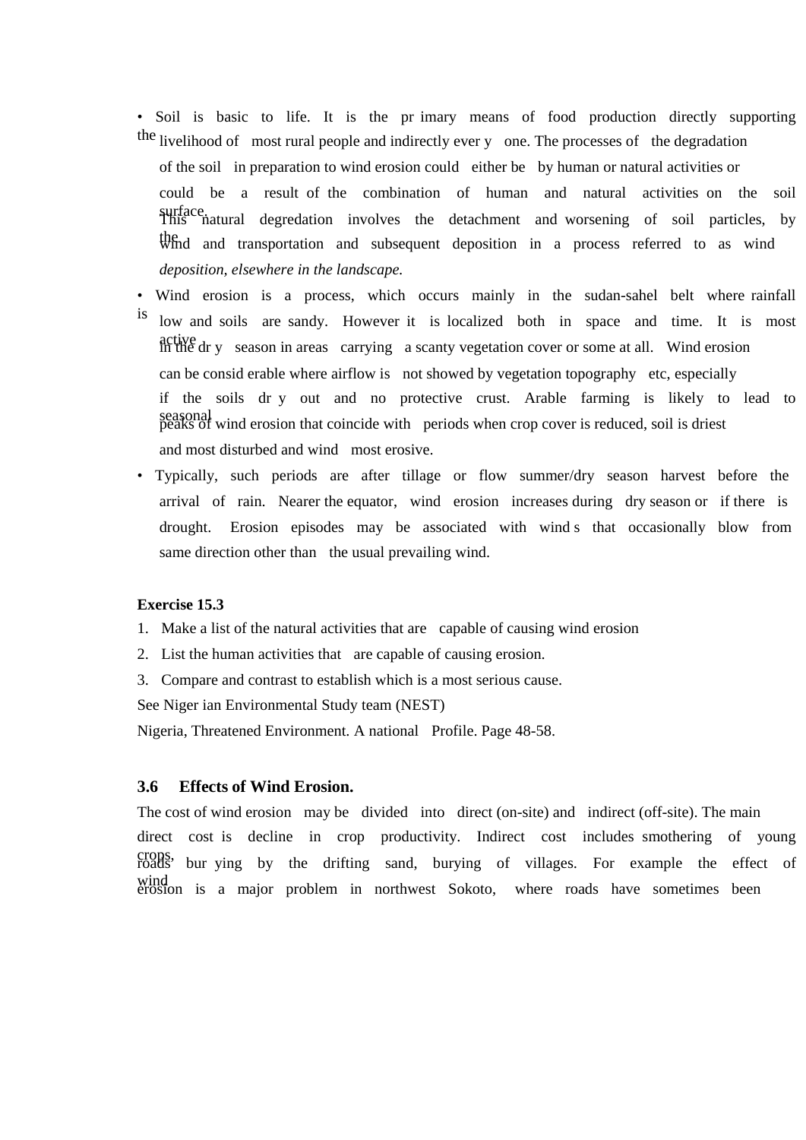- Soil is basic to life. It is the pr imary means of food production directly supporting the livelihood of most rural people and indirectly ever y one. The processes of the degradation of the soil in preparation to wind erosion could either be by human or natural activities or could be a result of the combination of human and natural activities on the soil surface. This natural degredation involves the detachment and worsening of soil particles, by the understandard transportation and subsequent deposition in a process referred to as wind *deposition, elsewhere in the landscape.*
- Wind erosion is a process, which occurs mainly in the sudan-sahel belt where rainfall
- is low and soils are sandy. However it is localized both in space and time. It is most active dr y season in areas carrying a scanty vegetation cover or some at all. Wind erosion can be consid erable where airflow is not showed by vegetation topography etc, especially if the soils dr y out and no protective crust. Arable farming is likely to lead to seasonal wind erosion that coincide with periods when crop cover is reduced, soil is driest and most disturbed and wind most erosive.
- Typically, such periods are after tillage or flow summer/dry season harvest before the arrival of rain. Nearer the equator, wind erosion increases during dry season or if there is drought. Erosion episodes may be associated with wind s that occasionally blow from same direction other than the usual prevailing wind.

### **Exercise 15.3**

- 1. Make a list of the natural activities that are capable of causing wind erosion
- 2. List the human activities that are capable of causing erosion.
- 3. Compare and contrast to establish which is a most serious cause.

See Niger ian Environmental Study team (NEST)

Nigeria, Threatened Environment. A national Profile. Page 48-58.

#### **3.6 Effects of Wind Erosion.**

The cost of wind erosion may be divided into direct (on-site) and indirect (off-site). The main direct cost is decline in crop productivity. Indirect cost includes smothering of young crops, roads bur ying by the drifting sand, burying of villages. For example the effect of wind<br>erosion is a major problem in northwest Sokoto, where roads have sometimes been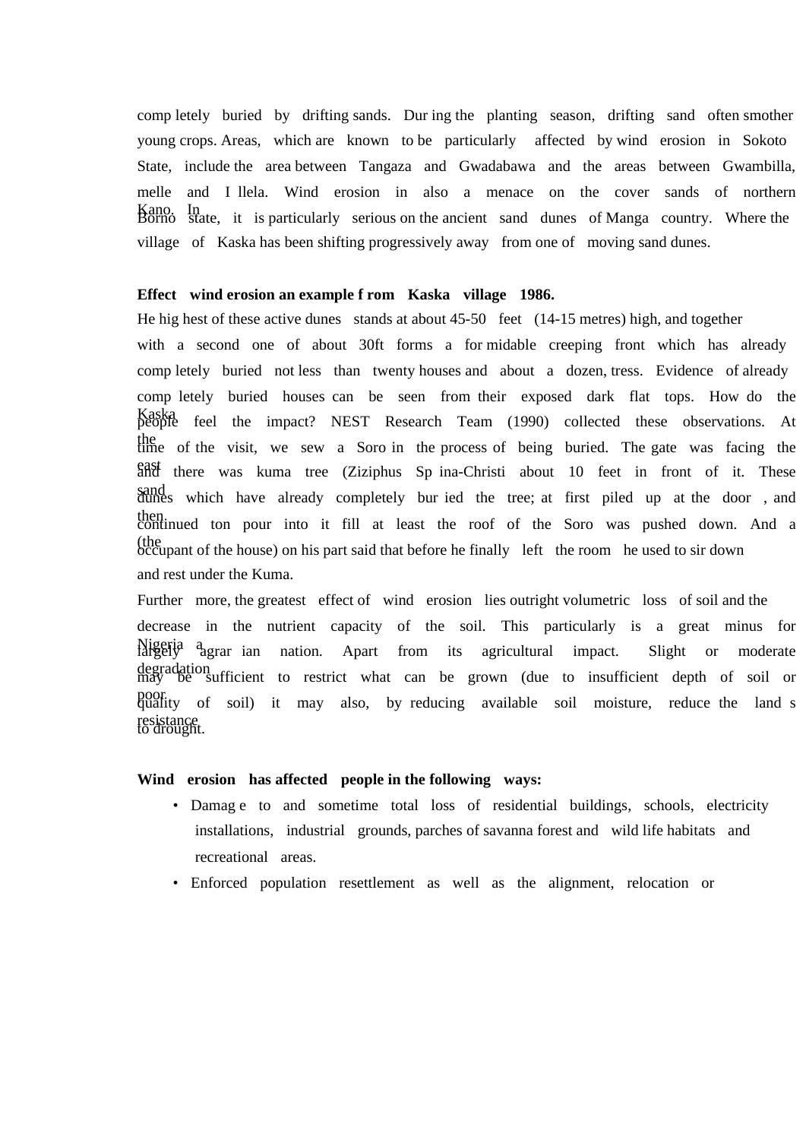comp letely buried by drifting sands. Dur ing the planting season, drifting sand often smother young crops. Areas, which are known to be particularly affected by wind erosion in Sokoto State, include the area between Tangaza and Gwadabawa and the areas between Gwambilla, melle and I llela. Wind erosion in also a menace on the cover sands of northern Kano. In Borno state, it is particularly serious on the ancient sand dunes of Manga country. Where the village of Kaska has been shifting progressively away from one of moving sand dunes.

#### **Effect wind erosion an example f rom Kaska village 1986.**

He hig hest of these active dunes stands at about 45-50 feet (14-15 metres) high, and together with a second one of about 30ft forms a for-midable creeping front which has already comp letely buried not less than twenty houses and about a dozen, tress. Evidence of already comp letely buried houses can be seen from their exposed dark flat tops. How do the Kaska people feel the impact? NEST Research Team (1990) collected these observations. At the time of the visit, we sew a Soro in the process of being buried. The gate was facing the east and there was kuma tree (Ziziphus Sp ina-Christi about 10 feet in front of it. These sand which have already completely bur ied the tree; at first piled up at the door, and then.<br>continued ton pour into it fill at least the roof of the Soro was pushed down. And a (the occupant of the house) on his part said that before he finally left the room he used to sir down and rest under the Kuma.

Further more, the greatest effect of wind erosion lies outright volumetric loss of soil and the decrease in the nutrient capacity of the soil. This particularly is a great minus for Nigeria a largely agrar ian nation. Apart from its agricultural impact. Slight or moderate degradation described in the strict what can be grown (due to insufficient depth of soil or poor poor boil) it may also, by reducing available soil moisture, reduce the land s resistance<br>to drought.

### **Wind erosion has affected people in the following ways:**

- Damag e to and sometime total loss of residential buildings, schools, electricity installations, industrial grounds, parches of savanna forest and wild life habitats and recreational areas.
- Enforced population resettlement as well as the alignment, relocation or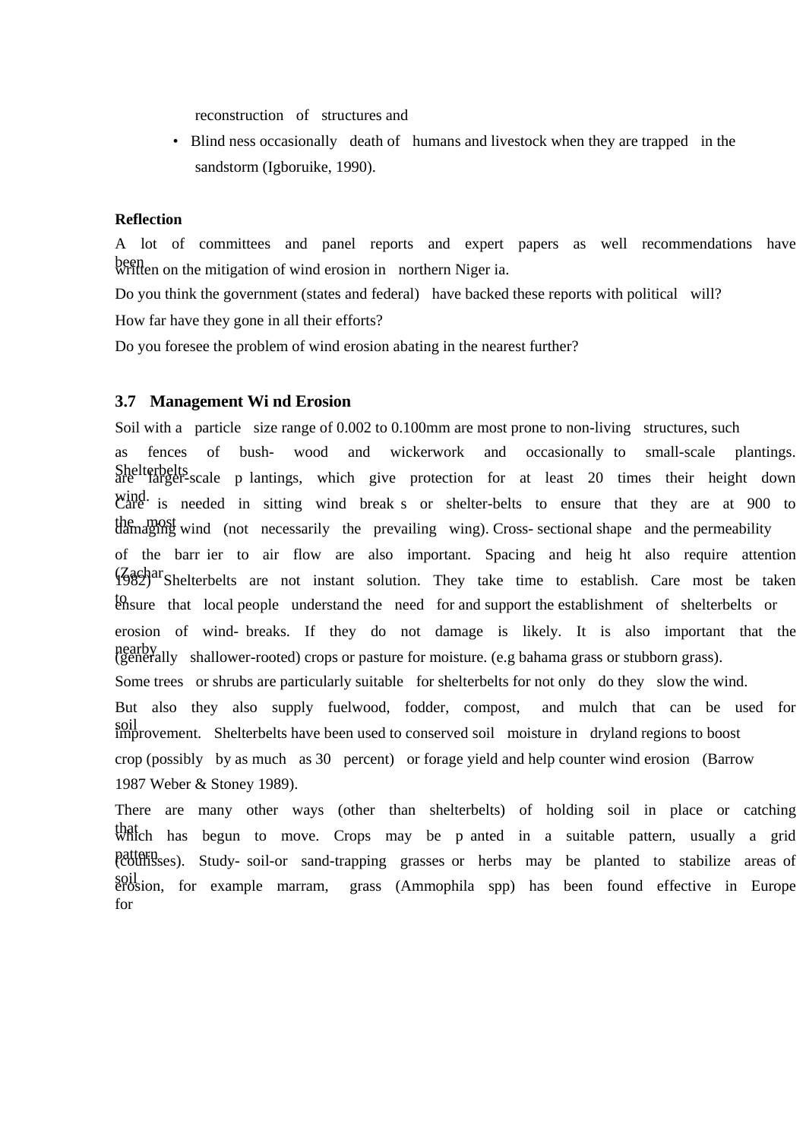reconstruction of structures and

• Blind ness occasionally death of humans and livestock when they are trapped in the sandstorm (Igboruike, 1990).

#### **Reflection**

A lot of committees and panel reports and expert papers as well recommendations have been<br>written on the mitigation of wind erosion in northern Niger ia.

Do you think the government (states and federal) have backed these reports with political will? How far have they gone in all their efforts?

Do you foresee the problem of wind erosion abating in the nearest further?

#### **3.7 Management Wi nd Erosion**

Soil with a particle size range of 0.002 to 0.100mm are most prone to non-living structures, such as fences of bush- wood and wickerwork and occasionally to small-scale plantings. Shelterbelts<br>are larger-scale p lantings, which give protection for at least 20 times their height down wind. Some is needed in sitting wind break s or shelter-belts to ensure that they are at 900 to the most damaging wind (not necessarily the prevailing wing). Cross- sectional shape and the permeability of the barr ier to air flow are also important. Spacing and heig ht also require attention (Zachar 1982) Shelterbelts are not instant solution. They take time to establish. Care most be taken to that local people understand the need for and support the establishment of shelterbelts or erosion of wind- breaks. If they do not damage is likely. It is also important that the nearby<br>(generally shallower-rooted) crops or pasture for moisture. (e.g bahama grass or stubborn grass). Some trees or shrubs are particularly suitable for shelterbelts for not only do they slow the wind. But also they also supply fuelwood, fodder, compost, and mulch that can be used for soil improvement. Shelterbelts have been used to conserved soil moisture in dryland regions to boost crop (possibly by as much as 30 percent) or forage yield and help counter wind erosion (Barrow 1987 Weber & Stoney 1989).

There are many other ways (other than shelterbelts) of holding soil in place or catching that which has begun to move. Crops may be p anted in a suitable pattern, usually a grid pattern<br>
(coulisses). Study- soil-or sand-trapping grasses or herbs may be planted to stabilize areas of soil erosion, for example marram, grass (Ammophila spp) has been found effective in Europe for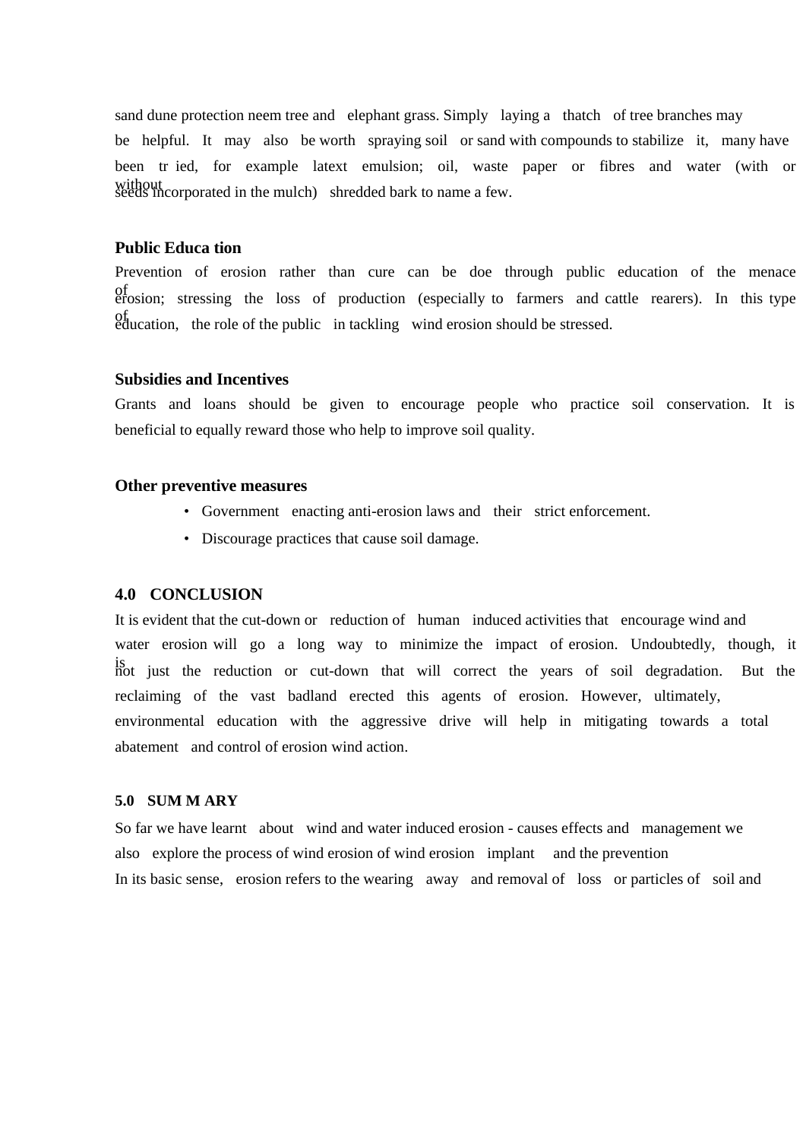sand dune protection neem tree and elephant grass. Simply laying a thatch of tree branches may be helpful. It may also be worth spraying soil or sand with compounds to stabilize it, many have been tr ied, for example latext emulsion; oil, waste paper or fibres and water (with or without seeds incorporated in the mulch) shredded bark to name a few.

### **Public Educa tion**

Prevention of erosion rather than cure can be doe through public education of the menace of erosion; stressing the loss of production (especially to farmers and cattle rearers). In this type of education, the role of the public in tackling wind erosion should be stressed.

# **Subsidies and Incentives**

Grants and loans should be given to encourage people who practice soil conservation. It is beneficial to equally reward those who help to improve soil quality.

#### **Other preventive measures**

- Government enacting anti-erosion laws and their strict enforcement.
- Discourage practices that cause soil damage.

### **4.0 CONCLUSION**

It is evident that the cut-down or reduction of human induced activities that encourage wind and water erosion will go a long way to minimize the impact of erosion. Undoubtedly, though, it is is not just the reduction or cut-down that will correct the years of soil degradation. But the reclaiming of the vast badland erected this agents of erosion. However, ultimately, environmental education with the aggressive drive will help in mitigating towards a total abatement and control of erosion wind action.

# **5.0 SUM M ARY**

So far we have learnt about wind and water induced erosion - causes effects and management we also explore the process of wind erosion of wind erosion implant and the prevention In its basic sense, erosion refers to the wearing away and removal of loss or particles of soil and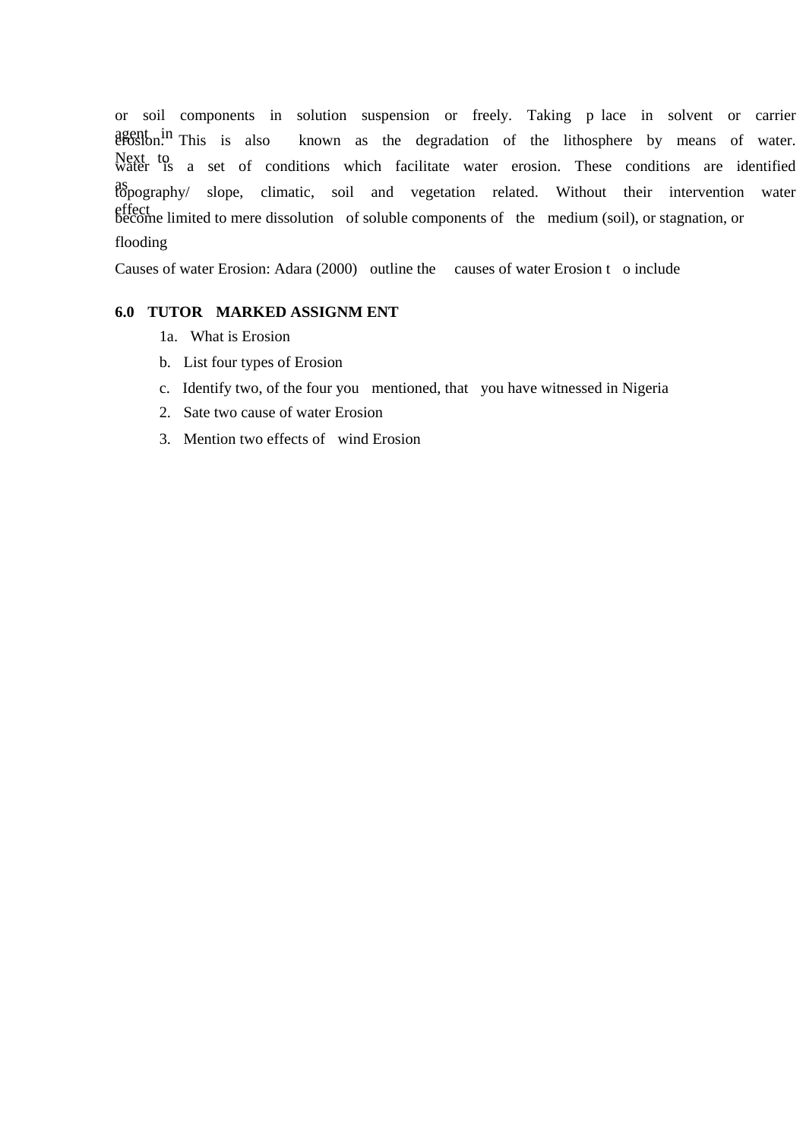or soil components in solution suspension or freely. Taking p lace in solvent or carrier agent in This is also known as the degradation of the lithosphere by means of water. Next to a set of conditions which facilitate water erosion. These conditions are identified water as topography/ slope, climatic, soil and vegetation related. Without their intervention water effect become limited to mere dissolution of soluble components of the medium (soil), or stagnation, or flooding

Causes of water Erosion: Adara (2000) outline the causes of water Erosion t o include

### **6.0 TUTOR MARKED ASSIGNM ENT**

- 1a. What is Erosion
- b. List four types of Erosion
- c. Identify two, of the four you mentioned, that you have witnessed in Nigeria
- 2. Sate two cause of water Erosion
- 3. Mention two effects of wind Erosion